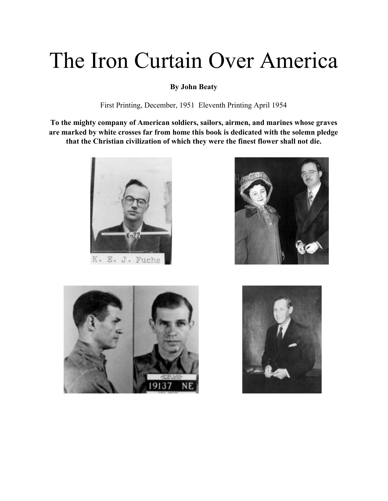# The Iron Curtain Over America

**By John Beaty**

First Printing, December, 1951 Eleventh Printing April 1954

**To the mighty company of American soldiers, sailors, airmen, and marines whose graves are marked by white crosses far from home this book is dedicated with the solemn pledge that the Christian civilization of which they were the finest flower shall not die.**







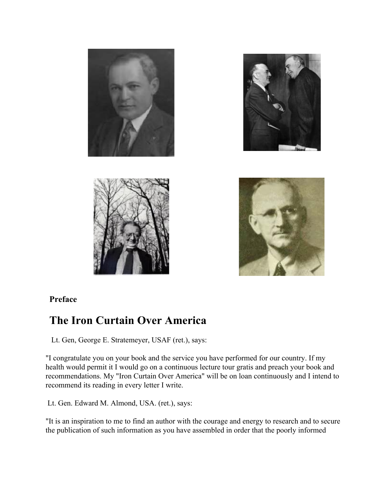







## **Preface**

# **The Iron Curtain Over America**

Lt. Gen, George E. Stratemeyer, USAF (ret.), says:

"I congratulate you on your book and the service you have performed for our country. If my health would permit it I would go on a continuous lecture tour gratis and preach your book and recommendations. My "Iron Curtain Over America" will be on loan continuously and I intend to recommend its reading in every letter I write.

Lt. Gen. Edward M. Almond, USA. (ret.), says:

"It is an inspiration to me to find an author with the courage and energy to research and to secure the publication of such information as you have assembled in order that the poorly informed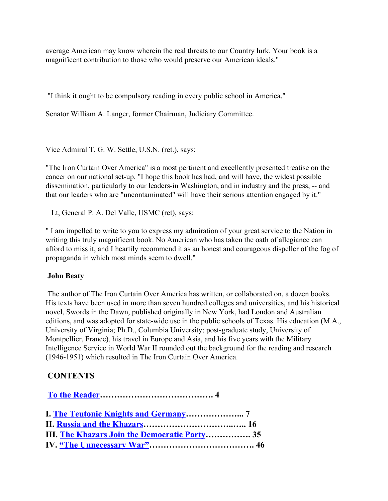average American may know wherein the real threats to our Country lurk. Your book is a magnificent contribution to those who would preserve our American ideals."

"I think it ought to be compulsory reading in every public school in America."

Senator William A. Langer, former Chairman, Judiciary Committee.

Vice Admiral T. G. W. Settle, U.S.N. (ret.), says:

"The Iron Curtain Over America" is a most pertinent and excellently presented treatise on the cancer on our national set-up. "I hope this book has had, and will have, the widest possible dissemination, particularly to our leaders-in Washington, and in industry and the press, -- and that our leaders who are "uncontaminated" will have their serious attention engaged by it."

Lt, General P. A. Del Valle, USMC (ret), says:

" I am impelled to write to you to express my admiration of your great service to the Nation in writing this truly magnificent book. No American who has taken the oath of allegiance can afford to miss it, and I heartily recommend it as an honest and courageous dispeller of the fog of propaganda in which most minds seem to dwell."

#### **John Beaty**

 The author of The Iron Curtain Over America has written, or collaborated on, a dozen books. His texts have been used in more than seven hundred colleges and universities, and his historical novel, Swords in the Dawn, published originally in New York, had London and Australian editions, and was adopted for state-wide use in the public schools of Texas. His education (M.A., University of Virginia; Ph.D., Columbia University; post-graduate study, University of Montpellier, France), his travel in Europe and Asia, and his five years with the Military Intelligence Service in World War II rounded out the background for the reading and research (1946-1951) which resulted in The Iron Curtain Over America.

# **CONTENTS**

| III. The Khazars Join the Democratic Party 35 |  |
|-----------------------------------------------|--|
|                                               |  |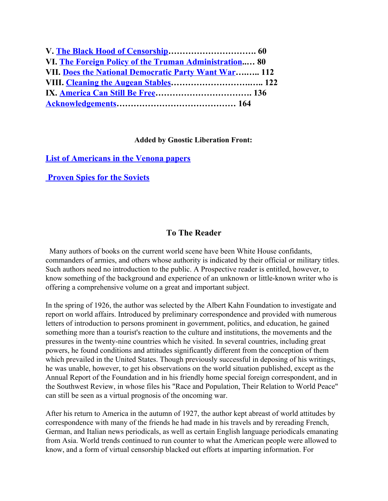| VI. The Foreign Policy of the Truman Administration 80 |  |
|--------------------------------------------------------|--|
| VII. Does the National Democratic Party Want War 112   |  |
|                                                        |  |
|                                                        |  |
|                                                        |  |

#### **Added by Gnostic Liberation Front:**

**[List of Americans in the Venona papers](http://www.iamthewitness.com/books/John.Beaty/Iron.Curtain.Over.America.htm#Venona%20Papers)**

 **[Proven Spies for the Soviets](http://www.iamthewitness.com/books/John.Beaty/Iron.Curtain.Over.America.htm#Venona%20Papers)**

#### **To The Reader**

 Many authors of books on the current world scene have been White House confidants, commanders of armies, and others whose authority is indicated by their official or military titles. Such authors need no introduction to the public. A Prospective reader is entitled, however, to know something of the background and experience of an unknown or little-known writer who is offering a comprehensive volume on a great and important subject.

In the spring of 1926, the author was selected by the Albert Kahn Foundation to investigate and report on world affairs. Introduced by preliminary correspondence and provided with numerous letters of introduction to persons prominent in government, politics, and education, he gained something more than a tourist's reaction to the culture and institutions, the movements and the pressures in the twenty-nine countries which he visited. In several countries, including great powers, he found conditions and attitudes significantly different from the conception of them which prevailed in the United States. Though previously successful in deposing of his writings, he was unable, however, to get his observations on the world situation published, except as the Annual Report of the Foundation and in his friendly home special foreign correspondent, and in the Southwest Review, in whose files his "Race and Population, Their Relation to World Peace" can still be seen as a virtual prognosis of the oncoming war.

After his return to America in the autumn of 1927, the author kept abreast of world attitudes by correspondence with many of the friends he had made in his travels and by rereading French, German, and Italian news periodicals, as well as certain English language periodicals emanating from Asia. World trends continued to run counter to what the American people were allowed to know, and a form of virtual censorship blacked out efforts at imparting information. For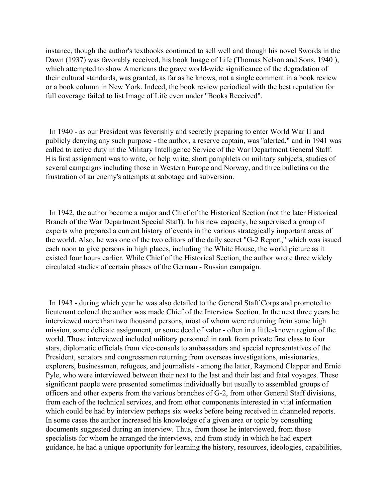instance, though the author's textbooks continued to sell well and though his novel Swords in the Dawn (1937) was favorably received, his book Image of Life (Thomas Nelson and Sons, 1940 ), which attempted to show Americans the grave world-wide significance of the degradation of their cultural standards, was granted, as far as he knows, not a single comment in a book review or a book column in New York. Indeed, the book review periodical with the best reputation for full coverage failed to list Image of Life even under "Books Received".

 In 1940 - as our President was feverishly and secretly preparing to enter World War II and publicly denying any such purpose - the author, a reserve captain, was "alerted," and in 1941 was called to active duty in the Military Intelligence Service of the War Department General Staff. His first assignment was to write, or help write, short pamphlets on military subjects, studies of several campaigns including those in Western Europe and Norway, and three bulletins on the frustration of an enemy's attempts at sabotage and subversion.

 In 1942, the author became a major and Chief of the Historical Section (not the later Historical Branch of the War Department Special Staff). In his new capacity, he supervised a group of experts who prepared a current history of events in the various strategically important areas of the world. Also, he was one of the two editors of the daily secret "G-2 Report," which was issued each noon to give persons in high places, including the White House, the world picture as it existed four hours earlier. While Chief of the Historical Section, the author wrote three widely circulated studies of certain phases of the German - Russian campaign.

 In 1943 - during which year he was also detailed to the General Staff Corps and promoted to lieutenant colonel the author was made Chief of the Interview Section. In the next three years he interviewed more than two thousand persons, most of whom were returning from some high mission, some delicate assignment, or some deed of valor - often in a little-known region of the world. Those interviewed included military personnel in rank from private first class to four stars, diplomatic officials from vice-consuls to ambassadors and special representatives of the President, senators and congressmen returning from overseas investigations, missionaries, explorers, businessmen, refugees, and journalists - among the latter, Raymond Clapper and Ernie Pyle, who were interviewed between their next to the last and their last and fatal voyages. These significant people were presented sometimes individually but usually to assembled groups of officers and other experts from the various branches of G-2, from other General Staff divisions, from each of the technical services, and from other components interested in vital information which could be had by interview perhaps six weeks before being received in channeled reports. In some cases the author increased his knowledge of a given area or topic by consulting documents suggested during an interview. Thus, from those he interviewed, from those specialists for whom he arranged the interviews, and from study in which he had expert guidance, he had a unique opportunity for learning the history, resources, ideologies, capabilities,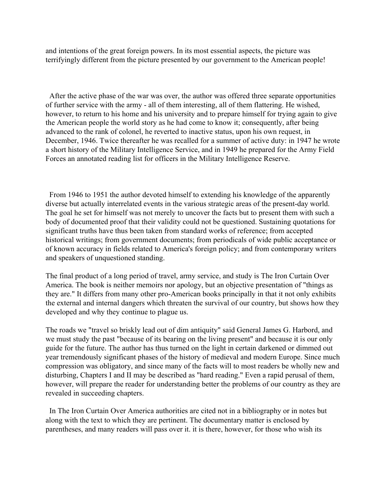and intentions of the great foreign powers. In its most essential aspects, the picture was terrifyingly different from the picture presented by our government to the American people!

 After the active phase of the war was over, the author was offered three separate opportunities of further service with the army - all of them interesting, all of them flattering. He wished, however, to return to his home and his university and to prepare himself for trying again to give the American people the world story as he had come to know it; consequently, after being advanced to the rank of colonel, he reverted to inactive status, upon his own request, in December, 1946. Twice thereafter he was recalled for a summer of active duty: in 1947 he wrote a short history of the Military Intelligence Service, and in 1949 he prepared for the Army Field Forces an annotated reading list for officers in the Military Intelligence Reserve.

 From 1946 to 1951 the author devoted himself to extending his knowledge of the apparently diverse but actually interrelated events in the various strategic areas of the present-day world. The goal he set for himself was not merely to uncover the facts but to present them with such a body of documented proof that their validity could not be questioned. Sustaining quotations for significant truths have thus been taken from standard works of reference; from accepted historical writings; from government documents; from periodicals of wide public acceptance or of known accuracy in fields related to America's foreign policy; and from contemporary writers and speakers of unquestioned standing.

The final product of a long period of travel, army service, and study is The Iron Curtain Over America. The book is neither memoirs nor apology, but an objective presentation of "things as they are." It differs from many other pro-American books principally in that it not only exhibits the external and internal dangers which threaten the survival of our country, but shows how they developed and why they continue to plague us.

The roads we "travel so briskly lead out of dim antiquity" said General James G. Harbord, and we must study the past "because of its bearing on the living present" and because it is our only guide for the future. The author has thus turned on the light in certain darkened or dimmed out year tremendously significant phases of the history of medieval and modern Europe. Since much compression was obligatory, and since many of the facts will to most readers be wholly new and disturbing, Chapters I and II may be described as "hard reading." Even a rapid perusal of them, however, will prepare the reader for understanding better the problems of our country as they are revealed in succeeding chapters.

 In The Iron Curtain Over America authorities are cited not in a bibliography or in notes but along with the text to which they are pertinent. The documentary matter is enclosed by parentheses, and many readers will pass over it. it is there, however, for those who wish its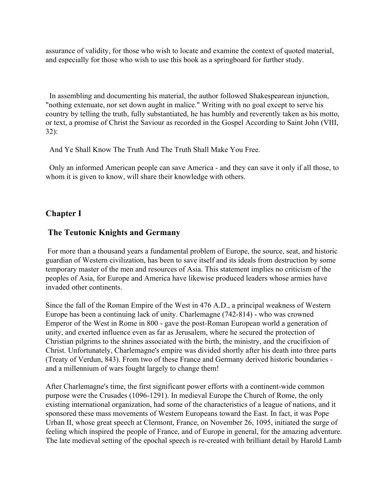assurance of validity, for those who wish to locate and examine the context of quoted material, and especially for those who wish to use this book as a springboard for further study.

 In assembling and documenting his material, the author followed Shakespearean injunction, "nothing extenuate, nor set down aught in malice." Writing with no goal except to serve his country by telling the truth, fully substantiated, he has humbly and reverently taken as his motto, or text, a promise of Christ the Saviour as recorded in the Gospel According to Saint John (VIII, 32):

And Ye Shall Know The Truth And The Truth Shall Make You Free.

 Only an informed American people can save America - and they can save it only if all those, to whom it is given to know, will share their knowledge with others.

## **Chapter I**

## **The Teutonic Knights and Germany**

 For more than a thousand years a fundamental problem of Europe, the source, seat, and historic guardian of Western civilization, has been to save itself and its ideals from destruction by some temporary master of the men and resources of Asia. This statement implies no criticism of the peoples of Asia, for Europe and America have likewise produced leaders whose armies have invaded other continents.

Since the fall of the Roman Empire of the West in 476 A.D., a principal weakness of Western Europe has been a continuing lack of unity. Charlemagne (742-814) - who was crowned Emperor of the West in Rome in 800 - gave the post-Roman European world a generation of unity, and exerted influence even as far as Jerusalem, where he secured the protection of Christian pilgrims to the shrines associated with the birth, the ministry, and the crucifixion of Christ. Unfortunately, Charlemagne's empire was divided shortly after his death into three parts (Treaty of Verdun, 843). From two of these France and Germany derived historic boundaries and a millennium of wars fought largely to change them!

After Charlemagne's time, the first significant power efforts with a continent-wide common purpose were the Crusades (1096-1291). In medieval Europe the Church of Rome, the only existing international organization, had some of the characteristics of a league of nations, and it sponsored these mass movements of Western Europeans toward the East. In fact, it was Pope Urban II, whose great speech at Clermont, France, on November 26, 1095, initiated the surge of feeling which inspired the people of France, and of Europe in general, for the amazing adventure. The late medieval setting of the epochal speech is re-created with brilliant detail by Harold Lamb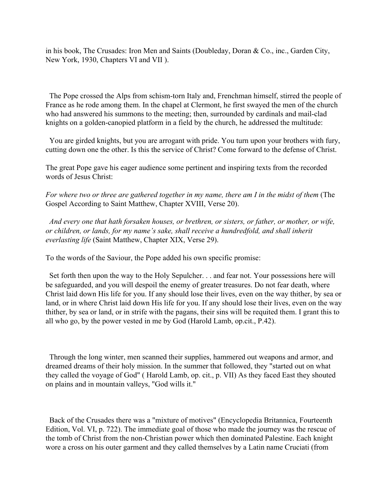in his book, The Crusades: Iron Men and Saints (Doubleday, Doran & Co., inc., Garden City, New York, 1930, Chapters VI and VII ).

 The Pope crossed the Alps from schism-torn Italy and, Frenchman himself, stirred the people of France as he rode among them. In the chapel at Clermont, he first swayed the men of the church who had answered his summons to the meeting; then, surrounded by cardinals and mail-clad knights on a golden-canopied platform in a field by the church, he addressed the multitude:

 You are girded knights, but you are arrogant with pride. You turn upon your brothers with fury, cutting down one the other. Is this the service of Christ? Come forward to the defense of Christ.

The great Pope gave his eager audience some pertinent and inspiring texts from the recorded words of Jesus Christ:

*For where two or three are gathered together in my name, there am I in the midst of them* (The Gospel According to Saint Matthew, Chapter XVIII, Verse 20).

 *And every one that hath forsaken houses, or brethren, or sisters, or father, or mother, or wife, or children, or lands, for my name's sake, shall receive a hundredfold, and shall inherit everlasting life* (Saint Matthew, Chapter XIX, Verse 29).

To the words of the Saviour, the Pope added his own specific promise:

 Set forth then upon the way to the Holy Sepulcher. . . and fear not. Your possessions here will be safeguarded, and you will despoil the enemy of greater treasures. Do not fear death, where Christ laid down His life for you. If any should lose their lives, even on the way thither, by sea or land, or in where Christ laid down His life for you. If any should lose their lives, even on the way thither, by sea or land, or in strife with the pagans, their sins will be requited them. I grant this to all who go, by the power vested in me by God (Harold Lamb, op.cit., P.42).

 Through the long winter, men scanned their supplies, hammered out weapons and armor, and dreamed dreams of their holy mission. In the summer that followed, they "started out on what they called the voyage of God" ( Harold Lamb, op. cit., p. VII) As they faced East they shouted on plains and in mountain valleys, "God wills it."

 Back of the Crusades there was a "mixture of motives" (Encyclopedia Britannica, Fourteenth Edition, Vol. VI, p. 722). The immediate goal of those who made the journey was the rescue of the tomb of Christ from the non-Christian power which then dominated Palestine. Each knight wore a cross on his outer garment and they called themselves by a Latin name Cruciati (from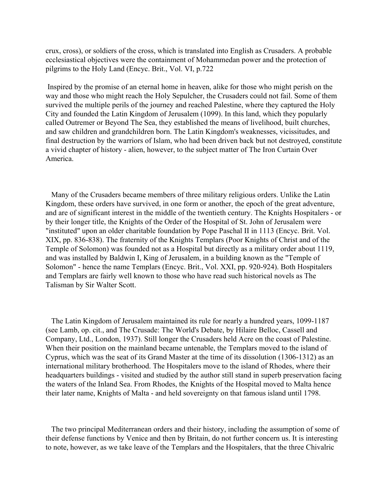crux, cross), or soldiers of the cross, which is translated into English as Crusaders. A probable ecclesiastical objectives were the containment of Mohammedan power and the protection of pilgrims to the Holy Land (Encyc. Brit., Vol. VI, p.722

 Inspired by the promise of an eternal home in heaven, alike for those who might perish on the way and those who might reach the Holy Sepulcher, the Crusaders could not fail. Some of them survived the multiple perils of the journey and reached Palestine, where they captured the Holy City and founded the Latin Kingdom of Jerusalem (1099). In this land, which they popularly called Outremer or Beyond The Sea, they established the means of livelihood, built churches, and saw children and grandchildren born. The Latin Kingdom's weaknesses, vicissitudes, and final destruction by the warriors of Islam, who had been driven back but not destroyed, constitute a vivid chapter of history - alien, however, to the subject matter of The Iron Curtain Over America.

 Many of the Crusaders became members of three military religious orders. Unlike the Latin Kingdom, these orders have survived, in one form or another, the epoch of the great adventure, and are of significant interest in the middle of the twentieth century. The Knights Hospitalers - or by their longer title, the Knights of the Order of the Hospital of St. John of Jerusalem were "instituted" upon an older charitable foundation by Pope Paschal II in 1113 (Encyc. Brit. Vol. XIX, pp. 836-838). The fraternity of the Knights Templars (Poor Knights of Christ and of the Temple of Solomon) was founded not as a Hospital but directly as a military order about 1119, and was installed by Baldwin I, King of Jerusalem, in a building known as the "Temple of Solomon" - hence the name Templars (Encyc. Brit., Vol. XXI, pp. 920-924). Both Hospitalers and Templars are fairly well known to those who have read such historical novels as The Talisman by Sir Walter Scott.

 The Latin Kingdom of Jerusalem maintained its rule for nearly a hundred years, 1099-1187 (see Lamb, op. cit., and The Crusade: The World's Debate, by Hilaire Belloc, Cassell and Company, Ltd., London, 1937). Still longer the Crusaders held Acre on the coast of Palestine. When their position on the mainland became untenable, the Templars moved to the island of Cyprus, which was the seat of its Grand Master at the time of its dissolution (1306-1312) as an international military brotherhood. The Hospitalers move to the island of Rhodes, where their headquarters buildings - visited and studied by the author still stand in superb preservation facing the waters of the Inland Sea. From Rhodes, the Knights of the Hospital moved to Malta hence their later name, Knights of Malta - and held sovereignty on that famous island until 1798.

 The two principal Mediterranean orders and their history, including the assumption of some of their defense functions by Venice and then by Britain, do not further concern us. It is interesting to note, however, as we take leave of the Templars and the Hospitalers, that the three Chivalric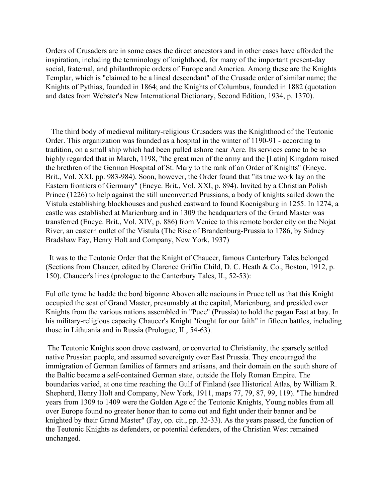Orders of Crusaders are in some cases the direct ancestors and in other cases have afforded the inspiration, including the terminology of knighthood, for many of the important present-day social, fraternal, and philanthropic orders of Europe and America. Among these are the Knights Templar, which is "claimed to be a lineal descendant" of the Crusade order of similar name; the Knights of Pythias, founded in 1864; and the Knights of Columbus, founded in 1882 (quotation and dates from Webster's New International Dictionary, Second Edition, 1934, p. 1370).

 The third body of medieval military-religious Crusaders was the Knighthood of the Teutonic Order. This organization was founded as a hospital in the winter of 1190-91 - according to tradition, on a small ship which had been pulled ashore near Acre. Its services came to be so highly regarded that in March, 1198, "the great men of the army and the [Latin] Kingdom raised the brethren of the German Hospital of St. Mary to the rank of an Order of Knights" (Encyc. Brit., Vol. XXI, pp. 983-984). Soon, however, the Order found that "its true work lay on the Eastern frontiers of Germany" (Encyc. Brit., Vol. XXI, p. 894). Invited by a Christian Polish Prince (1226) to help against the still unconverted Prussians, a body of knights sailed down the Vistula establishing blockhouses and pushed eastward to found Koenigsburg in 1255. In 1274, a castle was established at Marienburg and in 1309 the headquarters of the Grand Master was transferred (Encyc. Brit., Vol. XIV, p. 886) from Venice to this remote border city on the Nojat River, an eastern outlet of the Vistula (The Rise of Brandenburg-Prussia to 1786, by Sidney Bradshaw Fay, Henry Holt and Company, New York, 1937)

 It was to the Teutonic Order that the Knight of Chaucer, famous Canterbury Tales belonged (Sections from Chaucer, edited by Clarence Griffin Child, D. C. Heath & Co., Boston, 1912, p. 150). Chaucer's lines (prologue to the Canterbury Tales, II., 52-53):

Ful ofte tyme he hadde the bord bigonne Aboven alle naciouns in Pruce tell us that this Knight occupied the seat of Grand Master, presumably at the capital, Marienburg, and presided over Knights from the various nations assembled in "Puce" (Prussia) to hold the pagan East at bay. In his military-religious capacity Chaucer's Knight "fought for our faith" in fifteen battles, including those in Lithuania and in Russia (Prologue, II., 54-63).

 The Teutonic Knights soon drove eastward, or converted to Christianity, the sparsely settled native Prussian people, and assumed sovereignty over East Prussia. They encouraged the immigration of German families of farmers and artisans, and their domain on the south shore of the Baltic became a self-contained German state, outside the Holy Roman Empire. The boundaries varied, at one time reaching the Gulf of Finland (see Historical Atlas, by William R. Shepherd, Henry Holt and Company, New York, 1911, maps 77, 79, 87, 99, 119). "The hundred years from 1309 to 1409 were the Golden Age of the Teutonic Knights, Young nobles from all over Europe found no greater honor than to come out and fight under their banner and be knighted by their Grand Master" (Fay, op. cit., pp. 32-33). As the years passed, the function of the Teutonic Knights as defenders, or potential defenders, of the Christian West remained unchanged.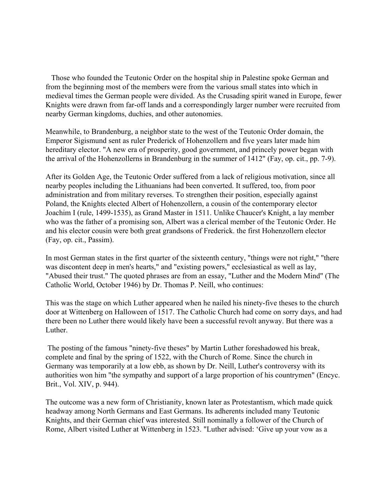Those who founded the Teutonic Order on the hospital ship in Palestine spoke German and from the beginning most of the members were from the various small states into which in medieval times the German people were divided. As the Crusading spirit waned in Europe, fewer Knights were drawn from far-off lands and a correspondingly larger number were recruited from nearby German kingdoms, duchies, and other autonomies.

Meanwhile, to Brandenburg, a neighbor state to the west of the Teutonic Order domain, the Emperor Sigismund sent as ruler Prederick of Hohenzollern and five years later made him hereditary elector. "A new era of prosperity, good government, and princely power began with the arrival of the Hohenzollerns in Brandenburg in the summer of 1412" (Fay, op. cit., pp. 7-9).

After its Golden Age, the Teutonic Order suffered from a lack of religious motivation, since all nearby peoples including the Lithuanians had been converted. It suffered, too, from poor administration and from military reverses. To strengthen their position, especially against Poland, the Knights elected Albert of Hohenzollern, a cousin of the contemporary elector Joachim I (rule, 1499-1535), as Grand Master in 1511. Unlike Chaucer's Knight, a lay member who was the father of a promising son, Albert was a clerical member of the Teutonic Order. He and his elector cousin were both great grandsons of Frederick. the first Hohenzollern elector (Fay, op. cit., Passim).

In most German states in the first quarter of the sixteenth century, "things were not right," "there was discontent deep in men's hearts," and "existing powers," ecclesiastical as well as lay, "Abused their trust." The quoted phrases are from an essay, "Luther and the Modern Mind" (The Catholic World, October 1946) by Dr. Thomas P. Neill, who continues:

This was the stage on which Luther appeared when he nailed his ninety-five theses to the church door at Wittenberg on Halloween of 1517. The Catholic Church had come on sorry days, and had there been no Luther there would likely have been a successful revolt anyway. But there was a Luther.

 The posting of the famous "ninety-five theses" by Martin Luther foreshadowed his break, complete and final by the spring of 1522, with the Church of Rome. Since the church in Germany was temporarily at a low ebb, as shown by Dr. Neill, Luther's controversy with its authorities won him "the sympathy and support of a large proportion of his countrymen" (Encyc. Brit., Vol. XIV, p. 944).

The outcome was a new form of Christianity, known later as Protestantism, which made quick headway among North Germans and East Germans. Its adherents included many Teutonic Knights, and their German chief was interested. Still nominally a follower of the Church of Rome, Albert visited Luther at Wittenberg in 1523. "Luther advised: 'Give up your vow as a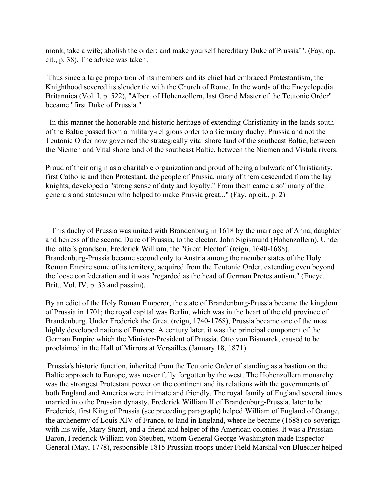monk; take a wife; abolish the order; and make yourself hereditary Duke of Prussia'". (Fay, op. cit., p. 38). The advice was taken.

 Thus since a large proportion of its members and its chief had embraced Protestantism, the Knighthood severed its slender tie with the Church of Rome. In the words of the Encyclopedia Britannica (Vol. I, p. 522), "Albert of Hohenzollern, last Grand Master of the Teutonic Order" became "first Duke of Prussia."

 In this manner the honorable and historic heritage of extending Christianity in the lands south of the Baltic passed from a military-religious order to a Germany duchy. Prussia and not the Teutonic Order now governed the strategically vital shore land of the southeast Baltic, between the Niemen and Vital shore land of the southeast Baltic, between the Niemen and Vistula rivers.

Proud of their origin as a charitable organization and proud of being a bulwark of Christianity, first Catholic and then Protestant, the people of Prussia, many of them descended from the lay knights, developed a "strong sense of duty and loyalty." From them came also" many of the generals and statesmen who helped to make Prussia great..." (Fay, op.cit., p. 2)

 This duchy of Prussia was united with Brandenburg in 1618 by the marriage of Anna, daughter and heiress of the second Duke of Prussia, to the elector, John Sigismund (Hohenzollern). Under the latter's grandson, Frederick William, the "Great Elector" (reign, 1640-1688), Brandenburg-Prussia became second only to Austria among the member states of the Holy Roman Empire some of its territory, acquired from the Teutonic Order, extending even beyond the loose confederation and it was "regarded as the head of German Protestantism." (Encyc. Brit., Vol. IV, p. 33 and passim).

By an edict of the Holy Roman Emperor, the state of Brandenburg-Prussia became the kingdom of Prussia in 1701; the royal capital was Berlin, which was in the heart of the old province of Brandenburg. Under Frederick the Great (reign, 1740-1768), Prussia became one of the most highly developed nations of Europe. A century later, it was the principal component of the German Empire which the Minister-President of Prussia, Otto von Bismarck, caused to be proclaimed in the Hall of Mirrors at Versailles (January 18, 1871).

 Prussia's historic function, inherited from the Teutonic Order of standing as a bastion on the Baltic approach to Europe, was never fully forgotten by the west. The Hohenzollern monarchy was the strongest Protestant power on the continent and its relations with the governments of both England and America were intimate and friendly. The royal family of England several times married into the Prussian dynasty. Frederick William II of Brandenburg-Prussia, later to be Frederick, first King of Prussia (see preceding paragraph) helped William of England of Orange, the archenemy of Louis XIV of France, to land in England, where he became (1688) co-soverign with his wife, Mary Stuart, and a friend and helper of the American colonies. It was a Prussian Baron, Frederick William von Steuben, whom General George Washington made Inspector General (May, 1778), responsible 1815 Prussian troops under Field Marshal von Bluecher helped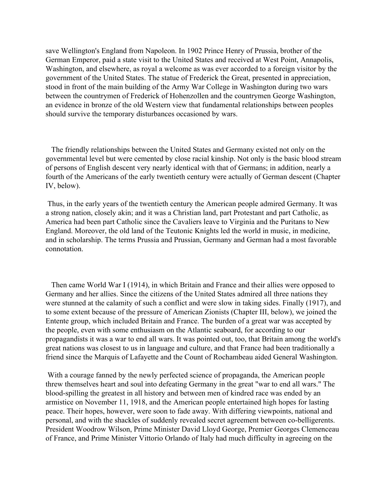save Wellington's England from Napoleon. In 1902 Prince Henry of Prussia, brother of the German Emperor, paid a state visit to the United States and received at West Point, Annapolis, Washington, and elsewhere, as royal a welcome as was ever accorded to a foreign visitor by the government of the United States. The statue of Frederick the Great, presented in appreciation, stood in front of the main building of the Army War College in Washington during two wars between the countrymen of Frederick of Hohenzollen and the countrymen George Washington, an evidence in bronze of the old Western view that fundamental relationships between peoples should survive the temporary disturbances occasioned by wars.

 The friendly relationships between the United States and Germany existed not only on the governmental level but were cemented by close racial kinship. Not only is the basic blood stream of persons of English descent very nearly identical with that of Germans; in addition, nearly a fourth of the Americans of the early twentieth century were actually of German descent (Chapter IV, below).

 Thus, in the early years of the twentieth century the American people admired Germany. It was a strong nation, closely akin; and it was a Christian land, part Protestant and part Catholic, as America had been part Catholic since the Cavaliers leave to Virginia and the Puritans to New England. Moreover, the old land of the Teutonic Knights led the world in music, in medicine, and in scholarship. The terms Prussia and Prussian, Germany and German had a most favorable connotation.

 Then came World War I (1914), in which Britain and France and their allies were opposed to Germany and her allies. Since the citizens of the United States admired all three nations they were stunned at the calamity of such a conflict and were slow in taking sides. Finally (1917), and to some extent because of the pressure of American Zionists (Chapter III, below), we joined the Entente group, which included Britain and France. The burden of a great war was accepted by the people, even with some enthusiasm on the Atlantic seaboard, for according to our propagandists it was a war to end all wars. It was pointed out, too, that Britain among the world's great nations was closest to us in language and culture, and that France had been traditionally a friend since the Marquis of Lafayette and the Count of Rochambeau aided General Washington.

 With a courage fanned by the newly perfected science of propaganda, the American people threw themselves heart and soul into defeating Germany in the great "war to end all wars." The blood-spilling the greatest in all history and between men of kindred race was ended by an armistice on November 11, 1918, and the American people entertained high hopes for lasting peace. Their hopes, however, were soon to fade away. With differing viewpoints, national and personal, and with the shackles of suddenly revealed secret agreement between co-belligerents. President Woodrow Wilson, Prime Minister David Lloyd George, Premier Georges Clemenceau of France, and Prime Minister Vittorio Orlando of Italy had much difficulty in agreeing on the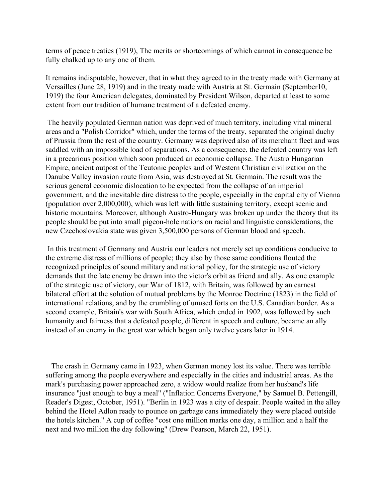terms of peace treaties (1919), The merits or shortcomings of which cannot in consequence be fully chalked up to any one of them.

It remains indisputable, however, that in what they agreed to in the treaty made with Germany at Versailles (June 28, 1919) and in the treaty made with Austria at St. Germain (September10, 1919) the four American delegates, dominated by President Wilson, departed at least to some extent from our tradition of humane treatment of a defeated enemy.

 The heavily populated German nation was deprived of much territory, including vital mineral areas and a "Polish Corridor" which, under the terms of the treaty, separated the original duchy of Prussia from the rest of the country. Germany was deprived also of its merchant fleet and was saddled with an impossible load of separations. As a consequence, the defeated country was left in a precarious position which soon produced an economic collapse. The Austro Hungarian Empire, ancient outpost of the Teutonic peoples and of Western Christian civilization on the Danube Valley invasion route from Asia, was destroyed at St. Germain. The result was the serious general economic dislocation to be expected from the collapse of an imperial government, and the inevitable dire distress to the people, especially in the capital city of Vienna (population over 2,000,000), which was left with little sustaining territory, except scenic and historic mountains. Moreover, although Austro-Hungary was broken up under the theory that its people should be put into small pigeon-hole nations on racial and linguistic considerations, the new Czechoslovakia state was given 3,500,000 persons of German blood and speech.

 In this treatment of Germany and Austria our leaders not merely set up conditions conducive to the extreme distress of millions of people; they also by those same conditions flouted the recognized principles of sound military and national policy, for the strategic use of victory demands that the late enemy be drawn into the victor's orbit as friend and ally. As one example of the strategic use of victory, our War of 1812, with Britain, was followed by an earnest bilateral effort at the solution of mutual problems by the Monroe Doctrine (1823) in the field of international relations, and by the crumbling of unused forts on the U.S. Canadian border. As a second example, Britain's war with South Africa, which ended in 1902, was followed by such humanity and fairness that a defeated people, different in speech and culture, became an ally instead of an enemy in the great war which began only twelve years later in 1914.

 The crash in Germany came in 1923, when German money lost its value. There was terrible suffering among the people everywhere and especially in the cities and industrial areas. As the mark's purchasing power approached zero, a widow would realize from her husband's life insurance "just enough to buy a meal" ("Inflation Concerns Everyone," by Samuel B. Pettengill, Reader's Digest, October, 1951). "Berlin in 1923 was a city of despair. People waited in the alley behind the Hotel Adlon ready to pounce on garbage cans immediately they were placed outside the hotels kitchen." A cup of coffee "cost one million marks one day, a million and a half the next and two million the day following" (Drew Pearson, March 22, 1951).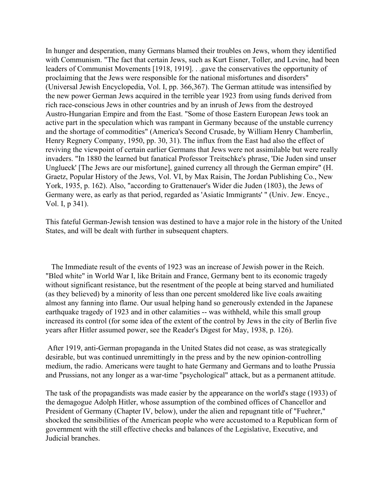In hunger and desperation, many Germans blamed their troubles on Jews, whom they identified with Communism. "The fact that certain Jews, such as Kurt Eisner, Toller, and Levine, had been leaders of Communist Movements [1918, 1919]. . .gave the conservatives the opportunity of proclaiming that the Jews were responsible for the national misfortunes and disorders" (Universal Jewish Encyclopedia, Vol. I, pp. 366,367). The German attitude was intensified by the new power German Jews acquired in the terrible year 1923 from using funds derived from rich race-conscious Jews in other countries and by an inrush of Jews from the destroyed Austro-Hungarian Empire and from the East. "Some of those Eastern European Jews took an active part in the speculation which was rampant in Germany because of the unstable currency and the shortage of commodities" (America's Second Crusade, by William Henry Chamberlin, Henry Regnery Company, 1950, pp. 30, 31). The influx from the East had also the effect of reviving the viewpoint of certain earlier Germans that Jews were not assimilable but were really invaders. "In 1880 the learned but fanatical Professor Treitschke's phrase, 'Die Juden sind unser Unglueck' [The Jews are our misfortune], gained currency all through the German empire" (H. Graetz, Popular History of the Jews, Vol. VI, by Max Raisin, The Jordan Publishing Co., New York, 1935, p. 162). Also, "according to Grattenauer's Wider die Juden (1803), the Jews of Germany were, as early as that period, regarded as 'Asiatic Immigrants' " (Univ. Jew. Encyc., Vol. I, p 341).

This fateful German-Jewish tension was destined to have a major role in the history of the United States, and will be dealt with further in subsequent chapters.

 The Immediate result of the events of 1923 was an increase of Jewish power in the Reich. "Bled white" in World War I, like Britain and France, Germany bent to its economic tragedy without significant resistance, but the resentment of the people at being starved and humiliated (as they believed) by a minority of less than one percent smoldered like live coals awaiting almost any fanning into flame. Our usual helping hand so generously extended in the Japanese earthquake tragedy of 1923 and in other calamities -- was withheld, while this small group increased its control (for some idea of the extent of the control by Jews in the city of Berlin five years after Hitler assumed power, see the Reader's Digest for May, 1938, p. 126).

 After 1919, anti-German propaganda in the United States did not cease, as was strategically desirable, but was continued unremittingly in the press and by the new opinion-controlling medium, the radio. Americans were taught to hate Germany and Germans and to loathe Prussia and Prussians, not any longer as a war-time "psychological" attack, but as a permanent attitude.

The task of the propagandists was made easier by the appearance on the world's stage (1933) of the demagogue Adolph Hitler, whose assumption of the combined offices of Chancellor and President of Germany (Chapter IV, below), under the alien and repugnant title of "Fuehrer," shocked the sensibilities of the American people who were accustomed to a Republican form of government with the still effective checks and balances of the Legislative, Executive, and Judicial branches.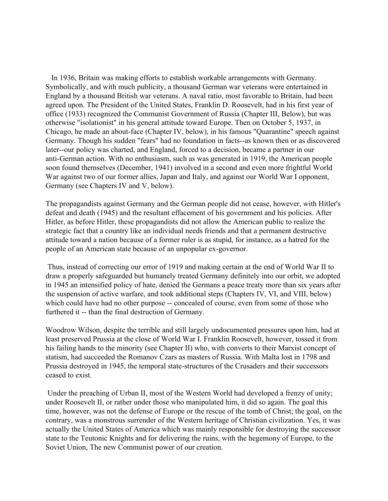In 1936, Britain was making efforts to establish workable arrangements with Germany. Symbolically, and with much publicity, a thousand German war veterans were entertained in England by a thousand British war veterans. A naval ratio, most favorable to Britain, had been agreed upon. The President of the United States, Franklin D. Roosevelt, had in his first year of office (1933) recognized the Communist Government of Russia (Chapter III, Below), but was otherwise "isolationist" in his general attitude toward Europe. Then on October 5, 1937, in Chicago, he made an about-face (Chapter IV, below), in his famous "Quarantine" speech against Germany. Though his sudden "fears" had no foundation in facts--as known then or as discovered later--our policy was charted, and England, forced to a decision, became a partner in our anti-German action. With no enthusiasm, such as was generated in 1919, the American people soon found themselves (December, 1941) involved in a second and even more frightful World War against two of our former allies, Japan and Italy, and against our World War I opponent, Germany (see Chapters IV and V, below).

The propagandists against Germany and the German people did not cease, however, with Hitler's defeat and death (1945) and the resultant effacement of his government and his policies. After Hitler, as before Hitler, these propagandists did not allow the American public to realize the strategic fact that a country like an individual needs friends and that a permanent destructive attitude toward a nation because of a former ruler is as stupid, for instance, as a hatred for the people of an American state because of an unpopular ex-governor.

 Thus, instead of correcting our error of 1919 and making certain at the end of World War II to draw a properly safeguarded but humanely treated Germany definitely into our orbit, we adopted in 1945 an intensified policy of hate, denied the Germans a peace treaty more than six years after the suspension of active warfare, and took additional steps (Chapters IV, VI, and VIII, below) which could have had no other purpose -- concealed of course, even from some of those who furthered it -- than the final destruction of Germany.

Woodrow Wilson, despite the terrible and still largely undocumented pressures upon him, had at least preserved Prussia at the close of World War I. Franklin Roosevelt, however, tossed it from his failing hands to the minority (see Chapter II) who, with converts to their Marxist concept of statism, had succeeded the Romanov Czars as masters of Russia. With Malta lost in 1798 and Prussia destroyed in 1945, the temporal state-structures of the Crusaders and their successors ceased to exist.

 Under the preaching of Urban II, most of the Western World had developed a frenzy of unity; under Roosevelt II, or rather under those who manipulated him, it did so again. The goal this time, however, was not the defense of Europe or the rescue of the tomb of Christ; the goal, on the contrary, was a monstrous surrender of the Western heritage of Christian civilization. Yes, it was actually the United States of America which was mainly responsible for destroying the successor state to the Teutonic Knights and for delivering the ruins, with the hegemony of Europe, to the Soviet Union, The new Communist power of our creation.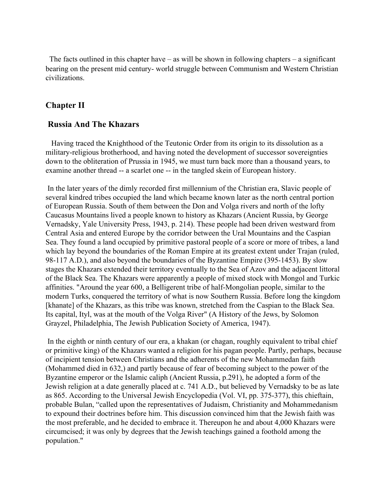The facts outlined in this chapter have  $-$  as will be shown in following chapters  $-$  a significant bearing on the present mid century- world struggle between Communism and Western Christian civilizations.

#### **Chapter II**

#### **Russia And The Khazars**

 Having traced the Knighthood of the Teutonic Order from its origin to its dissolution as a military-religious brotherhood, and having noted the development of successor sovereignties down to the obliteration of Prussia in 1945, we must turn back more than a thousand years, to examine another thread -- a scarlet one -- in the tangled skein of European history.

 In the later years of the dimly recorded first millennium of the Christian era, Slavic people of several kindred tribes occupied the land which became known later as the north central portion of European Russia. South of them between the Don and Volga rivers and north of the lofty Caucasus Mountains lived a people known to history as Khazars (Ancient Russia, by George Vernadsky, Yale University Press, 1943, p. 214). These people had been driven westward from Central Asia and entered Europe by the corridor between the Ural Mountains and the Caspian Sea. They found a land occupied by primitive pastoral people of a score or more of tribes, a land which lay beyond the boundaries of the Roman Empire at its greatest extent under Trajan (ruled, 98-117 A.D.), and also beyond the boundaries of the Byzantine Empire (395-1453). By slow stages the Khazars extended their territory eventually to the Sea of Azov and the adjacent littoral of the Black Sea. The Khazars were apparently a people of mixed stock with Mongol and Turkic affinities. "Around the year 600, a Belligerent tribe of half-Mongolian people, similar to the modern Turks, conquered the territory of what is now Southern Russia. Before long the kingdom [khanate] of the Khazars, as this tribe was known, stretched from the Caspian to the Black Sea. Its capital, Ityl, was at the mouth of the Volga River" (A History of the Jews, by Solomon Grayzel, Philadelphia, The Jewish Publication Society of America, 1947).

 In the eighth or ninth century of our era, a khakan (or chagan, roughly equivalent to tribal chief or primitive king) of the Khazars wanted a religion for his pagan people. Partly, perhaps, because of incipient tension between Christians and the adherents of the new Mohammedan faith (Mohammed died in 632,) and partly because of fear of becoming subject to the power of the Byzantine emperor or the Islamic caliph (Ancient Russia, p.291), he adopted a form of the Jewish religion at a date generally placed at c. 741 A.D., but believed by Vernadsky to be as late as 865. According to the Universal Jewish Encyclopedia (Vol. VI, pp. 375-377), this chieftain, probable Bulan, "called upon the representatives of Judaism, Christianity and Mohammedanism to expound their doctrines before him. This discussion convinced him that the Jewish faith was the most preferable, and he decided to embrace it. Thereupon he and about 4,000 Khazars were circumcised; it was only by degrees that the Jewish teachings gained a foothold among the population."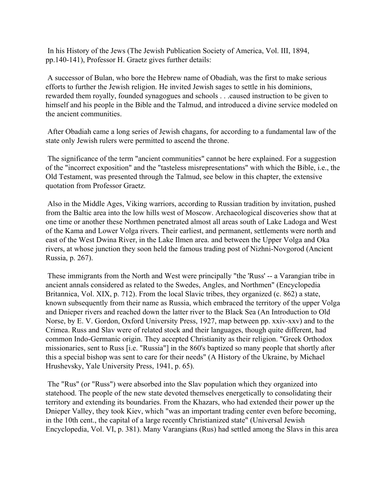In his History of the Jews (The Jewish Publication Society of America, Vol. III, 1894, pp.140-141), Professor H. Graetz gives further details:

 A successor of Bulan, who bore the Hebrew name of Obadiah, was the first to make serious efforts to further the Jewish religion. He invited Jewish sages to settle in his dominions, rewarded them royally, founded synagogues and schools . . .caused instruction to be given to himself and his people in the Bible and the Talmud, and introduced a divine service modeled on the ancient communities.

 After Obadiah came a long series of Jewish chagans, for according to a fundamental law of the state only Jewish rulers were permitted to ascend the throne.

 The significance of the term "ancient communities" cannot be here explained. For a suggestion of the "incorrect exposition" and the "tasteless misrepresentations" with which the Bible, i.e., the Old Testament, was presented through the Talmud, see below in this chapter, the extensive quotation from Professor Graetz.

 Also in the Middle Ages, Viking warriors, according to Russian tradition by invitation, pushed from the Baltic area into the low hills west of Moscow. Archaeological discoveries show that at one time or another these Northmen penetrated almost all areas south of Lake Ladoga and West of the Kama and Lower Volga rivers. Their earliest, and permanent, settlements were north and east of the West Dwina River, in the Lake Ilmen area. and between the Upper Volga and Oka rivers, at whose junction they soon held the famous trading post of Nizhni-Novgorod (Ancient Russia, p. 267).

 These immigrants from the North and West were principally "the 'Russ' -- a Varangian tribe in ancient annals considered as related to the Swedes, Angles, and Northmen" (Encyclopedia Britannica, Vol. XIX, p. 712). From the local Slavic tribes, they organized (c. 862) a state, known subsequently from their name as Russia, which embraced the territory of the upper Volga and Dnieper rivers and reached down the latter river to the Black Sea (An Introduction to Old Norse, by E. V. Gordon, Oxford University Press, 1927, map between pp. xxiv-xxv) and to the Crimea. Russ and Slav were of related stock and their languages, though quite different, had common Indo-Germanic origin. They accepted Christianity as their religion. "Greek Orthodox missionaries, sent to Russ [i.e. "Russia"] in the 860's baptized so many people that shortly after this a special bishop was sent to care for their needs" (A History of the Ukraine, by Michael Hrushevsky, Yale University Press, 1941, p. 65).

 The "Rus" (or "Russ") were absorbed into the Slav population which they organized into statehood. The people of the new state devoted themselves energetically to consolidating their territory and extending its boundaries. From the Khazars, who had extended their power up the Dnieper Valley, they took Kiev, which "was an important trading center even before becoming, in the 10th cent., the capital of a large recently Christianized state" (Universal Jewish Encyclopedia, Vol. VI, p. 381). Many Varangians (Rus) had settled among the Slavs in this area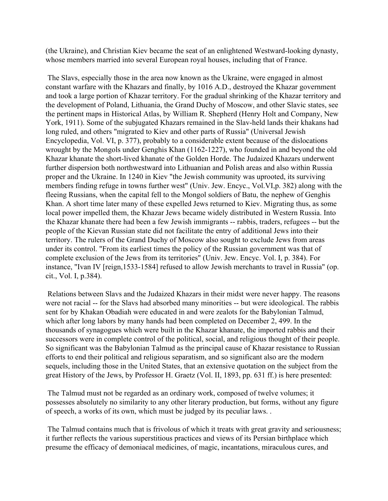(the Ukraine), and Christian Kiev became the seat of an enlightened Westward-looking dynasty, whose members married into several European royal houses, including that of France.

 The Slavs, especially those in the area now known as the Ukraine, were engaged in almost constant warfare with the Khazars and finally, by 1016 A.D., destroyed the Khazar government and took a large portion of Khazar territory. For the gradual shrinking of the Khazar territory and the development of Poland, Lithuania, the Grand Duchy of Moscow, and other Slavic states, see the pertinent maps in Historical Atlas, by William R. Shepherd (Henry Holt and Company, New York, 1911). Some of the subjugated Khazars remained in the Slav-held lands their khakans had long ruled, and others "migrated to Kiev and other parts of Russia" (Universal Jewish Encyclopedia, Vol. VI, p. 377), probably to a considerable extent because of the dislocations wrought by the Mongols under Genghis Khan (1162-1227), who founded in and beyond the old Khazar khanate the short-lived khanate of the Golden Horde. The Judaized Khazars underwent further dispersion both northwestward into Lithuanian and Polish areas and also within Russia proper and the Ukraine. In 1240 in Kiev "the Jewish community was uprooted, its surviving members finding refuge in towns further west" (Univ. Jew. Encyc., Vol.VI,p. 382) along with the fleeing Russians, when the capital fell to the Mongol soldiers of Batu, the nephew of Genghis Khan. A short time later many of these expelled Jews returned to Kiev. Migrating thus, as some local power impelled them, the Khazar Jews became widely distributed in Western Russia. Into the Khazar khanate there had been a few Jewish immigrants -- rabbis, traders, refugees -- but the people of the Kievan Russian state did not facilitate the entry of additional Jews into their territory. The rulers of the Grand Duchy of Moscow also sought to exclude Jews from areas under its control. "From its earliest times the policy of the Russian government was that of complete exclusion of the Jews from its territories" (Univ. Jew. Encyc. Vol. I, p. 384). For instance, "Ivan IV [reign,1533-1584] refused to allow Jewish merchants to travel in Russia" (op. cit., Vol. I, p.384).

 Relations between Slavs and the Judaized Khazars in their midst were never happy. The reasons were not racial -- for the Slavs had absorbed many minorities -- but were ideological. The rabbis sent for by Khakan Obadiah were educated in and were zealots for the Babylonian Talmud, which after long labors by many hands had been completed on December 2, 499. In the thousands of synagogues which were built in the Khazar khanate, the imported rabbis and their successors were in complete control of the political, social, and religious thought of their people. So significant was the Babylonian Talmud as the principal cause of Khazar resistance to Russian efforts to end their political and religious separatism, and so significant also are the modern sequels, including those in the United States, that an extensive quotation on the subject from the great History of the Jews, by Professor H. Graetz (Vol. II, 1893, pp. 631 ff.) is here presented:

 The Talmud must not be regarded as an ordinary work, composed of twelve volumes; it possesses absolutely no similarity to any other literary production, but forms, without any figure of speech, a works of its own, which must be judged by its peculiar laws. .

 The Talmud contains much that is frivolous of which it treats with great gravity and seriousness; it further reflects the various superstitious practices and views of its Persian birthplace which presume the efficacy of demoniacal medicines, of magic, incantations, miraculous cures, and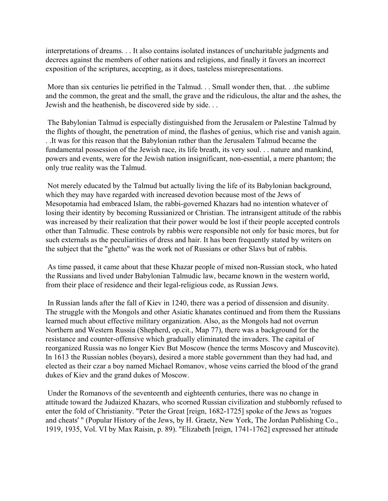interpretations of dreams. . . It also contains isolated instances of uncharitable judgments and decrees against the members of other nations and religions, and finally it favors an incorrect exposition of the scriptures, accepting, as it does, tasteless misrepresentations.

 More than six centuries lie petrified in the Talmud. . . Small wonder then, that. . .the sublime and the common, the great and the small, the grave and the ridiculous, the altar and the ashes, the Jewish and the heathenish, be discovered side by side. . .

 The Babylonian Talmud is especially distinguished from the Jerusalem or Palestine Talmud by the flights of thought, the penetration of mind, the flashes of genius, which rise and vanish again. . .It was for this reason that the Babylonian rather than the Jerusalem Talmud became the fundamental possession of the Jewish race, its life breath, its very soul. . . nature and mankind, powers and events, were for the Jewish nation insignificant, non-essential, a mere phantom; the only true reality was the Talmud.

 Not merely educated by the Talmud but actually living the life of its Babylonian background, which they may have regarded with increased devotion because most of the Jews of Mesopotamia had embraced Islam, the rabbi-governed Khazars had no intention whatever of losing their identity by becoming Russianized or Christian. The intransigent attitude of the rabbis was increased by their realization that their power would be lost if their people accepted controls other than Talmudic. These controls by rabbis were responsible not only for basic mores, but for such externals as the peculiarities of dress and hair. It has been frequently stated by writers on the subject that the "ghetto" was the work not of Russians or other Slavs but of rabbis.

 As time passed, it came about that these Khazar people of mixed non-Russian stock, who hated the Russians and lived under Babylonian Talmudic law, became known in the western world, from their place of residence and their legal-religious code, as Russian Jews.

 In Russian lands after the fall of Kiev in 1240, there was a period of dissension and disunity. The struggle with the Mongols and other Asiatic khanates continued and from them the Russians learned much about effective military organization. Also, as the Mongols had not overrun Northern and Western Russia (Shepherd, op.cit., Map 77), there was a background for the resistance and counter-offensive which gradually eliminated the invaders. The capital of reorganized Russia was no longer Kiev But Moscow (hence the terms Moscovy and Muscovite). In 1613 the Russian nobles (boyars), desired a more stable government than they had had, and elected as their czar a boy named Michael Romanov, whose veins carried the blood of the grand dukes of Kiev and the grand dukes of Moscow.

 Under the Romanovs of the seventeenth and eighteenth centuries, there was no change in attitude toward the Judaized Khazars, who scorned Russian civilization and stubbornly refused to enter the fold of Christianity. "Peter the Great [reign, 1682-1725] spoke of the Jews as 'rogues and cheats' " (Popular History of the Jews, by H. Graetz, New York, The Jordan Publishing Co., 1919, 1935, Vol. VI by Max Raisin, p. 89). "Elizabeth [reign, 1741-1762] expressed her attitude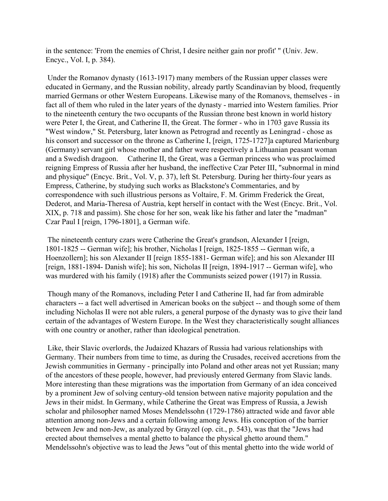in the sentence: 'From the enemies of Christ, I desire neither gain nor profit' " (Univ. Jew. Encyc., Vol. I, p. 384).

 Under the Romanov dynasty (1613-1917) many members of the Russian upper classes were educated in Germany, and the Russian nobility, already partly Scandinavian by blood, frequently married Germans or other Western Europeans. Likewise many of the Romanovs, themselves - in fact all of them who ruled in the later years of the dynasty - married into Western families. Prior to the nineteenth century the two occupants of the Russian throne best known in world history were Peter I, the Great, and Catherine II, the Great. The former - who in 1703 gave Russia its "West window," St. Petersburg, later known as Petrograd and recently as Leningrad - chose as his consort and successor on the throne as Catherine I, [reign, 1725-1727]a captured Marienburg (Germany) servant girl whose mother and father were respectively a Lithuanian peasant woman and a Swedish dragoon. Catherine II, the Great, was a German princess who was proclaimed reigning Empress of Russia after her husband, the ineffective Czar Peter III, "subnormal in mind and physique" (Encyc. Brit., Vol. V, p. 37), left St. Petersburg. During her thirty-four years as Empress, Catherine, by studying such works as Blackstone's Commentaries, and by correspondence with such illustrious persons as Voltaire, F. M. Grimm Frederick the Great, Dederot, and Maria-Theresa of Austria, kept herself in contact with the West (Encyc. Brit., Vol. XIX, p. 718 and passim). She chose for her son, weak like his father and later the "madman" Czar Paul I [reign, 1796-1801], a German wife.

 The nineteenth century czars were Catherine the Great's grandson, Alexander I [reign, 1801-1825 -- German wife]; his brother, Nicholas I [reign, 1825-1855 -- German wife, a Hoenzollern]; his son Alexander II [reign 1855-1881- German wife]; and his son Alexander III [reign, 1881-1894- Danish wife]; his son, Nicholas II [reign, 1894-1917 -- German wife], who was murdered with his family (1918) after the Communists seized power (1917) in Russia.

 Though many of the Romanovs, including Peter I and Catherine II, had far from admirable characters -- a fact well advertised in American books on the subject -- and though some of them including Nicholas II were not able rulers, a general purpose of the dynasty was to give their land certain of the advantages of Western Europe. In the West they characteristically sought alliances with one country or another, rather than ideological penetration.

 Like, their Slavic overlords, the Judaized Khazars of Russia had various relationships with Germany. Their numbers from time to time, as during the Crusades, received accretions from the Jewish communities in Germany - principally into Poland and other areas not yet Russian; many of the ancestors of these people, however, had previously entered Germany from Slavic lands. More interesting than these migrations was the importation from Germany of an idea conceived by a prominent Jew of solving century-old tension between native majority population and the Jews in their midst. In Germany, while Catherine the Great was Empress of Russia, a Jewish scholar and philosopher named Moses Mendelssohn (1729-1786) attracted wide and favor able attention among non-Jews and a certain following among Jews. His conception of the barrier between Jew and non-Jew, as analyzed by Grayzel (op. cit., p. 543), was that the "Jews had erected about themselves a mental ghetto to balance the physical ghetto around them." Mendelssohn's objective was to lead the Jews "out of this mental ghetto into the wide world of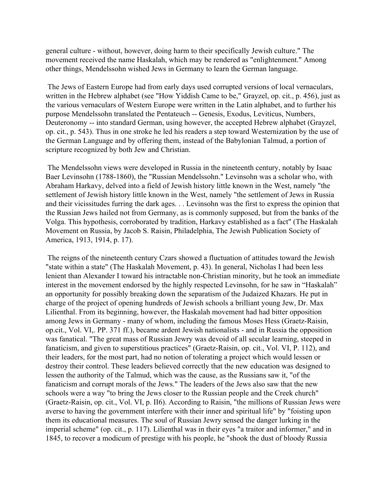general culture - without, however, doing harm to their specifically Jewish culture." The movement received the name Haskalah, which may be rendered as "enlightenment." Among other things, Mendelssohn wished Jews in Germany to learn the German language.

 The Jews of Eastern Europe had from early days used corrupted versions of local vernaculars, written in the Hebrew alphabet (see "How Yiddish Came to be," Grayzel, op. cit., p. 456), just as the various vernaculars of Western Europe were written in the Latin alphabet, and to further his purpose Mendelssohn translated the Pentateuch -- Genesis, Exodus, Leviticus, Numbers, Deuteronomy -- into standard German, using however, the accepted Hebrew alphabet (Grayzel, op. cit., p. 543). Thus in one stroke he led his readers a step toward Westernization by the use of the German Language and by offering them, instead of the Babylonian Talmud, a portion of scripture recognized by both Jew and Christian.

 The Mendelssohn views were developed in Russia in the nineteenth century, notably by Isaac Baer Levinsohn (1788-1860), the "Russian Mendelssohn." Levinsohn was a scholar who, with Abraham Harkavy, delved into a field of Jewish history little known in the West, namely "the settlement of Jewish history little known in the West, namely "the settlement of Jews in Russia and their vicissitudes furring the dark ages. . . Levinsohn was the first to express the opinion that the Russian Jews hailed not from Germany, as is commonly supposed, but from the banks of the Volga. This hypothesis, corroborated by tradition, Harkavy established as a fact" (The Haskalah Movement on Russia, by Jacob S. Raisin, Philadelphia, The Jewish Publication Society of America, 1913, 1914, p. 17).

 The reigns of the nineteenth century Czars showed a fluctuation of attitudes toward the Jewish "state within a state" (The Haskalah Movement, p. 43). In general, Nicholas I had been less lenient than Alexander I toward his intractable non-Christian minority, but he took an immediate interest in the movement endorsed by the highly respected Levinsohn, for he saw in "Haskalah" an opportunity for possibly breaking down the separatism of the Judaized Khazars. He put in charge of the project of opening hundreds of Jewish schools a brilliant young Jew, Dr. Max Lilienthal. From its beginning, however, the Haskalah movement had had bitter opposition among Jews in Germany - many of whom, including the famous Moses Hess (Graetz-Raisin, op.cit., Vol. VI,. PP. 371 ff.), became ardent Jewish nationalists - and in Russia the opposition was fanatical. "The great mass of Russian Jewry was devoid of all secular learning, steeped in fanaticism, and given to superstitious practices" (Graetz-Raisin, op. cit., Vol. VI, P. 112), and their leaders, for the most part, had no notion of tolerating a project which would lessen or destroy their control. These leaders believed correctly that the new education was designed to lessen the authority of the Talmud, which was the cause, as the Russians saw it, "of the fanaticism and corrupt morals of the Jews." The leaders of the Jews also saw that the new schools were a way "to bring the Jews closer to the Russian people and the Creek church" (Graetz-Raisin, op. cit., Vol. VI, p. II6). According to Raisin, "the millions of Russian Jews were averse to having the government interfere with their inner and spiritual life" by "foisting upon them its educational measures. The soul of Russian Jewry sensed the danger lurking in the imperial scheme" (op. cit., p. 117). Lilienthal was in their eyes "a traitor and informer," and in 1845, to recover a modicum of prestige with his people, he "shook the dust of bloody Russia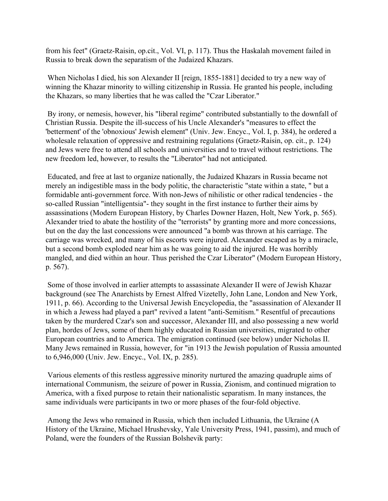from his feet" (Graetz-Raisin, op.cit., Vol. VI, p. 117). Thus the Haskalah movement failed in Russia to break down the separatism of the Judaized Khazars.

 When Nicholas I died, his son Alexander II [reign, 1855-1881] decided to try a new way of winning the Khazar minority to willing citizenship in Russia. He granted his people, including the Khazars, so many liberties that he was called the "Czar Liberator."

 By irony, or nemesis, however, his "liberal regime" contributed substantially to the downfall of Christian Russia. Despite the ill-success of his Uncle Alexander's "measures to effect the 'betterment' of the 'obnoxious' Jewish element" (Univ. Jew. Encyc., Vol. I, p. 384), he ordered a wholesale relaxation of oppressive and restraining regulations (Graetz-Raisin, op. cit., p. 124) and Jews were free to attend all schools and universities and to travel without restrictions. The new freedom led, however, to results the "Liberator" had not anticipated.

 Educated, and free at last to organize nationally, the Judaized Khazars in Russia became not merely an indigestible mass in the body politic, the characteristic "state within a state, " but a formidable anti-government force. With non-Jews of nihilistic or other radical tendencies - the so-called Russian "intelligentsia"- they sought in the first instance to further their aims by assassinations (Modern European History, by Charles Downer Hazen, Holt, New York, p. 565). Alexander tried to abate the hostility of the "terrorists" by granting more and more concessions, but on the day the last concessions were announced "a bomb was thrown at his carriage. The carriage was wrecked, and many of his escorts were injured. Alexander escaped as by a miracle, but a second bomb exploded near him as he was going to aid the injured. He was horribly mangled, and died within an hour. Thus perished the Czar Liberator" (Modern European History, p. 567).

 Some of those involved in earlier attempts to assassinate Alexander II were of Jewish Khazar background (see The Anarchists by Ernest Alfred Vizetelly, John Lane, London and New York, 1911, p. 66). According to the Universal Jewish Encyclopedia, the "assassination of Alexander II in which a Jewess had played a part" revived a latent "anti-Semitism." Resentful of precautions taken by the murdered Czar's son and successor, Alexander III, and also possessing a new world plan, hordes of Jews, some of them highly educated in Russian universities, migrated to other European countries and to America. The emigration continued (see below) under Nicholas II. Many Jews remained in Russia, however, for "in 1913 the Jewish population of Russia amounted to 6,946,000 (Univ. Jew. Encyc., Vol. IX, p. 285).

 Various elements of this restless aggressive minority nurtured the amazing quadruple aims of international Communism, the seizure of power in Russia, Zionism, and continued migration to America, with a fixed purpose to retain their nationalistic separatism. In many instances, the same individuals were participants in two or more phases of the four-fold objective.

 Among the Jews who remained in Russia, which then included Lithuania, the Ukraine (A History of the Ukraine, Michael Hrushevsky, Yale University Press, 1941, passim), and much of Poland, were the founders of the Russian Bolshevik party: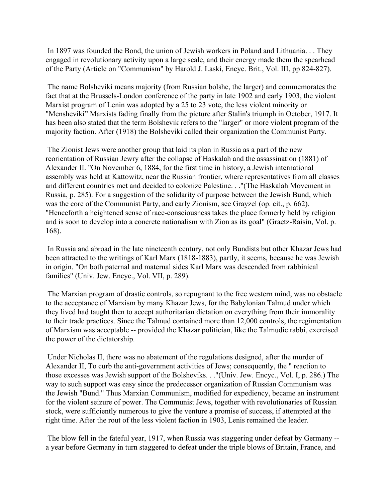In 1897 was founded the Bond, the union of Jewish workers in Poland and Lithuania. . . They engaged in revolutionary activity upon a large scale, and their energy made them the spearhead of the Party (Article on "Communism" by Harold J. Laski, Encyc. Brit., Vol. III, pp 824-827).

 The name Bolsheviki means majority (from Russian bolshe, the larger) and commemorates the fact that at the Brussels-London conference of the party in late 1902 and early 1903, the violent Marxist program of Lenin was adopted by a 25 to 23 vote, the less violent minority or "Mensheviki" Marxists fading finally from the picture after Stalin's triumph in October, 1917. It has been also stated that the term Bolshevik refers to the "larger" or more violent program of the majority faction. After (1918) the Bolsheviki called their organization the Communist Party.

 The Zionist Jews were another group that laid its plan in Russia as a part of the new reorientation of Russian Jewry after the collapse of Haskalah and the assassination (1881) of Alexander II. "On November 6, 1884, for the first time in history, a Jewish international assembly was held at Kattowitz, near the Russian frontier, where representatives from all classes and different countries met and decided to colonize Palestine. . ."(The Haskalah Movement in Russia, p. 285). For a suggestion of the solidarity of purpose between the Jewish Bund, which was the core of the Communist Party, and early Zionism, see Grayzel (op. cit., p. 662). "Henceforth a heightened sense of race-consciousness takes the place formerly held by religion and is soon to develop into a concrete nationalism with Zion as its goal" (Graetz-Raisin, Vol. p. 168).

 In Russia and abroad in the late nineteenth century, not only Bundists but other Khazar Jews had been attracted to the writings of Karl Marx (1818-1883), partly, it seems, because he was Jewish in origin. "On both paternal and maternal sides Karl Marx was descended from rabbinical families" (Univ. Jew. Encyc., Vol. VII, p. 289).

 The Marxian program of drastic controls, so repugnant to the free western mind, was no obstacle to the acceptance of Marxism by many Khazar Jews, for the Babylonian Talmud under which they lived had taught then to accept authoritarian dictation on everything from their immorality to their trade practices. Since the Talmud contained more than 12,000 controls, the regimentation of Marxism was acceptable -- provided the Khazar politician, like the Talmudic rabbi, exercised the power of the dictatorship.

 Under Nicholas II, there was no abatement of the regulations designed, after the murder of Alexander II, To curb the anti-government activities of Jews; consequently, the " reaction to those excesses was Jewish support of the Bolsheviks. . ."(Univ. Jew. Encyc., Vol. I, p. 286.) The way to such support was easy since the predecessor organization of Russian Communism was the Jewish "Bund." Thus Marxian Communism, modified for expediency, became an instrument for the violent seizure of power. The Communist Jews, together with revolutionaries of Russian stock, were sufficiently numerous to give the venture a promise of success, if attempted at the right time. After the rout of the less violent faction in 1903, Lenis remained the leader.

 The blow fell in the fateful year, 1917, when Russia was staggering under defeat by Germany - a year before Germany in turn staggered to defeat under the triple blows of Britain, France, and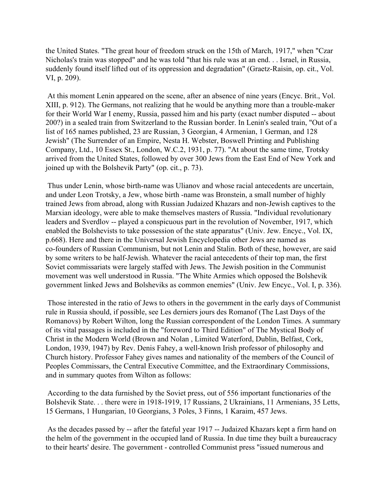the United States. "The great hour of freedom struck on the 15th of March, 1917," when "Czar Nicholas's train was stopped" and he was told "that his rule was at an end. . . Israel, in Russia, suddenly found itself lifted out of its oppression and degradation" (Graetz-Raisin, op. cit., Vol. VI, p. 209).

 At this moment Lenin appeared on the scene, after an absence of nine years (Encyc. Brit., Vol. XIII, p. 912). The Germans, not realizing that he would be anything more than a trouble-maker for their World War I enemy, Russia, passed him and his party (exact number disputed -- about 200?) in a sealed train from Switzerland to the Russian border. In Lenin's sealed train, "Out of a list of 165 names published, 23 are Russian, 3 Georgian, 4 Armenian, 1 German, and 128 Jewish" (The Surrender of an Empire, Nesta H. Webster, Boswell Printing and Publishing Company, Ltd., 10 Essex St., London, W.C.2, 1931, p. 77). "At about the same time, Trotsky arrived from the United States, followed by over 300 Jews from the East End of New York and joined up with the Bolshevik Party" (op. cit., p. 73).

 Thus under Lenin, whose birth-name was Ulianov and whose racial antecedents are uncertain, and under Leon Trotsky, a Jew, whose birth -name was Bronstein, a small number of highly trained Jews from abroad, along with Russian Judaized Khazars and non-Jewish captives to the Marxian ideology, were able to make themselves masters of Russia. "Individual revolutionary leaders and Sverdlov -- played a conspicuous part in the revolution of November, 1917, which enabled the Bolshevists to take possession of the state apparatus" (Univ. Jew. Encyc., Vol. IX, p.668). Here and there in the Universal Jewish Encyclopedia other Jews are named as co-founders of Russian Communism, but not Lenin and Stalin. Both of these, however, are said by some writers to be half-Jewish. Whatever the racial antecedents of their top man, the first Soviet commissariats were largely staffed with Jews. The Jewish position in the Communist movement was well understood in Russia. "The White Armies which opposed the Bolshevik government linked Jews and Bolsheviks as common enemies" (Univ. Jew Encyc., Vol. I, p. 336).

 Those interested in the ratio of Jews to others in the government in the early days of Communist rule in Russia should, if possible, see Les derniers jours des Romanof (The Last Days of the Romanovs) by Robert Wilton, long the Russian correspondent of the London Times. A summary of its vital passages is included in the "foreword to Third Edition" of The Mystical Body of Christ in the Modern World (Brown and Nolan , Limited Waterford, Dublin, Belfast, Cork, London, 1939, 1947) by Rev. Denis Fahey, a well-known Irish professor of philosophy and Church history. Professor Fahey gives names and nationality of the members of the Council of Peoples Commissars, the Central Executive Committee, and the Extraordinary Commissions, and in summary quotes from Wilton as follows:

 According to the data furnished by the Soviet press, out of 556 important functionaries of the Bolshevik State. . . there were in 1918-1919, 17 Russians, 2 Ukrainians, 11 Armenians, 35 Letts, 15 Germans, 1 Hungarian, 10 Georgians, 3 Poles, 3 Finns, 1 Karaim, 457 Jews.

 As the decades passed by -- after the fateful year 1917 -- Judaized Khazars kept a firm hand on the helm of the government in the occupied land of Russia. In due time they built a bureaucracy to their hearts' desire. The government - controlled Communist press "issued numerous and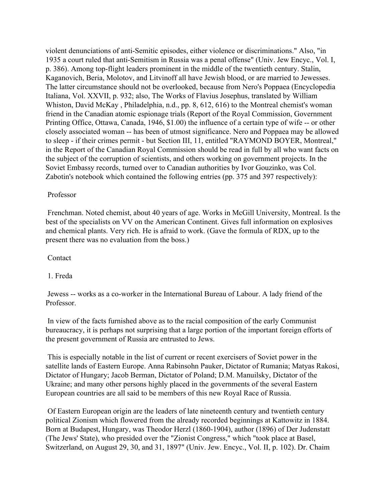violent denunciations of anti-Semitic episodes, either violence or discriminations." Also, "in 1935 a court ruled that anti-Semitism in Russia was a penal offense" (Univ. Jew Encyc., Vol. I, p. 386). Among top-flight leaders prominent in the middle of the twentieth century. Stalin, Kaganovich, Beria, Molotov, and Litvinoff all have Jewish blood, or are married to Jewesses. The latter circumstance should not be overlooked, because from Nero's Poppaea (Encyclopedia Italiana, Vol. XXVII, p. 932; also, The Works of Flavius Josephus, translated by William Whiston, David McKay , Philadelphia, n.d., pp. 8, 612, 616) to the Montreal chemist's woman friend in the Canadian atomic espionage trials (Report of the Royal Commission, Government Printing Office, Ottawa, Canada, 1946, \$1.00) the influence of a certain type of wife -- or other closely associated woman -- has been of utmost significance. Nero and Poppaea may be allowed to sleep - if their crimes permit - but Section III, 11, entitled "RAYMOND BOYER, Montreal," in the Report of the Canadian Royal Commission should be read in full by all who want facts on the subject of the corruption of scientists, and others working on government projects. In the Soviet Embassy records, turned over to Canadian authorities by Ivor Gouzinko, was Col. Zabotin's notebook which contained the following entries (pp. 375 and 397 respectively):

#### Professor

 Frenchman. Noted chemist, about 40 years of age. Works in McGill University, Montreal. Is the best of the specialists on VV on the American Continent. Gives full information on explosives and chemical plants. Very rich. He is afraid to work. (Gave the formula of RDX, up to the present there was no evaluation from the boss.)

Contact

#### 1. Freda

 Jewess -- works as a co-worker in the International Bureau of Labour. A lady friend of the Professor.

 In view of the facts furnished above as to the racial composition of the early Communist bureaucracy, it is perhaps not surprising that a large portion of the important foreign efforts of the present government of Russia are entrusted to Jews.

 This is especially notable in the list of current or recent exercisers of Soviet power in the satellite lands of Eastern Europe. Anna Rabinsohn Pauker, Dictator of Rumania; Matyas Rakosi, Dictator of Hungary; Jacob Berman, Dictator of Poland; D.M. Manuilsky, Dictator of the Ukraine; and many other persons highly placed in the governments of the several Eastern European countries are all said to be members of this new Royal Race of Russia.

 Of Eastern European origin are the leaders of late nineteenth century and twentieth century political Zionism which flowered from the already recorded beginnings at Kattowitz in 1884. Born at Budapest, Hungary, was Theodor Herzl (1860-1904), author (1896) of Der Judenstatt (The Jews' State), who presided over the "Zionist Congress," which "took place at Basel, Switzerland, on August 29, 30, and 31, 1897" (Univ. Jew. Encyc., Vol. II, p. 102). Dr. Chaim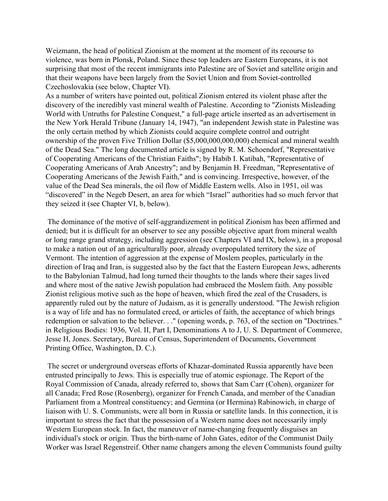Weizmann, the head of political Zionism at the moment at the moment of its recourse to violence, was born in Plonsk, Poland. Since these top leaders are Eastern Europeans, it is not surprising that most of the recent immigrants into Palestine are of Soviet and satellite origin and that their weapons have been largely from the Soviet Union and from Soviet-controlled Czechoslovakia (see below, Chapter VI).

As a number of writers have pointed out, political Zionism entered its violent phase after the discovery of the incredibly vast mineral wealth of Palestine. According to "Zionists Misleading World with Untruths for Palestine Conquest," a full-page article inserted as an advertisement in the New York Herald Tribune (January 14, 1947), "an independent Jewish state in Palestine was the only certain method by which Zionists could acquire complete control and outright ownership of the proven Five Trillion Dollar (\$5,000,000,000,000) chemical and mineral wealth of the Dead Sea." The long documented article is signed by R. M. Schoendorf, "Representative of Cooperating Americans of the Christian Faiths"; by Habib I. Katibah, "Representative of Cooperating Americans of Arab Ancestry"; and by Benjamin H. Freedman, "Representative of Cooperating Americans of the Jewish Faith," and is convincing. Irrespective, however, of the value of the Dead Sea minerals, the oil flow of Middle Eastern wells. Also in 1951, oil was "discovered" in the Negeb Desert, an area for which "Israel" authorities had so much fervor that they seized it (see Chapter VI, b, below).

 The dominance of the motive of self-aggrandizement in political Zionism has been affirmed and denied; but it is difficult for an observer to see any possible objective apart from mineral wealth or long range grand strategy, including aggression (see Chapters VI and IX, below), in a proposal to make a nation out of an agriculturally poor, already overpopulated territory the size of Vermont. The intention of aggression at the expense of Moslem peoples, particularly in the direction of Iraq and Iran, is suggested also by the fact that the Eastern European Jews, adherents to the Babylonian Talmud, had long turned their thoughts to the lands where their sages lived and where most of the native Jewish population had embraced the Moslem faith. Any possible Zionist religious motive such as the hope of heaven, which fired the zeal of the Crusaders, is apparently ruled out by the nature of Judaism, as it is generally understood. "The Jewish religion is a way of life and has no formulated creed, or articles of faith, the acceptance of which brings redemption or salvation to the believer. . ." (opening words, p. 763, of the section on "Doctrines." in Religious Bodies: 1936, Vol. II, Part I, Denominations A to J, U. S. Department of Commerce, Jesse H, Jones. Secretary, Bureau of Census, Superintendent of Documents, Government Printing Office, Washington, D. C.).

 The secret or underground overseas efforts of Khazar-dominated Russia apparently have been entrusted principally to Jews. This is especially true of atomic espionage. The Report of the Royal Commission of Canada, already referred to, shows that Sam Carr (Cohen), organizer for all Canada; Fred Rose (Rosenberg), organizer for French Canada, and member of the Canadian Parliament from a Montreal constituency; and Germina (or Hermina) Rabinowich, in charge of liaison with U. S. Communists, were all born in Russia or satellite lands. In this connection, it is important to stress the fact that the possession of a Western name does not necessarily imply Western European stock. In fact, the maneuver of name-changing frequently disguises an individual's stock or origin. Thus the birth-name of John Gates, editor of the Communist Daily Worker was Israel Regenstreif. Other name changers among the eleven Communists found guilty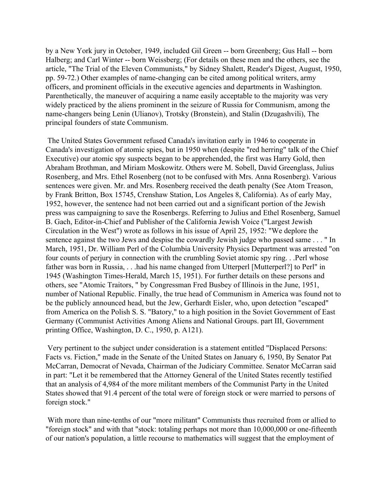by a New York jury in October, 1949, included Gil Green -- born Greenberg; Gus Hall -- born Halberg; and Carl Winter -- born Weissberg; (For details on these men and the others, see the article, "The Trial of the Eleven Communists," by Sidney Shalett, Reader's Digest, August, 1950, pp. 59-72.) Other examples of name-changing can be cited among political writers, army officers, and prominent officials in the executive agencies and departments in Washington. Parenthetically, the maneuver of acquiring a name easily acceptable to the majority was very widely practiced by the aliens prominent in the seizure of Russia for Communism, among the name-changers being Lenin (Ulianov), Trotsky (Bronstein), and Stalin (Dzugashvili), The principal founders of state Communism.

 The United States Government refused Canada's invitation early in 1946 to cooperate in Canada's investigation of atomic spies, but in 1950 when (despite "red herring" talk of the Chief Executive) our atomic spy suspects began to be apprehended, the first was Harry Gold, then Abraham Brothman, and Miriam Moskowitz. Others were M. Sobell, David Greenglass, Julius Rosenberg, and Mrs. Ethel Rosenberg (not to be confused with Mrs. Anna Rosenberg). Various sentences were given. Mr. and Mrs. Rosenberg received the death penalty (See Atom Treason, by Frank Britton, Box 15745, Crenshaw Station, Los Angeles 8, California). As of early May, 1952, however, the sentence had not been carried out and a significant portion of the Jewish press was campaigning to save the Rosenbergs. Referring to Julius and Ethel Rosenberg, Samuel B. Gach, Editor-in-Chief and Publisher of the California Jewish Voice ("Largest Jewish Circulation in the West") wrote as follows in his issue of April 25, 1952: "We deplore the sentence against the two Jews and despise the cowardly Jewish judge who passed same . . . " In March, 1951, Dr. William Perl of the Columbia University Physics Department was arrested "on four counts of perjury in connection with the crumbling Soviet atomic spy ring. . .Perl whose father was born in Russia, . . .had his name changed from Utterperl [Mutterperl?] to Perl" in 1945 (Washington Times-Herald, March 15, 1951). For further details on these persons and others, see "Atomic Traitors, " by Congressman Fred Busbey of Illinois in the June, 1951, number of National Republic. Finally, the true head of Communism in America was found not to be the publicly announced head, but the Jew, Gerhardt Eisler, who, upon detection "escaped" from America on the Polish S. S. "Batory," to a high position in the Soviet Government of East Germany (Communist Activities Among Aliens and National Groups. part III, Government printing Office, Washington, D. C., 1950, p. A121).

 Very pertinent to the subject under consideration is a statement entitled "Displaced Persons: Facts vs. Fiction," made in the Senate of the United States on January 6, 1950, By Senator Pat McCarran, Democrat of Nevada, Chairman of the Judiciary Committee. Senator McCarran said in part: "Let it be remembered that the Attorney General of the United States recently testified that an analysis of 4,984 of the more militant members of the Communist Party in the United States showed that 91.4 percent of the total were of foreign stock or were married to persons of foreign stock."

 With more than nine-tenths of our "more militant" Communists thus recruited from or allied to "foreign stock" and with that "stock: totaling perhaps not more than 10,000,000 or one-fifteenth of our nation's population, a little recourse to mathematics will suggest that the employment of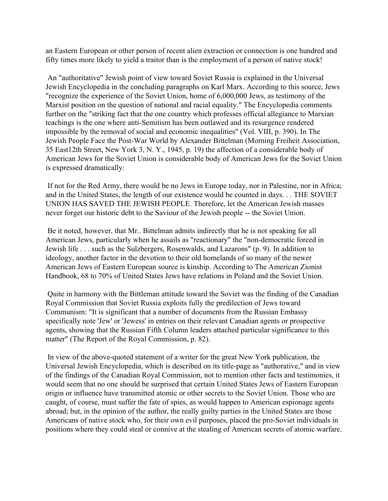an Eastern European or other person of recent alien extraction or connection is one hundred and fifty times more likely to yield a traitor than is the employment of a person of native stock!

 An "authoritative" Jewish point of view toward Soviet Russia is explained in the Universal Jewish Encyclopedia in the concluding paragraphs on Karl Marx. According to this source, Jews "recognize the experience of the Soviet Union, home of 6,000,000 Jews, as testimony of the Marxist position on the question of national and racial equality." The Encyclopedia comments further on the "striking fact that the one country which professes official allegiance to Marxian teachings is the one where anti-Semitism has been outlawed and its resurgence rendered impossible by the removal of social and economic inequalities" (Vol. VIII, p. 390). In The Jewish People Face the Post-War World by Alexander Bittelman (Morning Freiheit Association, 35 East12th Street, New York 3, N. Y., 1945, p. 19) the affection of a considerable body of American Jews for the Soviet Union is considerable body of American Jews for the Soviet Union is expressed dramatically:

 If not for the Red Army, there would be no Jews in Europe today, nor in Palestine, nor in Africa; and in the United States, the length of our existence would be counted in days. . . THE SOVIET UNION HAS SAVED THE JEWISH PEOPLE. Therefore, let the American Jewish masses never forget our historic debt to the Saviour of the Jewish people -- the Soviet Union.

 Be it noted, however, that Mr.. Bittelman admits indirectly that he is not speaking for all American Jews, particularly when he assails as "reactionary" the "non-democratic forced in Jewish life . . . such as the Sulzbergers, Rosenwalds, and Lazarons" (p. 9). In addition to ideology, another factor in the devotion to their old homelands of so many of the newer American Jews of Eastern European source is kinship. According to The American Zionist Handbook, 68 to 70% of United States Jews have relations in Poland and the Soviet Union.

 Quite in harmony with the Bittleman attitude toward the Soviet was the finding of the Canadian Royal Commission that Soviet Russia exploits fully the predilection of Jews toward Communism: "It is significant that a number of documents from the Russian Embassy specifically note 'Jew' or 'Jewess' in entries on their relevant Canadian agents or prospective agents, showing that the Russian Fifth Column leaders attached particular significance to this matter" (The Report of the Royal Commission, p. 82).

 In view of the above-quoted statement of a writer for the great New York publication, the Universal Jewish Encyclopedia, which is described on its title-page as "authorative," and in view of the findings of the Canadian Royal Commission, not to mention other facts and testimonies, it would seem that no one should be surprised that certain United States Jews of Eastern European origin or influence have transmitted atomic or other secrets to the Soviet Union. Those who are caught, of course, must suffer the fate of spies, as would happen to American espionage agents abroad; but, in the opinion of the author, the really guilty parties in the United States are those Americans of native stock who, for their own evil purposes, placed the pro-Soviet individuals in positions where they could steal or connive at the stealing of American secrets of atomic warfare.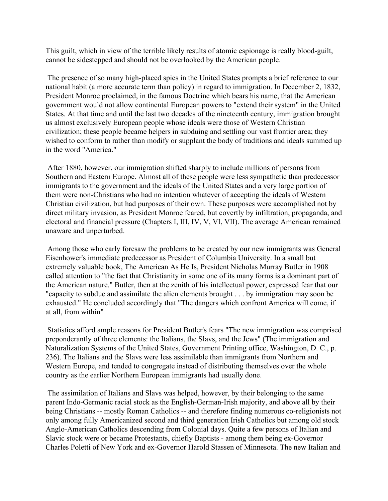This guilt, which in view of the terrible likely results of atomic espionage is really blood-guilt, cannot be sidestepped and should not be overlooked by the American people.

 The presence of so many high-placed spies in the United States prompts a brief reference to our national habit (a more accurate term than policy) in regard to immigration. In December 2, 1832, President Monroe proclaimed, in the famous Doctrine which bears his name, that the American government would not allow continental European powers to "extend their system" in the United States. At that time and until the last two decades of the nineteenth century, immigration brought us almost exclusively European people whose ideals were those of Western Christian civilization; these people became helpers in subduing and settling our vast frontier area; they wished to conform to rather than modify or supplant the body of traditions and ideals summed up in the word "America."

 After 1880, however, our immigration shifted sharply to include millions of persons from Southern and Eastern Europe. Almost all of these people were less sympathetic than predecessor immigrants to the government and the ideals of the United States and a very large portion of them were non-Christians who had no intention whatever of accepting the ideals of Western Christian civilization, but had purposes of their own. These purposes were accomplished not by direct military invasion, as President Monroe feared, but covertly by infiltration, propaganda, and electoral and financial pressure (Chapters I, III, IV, V, VI, VII). The average American remained unaware and unperturbed.

 Among those who early foresaw the problems to be created by our new immigrants was General Eisenhower's immediate predecessor as President of Columbia University. In a small but extremely valuable book, The American As He Is, President Nicholas Murray Butler in 1908 called attention to "the fact that Christianity in some one of its many forms is a dominant part of the American nature." Butler, then at the zenith of his intellectual power, expressed fear that our "capacity to subdue and assimilate the alien elements brought . . . by immigration may soon be exhausted." He concluded accordingly that "The dangers which confront America will come, if at all, from within"

 Statistics afford ample reasons for President Butler's fears "The new immigration was comprised preponderantly of three elements: the Italians, the Slavs, and the Jews" (The immigration and Naturalization Systems of the United States, Government Printing office, Washington, D. C., p. 236). The Italians and the Slavs were less assimilable than immigrants from Northern and Western Europe, and tended to congregate instead of distributing themselves over the whole country as the earlier Northern European immigrants had usually done.

 The assimilation of Italians and Slavs was helped, however, by their belonging to the same parent Indo-Germanic racial stock as the English-German-Irish majority, and above all by their being Christians -- mostly Roman Catholics -- and therefore finding numerous co-religionists not only among fully Americanized second and third generation Irish Catholics but among old stock Anglo-American Catholics descending from Colonial days. Quite a few persons of Italian and Slavic stock were or became Protestants, chiefly Baptists - among them being ex-Governor Charles Poletti of New York and ex-Governor Harold Stassen of Minnesota. The new Italian and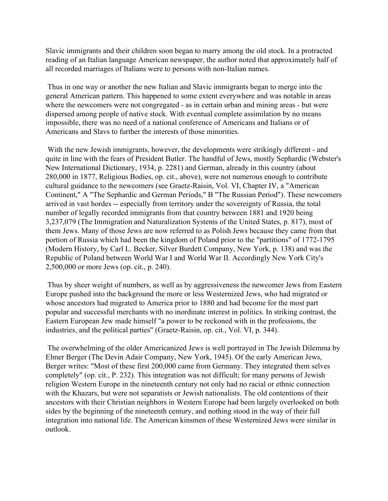Slavic immigrants and their children soon began to marry among the old stock. In a protracted reading of an Italian language American newspaper, the author noted that approximately half of all recorded marriages of Italians were to persons with non-Italian names.

 Thus in one way or another the new Italian and Slavic immigrants began to merge into the general American pattern. This happened to some extent everywhere and was notable in areas where the new comers were not congregated - as in certain urban and mining areas - but were dispersed among people of native stock. With eventual complete assimilation by no means impossible, there was no need of a national conference of Americans and Italians or of Americans and Slavs to further the interests of those minorities.

 With the new Jewish immigrants, however, the developments were strikingly different - and quite in line with the fears of President Butler. The handful of Jews, mostly Sephardic (Webster's New International Dictionary, 1934, p. 2281) and German, already in this country (about 280,000 in 1877, Religious Bodies, op. cit., above), were not numerous enough to contribute cultural guidance to the newcomers (see Graetz-Raisin, Vol. VI, Chapter IV, a "American Continent," A "The Sephardic and German Periods," B "The Russian Period"). These newcomers arrived in vast hordes -- especially from territory under the sovereignty of Russia, the total number of legally recorded immigrants from that country between 1881 and 1920 being 3,237,079 (The Immigration and Naturalization Systems of the United States, p. 817), most of them Jews. Many of those Jews are now referred to as Polish Jews because they came from that portion of Russia which had been the kingdom of Poland prior to the "partitions" of 1772-1795 (Modern History, by Carl L. Becker, Silver Burdett Company, New York, p. 138) and was the Republic of Poland between World War I and World War II. Accordingly New York City's 2,500,000 or more Jews (op. cit., p. 240).

 Thus by sheer weight of numbers, as well as by aggressiveness the newcomer Jews from Eastern Europe pushed into the background the more or less Westernized Jews, who had migrated or whose ancestors had migrated to America prior to 1880 and had become for the most part popular and successful merchants with no inordinate interest in politics. In striking contrast, the Eastern European Jew made himself "a power to be reckoned with in the professions, the industries, and the political parties" (Graetz-Raisin, op. cit., Vol. VI, p. 344).

 The overwhelming of the older Americanized Jews is well portrayed in The Jewish Dilemma by Elmer Berger (The Devin Adair Company, New York, 1945). Of the early American Jews, Berger writes: "Most of these first 200,000 came from Germany. They integrated them selves completely" (op. cit., P. 232). This integration was not difficult; for many persons of Jewish religion Western Europe in the nineteenth century not only had no racial or ethnic connection with the Khazars, but were not separatists or Jewish nationalists. The old contentions of their ancestors with their Christian neighbors in Western Europe had been largely overlooked on both sides by the beginning of the nineteenth century, and nothing stood in the way of their full integration into national life. The American kinsmen of these Westernized Jews were similar in outlook.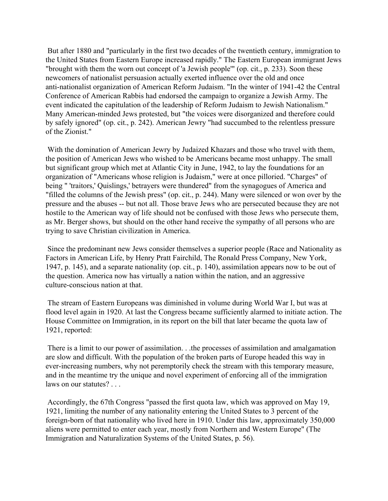But after 1880 and "particularly in the first two decades of the twentieth century, immigration to the United States from Eastern Europe increased rapidly." The Eastern European immigrant Jews "brought with them the worn out concept of 'a Jewish people'" (op. cit., p. 233). Soon these newcomers of nationalist persuasion actually exerted influence over the old and once anti-nationalist organization of American Reform Judaism. "In the winter of 1941-42 the Central Conference of American Rabbis had endorsed the campaign to organize a Jewish Army. The event indicated the capitulation of the leadership of Reform Judaism to Jewish Nationalism." Many American-minded Jews protested, but "the voices were disorganized and therefore could by safely ignored" (op. cit., p. 242). American Jewry "had succumbed to the relentless pressure of the Zionist."

 With the domination of American Jewry by Judaized Khazars and those who travel with them, the position of American Jews who wished to be Americans became most unhappy. The small but significant group which met at Atlantic City in June, 1942, to lay the foundations for an organization of "Americans whose religion is Judaism," were at once pilloried. "Charges" of being " 'traitors,' Quislings,' betrayers were thundered" from the synagogues of America and "filled the columns of the Jewish press" (op. cit., p. 244). Many were silenced or won over by the pressure and the abuses -- but not all. Those brave Jews who are persecuted because they are not hostile to the American way of life should not be confused with those Jews who persecute them, as Mr. Berger shows, but should on the other hand receive the sympathy of all persons who are trying to save Christian civilization in America.

 Since the predominant new Jews consider themselves a superior people (Race and Nationality as Factors in American Life, by Henry Pratt Fairchild, The Ronald Press Company, New York, 1947, p. 145), and a separate nationality (op. cit., p. 140), assimilation appears now to be out of the question. America now has virtually a nation within the nation, and an aggressive culture-conscious nation at that.

 The stream of Eastern Europeans was diminished in volume during World War I, but was at flood level again in 1920. At last the Congress became sufficiently alarmed to initiate action. The House Committee on Immigration, in its report on the bill that later became the quota law of 1921, reported:

 There is a limit to our power of assimilation. . .the processes of assimilation and amalgamation are slow and difficult. With the population of the broken parts of Europe headed this way in ever-increasing numbers, why not peremptorily check the stream with this temporary measure, and in the meantime try the unique and novel experiment of enforcing all of the immigration laws on our statutes?

 Accordingly, the 67th Congress "passed the first quota law, which was approved on May 19, 1921, limiting the number of any nationality entering the United States to 3 percent of the foreign-born of that nationality who lived here in 1910. Under this law, approximately 350,000 aliens were permitted to enter each year, mostly from Northern and Western Europe" (The Immigration and Naturalization Systems of the United States, p. 56).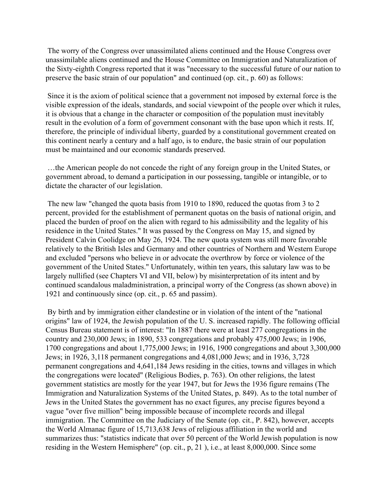The worry of the Congress over unassimilated aliens continued and the House Congress over unassimilable aliens continued and the House Committee on Immigration and Naturalization of the Sixty-eighth Congress reported that it was "necessary to the successful future of our nation to preserve the basic strain of our population" and continued (op. cit., p. 60) as follows:

 Since it is the axiom of political science that a government not imposed by external force is the visible expression of the ideals, standards, and social viewpoint of the people over which it rules, it is obvious that a change in the character or composition of the population must inevitably result in the evolution of a form of government consonant with the base upon which it rests. If, therefore, the principle of individual liberty, guarded by a constitutional government created on this continent nearly a century and a half ago, is to endure, the basic strain of our population must be maintained and our economic standards preserved.

 …the American people do not concede the right of any foreign group in the United States, or government abroad, to demand a participation in our possessing, tangible or intangible, or to dictate the character of our legislation.

 The new law "changed the quota basis from 1910 to 1890, reduced the quotas from 3 to 2 percent, provided for the establishment of permanent quotas on the basis of national origin, and placed the burden of proof on the alien with regard to his admissibility and the legality of his residence in the United States." It was passed by the Congress on May 15, and signed by President Calvin Coolidge on May 26, 1924. The new quota system was still more favorable relatively to the British Isles and Germany and other countries of Northern and Western Europe and excluded "persons who believe in or advocate the overthrow by force or violence of the government of the United States." Unfortunately, within ten years, this salutary law was to be largely nullified (see Chapters VI and VII, below) by misinterpretation of its intent and by continued scandalous maladministration, a principal worry of the Congress (as shown above) in 1921 and continuously since (op. cit., p. 65 and passim).

 By birth and by immigration either clandestine or in violation of the intent of the "national origins" law of 1924, the Jewish population of the U. S. increased rapidly. The following official Census Bureau statement is of interest: "In 1887 there were at least 277 congregations in the country and 230,000 Jews; in 1890, 533 congregations and probably 475,000 Jews; in 1906, 1700 congregations and about 1,775,000 Jews; in 1916, 1900 congregations and about 3,300,000 Jews; in 1926, 3,118 permanent congregations and 4,081,000 Jews; and in 1936, 3,728 permanent congregations and 4,641,184 Jews residing in the cities, towns and villages in which the congregations were located" (Religious Bodies, p. 763). On other religions, the latest government statistics are mostly for the year 1947, but for Jews the 1936 figure remains (The Immigration and Naturalization Systems of the United States, p. 849). As to the total number of Jews in the United States the government has no exact figures, any precise figures beyond a vague "over five million" being impossible because of incomplete records and illegal immigration. The Committee on the Judiciary of the Senate (op. cit., P. 842), however, accepts the World Almanac figure of 15,713,638 Jews of religious affiliation in the world and summarizes thus: "statistics indicate that over 50 percent of the World Jewish population is now residing in the Western Hemisphere" (op. cit., p, 21 ), i.e., at least 8,000,000. Since some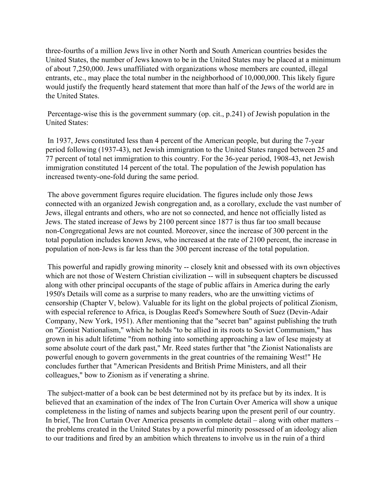three-fourths of a million Jews live in other North and South American countries besides the United States, the number of Jews known to be in the United States may be placed at a minimum of about 7,250,000. Jews unaffiliated with organizations whose members are counted, illegal entrants, etc., may place the total number in the neighborhood of 10,000,000. This likely figure would justify the frequently heard statement that more than half of the Jews of the world are in the United States.

 Percentage-wise this is the government summary (op. cit., p.241) of Jewish population in the United States:

 In 1937, Jews constituted less than 4 percent of the American people, but during the 7-year period following (1937-43), net Jewish immigration to the United States ranged between 25 and 77 percent of total net immigration to this country. For the 36-year period, 1908-43, net Jewish immigration constituted 14 percent of the total. The population of the Jewish population has increased twenty-one-fold during the same period.

 The above government figures require elucidation. The figures include only those Jews connected with an organized Jewish congregation and, as a corollary, exclude the vast number of Jews, illegal entrants and others, who are not so connected, and hence not officially listed as Jews. The stated increase of Jews by 2100 percent since 1877 is thus far too small because non-Congregational Jews are not counted. Moreover, since the increase of 300 percent in the total population includes known Jews, who increased at the rate of 2100 percent, the increase in population of non-Jews is far less than the 300 percent increase of the total population.

 This powerful and rapidly growing minority -- closely knit and obsessed with its own objectives which are not those of Western Christian civilization -- will in subsequent chapters be discussed along with other principal occupants of the stage of public affairs in America during the early 1950's Details will come as a surprise to many readers, who are the unwitting victims of censorship (Chapter V, below). Valuable for its light on the global projects of political Zionism, with especial reference to Africa, is Douglas Reed's Somewhere South of Suez (Devin-Adair Company, New York, 1951). After mentioning that the "secret ban" against publishing the truth on "Zionist Nationalism," which he holds "to be allied in its roots to Soviet Communism," has grown in his adult lifetime "from nothing into something approaching a law of lese majesty at some absolute court of the dark past," Mr. Reed states further that "the Zionist Nationalists are powerful enough to govern governments in the great countries of the remaining West!" He concludes further that "American Presidents and British Prime Ministers, and all their colleagues," bow to Zionism as if venerating a shrine.

 The subject-matter of a book can be best determined not by its preface but by its index. It is believed that an examination of the index of The Iron Curtain Over America will show a unique completeness in the listing of names and subjects bearing upon the present peril of our country. In brief, The Iron Curtain Over America presents in complete detail – along with other matters – the problems created in the United States by a powerful minority possessed of an ideology alien to our traditions and fired by an ambition which threatens to involve us in the ruin of a third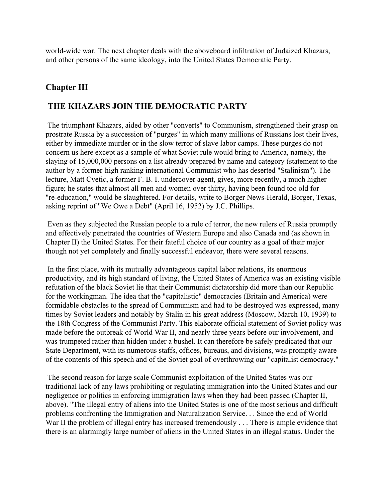world-wide war. The next chapter deals with the aboveboard infiltration of Judaized Khazars, and other persons of the same ideology, into the United States Democratic Party.

# **Chapter III**

# **THE KHAZARS JOIN THE DEMOCRATIC PARTY**

 The triumphant Khazars, aided by other "converts" to Communism, strengthened their grasp on prostrate Russia by a succession of "purges" in which many millions of Russians lost their lives, either by immediate murder or in the slow terror of slave labor camps. These purges do not concern us here except as a sample of what Soviet rule would bring to America, namely, the slaying of 15,000,000 persons on a list already prepared by name and category (statement to the author by a former-high ranking international Communist who has deserted "Stalinism"). The lecture, Matt Cvetic, a former F. B. I. undercover agent, gives, more recently, a much higher figure; he states that almost all men and women over thirty, having been found too old for "re-education," would be slaughtered. For details, write to Borger News-Herald, Borger, Texas, asking reprint of "We Owe a Debt" (April 16, 1952) by J.C. Phillips.

 Even as they subjected the Russian people to a rule of terror, the new rulers of Russia promptly and effectively penetrated the countries of Western Europe and also Canada and (as shown in Chapter II) the United States. For their fateful choice of our country as a goal of their major though not yet completely and finally successful endeavor, there were several reasons.

 In the first place, with its mutually advantageous capital labor relations, its enormous productivity, and its high standard of living, the United States of America was an existing visible refutation of the black Soviet lie that their Communist dictatorship did more than our Republic for the workingman. The idea that the "capitalistic" democracies (Britain and America) were formidable obstacles to the spread of Communism and had to be destroyed was expressed, many times by Soviet leaders and notably by Stalin in his great address (Moscow, March 10, 1939) to the 18th Congress of the Communist Party. This elaborate official statement of Soviet policy was made before the outbreak of World War II, and nearly three years before our involvement, and was trumpeted rather than hidden under a bushel. It can therefore be safely predicated that our State Department, with its numerous staffs, offices, bureaus, and divisions, was promptly aware of the contents of this speech and of the Soviet goal of overthrowing our "capitalist democracy."

 The second reason for large scale Communist exploitation of the United States was our traditional lack of any laws prohibiting or regulating immigration into the United States and our negligence or politics in enforcing immigration laws when they had been passed (Chapter II, above). "The illegal entry of aliens into the United States is one of the most serious and difficult problems confronting the Immigration and Naturalization Service. . . Since the end of World War II the problem of illegal entry has increased tremendously . . . There is ample evidence that there is an alarmingly large number of aliens in the United States in an illegal status. Under the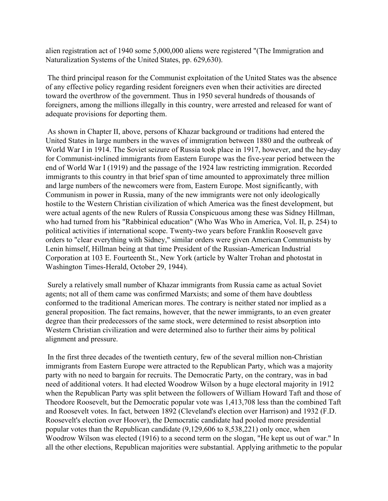alien registration act of 1940 some 5,000,000 aliens were registered "(The Immigration and Naturalization Systems of the United States, pp. 629,630).

 The third principal reason for the Communist exploitation of the United States was the absence of any effective policy regarding resident foreigners even when their activities are directed toward the overthrow of the government. Thus in 1950 several hundreds of thousands of foreigners, among the millions illegally in this country, were arrested and released for want of adequate provisions for deporting them.

 As shown in Chapter II, above, persons of Khazar background or traditions had entered the United States in large numbers in the waves of immigration between 1880 and the outbreak of World War I in 1914. The Soviet seizure of Russia took place in 1917, however, and the hey-day for Communist-inclined immigrants from Eastern Europe was the five-year period between the end of World War I (1919) and the passage of the 1924 law restricting immigration. Recorded immigrants to this country in that brief span of time amounted to approximately three million and large numbers of the newcomers were from, Eastern Europe. Most significantly, with Communism in power in Russia, many of the new immigrants were not only ideologically hostile to the Western Christian civilization of which America was the finest development, but were actual agents of the new Rulers of Russia Conspicuous among these was Sidney Hillman, who had turned from his "Rabbinical education" (Who Was Who in America, Vol. II, p. 254) to political activities if international scope. Twenty-two years before Franklin Roosevelt gave orders to "clear everything with Sidney," similar orders were given American Communists by Lenin himself, Hillman being at that time President of the Russian-American Industrial Corporation at 103 E. Fourteenth St., New York (article by Walter Trohan and photostat in Washington Times-Herald, October 29, 1944).

 Surely a relatively small number of Khazar immigrants from Russia came as actual Soviet agents; not all of them came was confirmed Marxists; and some of them have doubtless conformed to the traditional American mores. The contrary is neither stated nor implied as a general proposition. The fact remains, however, that the newer immigrants, to an even greater degree than their predecessors of the same stock, were determined to resist absorption into Western Christian civilization and were determined also to further their aims by political alignment and pressure.

 In the first three decades of the twentieth century, few of the several million non-Christian immigrants from Eastern Europe were attracted to the Republican Party, which was a majority party with no need to bargain for recruits. The Democratic Party, on the contrary, was in bad need of additional voters. It had elected Woodrow Wilson by a huge electoral majority in 1912 when the Republican Party was split between the followers of William Howard Taft and those of Theodore Roosevelt, but the Democratic popular vote was 1,413,708 less than the combined Taft and Roosevelt votes. In fact, between 1892 (Cleveland's election over Harrison) and 1932 (F.D. Roosevelt's election over Hoover), the Democratic candidate had pooled more presidential popular votes than the Republican candidate (9,129,606 to 8,538,221) only once, when Woodrow Wilson was elected (1916) to a second term on the slogan, "He kept us out of war." In all the other elections, Republican majorities were substantial. Applying arithmetic to the popular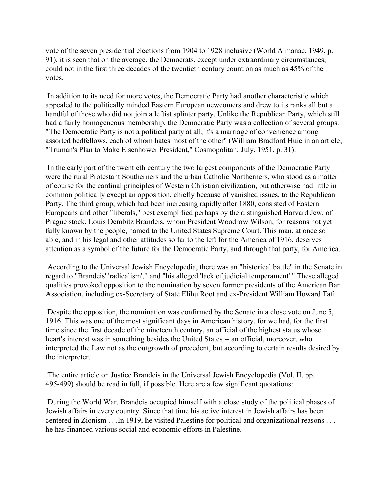vote of the seven presidential elections from 1904 to 1928 inclusive (World Almanac, 1949, p. 91), it is seen that on the average, the Democrats, except under extraordinary circumstances, could not in the first three decades of the twentieth century count on as much as 45% of the votes.

 In addition to its need for more votes, the Democratic Party had another characteristic which appealed to the politically minded Eastern European newcomers and drew to its ranks all but a handful of those who did not join a leftist splinter party. Unlike the Republican Party, which still had a fairly homogeneous membership, the Democratic Party was a collection of several groups. "The Democratic Party is not a political party at all; it's a marriage of convenience among assorted bedfellows, each of whom hates most of the other" (William Bradford Huie in an article, "Truman's Plan to Make Eisenhower President," Cosmopolitan, July, 1951, p. 31).

 In the early part of the twentieth century the two largest components of the Democratic Party were the rural Protestant Southerners and the urban Catholic Northerners, who stood as a matter of course for the cardinal principles of Western Christian civilization, but otherwise had little in common politically except an opposition, chiefly because of vanished issues, to the Republican Party. The third group, which had been increasing rapidly after 1880, consisted of Eastern Europeans and other "liberals," best exemplified perhaps by the distinguished Harvard Jew, of Prague stock, Louis Dembitz Brandeis, whom President Woodrow Wilson, for reasons not yet fully known by the people, named to the United States Supreme Court. This man, at once so able, and in his legal and other attitudes so far to the left for the America of 1916, deserves attention as a symbol of the future for the Democratic Party, and through that party, for America.

 According to the Universal Jewish Encyclopedia, there was an "historical battle" in the Senate in regard to "Brandeis' 'radicalism'," and "his alleged 'lack of judicial temperament'." These alleged qualities provoked opposition to the nomination by seven former presidents of the American Bar Association, including ex-Secretary of State Elihu Root and ex-President William Howard Taft.

 Despite the opposition, the nomination was confirmed by the Senate in a close vote on June 5, 1916. This was one of the most significant days in American history, for we had, for the first time since the first decade of the nineteenth century, an official of the highest status whose heart's interest was in something besides the United States -- an official, moreover, who interpreted the Law not as the outgrowth of precedent, but according to certain results desired by the interpreter.

 The entire article on Justice Brandeis in the Universal Jewish Encyclopedia (Vol. II, pp. 495-499) should be read in full, if possible. Here are a few significant quotations:

 During the World War, Brandeis occupied himself with a close study of the political phases of Jewish affairs in every country. Since that time his active interest in Jewish affairs has been centered in Zionism . . .In 1919, he visited Palestine for political and organizational reasons . . . he has financed various social and economic efforts in Palestine.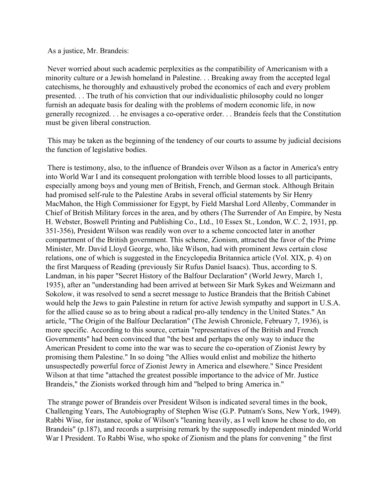#### As a justice, Mr. Brandeis:

 Never worried about such academic perplexities as the compatibility of Americanism with a minority culture or a Jewish homeland in Palestine. . . Breaking away from the accepted legal catechisms, he thoroughly and exhaustively probed the economics of each and every problem presented. . . The truth of his conviction that our individualistic philosophy could no longer furnish an adequate basis for dealing with the problems of modern economic life, in now generally recognized. . . he envisages a co-operative order. . . Brandeis feels that the Constitution must be given liberal construction.

 This may be taken as the beginning of the tendency of our courts to assume by judicial decisions the function of legislative bodies.

 There is testimony, also, to the influence of Brandeis over Wilson as a factor in America's entry into World War I and its consequent prolongation with terrible blood losses to all participants, especially among boys and young men of British, French, and German stock. Although Britain had promised self-rule to the Palestine Arabs in several official statements by Sir Henry MacMahon, the High Commissioner for Egypt, by Field Marshal Lord Allenby, Commander in Chief of British Military forces in the area, and by others (The Surrender of An Empire, by Nesta H. Webster, Boswell Printing and Publishing Co., Ltd., 10 Essex St., London, W.C. 2, 1931, pp. 351-356), President Wilson was readily won over to a scheme concocted later in another compartment of the British government. This scheme, Zionism, attracted the favor of the Prime Minister, Mr. David Lloyd George, who, like Wilson, had with prominent Jews certain close relations, one of which is suggested in the Encyclopedia Britannica article (Vol. XIX, p. 4) on the first Marquess of Reading (previously Sir Rufus Daniel Isaacs). Thus, according to S. Landman, in his paper "Secret History of the Balfour Declaration" (World Jewry, March 1, 1935), after an "understanding had been arrived at between Sir Mark Sykes and Weizmann and Sokolow, it was resolved to send a secret message to Justice Brandeis that the British Cabinet would help the Jews to gain Palestine in return for active Jewish sympathy and support in U.S.A. for the allied cause so as to bring about a radical pro-ally tendency in the United States." An article, "The Origin of the Balfour Declaration" (The Jewish Chronicle, February 7, 1936), is more specific. According to this source, certain "representatives of the British and French Governments" had been convinced that "the best and perhaps the only way to induce the American President to come into the war was to secure the co-operation of Zionist Jewry by promising them Palestine." In so doing "the Allies would enlist and mobilize the hitherto unsuspectedly powerful force of Zionist Jewry in America and elsewhere." Since President Wilson at that time "attached the greatest possible importance to the advice of Mr. Justice Brandeis," the Zionists worked through him and "helped to bring America in."

 The strange power of Brandeis over President Wilson is indicated several times in the book, Challenging Years, The Autobiography of Stephen Wise (G.P. Putnam's Sons, New York, 1949). Rabbi Wise, for instance, spoke of Wilson's "leaning heavily, as I well know he chose to do, on Brandeis" (p.187), and records a surprising remark by the supposedly independent minded World War I President. To Rabbi Wise, who spoke of Zionism and the plans for convening " the first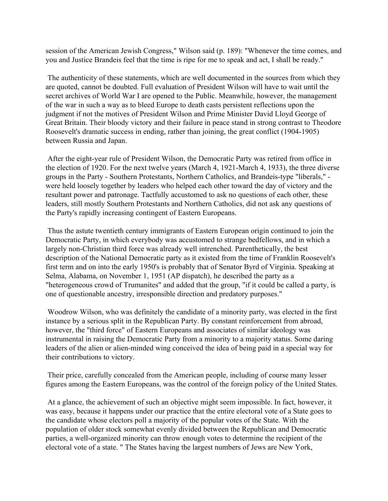session of the American Jewish Congress," Wilson said (p. 189): "Whenever the time comes, and you and Justice Brandeis feel that the time is ripe for me to speak and act, I shall be ready."

 The authenticity of these statements, which are well documented in the sources from which they are quoted, cannot be doubted. Full evaluation of President Wilson will have to wait until the secret archives of World War I are opened to the Public. Meanwhile, however, the management of the war in such a way as to bleed Europe to death casts persistent reflections upon the judgment if not the motives of President Wilson and Prime Minister David Lloyd George of Great Britain. Their bloody victory and their failure in peace stand in strong contrast to Theodore Roosevelt's dramatic success in ending, rather than joining, the great conflict (1904-1905) between Russia and Japan.

 After the eight-year rule of President Wilson, the Democratic Party was retired from office in the election of 1920. For the next twelve years (March 4, 1921-March 4, 1933), the three diverse groups in the Party - Southern Protestants, Northern Catholics, and Brandeis-type "liberals," were held loosely together by leaders who helped each other toward the day of victory and the resultant power and patronage. Tactfully accustomed to ask no questions of each other, these leaders, still mostly Southern Protestants and Northern Catholics, did not ask any questions of the Party's rapidly increasing contingent of Eastern Europeans.

 Thus the astute twentieth century immigrants of Eastern European origin continued to join the Democratic Party, in which everybody was accustomed to strange bedfellows, and in which a largely non-Christian third force was already well intrenched. Parenthetically, the best description of the National Democratic party as it existed from the time of Franklin Roosevelt's first term and on into the early 1950's is probably that of Senator Byrd of Virginia. Speaking at Selma, Alabama, on November 1, 1951 (AP dispatch), he described the party as a "heterogeneous crowd of Trumanites" and added that the group, "if it could be called a party, is one of questionable ancestry, irresponsible direction and predatory purposes."

 Woodrow Wilson, who was definitely the candidate of a minority party, was elected in the first instance by a serious split in the Republican Party. By constant reinforcement from abroad, however, the "third force" of Eastern Europeans and associates of similar ideology was instrumental in raising the Democratic Party from a minority to a majority status. Some daring leaders of the alien or alien-minded wing conceived the idea of being paid in a special way for their contributions to victory.

 Their price, carefully concealed from the American people, including of course many lesser figures among the Eastern Europeans, was the control of the foreign policy of the United States.

 At a glance, the achievement of such an objective might seem impossible. In fact, however, it was easy, because it happens under our practice that the entire electoral vote of a State goes to the candidate whose electors poll a majority of the popular votes of the State. With the population of older stock somewhat evenly divided between the Republican and Democratic parties, a well-organized minority can throw enough votes to determine the recipient of the electoral vote of a state. " The States having the largest numbers of Jews are New York,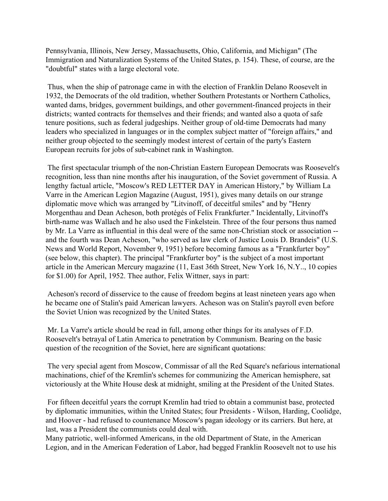Pennsylvania, Illinois, New Jersey, Massachusetts, Ohio, California, and Michigan" (The Immigration and Naturalization Systems of the United States, p. 154). These, of course, are the "doubtful" states with a large electoral vote.

 Thus, when the ship of patronage came in with the election of Franklin Delano Roosevelt in 1932, the Democrats of the old tradition, whether Southern Protestants or Northern Catholics, wanted dams, bridges, government buildings, and other government-financed projects in their districts; wanted contracts for themselves and their friends; and wanted also a quota of safe tenure positions, such as federal judgeships. Neither group of old-time Democrats had many leaders who specialized in languages or in the complex subject matter of "foreign affairs," and neither group objected to the seemingly modest interest of certain of the party's Eastern European recruits for jobs of sub-cabinet rank in Washington.

 The first spectacular triumph of the non-Christian Eastern European Democrats was Roosevelt's recognition, less than nine months after his inauguration, of the Soviet government of Russia. A lengthy factual article, "Moscow's RED LETTER DAY in American History," by William La Varre in the American Legion Magazine (August, 1951), gives many details on our strange diplomatic move which was arranged by "Litvinoff, of deceitful smiles" and by "Henry Morgenthau and Dean Acheson, both protégés of Felix Frankfurter." Incidentally, Litvinoff's birth-name was Wallach and he also used the Finkelstein. Three of the four persons thus named by Mr. La Varre as influential in this deal were of the same non-Christian stock or association - and the fourth was Dean Acheson, "who served as law clerk of Justice Louis D. Brandeis" (U.S. News and World Report, November 9, 1951) before becoming famous as a "Frankfurter boy" (see below, this chapter). The principal "Frankfurter boy" is the subject of a most important article in the American Mercury magazine (11, East 36th Street, New York 16, N.Y.., 10 copies for \$1.00) for April, 1952. Thee author, Felix Wittner, says in part:

 Acheson's record of disservice to the cause of freedom begins at least nineteen years ago when he became one of Stalin's paid American lawyers. Acheson was on Stalin's payroll even before the Soviet Union was recognized by the United States.

 Mr. La Varre's article should be read in full, among other things for its analyses of F.D. Roosevelt's betrayal of Latin America to penetration by Communism. Bearing on the basic question of the recognition of the Soviet, here are significant quotations:

 The very special agent from Moscow, Commissar of all the Red Square's nefarious international machinations, chief of the Kremlin's schemes for communizing the American hemisphere, sat victoriously at the White House desk at midnight, smiling at the President of the United States.

 For fifteen deceitful years the corrupt Kremlin had tried to obtain a communist base, protected by diplomatic immunities, within the United States; four Presidents - Wilson, Harding, Coolidge, and Hoover - had refused to countenance Moscow's pagan ideology or its carriers. But here, at last, was a President the communists could deal with.

Many patriotic, well-informed Americans, in the old Department of State, in the American Legion, and in the American Federation of Labor, had begged Franklin Roosevelt not to use his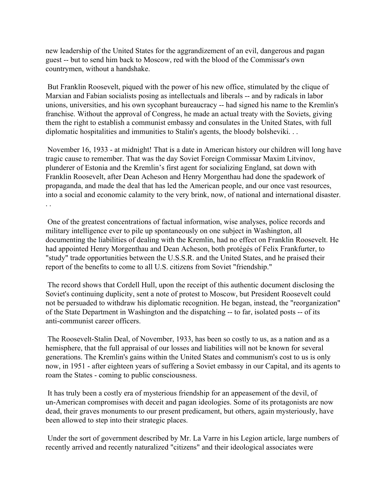new leadership of the United States for the aggrandizement of an evil, dangerous and pagan guest -- but to send him back to Moscow, red with the blood of the Commissar's own countrymen, without a handshake.

 But Franklin Roosevelt, piqued with the power of his new office, stimulated by the clique of Marxian and Fabian socialists posing as intellectuals and liberals -- and by radicals in labor unions, universities, and his own sycophant bureaucracy -- had signed his name to the Kremlin's franchise. Without the approval of Congress, he made an actual treaty with the Soviets, giving them the right to establish a communist embassy and consulates in the United States, with full diplomatic hospitalities and immunities to Stalin's agents, the bloody bolsheviki. . .

 November 16, 1933 - at midnight! That is a date in American history our children will long have tragic cause to remember. That was the day Soviet Foreign Commissar Maxim Litvinov, plunderer of Estonia and the Kremlin's first agent for socializing England, sat down with Franklin Roosevelt, after Dean Acheson and Henry Morgenthau had done the spadework of propaganda, and made the deal that has led the American people, and our once vast resources, into a social and economic calamity to the very brink, now, of national and international disaster. . .

 One of the greatest concentrations of factual information, wise analyses, police records and military intelligence ever to pile up spontaneously on one subject in Washington, all documenting the liabilities of dealing with the Kremlin, had no effect on Franklin Roosevelt. He had appointed Henry Morgenthau and Dean Acheson, both protégés of Felix Frankfurter, to "study" trade opportunities between the U.S.S.R. and the United States, and he praised their report of the benefits to come to all U.S. citizens from Soviet "friendship."

 The record shows that Cordell Hull, upon the receipt of this authentic document disclosing the Soviet's continuing duplicity, sent a note of protest to Moscow, but President Roosevelt could not be persuaded to withdraw his diplomatic recognition. He began, instead, the "reorganization" of the State Department in Washington and the dispatching -- to far, isolated posts -- of its anti-communist career officers.

 The Roosevelt-Stalin Deal, of November, 1933, has been so costly to us, as a nation and as a hemisphere, that the full appraisal of our losses and liabilities will not be known for several generations. The Kremlin's gains within the United States and communism's cost to us is only now, in 1951 - after eighteen years of suffering a Soviet embassy in our Capital, and its agents to roam the States - coming to public consciousness.

 It has truly been a costly era of mysterious friendship for an appeasement of the devil, of un-American compromises with deceit and pagan ideologies. Some of its protagonists are now dead, their graves monuments to our present predicament, but others, again mysteriously, have been allowed to step into their strategic places.

 Under the sort of government described by Mr. La Varre in his Legion article, large numbers of recently arrived and recently naturalized "citizens" and their ideological associates were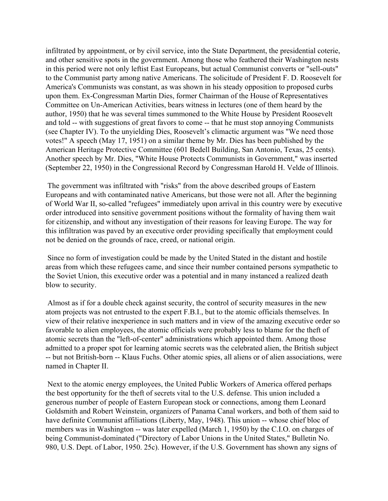infiltrated by appointment, or by civil service, into the State Department, the presidential coterie, and other sensitive spots in the government. Among those who feathered their Washington nests in this period were not only leftist East Europeans, but actual Communist converts or "sell-outs" to the Communist party among native Americans. The solicitude of President F. D. Roosevelt for America's Communists was constant, as was shown in his steady opposition to proposed curbs upon them. Ex-Congressman Martin Dies, former Chairman of the House of Representatives Committee on Un-American Activities, bears witness in lectures (one of them heard by the author, 1950) that he was several times summoned to the White House by President Roosevelt and told -- with suggestions of great favors to come -- that he must stop annoying Communists (see Chapter IV). To the unyielding Dies, Roosevelt's climactic argument was "We need those votes!" A speech (May 17, 1951) on a similar theme by Mr. Dies has been published by the American Heritage Protective Committee (601 Bedell Building, San Antonio, Texas, 25 cents). Another speech by Mr. Dies, "White House Protects Communists in Government," was inserted (September 22, 1950) in the Congressional Record by Congressman Harold H. Velde of Illinois.

 The government was infiltrated with "risks" from the above described groups of Eastern Europeans and with contaminated native Americans, but those were not all. After the beginning of World War II, so-called "refugees" immediately upon arrival in this country were by executive order introduced into sensitive government positions without the formality of having them wait for citizenship, and without any investigation of their reasons for leaving Europe. The way for this infiltration was paved by an executive order providing specifically that employment could not be denied on the grounds of race, creed, or national origin.

 Since no form of investigation could be made by the United Stated in the distant and hostile areas from which these refugees came, and since their number contained persons sympathetic to the Soviet Union, this executive order was a potential and in many instanced a realized death blow to security.

 Almost as if for a double check against security, the control of security measures in the new atom projects was not entrusted to the expert F.B.I., but to the atomic officials themselves. In view of their relative inexperience in such matters and in view of the amazing executive order so favorable to alien employees, the atomic officials were probably less to blame for the theft of atomic secrets than the "left-of-center" administrations which appointed them. Among those admitted to a proper spot for learning atomic secrets was the celebrated alien, the British subject -- but not British-born -- Klaus Fuchs. Other atomic spies, all aliens or of alien associations, were named in Chapter II.

 Next to the atomic energy employees, the United Public Workers of America offered perhaps the best opportunity for the theft of secrets vital to the U.S. defense. This union included a generous number of people of Eastern European stock or connections, among them Leonard Goldsmith and Robert Weinstein, organizers of Panama Canal workers, and both of them said to have definite Communist affiliations (Liberty, May, 1948). This union -- whose chief bloc of members was in Washington -- was later expelled (March 1, 1950) by the C.I.O. on charges of being Communist-dominated ("Directory of Labor Unions in the United States," Bulletin No. 980, U.S. Dept. of Labor, 1950. 25c). However, if the U.S. Government has shown any signs of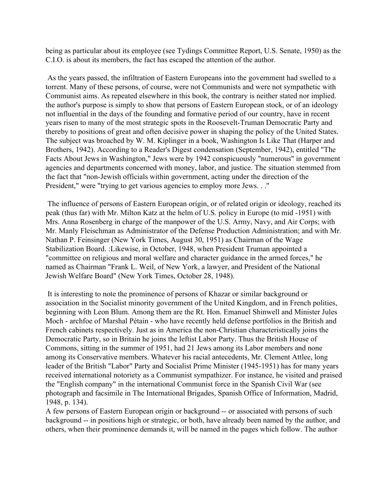being as particular about its employee (see Tydings Committee Report, U.S. Senate, 1950) as the C.I.O. is about its members, the fact has escaped the attention of the author.

 As the years passed, the infiltration of Eastern Europeans into the government had swelled to a torrent. Many of these persons, of course, were not Communists and were not sympathetic with Communist aims. As repeated elsewhere in this book, the contrary is neither stated nor implied. the author's purpose is simply to show that persons of Eastern European stock, or of an ideology not influential in the days of the founding and formative period of our country, have in recent years risen to many of the most strategic spots in the Roosevelt-Truman Democratic Party and thereby to positions of great and often decisive power in shaping the policy of the United States. The subject was broached by W. M. Kiplinger in a book, Washington Is Like That (Harper and Brothers, 1942). According to a Reader's Digest condensation (September, 1942), entitled "The Facts About Jews in Washington," Jews were by 1942 conspicuously "numerous" in government agencies and departments concerned with money, labor, and justice. The situation stemmed from the fact that "non-Jewish officials within government, acting under the direction of the President," were "trying to get various agencies to employ more Jews. . ."

 The influence of persons of Eastern European origin, or of related origin or ideology, reached its peak (thus far) with Mr. Milton Katz at the helm of U.S. policy in Europe (to mid -1951) with Mrs. Anna Rosenberg in charge of the manpower of the U.S. Army, Navy, and Air Corps; with Mr. Manly Fleischman as Administrator of the Defense Production Administration; and with Mr. Nathan P. Feinsinger (New York Times, August 30, 1951) as Chairman of the Wage Stabilization Board. :Likewise, in October, 1948, when President Truman appointed a "committee on religious and moral welfare and character guidance in the armed forces," he named as Chairman "Frank L. Weil, of New York, a lawyer, and President of the National Jewish Welfare Board" (New York Times, October 28, 1948).

 It is interesting to note the prominence of persons of Khazar or similar background or association in the Socialist minority government of the United Kingdom, and in French polities, beginning with Leon Blum. Among them are the Rt. Hon. Emanuel Shinwell and Minister Jules Moch - archfoe of Marshal Pétain - who have recently held defense portfolios in the British and French cabinets respectively. Just as in America the non-Christian characteristically joins the Democratic Party, so in Britain he joins the leftist Labor Party. Thus the British House of Commons, sitting in the summer of 1951, had 21 Jews among its Labor members and none among its Conservative members. Whatever his racial antecedents, Mr. Clement Attlee, long leader of the British "Labor" Party and Socialist Prime Minister (1945-1951) has for many years received international notoriety as a Communist sympathizer. For instance, he visited and praised the "English company" in the international Communist force in the Spanish Civil War (see photograph and facsimile in The International Brigades, Spanish Office of Information, Madrid, 1948, p. 134).

A few persons of Eastern European origin or background -- or associated with persons of such background -- in positions high or strategic, or both, have already been named by the author, and others, when their prominence demands it, will be named in the pages which follow. The author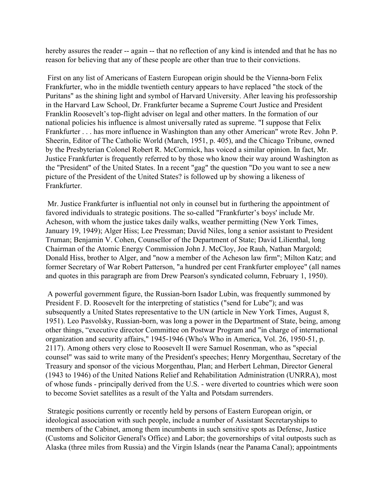hereby assures the reader -- again -- that no reflection of any kind is intended and that he has no reason for believing that any of these people are other than true to their convictions.

 First on any list of Americans of Eastern European origin should be the Vienna-born Felix Frankfurter, who in the middle twentieth century appears to have replaced "the stock of the Puritans" as the shining light and symbol of Harvard University. After leaving his professorship in the Harvard Law School, Dr. Frankfurter became a Supreme Court Justice and President Franklin Roosevelt's top-flight adviser on legal and other matters. In the formation of our national policies his influence is almost universally rated as supreme. "I suppose that Felix Frankfurter . . . has more influence in Washington than any other American" wrote Rev. John P. Sheerin, Editor of The Catholic World (March, 1951, p. 405), and the Chicago Tribune, owned by the Presbyterian Colonel Robert R. McCormick, has voiced a similar opinion. In fact, Mr. Justice Frankfurter is frequently referred to by those who know their way around Washington as the "President" of the United States. In a recent "gag" the question "Do you want to see a new picture of the President of the United States? is followed up by showing a likeness of **Frankfurter** 

 Mr. Justice Frankfurter is influential not only in counsel but in furthering the appointment of favored individuals to strategic positions. The so-called "Frankfurter's boys' include Mr. Acheson, with whom the justice takes daily walks, weather permitting (New York Times, January 19, 1949); Alger Hiss; Lee Pressman; David Niles, long a senior assistant to President Truman; Benjamin V. Cohen, Counsellor of the Department of State; David Lilienthal, long Chairman of the Atomic Energy Commission John J. McCloy, Joe Rauh, Nathan Margold; Donald Hiss, brother to Alger, and "now a member of the Acheson law firm"; Milton Katz; and former Secretary of War Robert Patterson, "a hundred per cent Frankfurter employee" (all names and quotes in this paragraph are from Drew Pearson's syndicated column, February 1, 1950).

 A powerful government figure, the Russian-born Isador Lubin, was frequently summoned by President F. D. Roosevelt for the interpreting of statistics ("send for Lube"); and was subsequently a United States representative to the UN (article in New York Times, August 8, 1951). Leo Pasvolsky, Russian-born, was long a power in the Department of State, being, among other things, "executive director Committee on Postwar Program and "in charge of international organization and security affairs," 1945-1946 (Who's Who in America, Vol. 26, 1950-51, p. 2117). Among others very close to Roosevelt II were Samuel Rosenman, who as "special counsel" was said to write many of the President's speeches; Henry Morgenthau, Secretary of the Treasury and sponsor of the vicious Morgenthau, Plan; and Herbert Lehman, Director General (1943 to 1946) of the United Nations Relief and Rehabilitation Administration (UNRRA), most of whose funds - principally derived from the U.S. - were diverted to countries which were soon to become Soviet satellites as a result of the Yalta and Potsdam surrenders.

 Strategic positions currently or recently held by persons of Eastern European origin, or ideological association with such people, include a number of Assistant Secretaryships to members of the Cabinet, among them incumbents in such sensitive spots as Defense, Justice (Customs and Solicitor General's Office) and Labor; the governorships of vital outposts such as Alaska (three miles from Russia) and the Virgin Islands (near the Panama Canal); appointments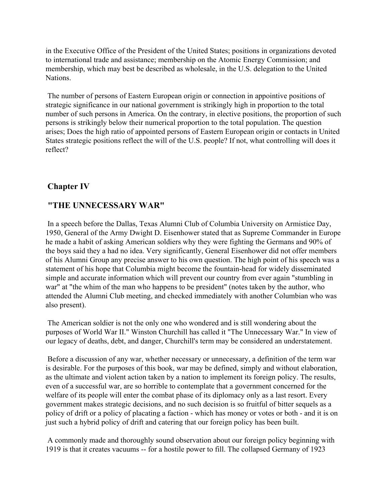in the Executive Office of the President of the United States; positions in organizations devoted to international trade and assistance; membership on the Atomic Energy Commission; and membership, which may best be described as wholesale, in the U.S. delegation to the United **Nations** 

 The number of persons of Eastern European origin or connection in appointive positions of strategic significance in our national government is strikingly high in proportion to the total number of such persons in America. On the contrary, in elective positions, the proportion of such persons is strikingly below their numerical proportion to the total population. The question arises; Does the high ratio of appointed persons of Eastern European origin or contacts in United States strategic positions reflect the will of the U.S. people? If not, what controlling will does it reflect?

# **Chapter IV**

## **"THE UNNECESSARY WAR"**

 In a speech before the Dallas, Texas Alumni Club of Columbia University on Armistice Day, 1950, General of the Army Dwight D. Eisenhower stated that as Supreme Commander in Europe he made a habit of asking American soldiers why they were fighting the Germans and 90% of the boys said they a had no idea. Very significantly, General Eisenhower did not offer members of his Alumni Group any precise answer to his own question. The high point of his speech was a statement of his hope that Columbia might become the fountain-head for widely disseminated simple and accurate information which will prevent our country from ever again "stumbling in war" at "the whim of the man who happens to be president" (notes taken by the author, who attended the Alumni Club meeting, and checked immediately with another Columbian who was also present).

 The American soldier is not the only one who wondered and is still wondering about the purposes of World War II." Winston Churchill has called it "The Unnecessary War." In view of our legacy of deaths, debt, and danger, Churchill's term may be considered an understatement.

 Before a discussion of any war, whether necessary or unnecessary, a definition of the term war is desirable. For the purposes of this book, war may be defined, simply and without elaboration, as the ultimate and violent action taken by a nation to implement its foreign policy. The results, even of a successful war, are so horrible to contemplate that a government concerned for the welfare of its people will enter the combat phase of its diplomacy only as a last resort. Every government makes strategic decisions, and no such decision is so fruitful of bitter sequels as a policy of drift or a policy of placating a faction - which has money or votes or both - and it is on just such a hybrid policy of drift and catering that our foreign policy has been built.

 A commonly made and thoroughly sound observation about our foreign policy beginning with 1919 is that it creates vacuums -- for a hostile power to fill. The collapsed Germany of 1923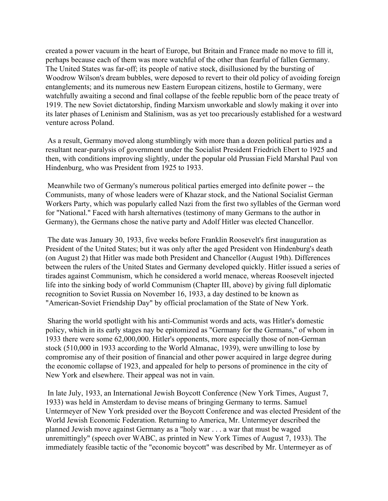created a power vacuum in the heart of Europe, but Britain and France made no move to fill it, perhaps because each of them was more watchful of the other than fearful of fallen Germany. The United States was far-off; its people of native stock, disillusioned by the bursting of Woodrow Wilson's dream bubbles, were deposed to revert to their old policy of avoiding foreign entanglements; and its numerous new Eastern European citizens, hostile to Germany, were watchfully awaiting a second and final collapse of the feeble republic born of the peace treaty of 1919. The new Soviet dictatorship, finding Marxism unworkable and slowly making it over into its later phases of Leninism and Stalinism, was as yet too precariously established for a westward venture across Poland.

 As a result, Germany moved along stumblingly with more than a dozen political parties and a resultant near-paralysis of government under the Socialist President Friedrich Ebert to 1925 and then, with conditions improving slightly, under the popular old Prussian Field Marshal Paul von Hindenburg, who was President from 1925 to 1933.

 Meanwhile two of Germany's numerous political parties emerged into definite power -- the Communists, many of whose leaders were of Khazar stock, and the National Socialist German Workers Party, which was popularly called Nazi from the first two syllables of the German word for "National." Faced with harsh alternatives (testimony of many Germans to the author in Germany), the Germans chose the native party and Adolf Hitler was elected Chancellor.

 The date was January 30, 1933, five weeks before Franklin Roosevelt's first inauguration as President of the United States; but it was only after the aged President von Hindenburg's death (on August 2) that Hitler was made both President and Chancellor (August 19th). Differences between the rulers of the United States and Germany developed quickly. Hitler issued a series of tirades against Communism, which he considered a world menace, whereas Roosevelt injected life into the sinking body of world Communism (Chapter III, above) by giving full diplomatic recognition to Soviet Russia on November 16, 1933, a day destined to be known as "American-Soviet Friendship Day" by official proclamation of the State of New York.

 Sharing the world spotlight with his anti-Communist words and acts, was Hitler's domestic policy, which in its early stages nay be epitomized as "Germany for the Germans," of whom in 1933 there were some 62,000,000. Hitler's opponents, more especially those of non-German stock (510,000 in 1933 according to the World Almanac, 1939), were unwilling to lose by compromise any of their position of financial and other power acquired in large degree during the economic collapse of 1923, and appealed for help to persons of prominence in the city of New York and elsewhere. Their appeal was not in vain.

 In late July, 1933, an International Jewish Boycott Conference (New York Times, August 7, 1933) was held in Amsterdam to devise means of bringing Germany to terms. Samuel Untermeyer of New York presided over the Boycott Conference and was elected President of the World Jewish Economic Federation. Returning to America, Mr. Untermeyer described the planned Jewish move against Germany as a "holy war . . . a war that must be waged unremittingly" (speech over WABC, as printed in New York Times of August 7, 1933). The immediately feasible tactic of the "economic boycott" was described by Mr. Untermeyer as of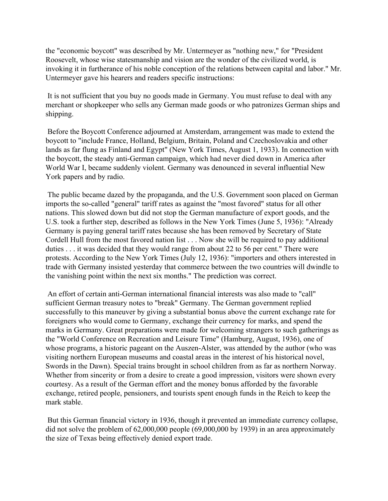the "economic boycott" was described by Mr. Untermeyer as "nothing new," for "President Roosevelt, whose wise statesmanship and vision are the wonder of the civilized world, is invoking it in furtherance of his noble conception of the relations between capital and labor." Mr. Untermeyer gave his hearers and readers specific instructions:

 It is not sufficient that you buy no goods made in Germany. You must refuse to deal with any merchant or shopkeeper who sells any German made goods or who patronizes German ships and shipping.

 Before the Boycott Conference adjourned at Amsterdam, arrangement was made to extend the boycott to "include France, Holland, Belgium, Britain, Poland and Czechoslovakia and other lands as far flung as Finland and Egypt" (New York Times, August 1, 1933). In connection with the boycott, the steady anti-German campaign, which had never died down in America after World War I, became suddenly violent. Germany was denounced in several influential New York papers and by radio.

 The public became dazed by the propaganda, and the U.S. Government soon placed on German imports the so-called "general" tariff rates as against the "most favored" status for all other nations. This slowed down but did not stop the German manufacture of export goods, and the U.S. took a further step, described as follows in the New York Times (June 5, 1936): "Already Germany is paying general tariff rates because she has been removed by Secretary of State Cordell Hull from the most favored nation list . . . Now she will be required to pay additional duties . . . it was decided that they would range from about 22 to 56 per cent." There were protests. According to the New York Times (July 12, 1936): "importers and others interested in trade with Germany insisted yesterday that commerce between the two countries will dwindle to the vanishing point within the next six months." The prediction was correct.

 An effort of certain anti-German international financial interests was also made to "call" sufficient German treasury notes to "break" Germany. The German government replied successfully to this maneuver by giving a substantial bonus above the current exchange rate for foreigners who would come to Germany, exchange their currency for marks, and spend the marks in Germany. Great preparations were made for welcoming strangers to such gatherings as the "World Conference on Recreation and Leisure Time" (Hamburg, August, 1936), one of whose programs, a historic pageant on the Auszen-Alster, was attended by the author (who was visiting northern European museums and coastal areas in the interest of his historical novel, Swords in the Dawn). Special trains brought in school children from as far as northern Norway. Whether from sincerity or from a desire to create a good impression, visitors were shown every courtesy. As a result of the German effort and the money bonus afforded by the favorable exchange, retired people, pensioners, and tourists spent enough funds in the Reich to keep the mark stable.

 But this German financial victory in 1936, though it prevented an immediate currency collapse, did not solve the problem of 62,000,000 people (69,000,000 by 1939) in an area approximately the size of Texas being effectively denied export trade.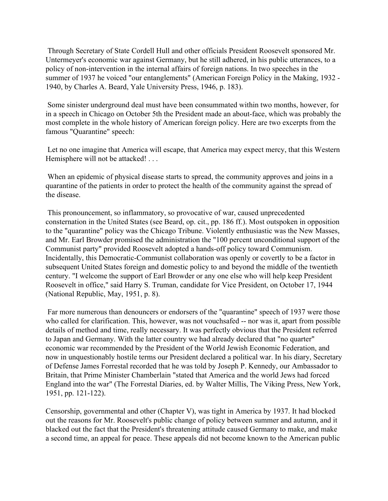Through Secretary of State Cordell Hull and other officials President Roosevelt sponsored Mr. Untermeyer's economic war against Germany, but he still adhered, in his public utterances, to a policy of non-intervention in the internal affairs of foreign nations. In two speeches in the summer of 1937 he voiced "our entanglements" (American Foreign Policy in the Making, 1932 - 1940, by Charles A. Beard, Yale University Press, 1946, p. 183).

 Some sinister underground deal must have been consummated within two months, however, for in a speech in Chicago on October 5th the President made an about-face, which was probably the most complete in the whole history of American foreign policy. Here are two excerpts from the famous "Quarantine" speech:

 Let no one imagine that America will escape, that America may expect mercy, that this Western Hemisphere will not be attacked! . . .

 When an epidemic of physical disease starts to spread, the community approves and joins in a quarantine of the patients in order to protect the health of the community against the spread of the disease.

 This pronouncement, so inflammatory, so provocative of war, caused unprecedented consternation in the United States (see Beard, op. cit., pp. 186 ff.). Most outspoken in opposition to the "quarantine" policy was the Chicago Tribune. Violently enthusiastic was the New Masses, and Mr. Earl Browder promised the administration the "100 percent unconditional support of the Communist party" provided Roosevelt adopted a hands-off policy toward Communism. Incidentally, this Democratic-Communist collaboration was openly or covertly to be a factor in subsequent United States foreign and domestic policy to and beyond the middle of the twentieth century. "I welcome the support of Earl Browder or any one else who will help keep President Roosevelt in office," said Harry S. Truman, candidate for Vice President, on October 17, 1944 (National Republic, May, 1951, p. 8).

 Far more numerous than denouncers or endorsers of the "quarantine" speech of 1937 were those who called for clarification. This, however, was not vouchsafed -- nor was it, apart from possible details of method and time, really necessary. It was perfectly obvious that the President referred to Japan and Germany. With the latter country we had already declared that "no quarter" economic war recommended by the President of the World Jewish Economic Federation, and now in unquestionably hostile terms our President declared a political war. In his diary, Secretary of Defense James Forrestal recorded that he was told by Joseph P. Kennedy, our Ambassador to Britain, that Prime Minister Chamberlain "stated that America and the world Jews had forced England into the war" (The Forrestal Diaries, ed. by Walter Millis, The Viking Press, New York, 1951, pp. 121-122).

Censorship, governmental and other (Chapter V), was tight in America by 1937. It had blocked out the reasons for Mr. Roosevelt's public change of policy between summer and autumn, and it blacked out the fact that the President's threatening attitude caused Germany to make, and make a second time, an appeal for peace. These appeals did not become known to the American public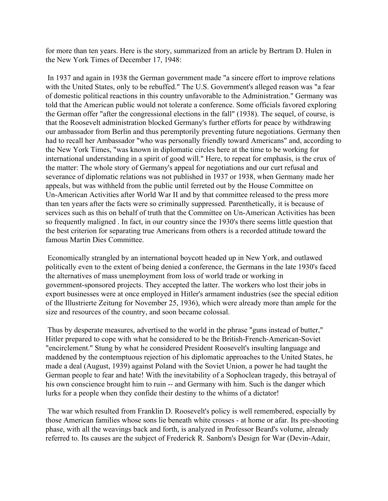for more than ten years. Here is the story, summarized from an article by Bertram D. Hulen in the New York Times of December 17, 1948:

 In 1937 and again in 1938 the German government made "a sincere effort to improve relations with the United States, only to be rebuffed." The U.S. Government's alleged reason was "a fear of domestic political reactions in this country unfavorable to the Administration." Germany was told that the American public would not tolerate a conference. Some officials favored exploring the German offer "after the congressional elections in the fall" (1938). The sequel, of course, is that the Roosevelt administration blocked Germany's further efforts for peace by withdrawing our ambassador from Berlin and thus peremptorily preventing future negotiations. Germany then had to recall her Ambassador "who was personally friendly toward Americans" and, according to the New York Times, "was known in diplomatic circles here at the time to be working for international understanding in a spirit of good will." Here, to repeat for emphasis, is the crux of the matter: The whole story of Germany's appeal for negotiations and our curt refusal and severance of diplomatic relations was not published in 1937 or 1938, when Germany made her appeals, but was withheld from the public until ferreted out by the House Committee on Un-American Activities after World War II and by that committee released to the press more than ten years after the facts were so criminally suppressed. Parenthetically, it is because of services such as this on behalf of truth that the Committee on Un-American Activities has been so frequently maligned . In fact, in our country since the 1930's there seems little question that the best criterion for separating true Americans from others is a recorded attitude toward the famous Martin Dies Committee.

 Economically strangled by an international boycott headed up in New York, and outlawed politically even to the extent of being denied a conference, the Germans in the late 1930's faced the alternatives of mass unemployment from loss of world trade or working in government-sponsored projects. They accepted the latter. The workers who lost their jobs in export businesses were at once employed in Hitler's armament industries (see the special edition of the Illustrierte Zeitung for November 25, 1936), which were already more than ample for the size and resources of the country, and soon became colossal.

 Thus by desperate measures, advertised to the world in the phrase "guns instead of butter," Hitler prepared to cope with what he considered to be the British-French-American-Soviet "encirclement." Stung by what he considered President Roosevelt's insulting language and maddened by the contemptuous rejection of his diplomatic approaches to the United States, he made a deal (August, 1939) against Poland with the Soviet Union, a power he had taught the German people to fear and hate! With the inevitability of a Sophoclean tragedy, this betrayal of his own conscience brought him to ruin -- and Germany with him. Such is the danger which lurks for a people when they confide their destiny to the whims of a dictator!

 The war which resulted from Franklin D. Roosevelt's policy is well remembered, especially by those American families whose sons lie beneath white crosses - at home or afar. Its pre-shooting phase, with all the weavings back and forth, is analyzed in Professor Beard's volume, already referred to. Its causes are the subject of Frederick R. Sanborn's Design for War (Devin-Adair,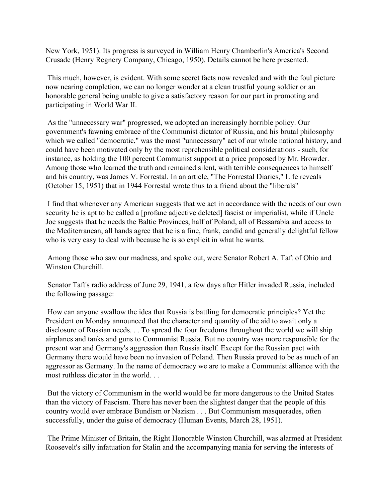New York, 1951). Its progress is surveyed in William Henry Chamberlin's America's Second Crusade (Henry Regnery Company, Chicago, 1950). Details cannot be here presented.

 This much, however, is evident. With some secret facts now revealed and with the foul picture now nearing completion, we can no longer wonder at a clean trustful young soldier or an honorable general being unable to give a satisfactory reason for our part in promoting and participating in World War II.

 As the "unnecessary war" progressed, we adopted an increasingly horrible policy. Our government's fawning embrace of the Communist dictator of Russia, and his brutal philosophy which we called "democratic," was the most "unnecessary" act of our whole national history, and could have been motivated only by the most reprehensible political considerations - such, for instance, as holding the 100 percent Communist support at a price proposed by Mr. Browder. Among those who learned the truth and remained silent, with terrible consequences to himself and his country, was James V. Forrestal. In an article, "The Forrestal Diaries," Life reveals (October 15, 1951) that in 1944 Forrestal wrote thus to a friend about the "liberals"

 I find that whenever any American suggests that we act in accordance with the needs of our own security he is apt to be called a [profane adjective deleted] fascist or imperialist, while if Uncle Joe suggests that he needs the Baltic Provinces, half of Poland, all of Bessarabia and access to the Mediterranean, all hands agree that he is a fine, frank, candid and generally delightful fellow who is very easy to deal with because he is so explicit in what he wants.

 Among those who saw our madness, and spoke out, were Senator Robert A. Taft of Ohio and Winston Churchill.

 Senator Taft's radio address of June 29, 1941, a few days after Hitler invaded Russia, included the following passage:

 How can anyone swallow the idea that Russia is battling for democratic principles? Yet the President on Monday announced that the character and quantity of the aid to await only a disclosure of Russian needs. . . To spread the four freedoms throughout the world we will ship airplanes and tanks and guns to Communist Russia. But no country was more responsible for the present war and Germany's aggression than Russia itself. Except for the Russian pact with Germany there would have been no invasion of Poland. Then Russia proved to be as much of an aggressor as Germany. In the name of democracy we are to make a Communist alliance with the most ruthless dictator in the world. . .

 But the victory of Communism in the world would be far more dangerous to the United States than the victory of Fascism. There has never been the slightest danger that the people of this country would ever embrace Bundism or Nazism . . . But Communism masquerades, often successfully, under the guise of democracy (Human Events, March 28, 1951).

 The Prime Minister of Britain, the Right Honorable Winston Churchill, was alarmed at President Roosevelt's silly infatuation for Stalin and the accompanying mania for serving the interests of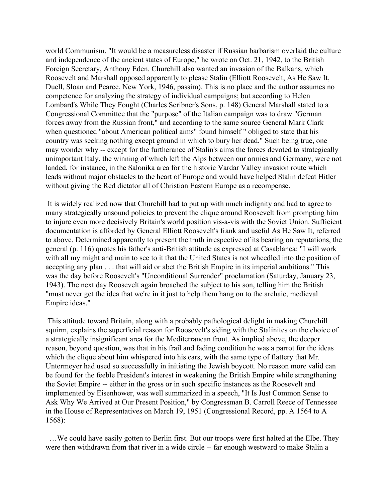world Communism. "It would be a measureless disaster if Russian barbarism overlaid the culture and independence of the ancient states of Europe," he wrote on Oct. 21, 1942, to the British Foreign Secretary, Anthony Eden. Churchill also wanted an invasion of the Balkans, which Roosevelt and Marshall opposed apparently to please Stalin (Elliott Roosevelt, As He Saw It, Duell, Sloan and Pearce, New York, 1946, passim). This is no place and the author assumes no competence for analyzing the strategy of individual campaigns; but according to Helen Lombard's While They Fought (Charles Scribner's Sons, p. 148) General Marshall stated to a Congressional Committee that the "purpose" of the Italian campaign was to draw "German forces away from the Russian front," and according to the same source General Mark Clark when questioned "about American political aims" found himself " obliged to state that his country was seeking nothing except ground in which to bury her dead." Such being true, one may wonder why -- except for the furtherance of Stalin's aims the forces devoted to strategically unimportant Italy, the winning of which left the Alps between our armies and Germany, were not landed, for instance, in the Salonika area for the historic Vardar Valley invasion route which leads without major obstacles to the heart of Europe and would have helped Stalin defeat Hitler without giving the Red dictator all of Christian Eastern Europe as a recompense.

 It is widely realized now that Churchill had to put up with much indignity and had to agree to many strategically unsound policies to prevent the clique around Roosevelt from prompting him to injure even more decisively Britain's world position vis-a-vis with the Soviet Union. Sufficient documentation is afforded by General Elliott Roosevelt's frank and useful As He Saw It, referred to above. Determined apparently to present the truth irrespective of its bearing on reputations, the general (p. 116) quotes his father's anti-British attitude as expressed at Casablanca: "I will work with all my might and main to see to it that the United States is not wheedled into the position of accepting any plan . . . that will aid or abet the British Empire in its imperial ambitions." This was the day before Roosevelt's "Unconditional Surrender" proclamation (Saturday, January 23, 1943). The next day Roosevelt again broached the subject to his son, telling him the British "must never get the idea that we're in it just to help them hang on to the archaic, medieval Empire ideas."

 This attitude toward Britain, along with a probably pathological delight in making Churchill squirm, explains the superficial reason for Roosevelt's siding with the Stalinites on the choice of a strategically insignificant area for the Mediterranean front. As implied above, the deeper reason, beyond question, was that in his frail and fading condition he was a parrot for the ideas which the clique about him whispered into his ears, with the same type of flattery that Mr. Untermeyer had used so successfully in initiating the Jewish boycott. No reason more valid can be found for the feeble President's interest in weakening the British Empire while strengthening the Soviet Empire -- either in the gross or in such specific instances as the Roosevelt and implemented by Eisenhower, was well summarized in a speech, "It Is Just Common Sense to Ask Why We Arrived at Our Present Position," by Congressman B. Carroll Reece of Tennessee in the House of Representatives on March 19, 1951 (Congressional Record, pp. A 1564 to A 1568):

 …We could have easily gotten to Berlin first. But our troops were first halted at the Elbe. They were then withdrawn from that river in a wide circle -- far enough westward to make Stalin a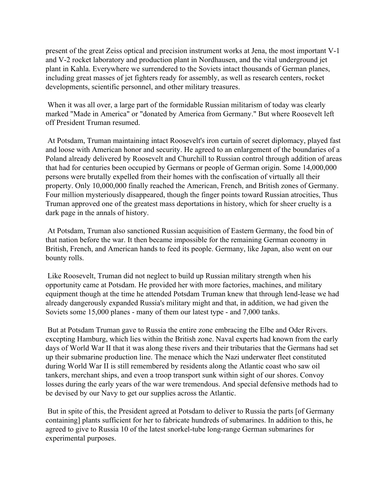present of the great Zeiss optical and precision instrument works at Jena, the most important V-1 and V-2 rocket laboratory and production plant in Nordhausen, and the vital underground jet plant in Kahla. Everywhere we surrendered to the Soviets intact thousands of German planes, including great masses of jet fighters ready for assembly, as well as research centers, rocket developments, scientific personnel, and other military treasures.

 When it was all over, a large part of the formidable Russian militarism of today was clearly marked "Made in America" or "donated by America from Germany." But where Roosevelt left off President Truman resumed.

 At Potsdam, Truman maintaining intact Roosevelt's iron curtain of secret diplomacy, played fast and loose with American honor and security. He agreed to an enlargement of the boundaries of a Poland already delivered by Roosevelt and Churchill to Russian control through addition of areas that had for centuries been occupied by Germans or people of German origin. Some 14,000,000 persons were brutally expelled from their homes with the confiscation of virtually all their property. Only 10,000,000 finally reached the American, French, and British zones of Germany. Four million mysteriously disappeared, though the finger points toward Russian atrocities, Thus Truman approved one of the greatest mass deportations in history, which for sheer cruelty is a dark page in the annals of history.

 At Potsdam, Truman also sanctioned Russian acquisition of Eastern Germany, the food bin of that nation before the war. It then became impossible for the remaining German economy in British, French, and American hands to feed its people. Germany, like Japan, also went on our bounty rolls.

 Like Roosevelt, Truman did not neglect to build up Russian military strength when his opportunity came at Potsdam. He provided her with more factories, machines, and military equipment though at the time he attended Potsdam Truman knew that through lend-lease we had already dangerously expanded Russia's military might and that, in addition, we had given the Soviets some 15,000 planes - many of them our latest type - and 7,000 tanks.

 But at Potsdam Truman gave to Russia the entire zone embracing the Elbe and Oder Rivers. excepting Hamburg, which lies within the British zone. Naval experts had known from the early days of World War II that it was along these rivers and their tributaries that the Germans had set up their submarine production line. The menace which the Nazi underwater fleet constituted during World War II is still remembered by residents along the Atlantic coast who saw oil tankers, merchant ships, and even a troop transport sunk within sight of our shores. Convoy losses during the early years of the war were tremendous. And special defensive methods had to be devised by our Navy to get our supplies across the Atlantic.

 But in spite of this, the President agreed at Potsdam to deliver to Russia the parts [of Germany containing] plants sufficient for her to fabricate hundreds of submarines. In addition to this, he agreed to give to Russia 10 of the latest snorkel-tube long-range German submarines for experimental purposes.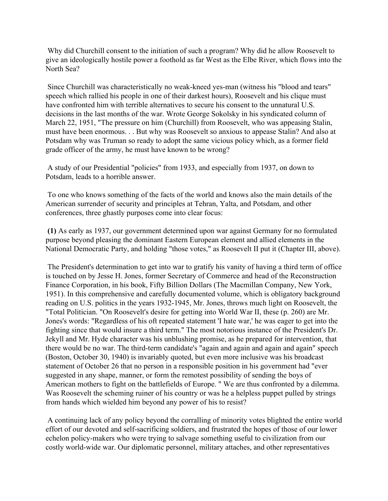Why did Churchill consent to the initiation of such a program? Why did he allow Roosevelt to give an ideologically hostile power a foothold as far West as the Elbe River, which flows into the North Sea?

 Since Churchill was characteristically no weak-kneed yes-man (witness his "blood and tears" speech which rallied his people in one of their darkest hours), Roosevelt and his clique must have confronted him with terrible alternatives to secure his consent to the unnatural U.S. decisions in the last months of the war. Wrote George Sokolsky in his syndicated column of March 22, 1951, "The pressure on him (Churchill) from Roosevelt, who was appeasing Stalin, must have been enormous. . . But why was Roosevelt so anxious to appease Stalin? And also at Potsdam why was Truman so ready to adopt the same vicious policy which, as a former field grade officer of the army, he must have known to be wrong?

 A study of our Presidential "policies" from 1933, and especially from 1937, on down to Potsdam, leads to a horrible answer.

 To one who knows something of the facts of the world and knows also the main details of the American surrender of security and principles at Tehran, Yalta, and Potsdam, and other conferences, three ghastly purposes come into clear focus:

**(1)** As early as 1937, our government determined upon war against Germany for no formulated purpose beyond pleasing the dominant Eastern European element and allied elements in the National Democratic Party, and holding "those votes," as Roosevelt II put it (Chapter III, above).

 The President's determination to get into war to gratify his vanity of having a third term of office is touched on by Jesse H. Jones, former Secretary of Commerce and head of the Reconstruction Finance Corporation, in his book, Fifty Billion Dollars (The Macmillan Company, New York, 1951). In this comprehensive and carefully documented volume, which is obligatory background reading on U.S. politics in the years 1932-1945, Mr. Jones, throws much light on Roosevelt, the "Total Politician. "On Roosevelt's desire for getting into World War II, these (p. 260) are Mr. Jones's words: "Regardless of his oft repeated statement 'I hate war,' he was eager to get into the fighting since that would insure a third term." The most notorious instance of the President's Dr. Jekyll and Mr. Hyde character was his unblushing promise, as he prepared for intervention, that there would be no war. The third-term candidate's "again and again and again and again" speech (Boston, October 30, 1940) is invariably quoted, but even more inclusive was his broadcast statement of October 26 that no person in a responsible position in his government had "ever suggested in any shape, manner, or form the remotest possibility of sending the boys of American mothers to fight on the battlefields of Europe. " We are thus confronted by a dilemma. Was Roosevelt the scheming ruiner of his country or was he a helpless puppet pulled by strings from hands which wielded him beyond any power of his to resist?

 A continuing lack of any policy beyond the corralling of minority votes blighted the entire world effort of our devoted and self-sacrificing soldiers, and frustrated the hopes of those of our lower echelon policy-makers who were trying to salvage something useful to civilization from our costly world-wide war. Our diplomatic personnel, military attaches, and other representatives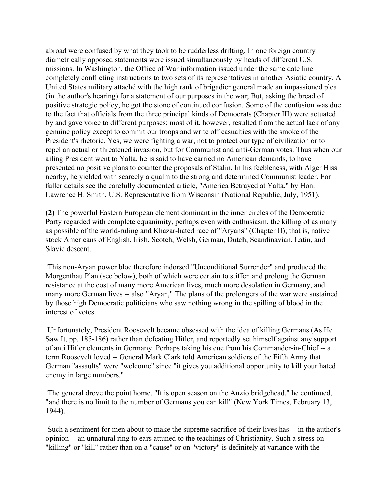abroad were confused by what they took to be rudderless drifting. In one foreign country diametrically opposed statements were issued simultaneously by heads of different U.S. missions. In Washington, the Office of War information issued under the same date line completely conflicting instructions to two sets of its representatives in another Asiatic country. A United States military attaché with the high rank of brigadier general made an impassioned plea (in the author's hearing) for a statement of our purposes in the war; But, asking the bread of positive strategic policy, he got the stone of continued confusion. Some of the confusion was due to the fact that officials from the three principal kinds of Democrats (Chapter III) were actuated by and gave voice to different purposes; most of it, however, resulted from the actual lack of any genuine policy except to commit our troops and write off casualties with the smoke of the President's rhetoric. Yes, we were fighting a war, not to protect our type of civilization or to repel an actual or threatened invasion, but for Communist and anti-German votes. Thus when our ailing President went to Yalta, he is said to have carried no American demands, to have presented no positive plans to counter the proposals of Stalin. In his feebleness, with Alger Hiss nearby, he yielded with scarcely a qualm to the strong and determined Communist leader. For fuller details see the carefully documented article, "America Betrayed at Yalta," by Hon. Lawrence H. Smith, U.S. Representative from Wisconsin (National Republic, July, 1951).

**(2)** The powerful Eastern European element dominant in the inner circles of the Democratic Party regarded with complete equanimity, perhaps even with enthusiasm, the killing of as many as possible of the world-ruling and Khazar-hated race of "Aryans" (Chapter II); that is, native stock Americans of English, Irish, Scotch, Welsh, German, Dutch, Scandinavian, Latin, and Slavic descent.

 This non-Aryan power bloc therefore indorsed "Unconditional Surrender" and produced the Morgenthau Plan (see below), both of which were certain to stiffen and prolong the German resistance at the cost of many more American lives, much more desolation in Germany, and many more German lives -- also "Aryan," The plans of the prolongers of the war were sustained by those high Democratic politicians who saw nothing wrong in the spilling of blood in the interest of votes.

 Unfortunately, President Roosevelt became obsessed with the idea of killing Germans (As He Saw It, pp. 185-186) rather than defeating Hitler, and reportedly set himself against any support of anti Hitler elements in Germany. Perhaps taking his cue from his Commander-in-Chief -- a term Roosevelt loved -- General Mark Clark told American soldiers of the Fifth Army that German "assaults" were "welcome" since "it gives you additional opportunity to kill your hated enemy in large numbers."

 The general drove the point home. "It is open season on the Anzio bridgehead," he continued, "and there is no limit to the number of Germans you can kill" (New York Times, February 13, 1944).

 Such a sentiment for men about to make the supreme sacrifice of their lives has -- in the author's opinion -- an unnatural ring to ears attuned to the teachings of Christianity. Such a stress on "killing" or "kill" rather than on a "cause" or on "victory" is definitely at variance with the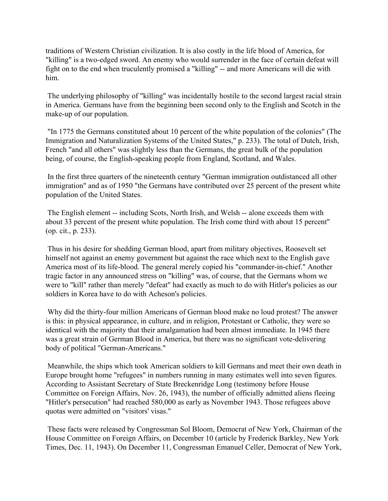traditions of Western Christian civilization. It is also costly in the life blood of America, for "killing" is a two-edged sword. An enemy who would surrender in the face of certain defeat will fight on to the end when truculently promised a "killing" -- and more Americans will die with him.

 The underlying philosophy of "killing" was incidentally hostile to the second largest racial strain in America. Germans have from the beginning been second only to the English and Scotch in the make-up of our population.

 "In 1775 the Germans constituted about 10 percent of the white population of the colonies" (The Immigration and Naturalization Systems of the United States," p. 233). The total of Dutch, Irish, French "and all others" was slightly less than the Germans, the great bulk of the population being, of course, the English-speaking people from England, Scotland, and Wales.

 In the first three quarters of the nineteenth century "German immigration outdistanced all other immigration" and as of 1950 "the Germans have contributed over 25 percent of the present white population of the United States.

 The English element -- including Scots, North Irish, and Welsh -- alone exceeds them with about 33 percent of the present white population. The Irish come third with about 15 percent" (op. cit., p. 233).

 Thus in his desire for shedding German blood, apart from military objectives, Roosevelt set himself not against an enemy government but against the race which next to the English gave America most of its life-blood. The general merely copied his "commander-in-chief." Another tragic factor in any announced stress on "killing" was, of course, that the Germans whom we were to "kill" rather than merely "defeat" had exactly as much to do with Hitler's policies as our soldiers in Korea have to do with Acheson's policies.

 Why did the thirty-four million Americans of German blood make no loud protest? The answer is this: in physical appearance, in culture, and in religion, Protestant or Catholic, they were so identical with the majority that their amalgamation had been almost immediate. In 1945 there was a great strain of German Blood in America, but there was no significant vote-delivering body of political "German-Americans."

 Meanwhile, the ships which took American soldiers to kill Germans and meet their own death in Europe brought home "refugees" in numbers running in many estimates well into seven figures. According to Assistant Secretary of State Breckenridge Long (testimony before House Committee on Foreign Affairs, Nov. 26, 1943), the number of officially admitted aliens fleeing "Hitler's persecution" had reached 580,000 as early as November 1943. Those refugees above quotas were admitted on "visitors' visas."

 These facts were released by Congressman Sol Bloom, Democrat of New York, Chairman of the House Committee on Foreign Affairs, on December 10 (article by Frederick Barkley, New York Times, Dec. 11, 1943). On December 11, Congressman Emanuel Celler, Democrat of New York,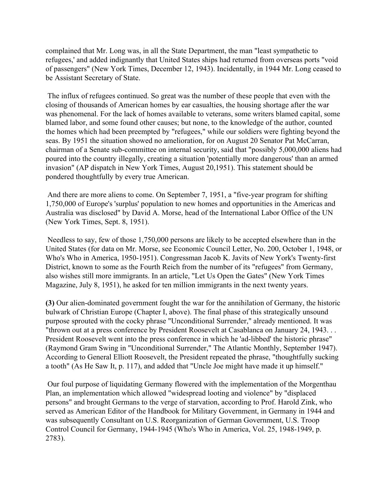complained that Mr. Long was, in all the State Department, the man "least sympathetic to refugees,' and added indignantly that United States ships had returned from overseas ports "void of passengers" (New York Times, December 12, 1943). Incidentally, in 1944 Mr. Long ceased to be Assistant Secretary of State.

 The influx of refugees continued. So great was the number of these people that even with the closing of thousands of American homes by ear casualties, the housing shortage after the war was phenomenal. For the lack of homes available to veterans, some writers blamed capital, some blamed labor, and some found other causes; but none, to the knowledge of the author, counted the homes which had been preempted by "refugees," while our soldiers were fighting beyond the seas. By 1951 the situation showed no amelioration, for on August 20 Senator Pat McCarran, chairman of a Senate sub-committee on internal security, said that "possibly 5,000,000 aliens had poured into the country illegally, creating a situation 'potentially more dangerous' than an armed invasion" (AP dispatch in New York Times, August 20,1951). This statement should be pondered thoughtfully by every true American.

 And there are more aliens to come. On September 7, 1951, a "five-year program for shifting 1,750,000 of Europe's 'surplus' population to new homes and opportunities in the Americas and Australia was disclosed" by David A. Morse, head of the International Labor Office of the UN (New York Times, Sept. 8, 1951).

 Needless to say, few of those 1,750,000 persons are likely to be accepted elsewhere than in the United States (for data on Mr. Morse, see Economic Council Letter, No. 200, October 1, 1948, or Who's Who in America, 1950-1951). Congressman Jacob K. Javits of New York's Twenty-first District, known to some as the Fourth Reich from the number of its "refugees" from Germany, also wishes still more immigrants. In an article, "Let Us Open the Gates" (New York Times Magazine, July 8, 1951), he asked for ten million immigrants in the next twenty years.

**(3)** Our alien-dominated government fought the war for the annihilation of Germany, the historic bulwark of Christian Europe (Chapter I, above). The final phase of this strategically unsound purpose sprouted with the cocky phrase "Unconditional Surrender," already mentioned. It was "thrown out at a press conference by President Roosevelt at Casablanca on January 24, 1943. . . President Roosevelt went into the press conference in which he 'ad-libbed' the historic phrase" (Raymond Gram Swing in "Unconditional Surrender," The Atlantic Monthly, September 1947). According to General Elliott Roosevelt, the President repeated the phrase, "thoughtfully sucking a tooth" (As He Saw It, p. 117), and added that "Uncle Joe might have made it up himself."

 Our foul purpose of liquidating Germany flowered with the implementation of the Morgenthau Plan, an implementation which allowed "widespread looting and violence" by "displaced persons" and brought Germans to the verge of starvation, according to Prof. Harold Zink, who served as American Editor of the Handbook for Military Government, in Germany in 1944 and was subsequently Consultant on U.S. Reorganization of German Government, U.S. Troop Control Council for Germany, 1944-1945 (Who's Who in America, Vol. 25, 1948-1949, p. 2783).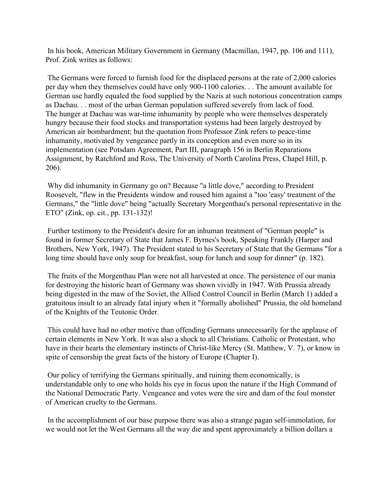In his book, American Military Government in Germany (Macmillan, 1947, pp. 106 and 111), Prof. Zink writes as follows:

 The Germans were forced to furnish food for the displaced persons at the rate of 2,000 calories per day when they themselves could have only 900-1100 calories. . . The amount available for German use hardly equaled the food supplied by the Nazis at such notorious concentration camps as Dachau. . . most of the urban German population suffered severely from lack of food. The hunger at Dachau was war-time inhumanity by people who were themselves desperately hungry because their food stocks and transportation systems had been largely destroyed by American air bombardment; but the quotation from Professor Zink refers to peace-time inhumanity, motivated by vengeance partly in its conception and even more so in its implementation (see Potsdam Agreement, Part III, paragraph 156 in Berlin Reparations Assignment, by Ratchford and Ross, The University of North Carolina Press, Chapel Hill, p. 206).

 Why did inhumanity in Germany go on? Because "a little dove," according to President Roosevelt, "flew in the Presidents window and roused him against a "too 'easy' treatment of the Germans," the "little dove" being "actually Secretary Morgenthau's personal representative in the ETO" (Zink, op. cit., pp. 131-132)!

 Further testimony to the President's desire for an inhuman treatment of "German people" is found in former Secretary of State that James F. Byrnes's book, Speaking Frankly (Harper and Brothers, New York, 1947). The President stated to his Secretary of State that the Germans "for a long time should have only soup for breakfast, soup for lunch and soup for dinner" (p. 182).

 The fruits of the Morgenthau Plan were not all harvested at once. The persistence of our mania for destroying the historic heart of Germany was shown vividly in 1947. With Prussia already being digested in the maw of the Soviet, the Allied Control Council in Berlin (March 1) added a gratuitous insult to an already fatal injury when it "formally abolished" Prussia, the old homeland of the Knights of the Teutonic Order.

 This could have had no other motive than offending Germans unnecessarily for the applause of certain elements in New York. It was also a shock to all Christians. Catholic or Protestant, who have in their hearts the elementary instincts of Christ-like Mercy (St. Matthew, V. 7), or know in spite of censorship the great facts of the history of Europe (Chapter I).

 Our policy of terrifying the Germans spiritually, and ruining them economically, is understandable only to one who holds his eye in focus upon the nature if the High Command of the National Democratic Party. Vengeance and votes were the sire and dam of the foul monster of American cruelty to the Germans.

 In the accomplishment of our base purpose there was also a strange pagan self-immolation, for we would not let the West Germans all the way die and spent approximately a billion dollars a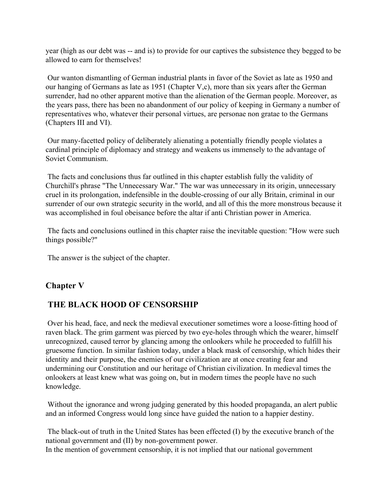year (high as our debt was -- and is) to provide for our captives the subsistence they begged to be allowed to earn for themselves!

 Our wanton dismantling of German industrial plants in favor of the Soviet as late as 1950 and our hanging of Germans as late as 1951 (Chapter V,c), more than six years after the German surrender, had no other apparent motive than the alienation of the German people. Moreover, as the years pass, there has been no abandonment of our policy of keeping in Germany a number of representatives who, whatever their personal virtues, are personae non gratae to the Germans (Chapters III and VI).

 Our many-facetted policy of deliberately alienating a potentially friendly people violates a cardinal principle of diplomacy and strategy and weakens us immensely to the advantage of Soviet Communism.

 The facts and conclusions thus far outlined in this chapter establish fully the validity of Churchill's phrase "The Unnecessary War." The war was unnecessary in its origin, unnecessary cruel in its prolongation, indefensible in the double-crossing of our ally Britain, criminal in our surrender of our own strategic security in the world, and all of this the more monstrous because it was accomplished in foul obeisance before the altar if anti Christian power in America.

 The facts and conclusions outlined in this chapter raise the inevitable question: "How were such things possible?"

The answer is the subject of the chapter.

## **Chapter V**

## **THE BLACK HOOD OF CENSORSHIP**

 Over his head, face, and neck the medieval executioner sometimes wore a loose-fitting hood of raven black. The grim garment was pierced by two eye-holes through which the wearer, himself unrecognized, caused terror by glancing among the onlookers while he proceeded to fulfill his gruesome function. In similar fashion today, under a black mask of censorship, which hides their identity and their purpose, the enemies of our civilization are at once creating fear and undermining our Constitution and our heritage of Christian civilization. In medieval times the onlookers at least knew what was going on, but in modern times the people have no such knowledge.

 Without the ignorance and wrong judging generated by this hooded propaganda, an alert public and an informed Congress would long since have guided the nation to a happier destiny.

 The black-out of truth in the United States has been effected (I) by the executive branch of the national government and (II) by non-government power. In the mention of government censorship, it is not implied that our national government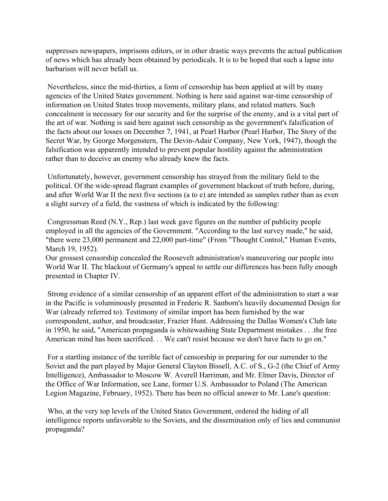suppresses newspapers, imprisons editors, or in other drastic ways prevents the actual publication of news which has already been obtained by periodicals. It is to be hoped that such a lapse into barbarism will never befall us.

 Nevertheless, since the mid-thirties, a form of censorship has been applied at will by many agencies of the United States government. Nothing is here said against war-time censorship of information on United States troop movements, military plans, and related matters. Such concealment is necessary for our security and for the surprise of the enemy, and is a vital part of the art of war. Nothing is said here against such censorship as the government's falsification of the facts about our losses on December 7, 1941, at Pearl Harbor (Pearl Harbor, The Story of the Secret War, by George Morgenstern, The Devin-Adair Company, New York, 1947), though the falsification was apparently intended to prevent popular hostility against the administration rather than to deceive an enemy who already knew the facts.

 Unfortunately, however, government censorship has strayed from the military field to the political. Of the wide-spread flagrant examples of government blackout of truth before, during, and after World War II the next five sections (a to e) are intended as samples rather than as even a slight survey of a field, the vastness of which is indicated by the following:

 Congressman Reed (N.Y., Rep.) last week gave figures on the number of publicity people employed in all the agencies of the Government. "According to the last survey made," he said, "there were 23,000 permanent and 22,000 part-time" (From "Thought Control," Human Events, March 19, 1952).

Our grossest censorship concealed the Roosevelt administration's maneuvering our people into World War II. The blackout of Germany's appeal to settle our differences has been fully enough presented in Chapter IV.

 Strong evidence of a similar censorship of an apparent effort of the administration to start a war in the Pacific is voluminously presented in Frederic R. Sanborn's heavily documented Design for War (already referred to). Testimony of similar import has been furnished by the war correspondent, author, and broadcaster, Frazier Hunt. Addressing the Dallas Women's Club late in 1950, he said, "American propaganda is whitewashing State Department mistakes . . .the free American mind has been sacrificed. . . We can't resist because we don't have facts to go on."

 For a startling instance of the terrible fact of censorship in preparing for our surrender to the Soviet and the part played by Major General Clayton Bissell, A.C. of S., G-2 (the Chief of Army Intelligence), Ambassador to Moscow W. Averell Harriman, and Mr. Elmer Davis, Director of the Office of War Information, see Lane, former U.S. Ambassador to Poland (The American Legion Magazine, February, 1952). There has been no official answer to Mr. Lane's question:

 Who, at the very top levels of the United States Government, ordered the hiding of all intelligence reports unfavorable to the Soviets, and the dissemination only of lies and communist propaganda?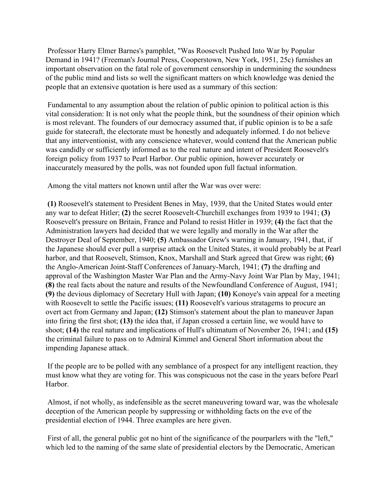Professor Harry Elmer Barnes's pamphlet, "Was Roosevelt Pushed Into War by Popular Demand in 1941? (Freeman's Journal Press, Cooperstown, New York, 1951, 25c) furnishes an important observation on the fatal role of government censorship in undermining the soundness of the public mind and lists so well the significant matters on which knowledge was denied the people that an extensive quotation is here used as a summary of this section:

 Fundamental to any assumption about the relation of public opinion to political action is this vital consideration: It is not only what the people think, but the soundness of their opinion which is most relevant. The founders of our democracy assumed that, if public opinion is to be a safe guide for statecraft, the electorate must be honestly and adequately informed. I do not believe that any interventionist, with any conscience whatever, would contend that the American public was candidly or sufficiently informed as to the real nature and intent of President Roosevelt's foreign policy from 1937 to Pearl Harbor. Our public opinion, however accurately or inaccurately measured by the polls, was not founded upon full factual information.

Among the vital matters not known until after the War was over were:

**(1)** Roosevelt's statement to President Benes in May, 1939, that the United States would enter any war to defeat Hitler; **(2)** the secret Roosevelt-Churchill exchanges from 1939 to 1941; **(3)** Roosevelt's pressure on Britain, France and Poland to resist Hitler in 1939; **(4)** the fact that the Administration lawyers had decided that we were legally and morally in the War after the Destroyer Deal of September, 1940; **(5)** Ambassador Grew's warning in January, 1941, that, if the Japanese should ever pull a surprise attack on the United States, it would probably be at Pearl harbor, and that Roosevelt, Stimson, Knox, Marshall and Stark agreed that Grew was right; **(6)** the Anglo-American Joint-Staff Conferences of January-March, 1941; **(7)** the drafting and approval of the Washington Master War Plan and the Army-Navy Joint War Plan by May, 1941; **(8)** the real facts about the nature and results of the Newfoundland Conference of August, 1941; **(9)** the devious diplomacy of Secretary Hull with Japan; **(10)** Konoye's vain appeal for a meeting with Roosevelt to settle the Pacific issues; **(11)** Roosevelt's various stratagems to procure an overt act from Germany and Japan; **(12)** Stimson's statement about the plan to maneuver Japan into firing the first shot; **(13)** the idea that, if Japan crossed a certain line, we would have to shoot; **(14)** the real nature and implications of Hull's ultimatum of November 26, 1941; and **(15)** the criminal failure to pass on to Admiral Kimmel and General Short information about the impending Japanese attack.

 If the people are to be polled with any semblance of a prospect for any intelligent reaction, they must know what they are voting for. This was conspicuous not the case in the years before Pearl **Harbor** 

 Almost, if not wholly, as indefensible as the secret maneuvering toward war, was the wholesale deception of the American people by suppressing or withholding facts on the eve of the presidential election of 1944. Three examples are here given.

 First of all, the general public got no hint of the significance of the pourparlers with the "left," which led to the naming of the same slate of presidential electors by the Democratic, American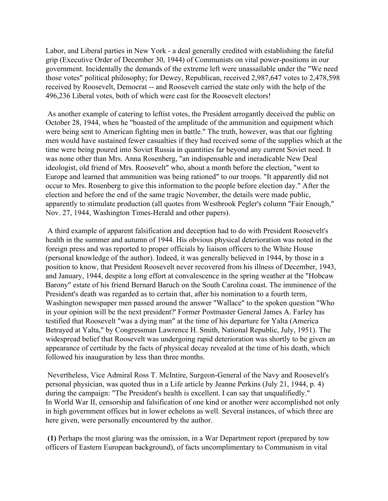Labor, and Liberal parties in New York - a deal generally credited with establishing the fateful grip (Executive Order of December 30, 1944) of Communists on vital power-positions in our government. Incidentally the demands of the extreme left were unassailable under the "We need those votes" political philosophy; for Dewey, Republican, received 2,987,647 votes to 2,478,598 received by Roosevelt, Democrat -- and Roosevelt carried the state only with the help of the 496,236 Liberal votes, both of which were cast for the Roosevelt electors!

 As another example of catering to leftist votes, the President arrogantly deceived the public on October 28, 1944, when he "boasted of the amplitude of the ammunition and equipment which were being sent to American fighting men in battle." The truth, however, was that our fighting men would have sustained fewer casualties if they had received some of the supplies which at the time were being poured into Soviet Russia in quantities far beyond any current Soviet need. It was none other than Mrs. Anna Rosenberg, "an indispensable and ineradicable New Deal ideologist, old friend of Mrs. Roosevelt" who, about a month before the election, "went to Europe and learned that ammunition was being rationed" to our troops. "It apparently did not occur to Mrs. Rosenberg to give this information to the people before election day." After the election and before the end of the same tragic November, the details were made public, apparently to stimulate production (all quotes from Westbrook Pegler's column "Fair Enough," Nov. 27, 1944, Washington Times-Herald and other papers).

 A third example of apparent falsification and deception had to do with President Roosevelt's health in the summer and autumn of 1944. His obvious physical deterioration was noted in the foreign press and was reported to proper officials by liaison officers to the White House (personal knowledge of the author). Indeed, it was generally believed in 1944, by those in a position to know, that President Roosevelt never recovered from his illness of December, 1943, and January, 1944, despite a long effort at convalescence in the spring weather at the "Hobcaw Barony" estate of his friend Bernard Baruch on the South Carolina coast. The imminence of the President's death was regarded as to certain that, after his nomination to a fourth term, Washington newspaper men passed around the answer "Wallace" to the spoken question "Who in your opinion will be the next president?' Former Postmaster General James A. Farley has testified that Roosevelt "was a dying man" at the time of his departure for Yalta (America Betrayed at Yalta," by Congressman Lawrence H. Smith, National Republic, July, 1951). The widespread belief that Roosevelt was undergoing rapid deterioration was shortly to be given an appearance of certitude by the facts of physical decay revealed at the time of his death, which followed his inauguration by less than three months.

 Nevertheless, Vice Admiral Ross T. McIntire, Surgeon-General of the Navy and Roosevelt's personal physician, was quoted thus in a Life article by Jeanne Perkins (July 21, 1944, p. 4) during the campaign: "The President's health is excellent. I can say that unqualifiedly." In World War II, censorship and falsification of one kind or another were accomplished not only in high government offices but in lower echelons as well. Several instances, of which three are here given, were personally encountered by the author.

**(1)** Perhaps the most glaring was the omission, in a War Department report (prepared by tow officers of Eastern European background), of facts uncomplimentary to Communism in vital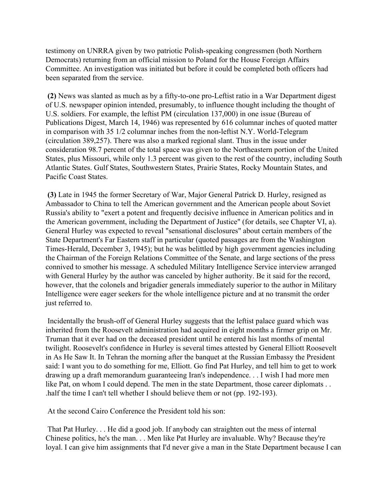testimony on UNRRA given by two patriotic Polish-speaking congressmen (both Northern Democrats) returning from an official mission to Poland for the House Foreign Affairs Committee. An investigation was initiated but before it could be completed both officers had been separated from the service.

**(2)** News was slanted as much as by a fifty-to-one pro-Leftist ratio in a War Department digest of U.S. newspaper opinion intended, presumably, to influence thought including the thought of U.S. soldiers. For example, the leftist PM (circulation 137,000) in one issue (Bureau of Publications Digest, March 14, 1946) was represented by 616 columnar inches of quoted matter in comparison with 35 1/2 columnar inches from the non-leftist N.Y. World-Telegram (circulation 389,257). There was also a marked regional slant. Thus in the issue under consideration 98.7 percent of the total space was given to the Northeastern portion of the United States, plus Missouri, while only 1.3 percent was given to the rest of the country, including South Atlantic States. Gulf States, Southwestern States, Prairie States, Rocky Mountain States, and Pacific Coast States.

**(3)** Late in 1945 the former Secretary of War, Major General Patrick D. Hurley, resigned as Ambassador to China to tell the American government and the American people about Soviet Russia's ability to "exert a potent and frequently decisive influence in American politics and in the American government, including the Department of Justice" (for details, see Chapter VI, a). General Hurley was expected to reveal "sensational disclosures" about certain members of the State Department's Far Eastern staff in particular (quoted passages are from the Washington Times-Herald, December 3, 1945); but he was belittled by high government agencies including the Chairman of the Foreign Relations Committee of the Senate, and large sections of the press connived to smother his message. A scheduled Military Intelligence Service interview arranged with General Hurley by the author was canceled by higher authority. Be it said for the record, however, that the colonels and brigadier generals immediately superior to the author in Military Intelligence were eager seekers for the whole intelligence picture and at no transmit the order just referred to.

 Incidentally the brush-off of General Hurley suggests that the leftist palace guard which was inherited from the Roosevelt administration had acquired in eight months a firmer grip on Mr. Truman that it ever had on the deceased president until he entered his last months of mental twilight. Roosevelt's confidence in Hurley is several times attested by General Elliott Roosevelt in As He Saw It. In Tehran the morning after the banquet at the Russian Embassy the President said: I want you to do something for me, Elliott. Go find Pat Hurley, and tell him to get to work drawing up a draft memorandum guaranteeing Iran's independence. . . I wish I had more men like Pat, on whom I could depend. The men in the state Department, those career diplomats . . .half the time I can't tell whether I should believe them or not (pp. 192-193).

At the second Cairo Conference the President told his son:

 That Pat Hurley. . . He did a good job. If anybody can straighten out the mess of internal Chinese politics, he's the man. . . Men like Pat Hurley are invaluable. Why? Because they're loyal. I can give him assignments that I'd never give a man in the State Department because I can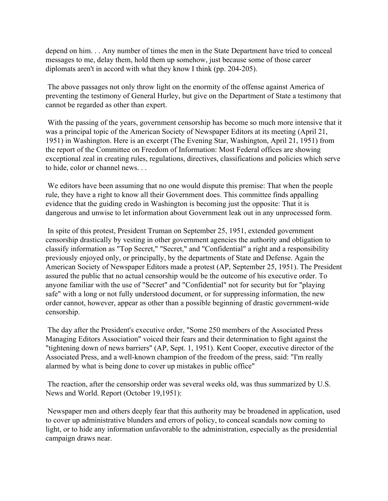depend on him. . . Any number of times the men in the State Department have tried to conceal messages to me, delay them, hold them up somehow, just because some of those career diplomats aren't in accord with what they know I think (pp. 204-205).

 The above passages not only throw light on the enormity of the offense against America of preventing the testimony of General Hurley, but give on the Department of State a testimony that cannot be regarded as other than expert.

 With the passing of the years, government censorship has become so much more intensive that it was a principal topic of the American Society of Newspaper Editors at its meeting (April 21, 1951) in Washington. Here is an excerpt (The Evening Star, Washington, April 21, 1951) from the report of the Committee on Freedom of Information: Most Federal offices are showing exceptional zeal in creating rules, regulations, directives, classifications and policies which serve to hide, color or channel news. . .

 We editors have been assuming that no one would dispute this premise: That when the people rule, they have a right to know all their Government does. This committee finds appalling evidence that the guiding credo in Washington is becoming just the opposite: That it is dangerous and unwise to let information about Government leak out in any unprocessed form.

 In spite of this protest, President Truman on September 25, 1951, extended government censorship drastically by vesting in other government agencies the authority and obligation to classify information as "Top Secret," "Secret," and "Confidential" a right and a responsibility previously enjoyed only, or principally, by the departments of State and Defense. Again the American Society of Newspaper Editors made a protest (AP, September 25, 1951). The President assured the public that no actual censorship would be the outcome of his executive order. To anyone familiar with the use of "Secret" and "Confidential" not for security but for "playing safe" with a long or not fully understood document, or for suppressing information, the new order cannot, however, appear as other than a possible beginning of drastic government-wide censorship.

 The day after the President's executive order, "Some 250 members of the Associated Press Managing Editors Association" voiced their fears and their determination to fight against the "tightening down of news barriers" (AP, Sept. 1, 1951). Kent Cooper, executive director of the Associated Press, and a well-known champion of the freedom of the press, said: "I'm really alarmed by what is being done to cover up mistakes in public office"

 The reaction, after the censorship order was several weeks old, was thus summarized by U.S. News and World. Report (October 19,1951):

 Newspaper men and others deeply fear that this authority may be broadened in application, used to cover up administrative blunders and errors of policy, to conceal scandals now coming to light, or to hide any information unfavorable to the administration, especially as the presidential campaign draws near.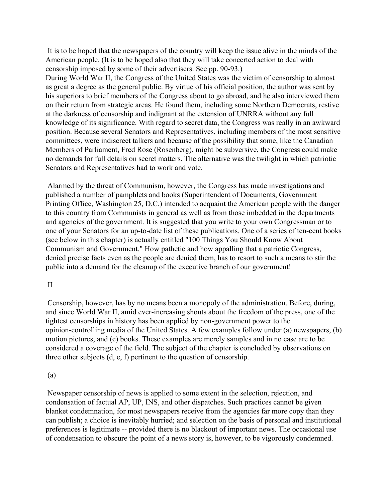It is to be hoped that the newspapers of the country will keep the issue alive in the minds of the American people. (It is to be hoped also that they will take concerted action to deal with censorship imposed by some of their advertisers. See pp. 90-93.)

During World War II, the Congress of the United States was the victim of censorship to almost as great a degree as the general public. By virtue of his official position, the author was sent by his superiors to brief members of the Congress about to go abroad, and he also interviewed them on their return from strategic areas. He found them, including some Northern Democrats, restive at the darkness of censorship and indignant at the extension of UNRRA without any full knowledge of its significance. With regard to secret data, the Congress was really in an awkward position. Because several Senators and Representatives, including members of the most sensitive committees, were indiscreet talkers and because of the possibility that some, like the Canadian Members of Parliament, Fred Rose (Rosenberg), might be subversive, the Congress could make no demands for full details on secret matters. The alternative was the twilight in which patriotic Senators and Representatives had to work and vote.

 Alarmed by the threat of Communism, however, the Congress has made investigations and published a number of pamphlets and books (Superintendent of Documents, Government Printing Office, Washington 25, D.C.) intended to acquaint the American people with the danger to this country from Communists in general as well as from those imbedded in the departments and agencies of the government. It is suggested that you write to your own Congressman or to one of your Senators for an up-to-date list of these publications. One of a series of ten-cent books (see below in this chapter) is actually entitled "100 Things You Should Know About Communism and Government." How pathetic and how appalling that a patriotic Congress, denied precise facts even as the people are denied them, has to resort to such a means to stir the public into a demand for the cleanup of the executive branch of our government!

#### II

 Censorship, however, has by no means been a monopoly of the administration. Before, during, and since World War II, amid ever-increasing shouts about the freedom of the press, one of the tightest censorships in history has been applied by non-government power to the opinion-controlling media of the United States. A few examples follow under (a) newspapers, (b) motion pictures, and (c) books. These examples are merely samples and in no case are to be considered a coverage of the field. The subject of the chapter is concluded by observations on three other subjects (d, e, f) pertinent to the question of censorship.

#### (a)

 Newspaper censorship of news is applied to some extent in the selection, rejection, and condensation of factual AP, UP, INS, and other dispatches. Such practices cannot be given blanket condemnation, for most newspapers receive from the agencies far more copy than they can publish; a choice is inevitably hurried; and selection on the basis of personal and institutional preferences is legitimate -- provided there is no blackout of important news. The occasional use of condensation to obscure the point of a news story is, however, to be vigorously condemned.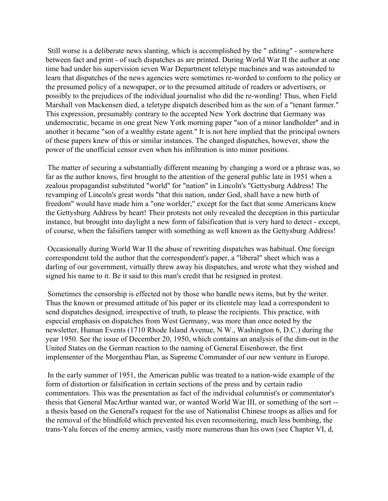Still worse is a deliberate news slanting, which is accomplished by the " editing" - somewhere between fact and print - of such dispatches as are printed. During World War II the author at one time had under his supervision seven War Department teletype machines and was astounded to learn that dispatches of the news agencies were sometimes re-worded to conform to the policy or the presumed policy of a newspaper, or to the presumed attitude of readers or advertisers, or possibly to the prejudices of the individual journalist who did the re-wording! Thus, when Field Marshall von Mackensen died, a teletype dispatch described him as the son of a "tenant farmer." This expression, presumably contrary to the accepted New York doctrine that Germany was undemocratic, became in one great New York morning paper "son of a minor landholder" and in another it became "son of a wealthy estate agent." It is not here implied that the principal owners of these papers knew of this or similar instances. The changed dispatches, however, show the power of the unofficial censor even when his infiltration is into minor positions.

 The matter of securing a substantially different meaning by changing a word or a phrase was, so far as the author knows, first brought to the attention of the general public late in 1951 when a zealous propagandist substituted "world" for "nation" in Lincoln's "Gettysburg Address! The revamping of Lincoln's great words "that this nation, under God, shall have a new birth of freedom" would have made him a "one worlder," except for the fact that some Americans knew the Gettysburg Address by heart! Their protests not only revealed the deception in this particular instance, but brought into daylight a new form of falsification that is very hard to detect - except, of course, when the falsifiers tamper with something as well known as the Gettysburg Address!

 Occasionally during World War II the abuse of rewriting dispatches was habitual. One foreign correspondent told the author that the correspondent's paper, a "liberal" sheet which was a darling of our government, virtually threw away his dispatches, and wrote what they wished and signed his name to it. Be it said to this man's credit that he resigned in protest.

 Sometimes the censorship is effected not by those who handle news items, but by the writer. Thus the known or presumed attitude of his paper or its clientele may lead a correspondent to send dispatches designed, irrespective of truth, to please the recipients. This practice, with especial emphasis on dispatches from West Germany, was more than once noted by the newsletter, Human Events (1710 Rhode Island Avenue, N W., Washington 6, D.C.) during the year 1950. See the issue of December 20, 1950, which contains an analysis of the dim-out in the United States on the German reaction to the naming of General Eisenhower, the first implementer of the Morgenthau Plan, as Supreme Commander of our new venture in Europe.

 In the early summer of 1951, the American public was treated to a nation-wide example of the form of distortion or falsification in certain sections of the press and by certain radio commentators. This was the presentation as fact of the individual columnist's or commentator's thesis that General MacArthur wanted war, or wanted World War III, or something of the sort - a thesis based on the General's request for the use of Nationalist Chinese troops as allies and for the removal of the blindfold which prevented his even reconnoitering, much less bombing, the trans-Yalu forces of the enemy armies, vastly more numerous than his own (see Chapter VI, d,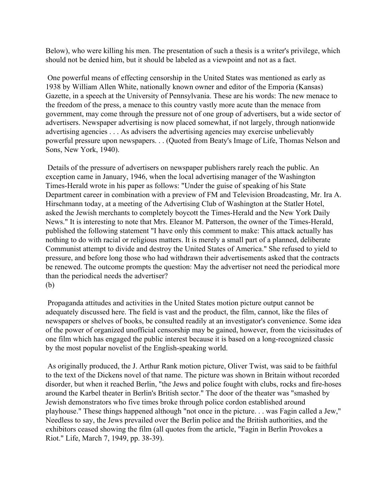Below), who were killing his men. The presentation of such a thesis is a writer's privilege, which should not be denied him, but it should be labeled as a viewpoint and not as a fact.

 One powerful means of effecting censorship in the United States was mentioned as early as 1938 by William Allen White, nationally known owner and editor of the Emporia (Kansas) Gazette, in a speech at the University of Pennsylvania. These are his words: The new menace to the freedom of the press, a menace to this country vastly more acute than the menace from government, may come through the pressure not of one group of advertisers, but a wide sector of advertisers. Newspaper advertising is now placed somewhat, if not largely, through nationwide advertising agencies . . . As advisers the advertising agencies may exercise unbelievably powerful pressure upon newspapers. . . (Quoted from Beaty's Image of Life, Thomas Nelson and Sons, New York, 1940).

 Details of the pressure of advertisers on newspaper publishers rarely reach the public. An exception came in January, 1946, when the local advertising manager of the Washington Times-Herald wrote in his paper as follows: "Under the guise of speaking of his State Department career in combination with a preview of FM and Television Broadcasting, Mr. Ira A. Hirschmann today, at a meeting of the Advertising Club of Washington at the Statler Hotel, asked the Jewish merchants to completely boycott the Times-Herald and the New York Daily News." It is interesting to note that Mrs. Eleanor M. Patterson, the owner of the Times-Herald, published the following statement "I have only this comment to make: This attack actually has nothing to do with racial or religious matters. It is merely a small part of a planned, deliberate Communist attempt to divide and destroy the United States of America." She refused to yield to pressure, and before long those who had withdrawn their advertisements asked that the contracts be renewed. The outcome prompts the question: May the advertiser not need the periodical more than the periodical needs the advertiser? (b)

 Propaganda attitudes and activities in the United States motion picture output cannot be adequately discussed here. The field is vast and the product, the film, cannot, like the files of newspapers or shelves of books, be consulted readily at an investigator's convenience. Some idea of the power of organized unofficial censorship may be gained, however, from the vicissitudes of one film which has engaged the public interest because it is based on a long-recognized classic by the most popular novelist of the English-speaking world.

 As originally produced, the J. Arthur Rank motion picture, Oliver Twist, was said to be faithful to the text of the Dickens novel of that name. The picture was shown in Britain without recorded disorder, but when it reached Berlin, "the Jews and police fought with clubs, rocks and fire-hoses around the Karbel theater in Berlin's British sector." The door of the theater was "smashed by Jewish demonstrators who five times broke through police cordon established around playhouse." These things happened although "not once in the picture. . . was Fagin called a Jew," Needless to say, the Jews prevailed over the Berlin police and the British authorities, and the exhibitors ceased showing the film (all quotes from the article, "Fagin in Berlin Provokes a Riot." Life, March 7, 1949, pp. 38-39).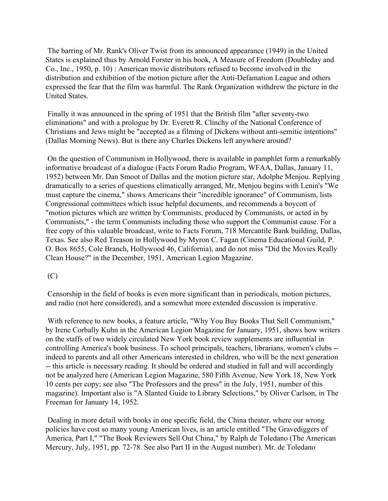The barring of Mr. Rank's Oliver Twist from its announced appearance (1949) in the United States is explained thus by Arnold Forster in his book, A Measure of Freedom (Doubleday and Co., Inc., 1950, p. 10) : American movie distributors refused to become involved in the distribution and exhibition of the motion picture after the Anti-Defamation League and others expressed the fear that the film was harmful. The Rank Organization withdrew the picture in the United States.

 Finally it was announced in the spring of 1951 that the British film "after seventy-two eliminations" and with a prologue by Dr. Everett R. Clinchy of the National Conference of Christians and Jews might be "accepted as a filming of Dickens without anti-semitic intentions" (Dallas Morning News). But is there any Charles Dickens left anywhere around?

 On the question of Communism in Hollywood, there is available in pamphlet form a remarkably informative broadcast of a dialogue (Facts Forum Radio Program, WFAA, Dallas, January 11, 1952) between Mr. Dan Smoot of Dallas and the motion picture star, Adolphe Menjou. Replying dramatically to a series of questions climatically arranged, Mr, Menjou begins with Lenin's "We must capture the cinema," shows Americans their "incredible ignorance" of Communism, lists Congressional committees which issue helpful documents, and recommends a boycott of "motion pictures which are written by Communists, produced by Communists, or acted in by Communists," - the term Communists including those who support the Communist cause. For a free copy of this valuable broadcast, write to Facts Forum, 718 Mercantile Bank building, Dallas, Texas. See also Red Treason in Hollywood by Myron C. Fagan (Cinema Educational Guild, P. O. Box 8655, Cole Branch, Hollywood 46, California), and do not miss "Did the Movies Really Clean House?" in the December, 1951, American Legion Magazine.

### (C)

 Censorship in the field of books is even more significant than in periodicals, motion pictures, and radio (not here considered), and a somewhat more extended discussion is imperative.

 With reference to new books, a feature article, "Why You Buy Books That Sell Communism," by Irene Corbally Kuhn in the American Legion Magazine for January, 1951, shows how writers on the staffs of two widely circulated New York book review supplements are influential in controlling America's book business. To school principals, teachers, librarians, women's clubs - indeed to parents and all other Americans interested in children, who will be the next generation -- this article is necessary reading. It should be ordered and studied in full and will accordingly not be analyzed here (American Legion Magazine, 580 Fifth Avenue, New York 18, New York 10 cents per copy; see also "The Professors and the press" in the July, 1951, number of this magazine). Important also is "A Slanted Guide to Library Selections," by Oliver Carlson, in The Freeman for January 14, 1952.

 Dealing in more detail with books in one specific field, the China theater, where our wrong policies have cost so many young American lives, is an article entitled "The Gravediggers of America, Part I," "The Book Reviewers Sell Out China," by Ralph de Toledano (The American Mercury, July, 1951, pp. 72-78. See also Part II in the August number). Mr. de Toledano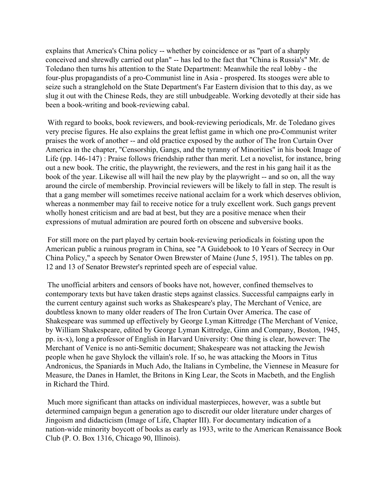explains that America's China policy -- whether by coincidence or as "part of a sharply conceived and shrewdly carried out plan" -- has led to the fact that "China is Russia's" Mr. de Toledano then turns his attention to the State Department: Meanwhile the real lobby - the four-plus propagandists of a pro-Communist line in Asia - prospered. Its stooges were able to seize such a stranglehold on the State Department's Far Eastern division that to this day, as we slug it out with the Chinese Reds, they are still unbudgeable. Working devotedly at their side has been a book-writing and book-reviewing cabal.

 With regard to books, book reviewers, and book-reviewing periodicals, Mr. de Toledano gives very precise figures. He also explains the great leftist game in which one pro-Communist writer praises the work of another -- and old practice exposed by the author of The Iron Curtain Over America in the chapter, "Censorship, Gangs, and the tyranny of Minorities" in his book Image of Life (pp. 146-147) : Praise follows friendship rather than merit. Let a novelist, for instance, bring out a new book. The critic, the playwright, the reviewers, and the rest in his gang hail it as the book of the year. Likewise all will hail the new play by the playwright -- and so on, all the way around the circle of membership. Provincial reviewers will be likely to fall in step. The result is that a gang member will sometimes receive national acclaim for a work which deserves oblivion, whereas a nonmember may fail to receive notice for a truly excellent work. Such gangs prevent wholly honest criticism and are bad at best, but they are a positive menace when their expressions of mutual admiration are poured forth on obscene and subversive books.

 For still more on the part played by certain book-reviewing periodicals in foisting upon the American public a ruinous program in China, see "A Guidebook to 10 Years of Secrecy in Our China Policy," a speech by Senator Owen Brewster of Maine (June 5, 1951). The tables on pp. 12 and 13 of Senator Brewster's reprinted speeh are of especial value.

 The unofficial arbiters and censors of books have not, however, confined themselves to contemporary texts but have taken drastic steps against classics. Successful campaigns early in the current century against such works as Shakespeare's play, The Merchant of Venice, are doubtless known to many older readers of The Iron Curtain Over America. The case of Shakespeare was summed up effectively by George Lyman Kittredge (The Merchant of Venice, by William Shakespeare, edited by George Lyman Kittredge, Ginn and Company, Boston, 1945, pp. ix-x), long a professor of English in Harvard University: One thing is clear, however: The Merchant of Venice is no anti-Semitic document; Shakespeare was not attacking the Jewish people when he gave Shylock the villain's role. If so, he was attacking the Moors in Titus Andronicus, the Spaniards in Much Ado, the Italians in Cymbeline, the Viennese in Measure for Measure, the Danes in Hamlet, the Britons in King Lear, the Scots in Macbeth, and the English in Richard the Third.

 Much more significant than attacks on individual masterpieces, however, was a subtle but determined campaign begun a generation ago to discredit our older literature under charges of Jingoism and didacticism (Image of Life, Chapter III). For documentary indication of a nation-wide minority boycott of books as early as 1933, write to the American Renaissance Book Club (P. O. Box 1316, Chicago 90, Illinois).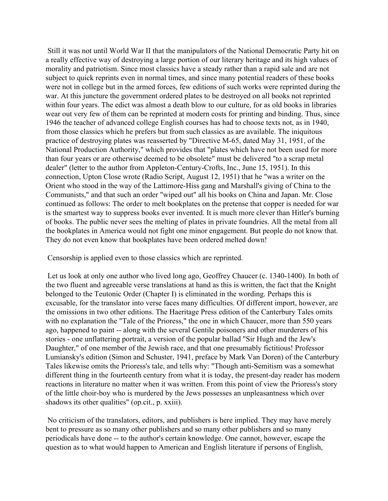Still it was not until World War II that the manipulators of the National Democratic Party hit on a really effective way of destroying a large portion of our literary heritage and its high values of morality and patriotism. Since most classics have a steady rather than a rapid sale and are not subject to quick reprints even in normal times, and since many potential readers of these books were not in college but in the armed forces, few editions of such works were reprinted during the war. At this juncture the government ordered plates to be destroyed on all books not reprinted within four years. The edict was almost a death blow to our culture, for as old books in libraries wear out very few of them can be reprinted at modern costs for printing and binding. Thus, since 1946 the teacher of advanced college English courses has had to choose texts not, as in 1940, from those classics which he prefers but from such classics as are available. The iniquitous practice of destroying plates was reasserted by "Directive M-65, dated May 31, 1951, of the National Production Authority," which provides that "plates which have not been used for more than four years or are otherwise deemed to be obsolete" must be delivered "to a scrap metal dealer" (letter to the author from Appleton-Century-Crofts, Inc., June 15, 1951). In this connection, Upton Close wrote (Radio Script, August 12, 1951) that he "was a writer on the Orient who stood in the way of the Lattimore-Hiss gang and Marshall's giving of China to the Communists," and that such an order "wiped out" all his books on China and Japan. Mr. Close continued as follows: The order to melt bookplates on the pretense that copper is needed for war is the smartest way to suppress books ever invented. It is much more clever than Hitler's burning of books. The public never sees the melting of plates in private foundries. All the metal from all the bookplates in America would not fight one minor engagement. But people do not know that. They do not even know that bookplates have been ordered melted down!

Censorship is applied even to those classics which are reprinted.

 Let us look at only one author who lived long ago, Geoffrey Chaucer (c. 1340-1400). In both of the two fluent and agreeable verse translations at hand as this is written, the fact that the Knight belonged to the Teutonic Order (Chapter I) is eliminated in the wording. Perhaps this is excusable, for the translator into verse faces many difficulties. Of different import, however, are the omissions in two other editions. The Haeritage Press edition of the Canterbury Tales omits with no explanation the "Tale of the Prioress," the one in which Chaucer, more than 550 years ago, happened to paint -- along with the several Gentile poisoners and other murderers of his stories - one unflattering portrait, a version of the popular ballad "Sir Hugh and the Jew's Daughter," of one member of the Jewish race, and that one presumably fictitious! Professor Lumiansky's edition (Simon and Schuster, 1941, preface by Mark Van Doren) of the Canterbury Tales likewise omits the Prioress's tale, and tells why: "Though anti-Semitism was a somewhat different thing in the fourteenth century from what it is today, the present-day reader has modern reactions in literature no matter when it was written. From this point of view the Prioress's story of the little choir-boy who is murdered by the Jews possesses an unpleasantness which over shadows its other qualities" (op.cit., p. xxiii).

 No criticism of the translators, editors, and publishers is here implied. They may have merely bent to pressure as so many other publishers and so many other publishers and so many periodicals have done -- to the author's certain knowledge. One cannot, however, escape the question as to what would happen to American and English literature if persons of English,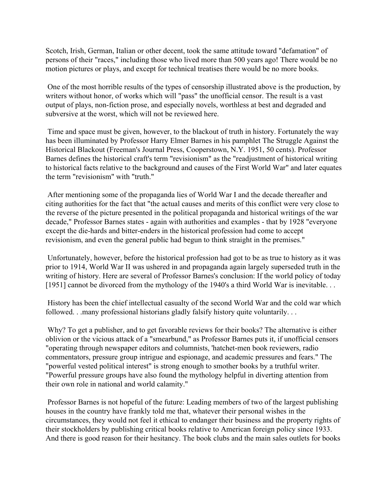Scotch, Irish, German, Italian or other decent, took the same attitude toward "defamation" of persons of their "races," including those who lived more than 500 years ago! There would be no motion pictures or plays, and except for technical treatises there would be no more books.

 One of the most horrible results of the types of censorship illustrated above is the production, by writers without honor, of works which will "pass" the unofficial censor. The result is a vast output of plays, non-fiction prose, and especially novels, worthless at best and degraded and subversive at the worst, which will not be reviewed here.

 Time and space must be given, however, to the blackout of truth in history. Fortunately the way has been illuminated by Professor Harry Elmer Barnes in his pamphlet The Struggle Against the Historical Blackout (Freeman's Journal Press, Cooperstown, N.Y. 1951, 50 cents). Professor Barnes defines the historical craft's term "revisionism" as the "readjustment of historical writing to historical facts relative to the background and causes of the First World War" and later equates the term "revisionism" with "truth."

 After mentioning some of the propaganda lies of World War I and the decade thereafter and citing authorities for the fact that "the actual causes and merits of this conflict were very close to the reverse of the picture presented in the political propaganda and historical writings of the war decade," Professor Barnes states - again with authorities and examples - that by 1928 "everyone except the die-hards and bitter-enders in the historical profession had come to accept revisionism, and even the general public had begun to think straight in the premises."

 Unfortunately, however, before the historical profession had got to be as true to history as it was prior to 1914, World War II was ushered in and propaganda again largely superseded truth in the writing of history. Here are several of Professor Barnes's conclusion: If the world policy of today [1951] cannot be divorced from the mythology of the 1940's a third World War is inevitable. . .

 History has been the chief intellectual casualty of the second World War and the cold war which followed. . .many professional historians gladly falsify history quite voluntarily. . .

 Why? To get a publisher, and to get favorable reviews for their books? The alternative is either oblivion or the vicious attack of a "smearbund," as Professor Barnes puts it, if unofficial censors "operating through newspaper editors and columnists, 'hatchet-men book reviewers, radio commentators, pressure group intrigue and espionage, and academic pressures and fears." The "powerful vested political interest" is strong enough to smother books by a truthful writer. "Powerful pressure groups have also found the mythology helpful in diverting attention from their own role in national and world calamity."

 Professor Barnes is not hopeful of the future: Leading members of two of the largest publishing houses in the country have frankly told me that, whatever their personal wishes in the circumstances, they would not feel it ethical to endanger their business and the property rights of their stockholders by publishing critical books relative to American foreign policy since 1933. And there is good reason for their hesitancy. The book clubs and the main sales outlets for books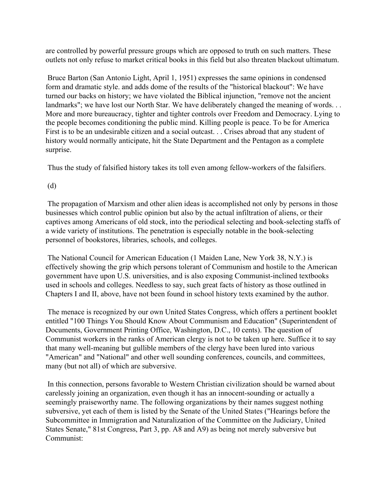are controlled by powerful pressure groups which are opposed to truth on such matters. These outlets not only refuse to market critical books in this field but also threaten blackout ultimatum.

 Bruce Barton (San Antonio Light, April 1, 1951) expresses the same opinions in condensed form and dramatic style. and adds dome of the results of the "historical blackout": We have turned our backs on history; we have violated the Biblical injunction, "remove not the ancient landmarks"; we have lost our North Star. We have deliberately changed the meaning of words. . . More and more bureaucracy, tighter and tighter controls over Freedom and Democracy. Lying to the people becomes conditioning the public mind. Killing people is peace. To be for America First is to be an undesirable citizen and a social outcast. . . Crises abroad that any student of history would normally anticipate, hit the State Department and the Pentagon as a complete surprise.

Thus the study of falsified history takes its toll even among fellow-workers of the falsifiers.

(d)

 The propagation of Marxism and other alien ideas is accomplished not only by persons in those businesses which control public opinion but also by the actual infiltration of aliens, or their captives among Americans of old stock, into the periodical selecting and book-selecting staffs of a wide variety of institutions. The penetration is especially notable in the book-selecting personnel of bookstores, libraries, schools, and colleges.

 The National Council for American Education (1 Maiden Lane, New York 38, N.Y.) is effectively showing the grip which persons tolerant of Communism and hostile to the American government have upon U.S. universities, and is also exposing Communist-inclined textbooks used in schools and colleges. Needless to say, such great facts of history as those outlined in Chapters I and II, above, have not been found in school history texts examined by the author.

 The menace is recognized by our own United States Congress, which offers a pertinent booklet entitled "100 Things You Should Know About Communism and Education" (Superintendent of Documents, Government Printing Office, Washington, D.C., 10 cents). The question of Communist workers in the ranks of American clergy is not to be taken up here. Suffice it to say that many well-meaning but gullible members of the clergy have been lured into various "American" and "National" and other well sounding conferences, councils, and committees, many (but not all) of which are subversive.

 In this connection, persons favorable to Western Christian civilization should be warned about carelessly joining an organization, even though it has an innocent-sounding or actually a seemingly praiseworthy name. The following organizations by their names suggest nothing subversive, yet each of them is listed by the Senate of the United States ("Hearings before the Subcommittee in Immigration and Naturalization of the Committee on the Judiciary, United States Senate," 81st Congress, Part 3, pp. A8 and A9) as being not merely subversive but Communist: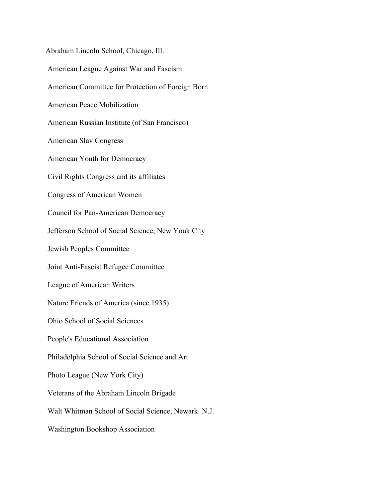Abraham Lincoln School, Chicago, Ill. American League Against War and Fascism American Committee for Protection of Foreign Born American Peace Mobilization American Russian Institute (of San Francisco) American Slav Congress American Youth for Democracy Civil Rights Congress and its affiliates Congress of American Women Council for Pan-American Democracy Jefferson School of Social Science, New Youk City Jewish Peoples Committee Joint Anti-Fascist Refugee Committee League of American Writers Nature Friends of America (since 1935) Ohio School of Social Sciences People's Educational Association Philadelphia School of Social Science and Art Photo League (New York City) Veterans of the Abraham Lincoln Brigade Walt Whitman School of Social Science, Newark. N.J. Washington Bookshop Association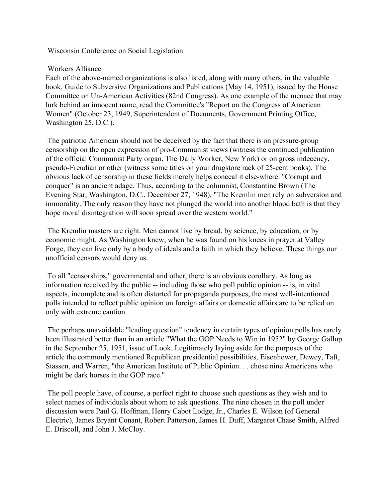#### Wisconsin Conference on Social Legislation

### Workers Alliance

Each of the above-named organizations is also listed, along with many others, in the valuable book, Guide to Subversive Organizations and Publications (May 14, 1951), issued by the House Committee on Un-American Activities (82nd Congress). As one example of the menace that may lurk behind an innocent name, read the Committee's "Report on the Congress of American Women" (October 23, 1949, Superintendent of Documents, Government Printing Office, Washington 25, D.C.).

 The patriotic American should not be deceived by the fact that there is on pressure-group censorship on the open expression of pro-Communist views (witness the continued publication of the official Communist Party organ, The Daily Worker, New York) or on gross indecency, pseudo-Freudian or other (witness some titles on your drugstore rack of 25-cent books). The obvious lack of censorship in these fields merely helps conceal it else-where. "Corrupt and conquer" is an ancient adage. Thus, according to the columnist, Constantine Brown (The Evening Star, Washington, D.C., December 27, 1948), "The Kremlin men rely on subversion and immorality. The only reason they have not plunged the world into another blood bath is that they hope moral disintegration will soon spread over the western world."

 The Kremlin masters are right. Men cannot live by bread, by science, by education, or by economic might. As Washington knew, when he was found on his knees in prayer at Valley Forge, they can live only by a body of ideals and a faith in which they believe. These things our unofficial censors would deny us.

 To all "censorships," governmental and other, there is an obvious corollary. As long as information received by the public -- including those who poll public opinion -- is, in vital aspects, incomplete and is often distorted for propaganda purposes, the most well-intentioned polls intended to reflect public opinion on foreign affairs or domestic affairs are to be relied on only with extreme caution.

 The perhaps unavoidable "leading question" tendency in certain types of opinion polls has rarely been illustrated better than in an article "What the GOP Needs to Win in 1952" by George Gallup in the September 25, 1951, issue of Look. Legitimately laying aside for the purposes of the article the commonly mentioned Republican presidential possibilities, Eisenhower, Dewey, Taft, Stassen, and Warren, "the American Institute of Public Opinion. . . chose nine Americans who might be dark horses in the GOP race."

 The poll people have, of course, a perfect right to choose such questions as they wish and to select names of individuals about whom to ask questions. The nine chosen in the poll under discussion were Paul G. Hoffman, Henry Cabot Lodge, Jr., Charles E. Wilson (of General Electric), James Bryant Conant, Robert Patterson, James H. Duff, Margaret Chase Smith, Alfred E. Driscoll, and John J. McCloy.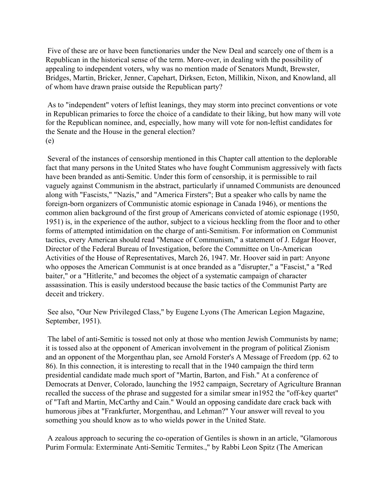Five of these are or have been functionaries under the New Deal and scarcely one of them is a Republican in the historical sense of the term. More-over, in dealing with the possibility of appealing to independent voters, why was no mention made of Senators Mundt, Brewster, Bridges, Martin, Bricker, Jenner, Capehart, Dirksen, Ecton, Millikin, Nixon, and Knowland, all of whom have drawn praise outside the Republican party?

 As to "independent" voters of leftist leanings, they may storm into precinct conventions or vote in Republican primaries to force the choice of a candidate to their liking, but how many will vote for the Republican nominee, and, especially, how many will vote for non-leftist candidates for the Senate and the House in the general election? (e)

 Several of the instances of censorship mentioned in this Chapter call attention to the deplorable fact that many persons in the United States who have fought Communism aggressively with facts have been branded as anti-Semitic. Under this form of censorship, it is permissible to rail vaguely against Communism in the abstract, particularly if unnamed Communists are denounced along with "Fascists," "Nazis," and "America Firsters"; But a speaker who calls by name the foreign-born organizers of Communistic atomic espionage in Canada 1946), or mentions the common alien background of the first group of Americans convicted of atomic espionage (1950, 1951) is, in the experience of the author, subject to a vicious heckling from the floor and to other forms of attempted intimidation on the charge of anti-Semitism. For information on Communist tactics, every American should read "Menace of Communism," a statement of J. Edgar Hoover, Director of the Federal Bureau of Investigation, before the Committee on Un-American Activities of the House of Representatives, March 26, 1947. Mr. Hoover said in part: Anyone who opposes the American Communist is at once branded as a "disrupter," a "Fascist," a "Red baiter," or a "Hitlerite," and becomes the object of a systematic campaign of character assassination. This is easily understood because the basic tactics of the Communist Party are deceit and trickery.

 See also, "Our New Privileged Class," by Eugene Lyons (The American Legion Magazine, September, 1951).

 The label of anti-Semitic is tossed not only at those who mention Jewish Communists by name; it is tossed also at the opponent of American involvement in the program of political Zionism and an opponent of the Morgenthau plan, see Arnold Forster's A Message of Freedom (pp. 62 to 86). In this connection, it is interesting to recall that in the 1940 campaign the third term presidential candidate made much sport of "Martin, Barton, and Fish." At a conference of Democrats at Denver, Colorado, launching the 1952 campaign, Secretary of Agriculture Brannan recalled the success of the phrase and suggested for a similar smear in1952 the "off-key quartet" of "Taft and Martin, McCarthy and Cain." Would an opposing candidate dare crack back with humorous jibes at "Frankfurter, Morgenthau, and Lehman?" Your answer will reveal to you something you should know as to who wields power in the United State.

 A zealous approach to securing the co-operation of Gentiles is shown in an article, "Glamorous Purim Formula: Exterminate Anti-Semitic Termites.," by Rabbi Leon Spitz (The American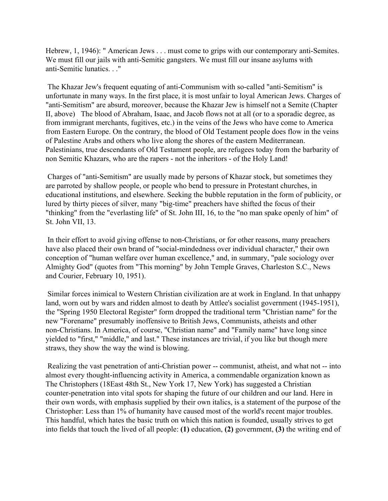Hebrew, 1, 1946): " American Jews . . . must come to grips with our contemporary anti-Semites. We must fill our jails with anti-Semitic gangsters. We must fill our insane asylums with anti-Semitic lunatics. . ."

 The Khazar Jew's frequent equating of anti-Communism with so-called "anti-Semitism" is unfortunate in many ways. In the first place, it is most unfair to loyal American Jews. Charges of "anti-Semitism" are absurd, moreover, because the Khazar Jew is himself not a Semite (Chapter II, above) The blood of Abraham, Isaac, and Jacob flows not at all (or to a sporadic degree, as from immigrant merchants, fugitives, etc.) in the veins of the Jews who have come to America from Eastern Europe. On the contrary, the blood of Old Testament people does flow in the veins of Palestine Arabs and others who live along the shores of the eastern Mediterranean. Palestinians, true descendants of Old Testament people, are refugees today from the barbarity of non Semitic Khazars, who are the rapers - not the inheritors - of the Holy Land!

 Charges of "anti-Semitism" are usually made by persons of Khazar stock, but sometimes they are parroted by shallow people, or people who bend to pressure in Protestant churches, in educational institutions, and elsewhere. Seeking the bubble reputation in the form of publicity, or lured by thirty pieces of silver, many "big-time" preachers have shifted the focus of their "thinking" from the "everlasting life" of St. John III, 16, to the "no man spake openly of him" of St. John VII, 13.

 In their effort to avoid giving offense to non-Christians, or for other reasons, many preachers have also placed their own brand of "social-mindedness over individual character," their own conception of "human welfare over human excellence," and, in summary, "pale sociology over Almighty God" (quotes from "This morning" by John Temple Graves, Charleston S.C., News and Courier, February 10, 1951).

 Similar forces inimical to Western Christian civilization are at work in England. In that unhappy land, worn out by wars and ridden almost to death by Attlee's socialist government (1945-1951), the "Spring 1950 Electoral Register" form dropped the traditional term "Christian name" for the new "Forename" presumably inoffensive to British Jews, Communists, atheists and other non-Christians. In America, of course, "Christian name" and "Family name" have long since yielded to "first," "middle," and last." These instances are trivial, if you like but though mere straws, they show the way the wind is blowing.

 Realizing the vast penetration of anti-Christian power -- communist, atheist, and what not -- into almost every thought-influencing activity in America, a commendable organization known as The Christophers (18East 48th St., New York 17, New York) has suggested a Christian counter-penetration into vital spots for shaping the future of our children and our land. Here in their own words, with emphasis supplied by their own italics, is a statement of the purpose of the Christopher: Less than 1% of humanity have caused most of the world's recent major troubles. This handful, which hates the basic truth on which this nation is founded, usually strives to get into fields that touch the lived of all people: **(1)** education, **(2)** government, **(3)** the writing end of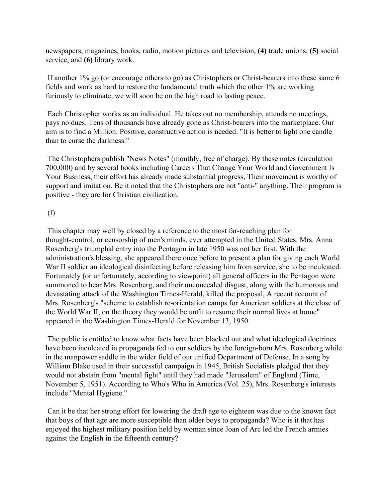newspapers, magazines, books, radio, motion pictures and television, **(4)** trade unions, **(5)** social service, and **(6)** library work.

 If another 1% go (or encourage others to go) as Christophers or Christ-bearers into these same 6 fields and work as hard to restore the fundamental truth which the other 1% are working furiously to eliminate, we will soon be on the high road to lasting peace.

 Each Christopher works as an individual. He takes out no membership, attends no meetings, pays no dues. Tens of thousands have already gone as Christ-bearers into the marketplace. Our aim is to find a Million. Positive, constructive action is needed. "It is better to light one candle than to curse the darkness."

 The Christophers publish "News Notes" (monthly, free of charge). By these notes (circulation 700,000) and by several books including Careers That Change Your World and Government Is Your Business, their effort has already made substantial progress, Their movement is worthy of support and imitation. Be it noted that the Christophers are not "anti-" anything. Their program is positive - they are for Christian civilization.

### (f)

 This chapter may well by closed by a reference to the most far-reaching plan for thought-control, or censorship of men's minds, ever attempted in the United States. Mrs. Anna Rosenberg's triumphal entry into the Pentagon in late 1950 was not her first. With the administration's blessing, she appeared there once before to present a plan for giving each World War II soldier an ideological disinfecting before releasing him from service, she to be inculcated. Fortunately (or unfortunately, according to viewpoint) all general officers in the Pentagon were summoned to hear Mrs. Rosenberg, and their unconcealed disgust, along with the humorous and devastating attack of the Washington Times-Herald, killed the proposal, A recent account of Mrs. Rosenberg's "scheme to establish re-orientation camps for American soldiers at the close of the World War II, on the theory they would be unfit to resume their normal lives at home" appeared in the Washington Times-Herald for November 13, 1950.

 The public is entitled to know what facts have been blacked out and what ideological doctrines have been inculcated in propaganda fed to our soldiers by the foreign-born Mrs. Rosenberg while in the manpower saddle in the wider field of our unified Department of Defense. In a song by William Blake used in their successful campaign in 1945, British Socialists pledged that they would not abstain from "mental fight" until they had made "Jerusalem" of England (Time, November 5, 1951). According to Who's Who in America (Vol. 25), Mrs. Rosenberg's interests include "Mental Hygiene."

 Can it be that her strong effort for lowering the draft age to eighteen was due to the known fact that boys of that age are more susceptible than older boys to propaganda? Who is it that has enjoyed the highest military position held by woman since Joan of Arc led the French armies against the English in the fifteenth century?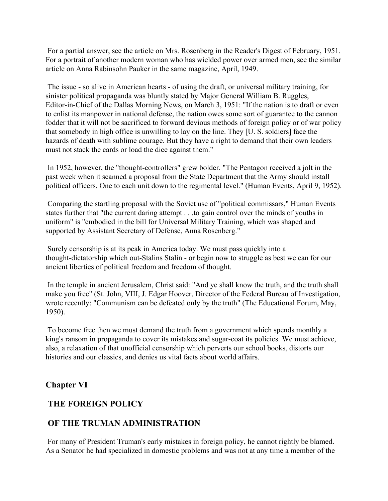For a partial answer, see the article on Mrs. Rosenberg in the Reader's Digest of February, 1951. For a portrait of another modern woman who has wielded power over armed men, see the similar article on Anna Rabinsohn Pauker in the same magazine, April, 1949.

 The issue - so alive in American hearts - of using the draft, or universal military training, for sinister political propaganda was bluntly stated by Major General William B. Ruggles, Editor-in-Chief of the Dallas Morning News, on March 3, 1951: "If the nation is to draft or even to enlist its manpower in national defense, the nation owes some sort of guarantee to the cannon fodder that it will not be sacrificed to forward devious methods of foreign policy or of war policy that somebody in high office is unwilling to lay on the line. They [U. S. soldiers] face the hazards of death with sublime courage. But they have a right to demand that their own leaders must not stack the cards or load the dice against them."

 In 1952, however, the "thought-controllers" grew bolder. "The Pentagon received a jolt in the past week when it scanned a proposal from the State Department that the Army should install political officers. One to each unit down to the regimental level." (Human Events, April 9, 1952).

 Comparing the startling proposal with the Soviet use of "political commissars," Human Events states further that "the current daring attempt . . .to gain control over the minds of youths in uniform" is "embodied in the bill for Universal Military Training, which was shaped and supported by Assistant Secretary of Defense, Anna Rosenberg."

 Surely censorship is at its peak in America today. We must pass quickly into a thought-dictatorship which out-Stalins Stalin - or begin now to struggle as best we can for our ancient liberties of political freedom and freedom of thought.

 In the temple in ancient Jerusalem, Christ said: "And ye shall know the truth, and the truth shall make you free" (St. John, VIII, J. Edgar Hoover, Director of the Federal Bureau of Investigation, wrote recently: "Communism can be defeated only by the truth" (The Educational Forum, May, 1950).

 To become free then we must demand the truth from a government which spends monthly a king's ransom in propaganda to cover its mistakes and sugar-coat its policies. We must achieve, also, a relaxation of that unofficial censorship which perverts our school books, distorts our histories and our classics, and denies us vital facts about world affairs.

# **Chapter VI**

# **THE FOREIGN POLICY**

### **OF THE TRUMAN ADMINISTRATION**

 For many of President Truman's early mistakes in foreign policy, he cannot rightly be blamed. As a Senator he had specialized in domestic problems and was not at any time a member of the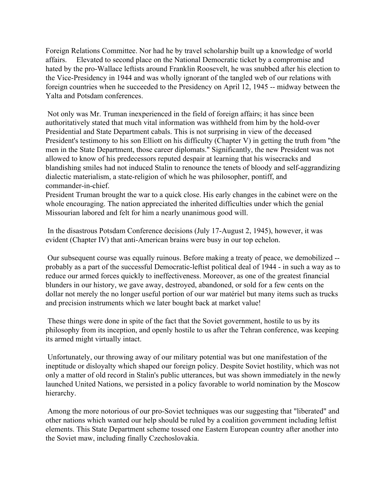Foreign Relations Committee. Nor had he by travel scholarship built up a knowledge of world affairs. Elevated to second place on the National Democratic ticket by a compromise and hated by the pro-Wallace leftists around Franklin Roosevelt, he was snubbed after his election to the Vice-Presidency in 1944 and was wholly ignorant of the tangled web of our relations with foreign countries when he succeeded to the Presidency on April 12, 1945 -- midway between the Yalta and Potsdam conferences.

 Not only was Mr. Truman inexperienced in the field of foreign affairs; it has since been authoritatively stated that much vital information was withheld from him by the hold-over Presidential and State Department cabals. This is not surprising in view of the deceased President's testimony to his son Elliott on his difficulty (Chapter V) in getting the truth from "the men in the State Department, those career diplomats." Significantly, the new President was not allowed to know of his predecessors reputed despair at learning that his wisecracks and blandishing smiles had not induced Stalin to renounce the tenets of bloody and self-aggrandizing dialectic materialism, a state-religion of which he was philosopher, pontiff, and commander-in-chief.

President Truman brought the war to a quick close. His early changes in the cabinet were on the whole encouraging. The nation appreciated the inherited difficulties under which the genial Missourian labored and felt for him a nearly unanimous good will.

 In the disastrous Potsdam Conference decisions (July 17-August 2, 1945), however, it was evident (Chapter IV) that anti-American brains were busy in our top echelon.

 Our subsequent course was equally ruinous. Before making a treaty of peace, we demobilized - probably as a part of the successful Democratic-leftist political deal of 1944 - in such a way as to reduce our armed forces quickly to ineffectiveness. Moreover, as one of the greatest financial blunders in our history, we gave away, destroyed, abandoned, or sold for a few cents on the dollar not merely the no longer useful portion of our war matériel but many items such as trucks and precision instruments which we later bought back at market value!

 These things were done in spite of the fact that the Soviet government, hostile to us by its philosophy from its inception, and openly hostile to us after the Tehran conference, was keeping its armed might virtually intact.

 Unfortunately, our throwing away of our military potential was but one manifestation of the ineptitude or disloyalty which shaped our foreign policy. Despite Soviet hostility, which was not only a matter of old record in Stalin's public utterances, but was shown immediately in the newly launched United Nations, we persisted in a policy favorable to world nomination by the Moscow hierarchy.

 Among the more notorious of our pro-Soviet techniques was our suggesting that "liberated" and other nations which wanted our help should be ruled by a coalition government including leftist elements. This State Department scheme tossed one Eastern European country after another into the Soviet maw, including finally Czechoslovakia.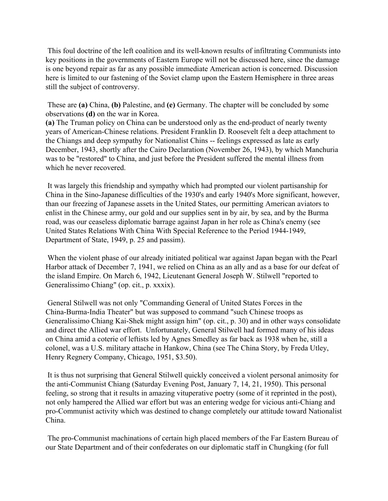This foul doctrine of the left coalition and its well-known results of infiltrating Communists into key positions in the governments of Eastern Europe will not be discussed here, since the damage is one beyond repair as far as any possible immediate American action is concerned. Discussion here is limited to our fastening of the Soviet clamp upon the Eastern Hemisphere in three areas still the subject of controversy.

 These are **(a)** China, **(b)** Palestine, and **(e)** Germany. The chapter will be concluded by some observations **(d)** on the war in Korea.

**(a)** The Truman policy on China can be understood only as the end-product of nearly twenty years of American-Chinese relations. President Franklin D. Roosevelt felt a deep attachment to the Chiangs and deep sympathy for Nationalist Chins -- feelings expressed as late as early December, 1943, shortly after the Cairo Declaration (November 26, 1943), by which Manchuria was to be "restored" to China, and just before the President suffered the mental illness from which he never recovered.

 It was largely this friendship and sympathy which had prompted our violent partisanship for China in the Sino-Japanese difficulties of the 1930's and early 1940's More significant, however, than our freezing of Japanese assets in the United States, our permitting American aviators to enlist in the Chinese army, our gold and our supplies sent in by air, by sea, and by the Burma road, was our ceaseless diplomatic barrage against Japan in her role as China's enemy (see United States Relations With China With Special Reference to the Period 1944-1949, Department of State, 1949, p. 25 and passim).

 When the violent phase of our already initiated political war against Japan began with the Pearl Harbor attack of December 7, 1941, we relied on China as an ally and as a base for our defeat of the island Empire. On March 6, 1942, Lieutenant General Joseph W. Stilwell "reported to Generalissimo Chiang" (op. cit., p. xxxix).

 General Stilwell was not only "Commanding General of United States Forces in the China-Burma-India Theater" but was supposed to command "such Chinese troops as Generalissimo Chiang Kai-Shek might assign him" (op. cit., p. 30) and in other ways consolidate and direct the Allied war effort. Unfortunately, General Stilwell had formed many of his ideas on China amid a coterie of leftists led by Agnes Smedley as far back as 1938 when he, still a colonel, was a U.S. military attache in Hankow, China (see The China Story, by Freda Utley, Henry Regnery Company, Chicago, 1951, \$3.50).

 It is thus not surprising that General Stilwell quickly conceived a violent personal animosity for the anti-Communist Chiang (Saturday Evening Post, January 7, 14, 21, 1950). This personal feeling, so strong that it results in amazing vituperative poetry (some of it reprinted in the post), not only hampered the Allied war effort but was an entering wedge for vicious anti-Chiang and pro-Communist activity which was destined to change completely our attitude toward Nationalist China.

 The pro-Communist machinations of certain high placed members of the Far Eastern Bureau of our State Department and of their confederates on our diplomatic staff in Chungking (for full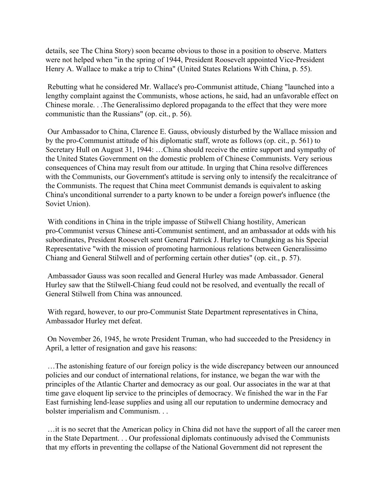details, see The China Story) soon became obvious to those in a position to observe. Matters were not helped when "in the spring of 1944, President Roosevelt appointed Vice-President Henry A. Wallace to make a trip to China" (United States Relations With China, p. 55).

 Rebutting what he considered Mr. Wallace's pro-Communist attitude, Chiang "launched into a lengthy complaint against the Communists, whose actions, he said, had an unfavorable effect on Chinese morale. . .The Generalissimo deplored propaganda to the effect that they were more communistic than the Russians" (op. cit., p. 56).

 Our Ambassador to China, Clarence E. Gauss, obviously disturbed by the Wallace mission and by the pro-Communist attitude of his diplomatic staff, wrote as follows (op. cit., p. 561) to Secretary Hull on August 31, 1944: …China should receive the entire support and sympathy of the United States Government on the domestic problem of Chinese Communists. Very serious consequences of China may result from our attitude. In urging that China resolve differences with the Communists, our Government's attitude is serving only to intensify the recalcitrance of the Communists. The request that China meet Communist demands is equivalent to asking China's unconditional surrender to a party known to be under a foreign power's influence (the Soviet Union).

 With conditions in China in the triple impasse of Stilwell Chiang hostility, American pro-Communist versus Chinese anti-Communist sentiment, and an ambassador at odds with his subordinates, President Roosevelt sent General Patrick J. Hurley to Chungking as his Special Representative "with the mission of promoting harmonious relations between Generalissimo Chiang and General Stilwell and of performing certain other duties" (op. cit., p. 57).

 Ambassador Gauss was soon recalled and General Hurley was made Ambassador. General Hurley saw that the Stilwell-Chiang feud could not be resolved, and eventually the recall of General Stilwell from China was announced.

 With regard, however, to our pro-Communist State Department representatives in China, Ambassador Hurley met defeat.

 On November 26, 1945, he wrote President Truman, who had succeeded to the Presidency in April, a letter of resignation and gave his reasons:

 …The astonishing feature of our foreign policy is the wide discrepancy between our announced policies and our conduct of international relations, for instance, we began the war with the principles of the Atlantic Charter and democracy as our goal. Our associates in the war at that time gave eloquent lip service to the principles of democracy. We finished the war in the Far East furnishing lend-lease supplies and using all our reputation to undermine democracy and bolster imperialism and Communism. . .

 …it is no secret that the American policy in China did not have the support of all the career men in the State Department. . . Our professional diplomats continuously advised the Communists that my efforts in preventing the collapse of the National Government did not represent the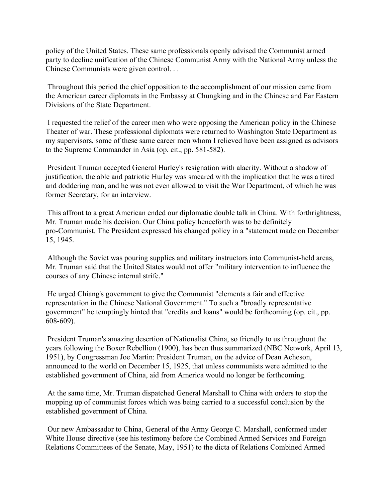policy of the United States. These same professionals openly advised the Communist armed party to decline unification of the Chinese Communist Army with the National Army unless the Chinese Communists were given control. . .

 Throughout this period the chief opposition to the accomplishment of our mission came from the American career diplomats in the Embassy at Chungking and in the Chinese and Far Eastern Divisions of the State Department.

 I requested the relief of the career men who were opposing the American policy in the Chinese Theater of war. These professional diplomats were returned to Washington State Department as my supervisors, some of these same career men whom I relieved have been assigned as advisors to the Supreme Commander in Asia (op. cit., pp. 581-582).

 President Truman accepted General Hurley's resignation with alacrity. Without a shadow of justification, the able and patriotic Hurley was smeared with the implication that he was a tired and doddering man, and he was not even allowed to visit the War Department, of which he was former Secretary, for an interview.

 This affront to a great American ended our diplomatic double talk in China. With forthrightness, Mr. Truman made his decision. Our China policy henceforth was to be definitely pro-Communist. The President expressed his changed policy in a "statement made on December 15, 1945.

 Although the Soviet was pouring supplies and military instructors into Communist-held areas, Mr. Truman said that the United States would not offer "military intervention to influence the courses of any Chinese internal strife."

 He urged Chiang's government to give the Communist "elements a fair and effective representation in the Chinese National Government." To such a "broadly representative government" he temptingly hinted that "credits and loans" would be forthcoming (op. cit., pp. 608-609).

 President Truman's amazing desertion of Nationalist China, so friendly to us throughout the years following the Boxer Rebellion (1900), has been thus summarized (NBC Network, April 13, 1951), by Congressman Joe Martin: President Truman, on the advice of Dean Acheson, announced to the world on December 15, 1925, that unless communists were admitted to the established government of China, aid from America would no longer be forthcoming.

 At the same time, Mr. Truman dispatched General Marshall to China with orders to stop the mopping up of communist forces which was being carried to a successful conclusion by the established government of China.

 Our new Ambassador to China, General of the Army George C. Marshall, conformed under White House directive (see his testimony before the Combined Armed Services and Foreign Relations Committees of the Senate, May, 1951) to the dicta of Relations Combined Armed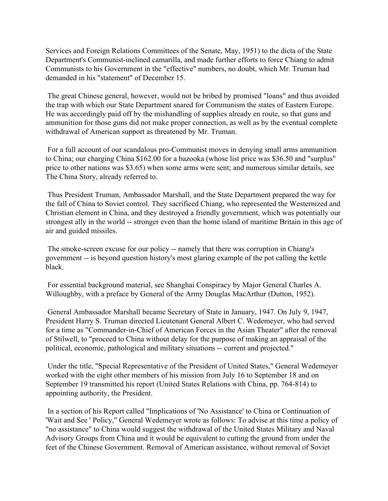Services and Foreign Relations Committees of the Senate, May, 1951) to the dicta of the State Department's Communist-inclined camarilla, and made further efforts to force Chiang to admit Communists to his Government in the "effective" numbers, no doubt, which Mr. Truman had demanded in his "statement" of December 15.

 The great Chinese general, however, would not be bribed by promised "loans" and thus avoided the trap with which our State Department snared for Communism the states of Eastern Europe. He was accordingly paid off by the mishandling of supplies already en route, so that guns and ammunition for those guns did not make proper connection, as well as by the eventual complete withdrawal of American support as threatened by Mr. Truman.

 For a full account of our scandalous pro-Communist moves in denying small arms ammunition to China; our charging China \$162.00 for a bazooka (whose list price was \$36.50 and "surplus" price to other nations was \$3.65) when some arms were sent; and numerous similar details, see The China Story, already referred to.

 Thus President Truman, Ambassador Marshall, and the State Department prepared the way for the fall of China to Soviet control. They sacrificed Chiang, who represented the Westernized and Christian element in China, and they destroyed a friendly government, which was potentially our strongest ally in the world -- stronger even than the home island of maritime Britain in this age of air and guided missiles.

 The smoke-screen excuse for our policy -- namely that there was corruption in Chiang's government -- is beyond question history's most glaring example of the pot calling the kettle black.

 For essential background material, see Shanghai Conspiracy by Major General Charles A. Willoughby, with a preface by General of the Army Douglas MacArthur (Dutton, 1952).

 General Ambassador Marshall became Secretary of State in January, 1947. On July 9, 1947, President Harry S. Truman directed Lieutenant General Albert C. Wedemeyer, who had served for a time as "Commander-in-Chief of American Forces in the Asian Theater" after the removal of Stilwell, to "proceed to China without delay for the purpose of making an appraisal of the political, economic, pathological and military situations -- current and projected."

 Under the title, "Special Representative of the President of United States," General Wedemeyer worked with the eight other members of his mission from July 16 to September 18 and on September 19 transmitted his report (United States Relations with China, pp. 764-814) to appointing authority, the President.

 In a section of his Report called "Implications of 'No Assistance' to China or Continuation of 'Wait and See ' Policy," General Wedemeyer wrote as follows: To advise at this time a policy of "no assistance" to China would suggest the withdrawal of the United States Military and Naval Advisory Groups from China and it would be equivalent to cutting the ground from under the feet of the Chinese Government. Removal of American assistance, without removal of Soviet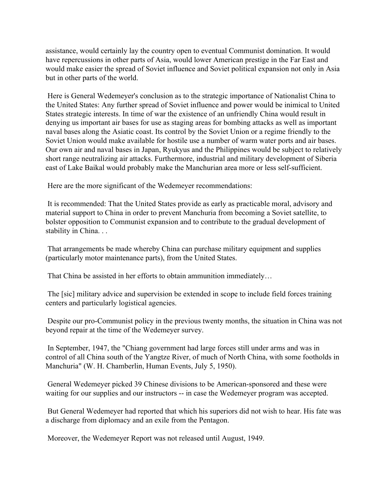assistance, would certainly lay the country open to eventual Communist domination. It would have repercussions in other parts of Asia, would lower American prestige in the Far East and would make easier the spread of Soviet influence and Soviet political expansion not only in Asia but in other parts of the world.

 Here is General Wedemeyer's conclusion as to the strategic importance of Nationalist China to the United States: Any further spread of Soviet influence and power would be inimical to United States strategic interests. In time of war the existence of an unfriendly China would result in denying us important air bases for use as staging areas for bombing attacks as well as important naval bases along the Asiatic coast. Its control by the Soviet Union or a regime friendly to the Soviet Union would make available for hostile use a number of warm water ports and air bases. Our own air and naval bases in Japan, Ryukyus and the Philippines would be subject to relatively short range neutralizing air attacks. Furthermore, industrial and military development of Siberia east of Lake Baikal would probably make the Manchurian area more or less self-sufficient.

Here are the more significant of the Wedemeyer recommendations:

 It is recommended: That the United States provide as early as practicable moral, advisory and material support to China in order to prevent Manchuria from becoming a Soviet satellite, to bolster opposition to Communist expansion and to contribute to the gradual development of stability in China. . .

 That arrangements be made whereby China can purchase military equipment and supplies (particularly motor maintenance parts), from the United States.

That China be assisted in her efforts to obtain ammunition immediately…

 The [sic] military advice and supervision be extended in scope to include field forces training centers and particularly logistical agencies.

 Despite our pro-Communist policy in the previous twenty months, the situation in China was not beyond repair at the time of the Wedemeyer survey.

 In September, 1947, the "Chiang government had large forces still under arms and was in control of all China south of the Yangtze River, of much of North China, with some footholds in Manchuria" (W. H. Chamberlin, Human Events, July 5, 1950).

 General Wedemeyer picked 39 Chinese divisions to be American-sponsored and these were waiting for our supplies and our instructors -- in case the Wedemeyer program was accepted.

 But General Wedemeyer had reported that which his superiors did not wish to hear. His fate was a discharge from diplomacy and an exile from the Pentagon.

Moreover, the Wedemeyer Report was not released until August, 1949.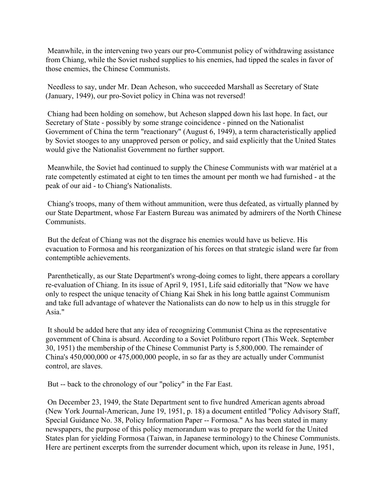Meanwhile, in the intervening two years our pro-Communist policy of withdrawing assistance from Chiang, while the Soviet rushed supplies to his enemies, had tipped the scales in favor of those enemies, the Chinese Communists.

 Needless to say, under Mr. Dean Acheson, who succeeded Marshall as Secretary of State (January, 1949), our pro-Soviet policy in China was not reversed!

 Chiang had been holding on somehow, but Acheson slapped down his last hope. In fact, our Secretary of State - possibly by some strange coincidence - pinned on the Nationalist Government of China the term "reactionary" (August 6, 1949), a term characteristically applied by Soviet stooges to any unapproved person or policy, and said explicitly that the United States would give the Nationalist Government no further support.

 Meanwhile, the Soviet had continued to supply the Chinese Communists with war matériel at a rate competently estimated at eight to ten times the amount per month we had furnished - at the peak of our aid - to Chiang's Nationalists.

 Chiang's troops, many of them without ammunition, were thus defeated, as virtually planned by our State Department, whose Far Eastern Bureau was animated by admirers of the North Chinese Communists.

 But the defeat of Chiang was not the disgrace his enemies would have us believe. His evacuation to Formosa and his reorganization of his forces on that strategic island were far from contemptible achievements.

 Parenthetically, as our State Department's wrong-doing comes to light, there appears a corollary re-evaluation of Chiang. In its issue of April 9, 1951, Life said editorially that "Now we have only to respect the unique tenacity of Chiang Kai Shek in his long battle against Communism and take full advantage of whatever the Nationalists can do now to help us in this struggle for Asia."

 It should be added here that any idea of recognizing Communist China as the representative government of China is absurd. According to a Soviet Politburo report (This Week. September 30, 1951) the membership of the Chinese Communist Party is 5,800,000. The remainder of China's 450,000,000 or 475,000,000 people, in so far as they are actually under Communist control, are slaves.

But -- back to the chronology of our "policy" in the Far East.

 On December 23, 1949, the State Department sent to five hundred American agents abroad (New York Journal-American, June 19, 1951, p. 18) a document entitled "Policy Advisory Staff, Special Guidance No. 38, Policy Information Paper -- Formosa." As has been stated in many newspapers, the purpose of this policy memorandum was to prepare the world for the United States plan for yielding Formosa (Taiwan, in Japanese terminology) to the Chinese Communists. Here are pertinent excerpts from the surrender document which, upon its release in June, 1951,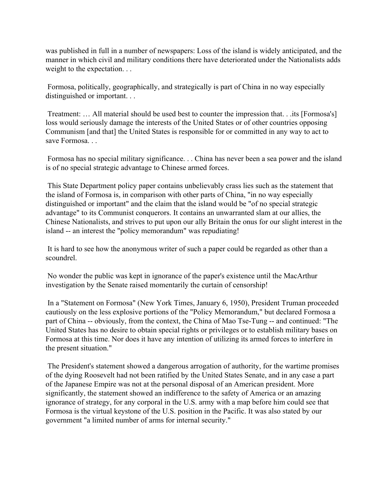was published in full in a number of newspapers: Loss of the island is widely anticipated, and the manner in which civil and military conditions there have deteriorated under the Nationalists adds weight to the expectation. . .

 Formosa, politically, geographically, and strategically is part of China in no way especially distinguished or important. . .

 Treatment: … All material should be used best to counter the impression that. . .its [Formosa's] loss would seriously damage the interests of the United States or of other countries opposing Communism [and that] the United States is responsible for or committed in any way to act to save Formosa.

 Formosa has no special military significance. . . China has never been a sea power and the island is of no special strategic advantage to Chinese armed forces.

 This State Department policy paper contains unbelievably crass lies such as the statement that the island of Formosa is, in comparison with other parts of China, "in no way especially distinguished or important" and the claim that the island would be "of no special strategic advantage" to its Communist conquerors. It contains an unwarranted slam at our allies, the Chinese Nationalists, and strives to put upon our ally Britain the onus for our slight interest in the island -- an interest the "policy memorandum" was repudiating!

 It is hard to see how the anonymous writer of such a paper could be regarded as other than a scoundrel.

 No wonder the public was kept in ignorance of the paper's existence until the MacArthur investigation by the Senate raised momentarily the curtain of censorship!

 In a "Statement on Formosa" (New York Times, January 6, 1950), President Truman proceeded cautiously on the less explosive portions of the "Policy Memorandum," but declared Formosa a part of China -- obviously, from the context, the China of Mao Tse-Tung -- and continued: "The United States has no desire to obtain special rights or privileges or to establish military bases on Formosa at this time. Nor does it have any intention of utilizing its armed forces to interfere in the present situation."

 The President's statement showed a dangerous arrogation of authority, for the wartime promises of the dying Roosevelt had not been ratified by the United States Senate, and in any case a part of the Japanese Empire was not at the personal disposal of an American president. More significantly, the statement showed an indifference to the safety of America or an amazing ignorance of strategy, for any corporal in the U.S. army with a map before him could see that Formosa is the virtual keystone of the U.S. position in the Pacific. It was also stated by our government "a limited number of arms for internal security."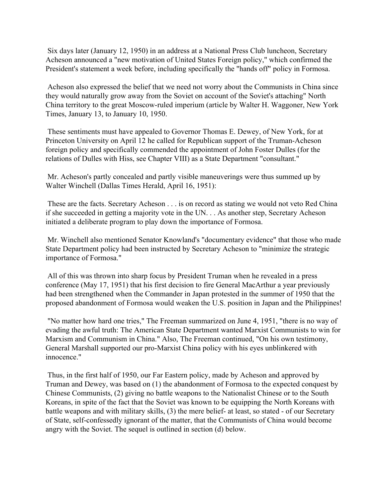Six days later (January 12, 1950) in an address at a National Press Club luncheon, Secretary Acheson announced a "new motivation of United States Foreign policy," which confirmed the President's statement a week before, including specifically the "hands off" policy in Formosa.

 Acheson also expressed the belief that we need not worry about the Communists in China since they would naturally grow away from the Soviet on account of the Soviet's attaching" North China territory to the great Moscow-ruled imperium (article by Walter H. Waggoner, New York Times, January 13, to January 10, 1950.

 These sentiments must have appealed to Governor Thomas E. Dewey, of New York, for at Princeton University on April 12 he called for Republican support of the Truman-Acheson foreign policy and specifically commended the appointment of John Foster Dulles (for the relations of Dulles with Hiss, see Chapter VIII) as a State Department "consultant."

 Mr. Acheson's partly concealed and partly visible maneuverings were thus summed up by Walter Winchell (Dallas Times Herald, April 16, 1951):

 These are the facts. Secretary Acheson . . . is on record as stating we would not veto Red China if she succeeded in getting a majority vote in the UN. . . As another step, Secretary Acheson initiated a deliberate program to play down the importance of Formosa.

 Mr. Winchell also mentioned Senator Knowland's "documentary evidence" that those who made State Department policy had been instructed by Secretary Acheson to "minimize the strategic importance of Formosa."

 All of this was thrown into sharp focus by President Truman when he revealed in a press conference (May 17, 1951) that his first decision to fire General MacArthur a year previously had been strengthened when the Commander in Japan protested in the summer of 1950 that the proposed abandonment of Formosa would weaken the U.S. position in Japan and the Philippines!

 "No matter how hard one tries," The Freeman summarized on June 4, 1951, "there is no way of evading the awful truth: The American State Department wanted Marxist Communists to win for Marxism and Communism in China." Also, The Freeman continued, "On his own testimony, General Marshall supported our pro-Marxist China policy with his eyes unblinkered with innocence."

 Thus, in the first half of 1950, our Far Eastern policy, made by Acheson and approved by Truman and Dewey, was based on (1) the abandonment of Formosa to the expected conquest by Chinese Communists, (2) giving no battle weapons to the Nationalist Chinese or to the South Koreans, in spite of the fact that the Soviet was known to be equipping the North Koreans with battle weapons and with military skills, (3) the mere belief- at least, so stated - of our Secretary of State, self-confessedly ignorant of the matter, that the Communists of China would become angry with the Soviet. The sequel is outlined in section (d) below.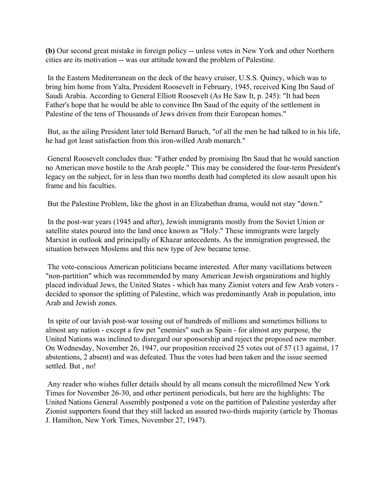**(b)** Our second great mistake in foreign policy -- unless votes in New York and other Northern cities are its motivation -- was our attitude toward the problem of Palestine.

 In the Eastern Mediterranean on the deck of the heavy cruiser, U.S.S. Quincy, which was to bring him home from Yalta, President Roosevelt in February, 1945, received King Ibn Saud of Saudi Arabia. According to General Elliott Roosevelt (As He Saw It, p. 245): "It had been Father's hope that he would be able to convince Ibn Saud of the equity of the settlement in Palestine of the tens of Thousands of Jews driven from their European homes."

 But, as the ailing President later told Bernard Baruch, "of all the men he had talked to in his life, he had got least satisfaction from this iron-willed Arab monarch."

 General Roosevelt concludes thus: "Father ended by promising Ibn Saud that he would sanction no American move hostile to the Arab people." This may be considered the four-term President's legacy on the subject, for in less than two months death had completed its slow assault upon his frame and his faculties.

But the Palestine Problem, like the ghost in an Elizabethan drama, would not stay "down."

 In the post-war years (1945 and after), Jewish immigrants mostly from the Soviet Union or satellite states poured into the land once known as "Holy." These immigrants were largely Marxist in outlook and principally of Khazar antecedents. As the immigration progressed, the situation between Moslems and this new type of Jew became tense.

 The vote-conscious American politicians became interested. After many vacillations between "non-partition" which was recommended by many American Jewish organizations and highly placed individual Jews, the United States - which has many Zionist voters and few Arab voters decided to sponsor the splitting of Palestine, which was predominantly Arab in population, into Arab and Jewish zones.

 In spite of our lavish post-war tossing out of hundreds of millions and sometimes billions to almost any nation - except a few pet "enemies" such as Spain - for almost any purpose, the United Nations was inclined to disregard our sponsorship and reject the proposed new member. On Wednesday, November 26, 1947, our proposition received 25 votes out of 57 (13 against, 17 abstentions, 2 absent) and was defeated. Thus the votes had been taken and the issue seemed settled. But , no!

 Any reader who wishes fuller details should by all means consult the microfilmed New York Times for November 26-30, and other pertinent periodicals, but here are the highlights: The United Nations General Assembly postponed a vote on the partition of Palestine yesterday after Zionist supporters found that they still lacked an assured two-thirds majority (article by Thomas J. Hamilton, New York Times, November 27, 1947).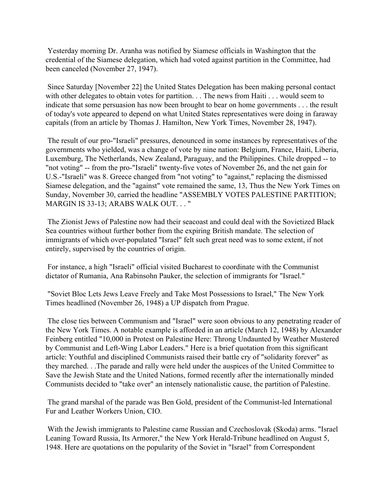Yesterday morning Dr. Aranha was notified by Siamese officials in Washington that the credential of the Siamese delegation, which had voted against partition in the Committee, had been canceled (November 27, 1947).

 Since Saturday [November 22] the United States Delegation has been making personal contact with other delegates to obtain votes for partition. . . The news from Haiti . . . would seem to indicate that some persuasion has now been brought to bear on home governments . . . the result of today's vote appeared to depend on what United States representatives were doing in faraway capitals (from an article by Thomas J. Hamilton, New York Times, November 28, 1947).

 The result of our pro-"Israeli" pressures, denounced in some instances by representatives of the governments who yielded, was a change of vote by nine nation: Belgium, France, Haiti, Liberia, Luxemburg, The Netherlands, New Zealand, Paraguay, and the Philippines. Chile dropped -- to "not voting" -- from the pro-"Israeli" twenty-five votes of November 26, and the net gain for U.S.-"Israeli" was 8. Greece changed from "not voting" to "against," replacing the dismissed Siamese delegation, and the "against" vote remained the same, 13, Thus the New York Times on Sunday, November 30, carried the headline "ASSEMBLY VOTES PALESTINE PARTITION; MARGIN IS 33-13; ARABS WALK OUT. . . "

 The Zionist Jews of Palestine now had their seacoast and could deal with the Sovietized Black Sea countries without further bother from the expiring British mandate. The selection of immigrants of which over-populated "Israel" felt such great need was to some extent, if not entirely, supervised by the countries of origin.

 For instance, a high "Israeli" official visited Bucharest to coordinate with the Communist dictator of Rumania, Ana Rabinsohn Pauker, the selection of immigrants for "Israel."

 "Soviet Bloc Lets Jews Leave Freely and Take Most Possessions to Israel," The New York Times headlined (November 26, 1948) a UP dispatch from Prague.

 The close ties between Communism and "Israel" were soon obvious to any penetrating reader of the New York Times. A notable example is afforded in an article (March 12, 1948) by Alexander Feinberg entitled "10,000 in Protest on Palestine Here: Throng Undaunted by Weather Mustered by Communist and Left-Wing Labor Leaders." Here is a brief quotation from this significant article: Youthful and disciplined Communists raised their battle cry of "solidarity forever" as they marched. . .The parade and rally were held under the auspices of the United Committee to Save the Jewish State and the United Nations, formed recently after the internationally minded Communists decided to "take over" an intensely nationalistic cause, the partition of Palestine.

 The grand marshal of the parade was Ben Gold, president of the Communist-led International Fur and Leather Workers Union, CIO.

 With the Jewish immigrants to Palestine came Russian and Czechoslovak (Skoda) arms. "Israel Leaning Toward Russia, Its Armorer," the New York Herald-Tribune headlined on August 5, 1948. Here are quotations on the popularity of the Soviet in "Israel" from Correspondent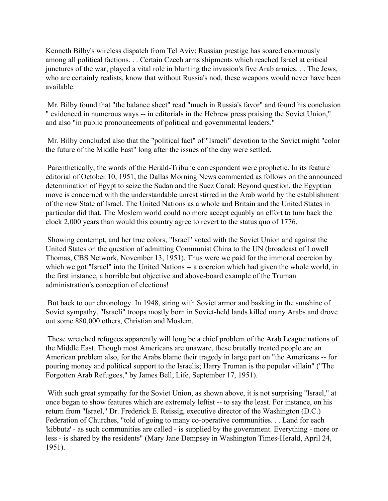Kenneth Bilby's wireless dispatch from Tel Aviv: Russian prestige has soared enormously among all political factions. . . Certain Czech arms shipments which reached Israel at critical junctures of the war, played a vital role in blunting the invasion's five Arab armies. . . The Jews, who are certainly realists, know that without Russia's nod, these weapons would never have been available.

 Mr. Bilby found that "the balance sheet" read "much in Russia's favor" and found his conclusion " evidenced in numerous ways -- in editorials in the Hebrew press praising the Soviet Union," and also "in public pronouncements of political and governmental leaders."

 Mr. Bilby concluded also that the "political fact" of "Israeli" devotion to the Soviet might "color the future of the Middle East" long after the issues of the day were settled.

 Parenthetically, the words of the Herald-Tribune correspondent were prophetic. In its feature editorial of October 10, 1951, the Dallas Morning News commented as follows on the announced determination of Egypt to seize the Sudan and the Suez Canal: Beyond question, the Egyptian move is concerned with the understandable unrest stirred in the Arab world by the establishment of the new State of Israel. The United Nations as a whole and Britain and the United States in particular did that. The Moslem world could no more accept equably an effort to turn back the clock 2,000 years than would this country agree to revert to the status quo of 1776.

 Showing contempt, and her true colors, "Israel" voted with the Soviet Union and against the United States on the question of admitting Communist China to the UN (broadcast of Lowell Thomas, CBS Network, November 13, 1951). Thus were we paid for the immoral coercion by which we got "Israel" into the United Nations -- a coercion which had given the whole world, in the first instance, a horrible but objective and above-board example of the Truman administration's conception of elections!

 But back to our chronology. In 1948, string with Soviet armor and basking in the sunshine of Soviet sympathy, "Israeli" troops mostly born in Soviet-held lands killed many Arabs and drove out some 880,000 others, Christian and Moslem.

 These wretched refugees apparently will long be a chief problem of the Arab League nations of the Middle East. Though most Americans are unaware, these brutally treated people are an American problem also, for the Arabs blame their tragedy in large part on "the Americans -- for pouring money and political support to the Israelis; Harry Truman is the popular villain" ("The Forgotten Arab Refugees," by James Bell, Life, September 17, 1951).

 With such great sympathy for the Soviet Union, as shown above, it is not surprising "Israel," at once began to show features which are extremely leftist -- to say the least. For instance, on his return from "Israel," Dr. Frederick E. Reissig, executive director of the Washington (D.C.) Federation of Churches, "told of going to many co-operative communities. . . Land for each 'kibbutz' - as such communities are called - is supplied by the government. Everything - more or less - is shared by the residents" (Mary Jane Dempsey in Washington Times-Herald, April 24, 1951).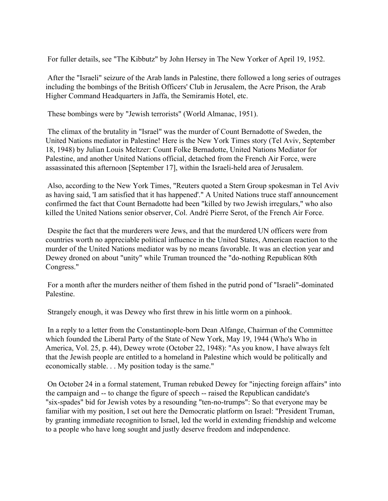For fuller details, see "The Kibbutz" by John Hersey in The New Yorker of April 19, 1952.

 After the "Israeli" seizure of the Arab lands in Palestine, there followed a long series of outrages including the bombings of the British Officers' Club in Jerusalem, the Acre Prison, the Arab Higher Command Headquarters in Jaffa, the Semiramis Hotel, etc.

These bombings were by "Jewish terrorists" (World Almanac, 1951).

 The climax of the brutality in "Israel" was the murder of Count Bernadotte of Sweden, the United Nations mediator in Palestine! Here is the New York Times story (Tel Aviv, September 18, 1948) by Julian Louis Meltzer: Count Folke Bernadotte, United Nations Mediator for Palestine, and another United Nations official, detached from the French Air Force, were assassinated this afternoon [September 17], within the Israeli-held area of Jerusalem.

 Also, according to the New York Times, "Reuters quoted a Stern Group spokesman in Tel Aviv as having said, 'I am satisfied that it has happened'." A United Nations truce staff announcement confirmed the fact that Count Bernadotte had been "killed by two Jewish irregulars," who also killed the United Nations senior observer, Col. André Pierre Serot, of the French Air Force.

 Despite the fact that the murderers were Jews, and that the murdered UN officers were from countries worth no appreciable political influence in the United States, American reaction to the murder of the United Nations mediator was by no means favorable. It was an election year and Dewey droned on about "unity" while Truman trounced the "do-nothing Republican 80th Congress."

 For a month after the murders neither of them fished in the putrid pond of "Israeli"-dominated Palestine.

Strangely enough, it was Dewey who first threw in his little worm on a pinhook.

 In a reply to a letter from the Constantinople-born Dean Alfange, Chairman of the Committee which founded the Liberal Party of the State of New York, May 19, 1944 (Who's Who in America, Vol. 25, p. 44), Dewey wrote (October 22, 1948): "As you know, I have always felt that the Jewish people are entitled to a homeland in Palestine which would be politically and economically stable. . . My position today is the same."

 On October 24 in a formal statement, Truman rebuked Dewey for "injecting foreign affairs" into the campaign and -- to change the figure of speech -- raised the Republican candidate's "six-spades" bid for Jewish votes by a resounding "ten-no-trumps": So that everyone may be familiar with my position, I set out here the Democratic platform on Israel: "President Truman, by granting immediate recognition to Israel, led the world in extending friendship and welcome to a people who have long sought and justly deserve freedom and independence.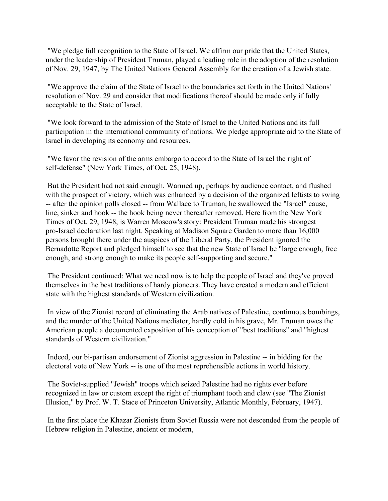"We pledge full recognition to the State of Israel. We affirm our pride that the United States, under the leadership of President Truman, played a leading role in the adoption of the resolution of Nov. 29, 1947, by The United Nations General Assembly for the creation of a Jewish state.

 "We approve the claim of the State of Israel to the boundaries set forth in the United Nations' resolution of Nov. 29 and consider that modifications thereof should be made only if fully acceptable to the State of Israel.

 "We look forward to the admission of the State of Israel to the United Nations and its full participation in the international community of nations. We pledge appropriate aid to the State of Israel in developing its economy and resources.

 "We favor the revision of the arms embargo to accord to the State of Israel the right of self-defense" (New York Times, of Oct. 25, 1948).

 But the President had not said enough. Warmed up, perhaps by audience contact, and flushed with the prospect of victory, which was enhanced by a decision of the organized leftists to swing -- after the opinion polls closed -- from Wallace to Truman, he swallowed the "Israel" cause, line, sinker and hook -- the hook being never thereafter removed. Here from the New York Times of Oct. 29, 1948, is Warren Moscow's story: President Truman made his strongest pro-Israel declaration last night. Speaking at Madison Square Garden to more than 16,000 persons brought there under the auspices of the Liberal Party, the President ignored the Bernadotte Report and pledged himself to see that the new State of Israel be "large enough, free enough, and strong enough to make its people self-supporting and secure."

 The President continued: What we need now is to help the people of Israel and they've proved themselves in the best traditions of hardy pioneers. They have created a modern and efficient state with the highest standards of Western civilization.

 In view of the Zionist record of eliminating the Arab natives of Palestine, continuous bombings, and the murder of the United Nations mediator, hardly cold in his grave, Mr. Truman owes the American people a documented exposition of his conception of "best traditions" and "highest standards of Western civilization."

 Indeed, our bi-partisan endorsement of Zionist aggression in Palestine -- in bidding for the electoral vote of New York -- is one of the most reprehensible actions in world history.

 The Soviet-supplied "Jewish" troops which seized Palestine had no rights ever before recognized in law or custom except the right of triumphant tooth and claw (see "The Zionist Illusion," by Prof. W. T. Stace of Princeton University, Atlantic Monthly, February, 1947).

 In the first place the Khazar Zionists from Soviet Russia were not descended from the people of Hebrew religion in Palestine, ancient or modern,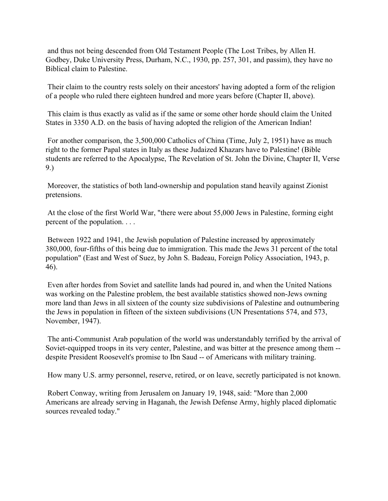and thus not being descended from Old Testament People (The Lost Tribes, by Allen H. Godbey, Duke University Press, Durham, N.C., 1930, pp. 257, 301, and passim), they have no Biblical claim to Palestine.

 Their claim to the country rests solely on their ancestors' having adopted a form of the religion of a people who ruled there eighteen hundred and more years before (Chapter II, above).

 This claim is thus exactly as valid as if the same or some other horde should claim the United States in 3350 A.D. on the basis of having adopted the religion of the American Indian!

 For another comparison, the 3,500,000 Catholics of China (Time, July 2, 1951) have as much right to the former Papal states in Italy as these Judaized Khazars have to Palestine! (Bible students are referred to the Apocalypse, The Revelation of St. John the Divine, Chapter II, Verse 9.)

 Moreover, the statistics of both land-ownership and population stand heavily against Zionist pretensions.

 At the close of the first World War, "there were about 55,000 Jews in Palestine, forming eight percent of the population. . . .

 Between 1922 and 1941, the Jewish population of Palestine increased by approximately 380,000, four-fifths of this being due to immigration. This made the Jews 31 percent of the total population" (East and West of Suez, by John S. Badeau, Foreign Policy Association, 1943, p. 46).

 Even after hordes from Soviet and satellite lands had poured in, and when the United Nations was working on the Palestine problem, the best available statistics showed non-Jews owning more land than Jews in all sixteen of the county size subdivisions of Palestine and outnumbering the Jews in population in fifteen of the sixteen subdivisions (UN Presentations 574, and 573, November, 1947).

 The anti-Communist Arab population of the world was understandably terrified by the arrival of Soviet-equipped troops in its very center, Palestine, and was bitter at the presence among them - despite President Roosevelt's promise to Ibn Saud -- of Americans with military training.

How many U.S. army personnel, reserve, retired, or on leave, secretly participated is not known.

 Robert Conway, writing from Jerusalem on January 19, 1948, said: "More than 2,000 Americans are already serving in Haganah, the Jewish Defense Army, highly placed diplomatic sources revealed today."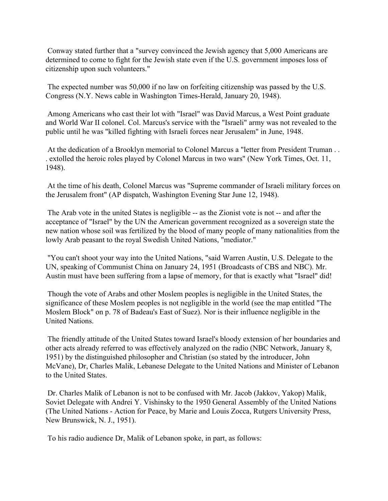Conway stated further that a "survey convinced the Jewish agency that 5,000 Americans are determined to come to fight for the Jewish state even if the U.S. government imposes loss of citizenship upon such volunteers."

 The expected number was 50,000 if no law on forfeiting citizenship was passed by the U.S. Congress (N.Y. News cable in Washington Times-Herald, January 20, 1948).

 Among Americans who cast their lot with "Israel" was David Marcus, a West Point graduate and World War II colonel. Col. Marcus's service with the "Israeli" army was not revealed to the public until he was "killed fighting with Israeli forces near Jerusalem" in June, 1948.

 At the dedication of a Brooklyn memorial to Colonel Marcus a "letter from President Truman . . . extolled the heroic roles played by Colonel Marcus in two wars" (New York Times, Oct. 11, 1948).

 At the time of his death, Colonel Marcus was "Supreme commander of Israeli military forces on the Jerusalem front" (AP dispatch, Washington Evening Star June 12, 1948).

 The Arab vote in the united States is negligible -- as the Zionist vote is not -- and after the acceptance of "Israel" by the UN the American government recognized as a sovereign state the new nation whose soil was fertilized by the blood of many people of many nationalities from the lowly Arab peasant to the royal Swedish United Nations, "mediator."

 "You can't shoot your way into the United Nations, "said Warren Austin, U.S. Delegate to the UN, speaking of Communist China on January 24, 1951 (Broadcasts of CBS and NBC). Mr. Austin must have been suffering from a lapse of memory, for that is exactly what "Israel" did!

 Though the vote of Arabs and other Moslem peoples is negligible in the United States, the significance of these Moslem peoples is not negligible in the world (see the map entitled "The Moslem Block" on p. 78 of Badeau's East of Suez). Nor is their influence negligible in the United Nations.

 The friendly attitude of the United States toward Israel's bloody extension of her boundaries and other acts already referred to was effectively analyzed on the radio (NBC Network, January 8, 1951) by the distinguished philosopher and Christian (so stated by the introducer, John McVane), Dr, Charles Malik, Lebanese Delegate to the United Nations and Minister of Lebanon to the United States.

 Dr. Charles Malik of Lebanon is not to be confused with Mr. Jacob (Jakkov, Yakop) Malik, Soviet Delegate with Andrei Y. Vishinsky to the 1950 General Assembly of the United Nations (The United Nations - Action for Peace, by Marie and Louis Zocca, Rutgers University Press, New Brunswick, N. J., 1951).

To his radio audience Dr, Malik of Lebanon spoke, in part, as follows: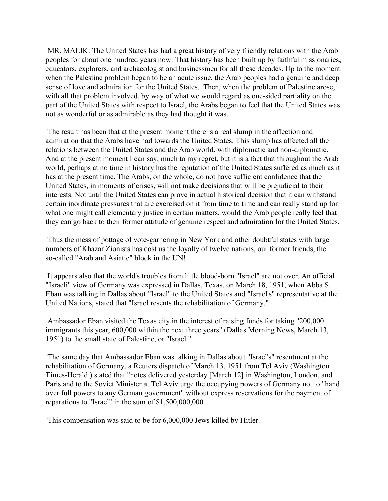MR. MALIK: The United States has had a great history of very friendly relations with the Arab peoples for about one hundred years now. That history has been built up by faithful missionaries, educators, explorers, and archaeologist and businessmen for all these decades. Up to the moment when the Palestine problem began to be an acute issue, the Arab peoples had a genuine and deep sense of love and admiration for the United States. Then, when the problem of Palestine arose, with all that problem involved, by way of what we would regard as one-sided partiality on the part of the United States with respect to Israel, the Arabs began to feel that the United States was not as wonderful or as admirable as they had thought it was.

 The result has been that at the present moment there is a real slump in the affection and admiration that the Arabs have had towards the United States. This slump has affected all the relations between the United States and the Arab world, with diplomatic and non-diplomatic. And at the present moment I can say, much to my regret, but it is a fact that throughout the Arab world, perhaps at no time in history has the reputation of the United States suffered as much as it has at the present time. The Arabs, on the whole, do not have sufficient confidence that the United States, in moments of crises, will not make decisions that will be prejudicial to their interests. Not until the United States can prove in actual historical decision that it can withstand certain inordinate pressures that are exercised on it from time to time and can really stand up for what one might call elementary justice in certain matters, would the Arab people really feel that they can go back to their former attitude of genuine respect and admiration for the United States.

 Thus the mess of pottage of vote-garnering in New York and other doubtful states with large numbers of Khazar Zionists has cost us the loyalty of twelve nations, our former friends, the so-called "Arab and Asiatic" block in the UN!

 It appears also that the world's troubles from little blood-born "Israel" are not over. An official "Israeli" view of Germany was expressed in Dallas, Texas, on March 18, 1951, when Abba S. Eban was talking in Dallas about "Israel" to the United States and "Israel's" representative at the United Nations, stated that "Israel resents the rehabilitation of Germany."

 Ambassador Eban visited the Texas city in the interest of raising funds for taking "200,000 immigrants this year, 600,000 within the next three years" (Dallas Morning News, March 13, 1951) to the small state of Palestine, or "Israel."

 The same day that Ambassador Eban was talking in Dallas about "Israel's" resentment at the rehabilitation of Germany, a Reuters dispatch of March 13, 1951 from Tel Aviv (Washington Times-Herald ) stated that "notes delivered yesterday [March 12] in Washington, London, and Paris and to the Soviet Minister at Tel Aviv urge the occupying powers of Germany not to "hand over full powers to any German government" without express reservations for the payment of reparations to "Israel" in the sum of \$1,500,000,000.

This compensation was said to be for 6,000,000 Jews killed by Hitler.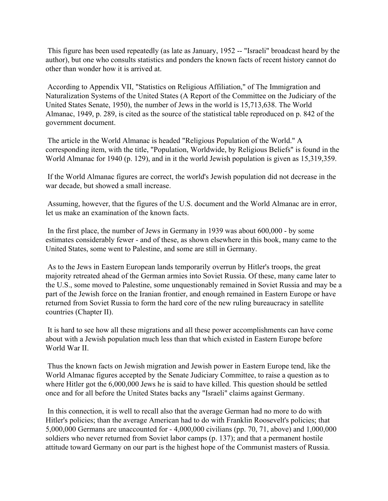This figure has been used repeatedly (as late as January, 1952 -- "Israeli" broadcast heard by the author), but one who consults statistics and ponders the known facts of recent history cannot do other than wonder how it is arrived at.

 According to Appendix VII, "Statistics on Religious Affiliation," of The Immigration and Naturalization Systems of the United States (A Report of the Committee on the Judiciary of the United States Senate, 1950), the number of Jews in the world is 15,713,638. The World Almanac, 1949, p. 289, is cited as the source of the statistical table reproduced on p. 842 of the government document.

 The article in the World Almanac is headed "Religious Population of the World." A corresponding item, with the title, "Population, Worldwide, by Religious Beliefs" is found in the World Almanac for 1940 (p. 129), and in it the world Jewish population is given as 15,319,359.

 If the World Almanac figures are correct, the world's Jewish population did not decrease in the war decade, but showed a small increase.

 Assuming, however, that the figures of the U.S. document and the World Almanac are in error, let us make an examination of the known facts.

 In the first place, the number of Jews in Germany in 1939 was about 600,000 - by some estimates considerably fewer - and of these, as shown elsewhere in this book, many came to the United States, some went to Palestine, and some are still in Germany.

 As to the Jews in Eastern European lands temporarily overrun by Hitler's troops, the great majority retreated ahead of the German armies into Soviet Russia. Of these, many came later to the U.S., some moved to Palestine, some unquestionably remained in Soviet Russia and may be a part of the Jewish force on the Iranian frontier, and enough remained in Eastern Europe or have returned from Soviet Russia to form the hard core of the new ruling bureaucracy in satellite countries (Chapter II).

 It is hard to see how all these migrations and all these power accomplishments can have come about with a Jewish population much less than that which existed in Eastern Europe before World War II.

 Thus the known facts on Jewish migration and Jewish power in Eastern Europe tend, like the World Almanac figures accepted by the Senate Judiciary Committee, to raise a question as to where Hitler got the 6,000,000 Jews he is said to have killed. This question should be settled once and for all before the United States backs any "Israeli" claims against Germany.

 In this connection, it is well to recall also that the average German had no more to do with Hitler's policies; than the average American had to do with Franklin Roosevelt's policies; that 5,000,000 Germans are unaccounted for - 4,000,000 civilians (pp. 70, 71, above) and 1,000,000 soldiers who never returned from Soviet labor camps (p. 137); and that a permanent hostile attitude toward Germany on our part is the highest hope of the Communist masters of Russia.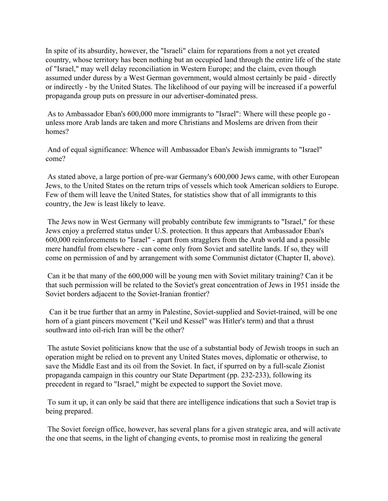In spite of its absurdity, however, the "Israeli" claim for reparations from a not yet created country, whose territory has been nothing but an occupied land through the entire life of the state of "Israel," may well delay reconciliation in Western Europe; and the claim, even though assumed under duress by a West German government, would almost certainly be paid - directly or indirectly - by the United States. The likelihood of our paying will be increased if a powerful propaganda group puts on pressure in our advertiser-dominated press.

 As to Ambassador Eban's 600,000 more immigrants to "Israel": Where will these people go unless more Arab lands are taken and more Christians and Moslems are driven from their homes?

 And of equal significance: Whence will Ambassador Eban's Jewish immigrants to "Israel" come?

 As stated above, a large portion of pre-war Germany's 600,000 Jews came, with other European Jews, to the United States on the return trips of vessels which took American soldiers to Europe. Few of them will leave the United States, for statistics show that of all immigrants to this country, the Jew is least likely to leave.

 The Jews now in West Germany will probably contribute few immigrants to "Israel," for these Jews enjoy a preferred status under U.S. protection. It thus appears that Ambassador Eban's 600,000 reinforcements to "Israel" - apart from stragglers from the Arab world and a possible mere handful from elsewhere - can come only from Soviet and satellite lands. If so, they will come on permission of and by arrangement with some Communist dictator (Chapter II, above).

 Can it be that many of the 600,000 will be young men with Soviet military training? Can it be that such permission will be related to the Soviet's great concentration of Jews in 1951 inside the Soviet borders adjacent to the Soviet-Iranian frontier?

 Can it be true further that an army in Palestine, Soviet-supplied and Soviet-trained, will be one horn of a giant pincers movement ("Keil und Kessel" was Hitler's term) and that a thrust southward into oil-rich Iran will be the other?

 The astute Soviet politicians know that the use of a substantial body of Jewish troops in such an operation might be relied on to prevent any United States moves, diplomatic or otherwise, to save the Middle East and its oil from the Soviet. In fact, if spurred on by a full-scale Zionist propaganda campaign in this country our State Department (pp. 232-233), following its precedent in regard to "Israel," might be expected to support the Soviet move.

 To sum it up, it can only be said that there are intelligence indications that such a Soviet trap is being prepared.

 The Soviet foreign office, however, has several plans for a given strategic area, and will activate the one that seems, in the light of changing events, to promise most in realizing the general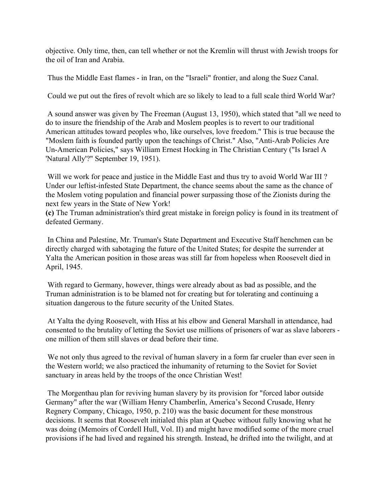objective. Only time, then, can tell whether or not the Kremlin will thrust with Jewish troops for the oil of Iran and Arabia.

Thus the Middle East flames - in Iran, on the "Israeli" frontier, and along the Suez Canal.

Could we put out the fires of revolt which are so likely to lead to a full scale third World War?

 A sound answer was given by The Freeman (August 13, 1950), which stated that "all we need to do to insure the friendship of the Arab and Moslem peoples is to revert to our traditional American attitudes toward peoples who, like ourselves, love freedom." This is true because the "Moslem faith is founded partly upon the teachings of Christ." Also, "Anti-Arab Policies Are Un-American Policies," says William Ernest Hocking in The Christian Century ("Is Israel A 'Natural Ally'?" September 19, 1951).

Will we work for peace and justice in the Middle East and thus try to avoid World War III? Under our leftist-infested State Department, the chance seems about the same as the chance of the Moslem voting population and financial power surpassing those of the Zionists during the next few years in the State of New York!

**(c)** The Truman administration's third great mistake in foreign policy is found in its treatment of defeated Germany.

 In China and Palestine, Mr. Truman's State Department and Executive Staff henchmen can be directly charged with sabotaging the future of the United States; for despite the surrender at Yalta the American position in those areas was still far from hopeless when Roosevelt died in April, 1945.

 With regard to Germany, however, things were already about as bad as possible, and the Truman administration is to be blamed not for creating but for tolerating and continuing a situation dangerous to the future security of the United States.

 At Yalta the dying Roosevelt, with Hiss at his elbow and General Marshall in attendance, had consented to the brutality of letting the Soviet use millions of prisoners of war as slave laborers one million of them still slaves or dead before their time.

We not only thus agreed to the revival of human slavery in a form far crueler than ever seen in the Western world; we also practiced the inhumanity of returning to the Soviet for Soviet sanctuary in areas held by the troops of the once Christian West!

 The Morgenthau plan for reviving human slavery by its provision for "forced labor outside Germany" after the war (William Henry Chamberlin, America's Second Crusade, Henry Regnery Company, Chicago, 1950, p. 210) was the basic document for these monstrous decisions. It seems that Roosevelt initialed this plan at Quebec without fully knowing what he was doing (Memoirs of Cordell Hull, Vol. II) and might have modified some of the more cruel provisions if he had lived and regained his strength. Instead, he drifted into the twilight, and at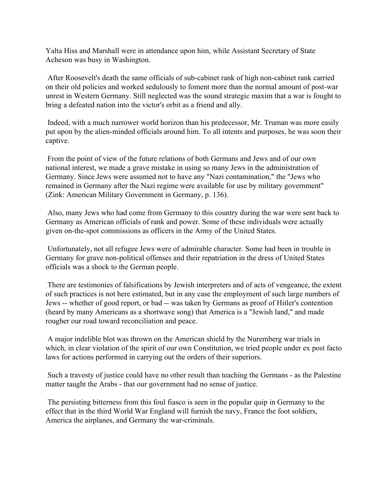Yalta Hiss and Marshall were in attendance upon him, while Assistant Secretary of State Acheson was busy in Washington.

 After Roosevelt's death the same officials of sub-cabinet rank of high non-cabinet rank carried on their old policies and worked sedulously to foment more than the normal amount of post-war unrest in Western Germany. Still neglected was the sound strategic maxim that a war is fought to bring a defeated nation into the victor's orbit as a friend and ally.

 Indeed, with a much narrower world horizon than his predecessor, Mr. Truman was more easily put upon by the alien-minded officials around him. To all intents and purposes, he was soon their captive.

 From the point of view of the future relations of both Germans and Jews and of our own national interest, we made a grave mistake in using so many Jews in the administration of Germany. Since Jews were assumed not to have any "Nazi contamination," the "Jews who remained in Germany after the Nazi regime were available for use by military government" (Zink: American Military Government in Germany, p. 136).

 Also, many Jews who had come from Germany to this country during the war were sent back to Germany as American officials of rank and power. Some of these individuals were actually given on-the-spot commissions as officers in the Army of the United States.

 Unfortunately, not all refugee Jews were of admirable character. Some had been in trouble in Germany for grave non-political offenses and their repatriation in the dress of United States officials was a shock to the German people.

 There are testimonies of falsifications by Jewish interpreters and of acts of vengeance, the extent of such practices is not here estimated, but in any case the employment of such large numbers of Jews -- whether of good report, or bad -- was taken by Germans as proof of Hitler's contention (heard by many Americans as a shortwave song) that America is a "Jewish land," and made rougher our road toward reconciliation and peace.

 A major indelible blot was thrown on the American shield by the Nuremberg war trials in which, in clear violation of the spirit of our own Constitution, we tried people under ex post facto laws for actions performed in carrying out the orders of their superiors.

 Such a travesty of justice could have no other result than teaching the Germans - as the Palestine matter taught the Arabs - that our government had no sense of justice.

 The persisting bitterness from this foul fiasco is seen in the popular quip in Germany to the effect that in the third World War England will furnish the navy, France the foot soldiers, America the airplanes, and Germany the war-criminals.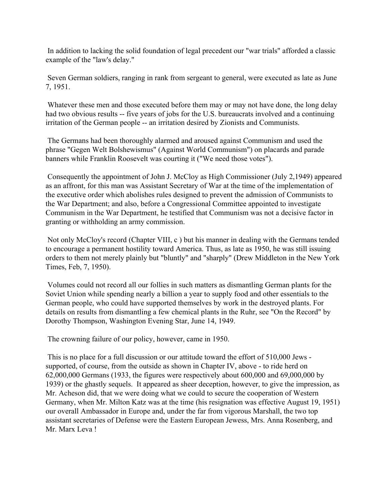In addition to lacking the solid foundation of legal precedent our "war trials" afforded a classic example of the "law's delay."

 Seven German soldiers, ranging in rank from sergeant to general, were executed as late as June 7, 1951.

 Whatever these men and those executed before them may or may not have done, the long delay had two obvious results -- five years of jobs for the U.S. bureaucrats involved and a continuing irritation of the German people -- an irritation desired by Zionists and Communists.

 The Germans had been thoroughly alarmed and aroused against Communism and used the phrase "Gegen Welt Bolshewismus" (Against World Communism") on placards and parade banners while Franklin Roosevelt was courting it ("We need those votes").

 Consequently the appointment of John J. McCloy as High Commissioner (July 2,1949) appeared as an affront, for this man was Assistant Secretary of War at the time of the implementation of the executive order which abolishes rules designed to prevent the admission of Communists to the War Department; and also, before a Congressional Committee appointed to investigate Communism in the War Department, he testified that Communism was not a decisive factor in granting or withholding an army commission.

 Not only McCloy's record (Chapter VIII, c ) but his manner in dealing with the Germans tended to encourage a permanent hostility toward America. Thus, as late as 1950, he was still issuing orders to them not merely plainly but "bluntly" and "sharply" (Drew Middleton in the New York Times, Feb, 7, 1950).

 Volumes could not record all our follies in such matters as dismantling German plants for the Soviet Union while spending nearly a billion a year to supply food and other essentials to the German people, who could have supported themselves by work in the destroyed plants. For details on results from dismantling a few chemical plants in the Ruhr, see "On the Record" by Dorothy Thompson, Washington Evening Star, June 14, 1949.

The crowning failure of our policy, however, came in 1950.

 This is no place for a full discussion or our attitude toward the effort of 510,000 Jews supported, of course, from the outside as shown in Chapter IV, above - to ride herd on 62,000,000 Germans (1933, the figures were respectively about 600,000 and 69,000,000 by 1939) or the ghastly sequels. It appeared as sheer deception, however, to give the impression, as Mr. Acheson did, that we were doing what we could to secure the cooperation of Western Germany, when Mr. Milton Katz was at the time (his resignation was effective August 19, 1951) our overall Ambassador in Europe and, under the far from vigorous Marshall, the two top assistant secretaries of Defense were the Eastern European Jewess, Mrs. Anna Rosenberg, and Mr. Marx Leva !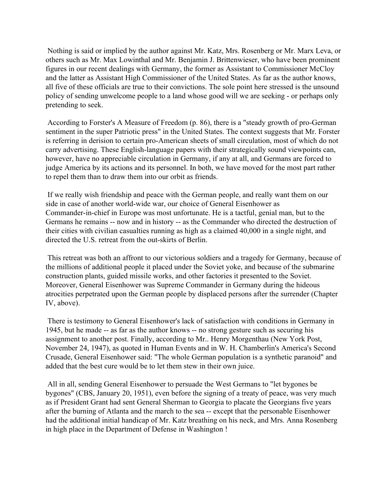Nothing is said or implied by the author against Mr. Katz, Mrs. Rosenberg or Mr. Marx Leva, or others such as Mr. Max Lowinthal and Mr. Benjamin J. Brittenwieser, who have been prominent figures in our recent dealings with Germany, the former as Assistant to Commissioner McCloy and the latter as Assistant High Commissioner of the United States. As far as the author knows, all five of these officials are true to their convictions. The sole point here stressed is the unsound policy of sending unwelcome people to a land whose good will we are seeking - or perhaps only pretending to seek.

 According to Forster's A Measure of Freedom (p. 86), there is a "steady growth of pro-German sentiment in the super Patriotic press" in the United States. The context suggests that Mr. Forster is referring in derision to certain pro-American sheets of small circulation, most of which do not carry advertising. These English-language papers with their strategically sound viewpoints can, however, have no appreciable circulation in Germany, if any at all, and Germans are forced to judge America by its actions and its personnel. In both, we have moved for the most part rather to repel them than to draw them into our orbit as friends.

 If we really wish friendship and peace with the German people, and really want them on our side in case of another world-wide war, our choice of General Eisenhower as Commander-in-chief in Europe was most unfortunate. He is a tactful, genial man, but to the Germans he remains -- now and in history -- as the Commander who directed the destruction of their cities with civilian casualties running as high as a claimed 40,000 in a single night, and directed the U.S. retreat from the out-skirts of Berlin.

 This retreat was both an affront to our victorious soldiers and a tragedy for Germany, because of the millions of additional people it placed under the Soviet yoke, and because of the submarine construction plants, guided missile works, and other factories it presented to the Soviet. Moreover, General Eisenhower was Supreme Commander in Germany during the hideous atrocities perpetrated upon the German people by displaced persons after the surrender (Chapter IV, above).

 There is testimony to General Eisenhower's lack of satisfaction with conditions in Germany in 1945, but he made -- as far as the author knows -- no strong gesture such as securing his assignment to another post. Finally, according to Mr.. Henry Morgenthau (New York Post, November 24, 1947), as quoted in Human Events and in W. H. Chamberlin's America's Second Crusade, General Eisenhower said: "The whole German population is a synthetic paranoid" and added that the best cure would be to let them stew in their own juice.

 All in all, sending General Eisenhower to persuade the West Germans to "let bygones be bygones" (CBS, January 20, 1951), even before the signing of a treaty of peace, was very much as if President Grant had sent General Sherman to Georgia to placate the Georgians five years after the burning of Atlanta and the march to the sea -- except that the personable Eisenhower had the additional initial handicap of Mr. Katz breathing on his neck, and Mrs. Anna Rosenberg in high place in the Department of Defense in Washington !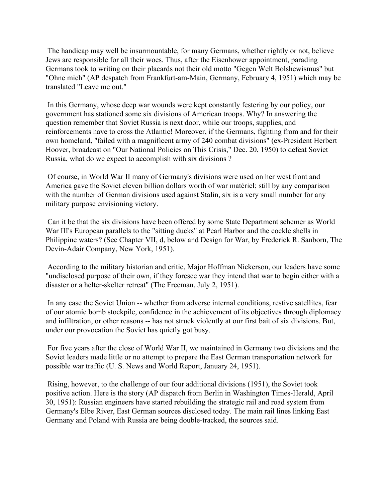The handicap may well be insurmountable, for many Germans, whether rightly or not, believe Jews are responsible for all their woes. Thus, after the Eisenhower appointment, parading Germans took to writing on their placards not their old motto "Gegen Welt Bolshewismus" but "Ohne mich" (AP despatch from Frankfurt-am-Main, Germany, February 4, 1951) which may be translated "Leave me out."

 In this Germany, whose deep war wounds were kept constantly festering by our policy, our government has stationed some six divisions of American troops. Why? In answering the question remember that Soviet Russia is next door, while our troops, supplies, and reinforcements have to cross the Atlantic! Moreover, if the Germans, fighting from and for their own homeland, "failed with a magnificent army of 240 combat divisions" (ex-President Herbert Hoover, broadcast on "Our National Policies on This Crisis," Dec. 20, 1950) to defeat Soviet Russia, what do we expect to accomplish with six divisions ?

 Of course, in World War II many of Germany's divisions were used on her west front and America gave the Soviet eleven billion dollars worth of war matériel; still by any comparison with the number of German divisions used against Stalin, six is a very small number for any military purpose envisioning victory.

 Can it be that the six divisions have been offered by some State Department schemer as World War III's European parallels to the "sitting ducks" at Pearl Harbor and the cockle shells in Philippine waters? (See Chapter VII, d, below and Design for War, by Frederick R. Sanborn, The Devin-Adair Company, New York, 1951).

 According to the military historian and critic, Major Hoffman Nickerson, our leaders have some "undisclosed purpose of their own, if they foresee war they intend that war to begin either with a disaster or a helter-skelter retreat" (The Freeman, July 2, 1951).

 In any case the Soviet Union -- whether from adverse internal conditions, restive satellites, fear of our atomic bomb stockpile, confidence in the achievement of its objectives through diplomacy and infiltration, or other reasons -- has not struck violently at our first bait of six divisions. But, under our provocation the Soviet has quietly got busy.

 For five years after the close of World War II, we maintained in Germany two divisions and the Soviet leaders made little or no attempt to prepare the East German transportation network for possible war traffic (U. S. News and World Report, January 24, 1951).

 Rising, however, to the challenge of our four additional divisions (1951), the Soviet took positive action. Here is the story (AP dispatch from Berlin in Washington Times-Herald, April 30, 1951): Russian engineers have started rebuilding the strategic rail and road system from Germany's Elbe River, East German sources disclosed today. The main rail lines linking East Germany and Poland with Russia are being double-tracked, the sources said.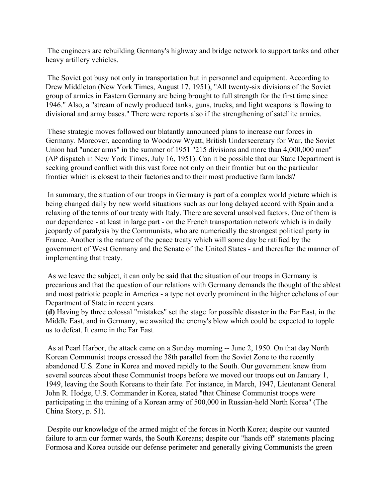The engineers are rebuilding Germany's highway and bridge network to support tanks and other heavy artillery vehicles.

 The Soviet got busy not only in transportation but in personnel and equipment. According to Drew Middleton (New York Times, August 17, 1951), "All twenty-six divisions of the Soviet group of armies in Eastern Germany are being brought to full strength for the first time since 1946." Also, a "stream of newly produced tanks, guns, trucks, and light weapons is flowing to divisional and army bases." There were reports also if the strengthening of satellite armies.

 These strategic moves followed our blatantly announced plans to increase our forces in Germany. Moreover, according to Woodrow Wyatt, British Undersecretary for War, the Soviet Union had "under arms" in the summer of 1951 "215 divisions and more than 4,000,000 men" (AP dispatch in New York Times, July 16, 1951). Can it be possible that our State Department is seeking ground conflict with this vast force not only on their frontier but on the particular frontier which is closest to their factories and to their most productive farm lands?

 In summary, the situation of our troops in Germany is part of a complex world picture which is being changed daily by new world situations such as our long delayed accord with Spain and a relaxing of the terms of our treaty with Italy. There are several unsolved factors. One of them is our dependence - at least in large part - on the French transportation network which is in daily jeopardy of paralysis by the Communists, who are numerically the strongest political party in France. Another is the nature of the peace treaty which will some day be ratified by the government of West Germany and the Senate of the United States - and thereafter the manner of implementing that treaty.

 As we leave the subject, it can only be said that the situation of our troops in Germany is precarious and that the question of our relations with Germany demands the thought of the ablest and most patriotic people in America - a type not overly prominent in the higher echelons of our Department of State in recent years.

**(d)** Having by three colossal "mistakes" set the stage for possible disaster in the Far East, in the Middle East, and in Germany, we awaited the enemy's blow which could be expected to topple us to defeat. It came in the Far East.

 As at Pearl Harbor, the attack came on a Sunday morning -- June 2, 1950. On that day North Korean Communist troops crossed the 38th parallel from the Soviet Zone to the recently abandoned U.S. Zone in Korea and moved rapidly to the South. Our government knew from several sources about these Communist troops before we moved our troops out on January 1, 1949, leaving the South Koreans to their fate. For instance, in March, 1947, Lieutenant General John R. Hodge, U.S. Commander in Korea, stated "that Chinese Communist troops were participating in the training of a Korean army of 500,000 in Russian-held North Korea" (The China Story, p. 51).

 Despite our knowledge of the armed might of the forces in North Korea; despite our vaunted failure to arm our former wards, the South Koreans; despite our "hands off" statements placing Formosa and Korea outside our defense perimeter and generally giving Communists the green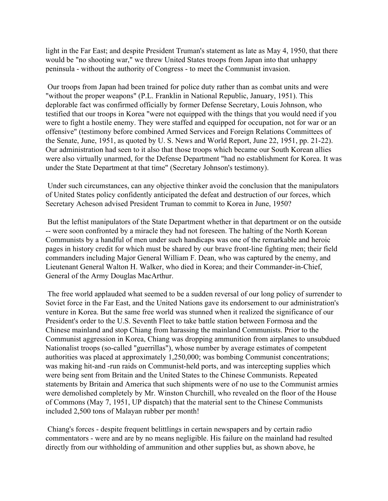light in the Far East; and despite President Truman's statement as late as May 4, 1950, that there would be "no shooting war," we threw United States troops from Japan into that unhappy peninsula - without the authority of Congress - to meet the Communist invasion.

 Our troops from Japan had been trained for police duty rather than as combat units and were "without the proper weapons" (P.L. Franklin in National Republic, January, 1951). This deplorable fact was confirmed officially by former Defense Secretary, Louis Johnson, who testified that our troops in Korea "were not equipped with the things that you would need if you were to fight a hostile enemy. They were staffed and equipped for occupation, not for war or an offensive" (testimony before combined Armed Services and Foreign Relations Committees of the Senate, June, 1951, as quoted by U. S. News and World Report, June 22, 1951, pp. 21-22). Our administration had seen to it also that those troops which became our South Korean allies were also virtually unarmed, for the Defense Department "had no establishment for Korea. It was under the State Department at that time" (Secretary Johnson's testimony).

 Under such circumstances, can any objective thinker avoid the conclusion that the manipulators of United States policy confidently anticipated the defeat and destruction of our forces, which Secretary Acheson advised President Truman to commit to Korea in June, 1950?

 But the leftist manipulators of the State Department whether in that department or on the outside -- were soon confronted by a miracle they had not foreseen. The halting of the North Korean Communists by a handful of men under such handicaps was one of the remarkable and heroic pages in history credit for which must be shared by our brave front-line fighting men; their field commanders including Major General William F. Dean, who was captured by the enemy, and Lieutenant General Walton H. Walker, who died in Korea; and their Commander-in-Chief, General of the Army Douglas MacArthur.

 The free world applauded what seemed to be a sudden reversal of our long policy of surrender to Soviet force in the Far East, and the United Nations gave its endorsement to our administration's venture in Korea. But the same free world was stunned when it realized the significance of our President's order to the U.S. Seventh Fleet to take battle station between Formosa and the Chinese mainland and stop Chiang from harassing the mainland Communists. Prior to the Communist aggression in Korea, Chiang was dropping ammunition from airplanes to unsubdued Nationalist troops (so-called "guerrillas"), whose number by average estimates of competent authorities was placed at approximately 1,250,000; was bombing Communist concentrations; was making hit-and -run raids on Communist-held ports, and was intercepting supplies which were being sent from Britain and the United States to the Chinese Communists. Repeated statements by Britain and America that such shipments were of no use to the Communist armies were demolished completely by Mr. Winston Churchill, who revealed on the floor of the House of Commons (May 7, 1951, UP dispatch) that the material sent to the Chinese Communists included 2,500 tons of Malayan rubber per month!

 Chiang's forces - despite frequent belittlings in certain newspapers and by certain radio commentators - were and are by no means negligible. His failure on the mainland had resulted directly from our withholding of ammunition and other supplies but, as shown above, he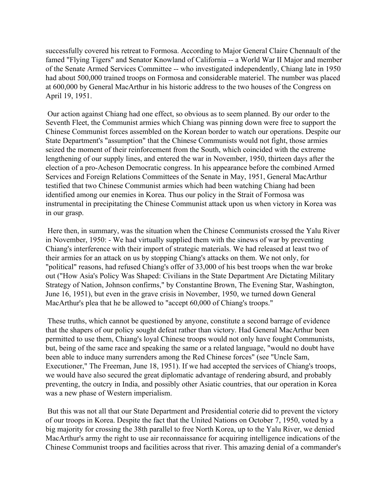successfully covered his retreat to Formosa. According to Major General Claire Chennault of the famed "Flying Tigers" and Senator Knowland of California -- a World War II Major and member of the Senate Armed Services Committee -- who investigated independently, Chiang late in 1950 had about 500,000 trained troops on Formosa and considerable materiel. The number was placed at 600,000 by General MacArthur in his historic address to the two houses of the Congress on April 19, 1951.

 Our action against Chiang had one effect, so obvious as to seem planned. By our order to the Seventh Fleet, the Communist armies which Chiang was pinning down were free to support the Chinese Communist forces assembled on the Korean border to watch our operations. Despite our State Department's "assumption" that the Chinese Communists would not fight, those armies seized the moment of their reinforcement from the South, which coincided with the extreme lengthening of our supply lines, and entered the war in November, 1950, thirteen days after the election of a pro-Acheson Democratic congress. In his appearance before the combined Armed Services and Foreign Relations Committees of the Senate in May, 1951, General MacArthur testified that two Chinese Communist armies which had been watching Chiang had been identified among our enemies in Korea. Thus our policy in the Strait of Formosa was instrumental in precipitating the Chinese Communist attack upon us when victory in Korea was in our grasp.

 Here then, in summary, was the situation when the Chinese Communists crossed the Yalu River in November, 1950: - We had virtually supplied them with the sinews of war by preventing Chiang's interference with their import of strategic materials. We had released at least two of their armies for an attack on us by stopping Chiang's attacks on them. We not only, for "political" reasons, had refused Chiang's offer of 33,000 of his best troops when the war broke out ("How Asia's Policy Was Shaped: Civilians in the State Department Are Dictating Military Strategy of Nation, Johnson confirms," by Constantine Brown, The Evening Star, Washington, June 16, 1951), but even in the grave crisis in November, 1950, we turned down General MacArthur's plea that he be allowed to "accept 60,000 of Chiang's troops."

 These truths, which cannot be questioned by anyone, constitute a second barrage of evidence that the shapers of our policy sought defeat rather than victory. Had General MacArthur been permitted to use them, Chiang's loyal Chinese troops would not only have fought Communists, but, being of the same race and speaking the same or a related language, "would no doubt have been able to induce many surrenders among the Red Chinese forces" (see "Uncle Sam, Executioner," The Freeman, June 18, 1951). If we had accepted the services of Chiang's troops, we would have also secured the great diplomatic advantage of rendering absurd, and probably preventing, the outcry in India, and possibly other Asiatic countries, that our operation in Korea was a new phase of Western imperialism.

 But this was not all that our State Department and Presidential coterie did to prevent the victory of our troops in Korea. Despite the fact that the United Nations on October 7, 1950, voted by a big majority for crossing the 38th parallel to free North Korea, up to the Yalu River, we denied MacArthur's army the right to use air reconnaissance for acquiring intelligence indications of the Chinese Communist troops and facilities across that river. This amazing denial of a commander's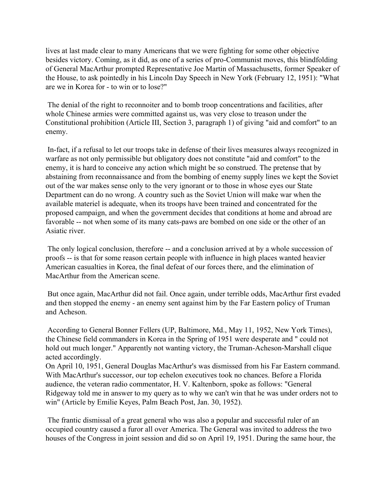lives at last made clear to many Americans that we were fighting for some other objective besides victory. Coming, as it did, as one of a series of pro-Communist moves, this blindfolding of General MacArthur prompted Representative Joe Martin of Massachusetts, former Speaker of the House, to ask pointedly in his Lincoln Day Speech in New York (February 12, 1951): "What are we in Korea for - to win or to lose?"

 The denial of the right to reconnoiter and to bomb troop concentrations and facilities, after whole Chinese armies were committed against us, was very close to treason under the Constitutional prohibition (Article III, Section 3, paragraph 1) of giving "aid and comfort" to an enemy.

 In-fact, if a refusal to let our troops take in defense of their lives measures always recognized in warfare as not only permissible but obligatory does not constitute "aid and comfort" to the enemy, it is hard to conceive any action which might be so construed. The pretense that by abstaining from reconnaissance and from the bombing of enemy supply lines we kept the Soviet out of the war makes sense only to the very ignorant or to those in whose eyes our State Department can do no wrong. A country such as the Soviet Union will make war when the available materiel is adequate, when its troops have been trained and concentrated for the proposed campaign, and when the government decides that conditions at home and abroad are favorable -- not when some of its many cats-paws are bombed on one side or the other of an Asiatic river.

 The only logical conclusion, therefore -- and a conclusion arrived at by a whole succession of proofs -- is that for some reason certain people with influence in high places wanted heavier American casualties in Korea, the final defeat of our forces there, and the elimination of MacArthur from the American scene.

 But once again, MacArthur did not fail. Once again, under terrible odds, MacArthur first evaded and then stopped the enemy - an enemy sent against him by the Far Eastern policy of Truman and Acheson.

 According to General Bonner Fellers (UP, Baltimore, Md., May 11, 1952, New York Times), the Chinese field commanders in Korea in the Spring of 1951 were desperate and " could not hold out much longer." Apparently not wanting victory, the Truman-Acheson-Marshall clique acted accordingly.

On April 10, 1951, General Douglas MacArthur's was dismissed from his Far Eastern command. With MacArthur's successor, our top echelon executives took no chances. Before a Florida audience, the veteran radio commentator, H. V. Kaltenborn, spoke as follows: "General Ridgeway told me in answer to my query as to why we can't win that he was under orders not to win" (Article by Emilie Keyes, Palm Beach Post, Jan. 30, 1952).

 The frantic dismissal of a great general who was also a popular and successful ruler of an occupied country caused a furor all over America. The General was invited to address the two houses of the Congress in joint session and did so on April 19, 1951. During the same hour, the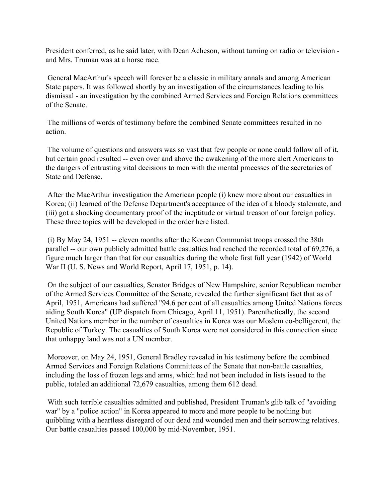President conferred, as he said later, with Dean Acheson, without turning on radio or television and Mrs. Truman was at a horse race.

 General MacArthur's speech will forever be a classic in military annals and among American State papers. It was followed shortly by an investigation of the circumstances leading to his dismissal - an investigation by the combined Armed Services and Foreign Relations committees of the Senate.

 The millions of words of testimony before the combined Senate committees resulted in no action.

 The volume of questions and answers was so vast that few people or none could follow all of it, but certain good resulted -- even over and above the awakening of the more alert Americans to the dangers of entrusting vital decisions to men with the mental processes of the secretaries of State and Defense.

 After the MacArthur investigation the American people (i) knew more about our casualties in Korea; (ii) learned of the Defense Department's acceptance of the idea of a bloody stalemate, and (iii) got a shocking documentary proof of the ineptitude or virtual treason of our foreign policy. These three topics will be developed in the order here listed.

 (i) By May 24, 1951 -- eleven months after the Korean Communist troops crossed the 38th parallel -- our own publicly admitted battle casualties had reached the recorded total of 69,276, a figure much larger than that for our casualties during the whole first full year (1942) of World War II (U. S. News and World Report, April 17, 1951, p. 14).

 On the subject of our casualties, Senator Bridges of New Hampshire, senior Republican member of the Armed Services Committee of the Senate, revealed the further significant fact that as of April, 1951, Americans had suffered "94.6 per cent of all casualties among United Nations forces aiding South Korea" (UP dispatch from Chicago, April 11, 1951). Parenthetically, the second United Nations member in the number of casualties in Korea was our Moslem co-belligerent, the Republic of Turkey. The casualties of South Korea were not considered in this connection since that unhappy land was not a UN member.

 Moreover, on May 24, 1951, General Bradley revealed in his testimony before the combined Armed Services and Foreign Relations Committees of the Senate that non-battle casualties, including the loss of frozen legs and arms, which had not been included in lists issued to the public, totaled an additional 72,679 casualties, among them 612 dead.

 With such terrible casualties admitted and published, President Truman's glib talk of "avoiding war" by a "police action" in Korea appeared to more and more people to be nothing but quibbling with a heartless disregard of our dead and wounded men and their sorrowing relatives. Our battle casualties passed 100,000 by mid-November, 1951.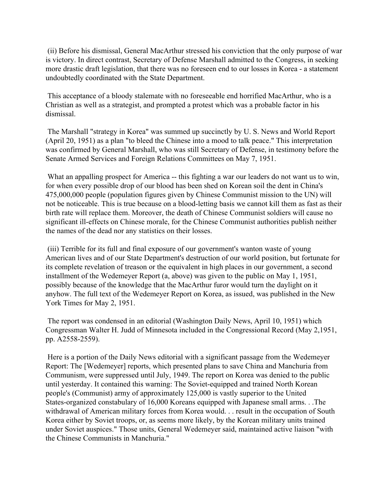(ii) Before his dismissal, General MacArthur stressed his conviction that the only purpose of war is victory. In direct contrast, Secretary of Defense Marshall admitted to the Congress, in seeking more drastic draft legislation, that there was no foreseen end to our losses in Korea - a statement undoubtedly coordinated with the State Department.

 This acceptance of a bloody stalemate with no foreseeable end horrified MacArthur, who is a Christian as well as a strategist, and prompted a protest which was a probable factor in his dismissal.

 The Marshall "strategy in Korea" was summed up succinctly by U. S. News and World Report (April 20, 1951) as a plan "to bleed the Chinese into a mood to talk peace." This interpretation was confirmed by General Marshall, who was still Secretary of Defense, in testimony before the Senate Armed Services and Foreign Relations Committees on May 7, 1951.

 What an appalling prospect for America -- this fighting a war our leaders do not want us to win, for when every possible drop of our blood has been shed on Korean soil the dent in China's 475,000,000 people (population figures given by Chinese Communist mission to the UN) will not be noticeable. This is true because on a blood-letting basis we cannot kill them as fast as their birth rate will replace them. Moreover, the death of Chinese Communist soldiers will cause no significant ill-effects on Chinese morale, for the Chinese Communist authorities publish neither the names of the dead nor any statistics on their losses.

 (iii) Terrible for its full and final exposure of our government's wanton waste of young American lives and of our State Department's destruction of our world position, but fortunate for its complete revelation of treason or the equivalent in high places in our government, a second installment of the Wedemeyer Report (a, above) was given to the public on May 1, 1951, possibly because of the knowledge that the MacArthur furor would turn the daylight on it anyhow. The full text of the Wedemeyer Report on Korea, as issued, was published in the New York Times for May 2, 1951.

 The report was condensed in an editorial (Washington Daily News, April 10, 1951) which Congressman Walter H. Judd of Minnesota included in the Congressional Record (May 2,1951, pp. A2558-2559).

 Here is a portion of the Daily News editorial with a significant passage from the Wedemeyer Report: The [Wedemeyer] reports, which presented plans to save China and Manchuria from Communism, were suppressed until July, 1949. The report on Korea was denied to the public until yesterday. It contained this warning: The Soviet-equipped and trained North Korean people's (Communist) army of approximately 125,000 is vastly superior to the United States-organized constabulary of 16,000 Koreans equipped with Japanese small arms. . .The withdrawal of American military forces from Korea would. . . result in the occupation of South Korea either by Soviet troops, or, as seems more likely, by the Korean military units trained under Soviet auspices." Those units, General Wedemeyer said, maintained active liaison "with the Chinese Communists in Manchuria."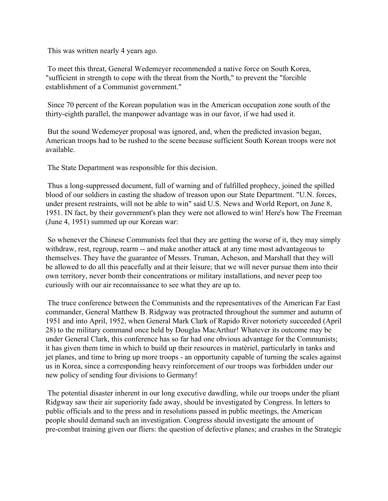This was written nearly 4 years ago.

 To meet this threat, General Wedemeyer recommended a native force on South Korea, "sufficient in strength to cope with the threat from the North," to prevent the "forcible establishment of a Communist government."

 Since 70 percent of the Korean population was in the American occupation zone south of the thirty-eighth parallel, the manpower advantage was in our favor, if we had used it.

 But the sound Wedemeyer proposal was ignored, and, when the predicted invasion began, American troops had to be rushed to the scene because sufficient South Korean troops were not available.

The State Department was responsible for this decision.

 Thus a long-suppressed document, full of warning and of fulfilled prophecy, joined the spilled blood of our soldiers in casting the shadow of treason upon our State Department. "U.N. forces, under present restraints, will not be able to win" said U.S. News and World Report, on June 8, 1951. IN fact, by their government's plan they were not allowed to win! Here's how The Freeman (June 4, 1951) summed up our Korean war:

 So whenever the Chinese Communists feel that they are getting the worse of it, they may simply withdraw, rest, regroup, rearm -- and make another attack at any time most advantageous to themselves. They have the guarantee of Messrs. Truman, Acheson, and Marshall that they will be allowed to do all this peacefully and at their leisure; that we will never pursue them into their own territory, never bomb their concentrations or military installations, and never peep too curiously with our air reconnaissance to see what they are up to.

 The truce conference between the Communists and the representatives of the American Far East commander, General Matthew B. Ridgway was protracted throughout the summer and autumn of 1951 and into April, 1952, when General Mark Clark of Rapido River notoriety succeeded (April 28) to the military command once held by Douglas MacArthur! Whatever its outcome may be under General Clark, this conference has so far had one obvious advantage for the Communists; it has given them time in which to build up their resources in matériel, particularly in tanks and jet planes, and time to bring up more troops - an opportunity capable of turning the scales against us in Korea, since a corresponding heavy reinforcement of our troops was forbidden under our new policy of sending four divisions to Germany!

 The potential disaster inherent in our long executive dawdling, while our troops under the pliant Ridgway saw their air superiority fade away, should be investigated by Congress. In letters to public officials and to the press and in resolutions passed in public meetings, the American people should demand such an investigation. Congress should investigate the amount of pre-combat training given our fliers: the question of defective planes; and crashes in the Strategic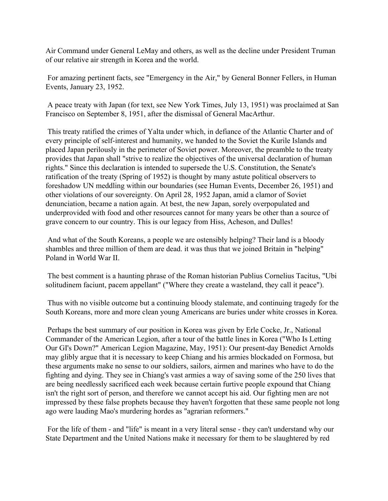Air Command under General LeMay and others, as well as the decline under President Truman of our relative air strength in Korea and the world.

 For amazing pertinent facts, see "Emergency in the Air," by General Bonner Fellers, in Human Events, January 23, 1952.

 A peace treaty with Japan (for text, see New York Times, July 13, 1951) was proclaimed at San Francisco on September 8, 1951, after the dismissal of General MacArthur.

 This treaty ratified the crimes of Yalta under which, in defiance of the Atlantic Charter and of every principle of self-interest and humanity, we handed to the Soviet the Kurile Islands and placed Japan perilously in the perimeter of Soviet power. Moreover, the preamble to the treaty provides that Japan shall "strive to realize the objectives of the universal declaration of human rights." Since this declaration is intended to supersede the U.S. Constitution, the Senate's ratification of the treaty (Spring of 1952) is thought by many astute political observers to foreshadow UN meddling within our boundaries (see Human Events, December 26, 1951) and other violations of our sovereignty. On April 28, 1952 Japan, amid a clamor of Soviet denunciation, became a nation again. At best, the new Japan, sorely overpopulated and underprovided with food and other resources cannot for many years be other than a source of grave concern to our country. This is our legacy from Hiss, Acheson, and Dulles!

 And what of the South Koreans, a people we are ostensibly helping? Their land is a bloody shambles and three million of them are dead. it was thus that we joined Britain in "helping" Poland in World War II.

 The best comment is a haunting phrase of the Roman historian Publius Cornelius Tacitus, "Ubi solitudinem faciunt, pacem appellant" ("Where they create a wasteland, they call it peace").

 Thus with no visible outcome but a continuing bloody stalemate, and continuing tragedy for the South Koreans, more and more clean young Americans are buries under white crosses in Korea.

 Perhaps the best summary of our position in Korea was given by Erle Cocke, Jr., National Commander of the American Legion, after a tour of the battle lines in Korea ("Who Is Letting Our GI's Down?" American Legion Magazine, May, 1951): Our present-day Benedict Arnolds may glibly argue that it is necessary to keep Chiang and his armies blockaded on Formosa, but these arguments make no sense to our soldiers, sailors, airmen and marines who have to do the fighting and dying. They see in Chiang's vast armies a way of saving some of the 250 lives that are being needlessly sacrificed each week because certain furtive people expound that Chiang isn't the right sort of person, and therefore we cannot accept his aid. Our fighting men are not impressed by these false prophets because they haven't forgotten that these same people not long ago were lauding Mao's murdering hordes as "agrarian reformers."

 For the life of them - and "life" is meant in a very literal sense - they can't understand why our State Department and the United Nations make it necessary for them to be slaughtered by red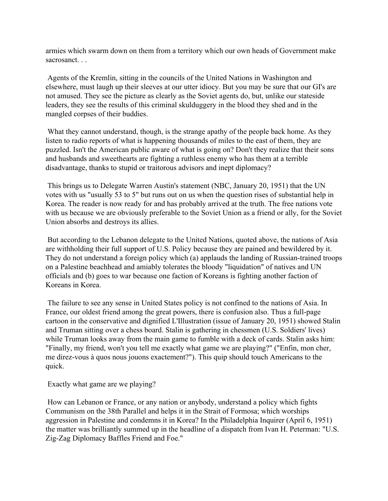armies which swarm down on them from a territory which our own heads of Government make sacrosanct. . .

 Agents of the Kremlin, sitting in the councils of the United Nations in Washington and elsewhere, must laugh up their sleeves at our utter idiocy. But you may be sure that our GI's are not amused. They see the picture as clearly as the Soviet agents do, but, unlike our stateside leaders, they see the results of this criminal skulduggery in the blood they shed and in the mangled corpses of their buddies.

 What they cannot understand, though, is the strange apathy of the people back home. As they listen to radio reports of what is happening thousands of miles to the east of them, they are puzzled. Isn't the American public aware of what is going on? Don't they realize that their sons and husbands and sweethearts are fighting a ruthless enemy who has them at a terrible disadvantage, thanks to stupid or traitorous advisors and inept diplomacy?

 This brings us to Delegate Warren Austin's statement (NBC, January 20, 1951) that the UN votes with us "usually 53 to 5" but runs out on us when the question rises of substantial help in Korea. The reader is now ready for and has probably arrived at the truth. The free nations vote with us because we are obviously preferable to the Soviet Union as a friend or ally, for the Soviet Union absorbs and destroys its allies.

 But according to the Lebanon delegate to the United Nations, quoted above, the nations of Asia are withholding their full support of U.S. Policy because they are pained and bewildered by it. They do not understand a foreign policy which (a) applauds the landing of Russian-trained troops on a Palestine beachhead and amiably tolerates the bloody "liquidation" of natives and UN officials and (b) goes to war because one faction of Koreans is fighting another faction of Koreans in Korea.

 The failure to see any sense in United States policy is not confined to the nations of Asia. In France, our oldest friend among the great powers, there is confusion also. Thus a full-page cartoon in the conservative and dignified L'Illustration (issue of January 20, 1951) showed Stalin and Truman sitting over a chess board. Stalin is gathering in chessmen (U.S. Soldiers' lives) while Truman looks away from the main game to fumble with a deck of cards. Stalin asks him: "Finally, my friend, won't you tell me exactly what game we are playing?" ("Enfin, mon cher, me direz-vous à quos nous jouons exactement?"). This quip should touch Americans to the quick.

Exactly what game are we playing?

 How can Lebanon or France, or any nation or anybody, understand a policy which fights Communism on the 38th Parallel and helps it in the Strait of Formosa; which worships aggression in Palestine and condemns it in Korea? In the Philadelphia Inquirer (April 6, 1951) the matter was brilliantly summed up in the headline of a dispatch from Ivan H. Peterman: "U.S. Zig-Zag Diplomacy Baffles Friend and Foe."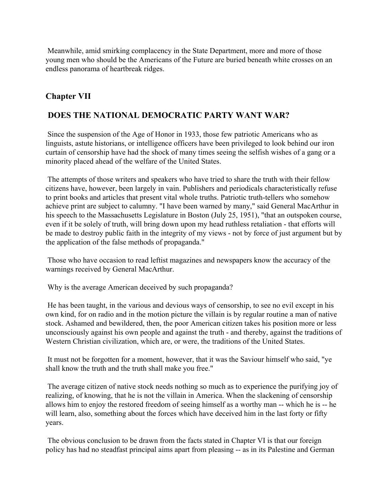Meanwhile, amid smirking complacency in the State Department, more and more of those young men who should be the Americans of the Future are buried beneath white crosses on an endless panorama of heartbreak ridges.

# **Chapter VII**

## **DOES THE NATIONAL DEMOCRATIC PARTY WANT WAR?**

 Since the suspension of the Age of Honor in 1933, those few patriotic Americans who as linguists, astute historians, or intelligence officers have been privileged to look behind our iron curtain of censorship have had the shock of many times seeing the selfish wishes of a gang or a minority placed ahead of the welfare of the United States.

 The attempts of those writers and speakers who have tried to share the truth with their fellow citizens have, however, been largely in vain. Publishers and periodicals characteristically refuse to print books and articles that present vital whole truths. Patriotic truth-tellers who somehow achieve print are subject to calumny. "I have been warned by many," said General MacArthur in his speech to the Massachusetts Legislature in Boston (July 25, 1951), "that an outspoken course, even if it be solely of truth, will bring down upon my head ruthless retaliation - that efforts will be made to destroy public faith in the integrity of my views - not by force of just argument but by the application of the false methods of propaganda."

 Those who have occasion to read leftist magazines and newspapers know the accuracy of the warnings received by General MacArthur.

Why is the average American deceived by such propaganda?

 He has been taught, in the various and devious ways of censorship, to see no evil except in his own kind, for on radio and in the motion picture the villain is by regular routine a man of native stock. Ashamed and bewildered, then, the poor American citizen takes his position more or less unconsciously against his own people and against the truth - and thereby, against the traditions of Western Christian civilization, which are, or were, the traditions of the United States.

 It must not be forgotten for a moment, however, that it was the Saviour himself who said, "ye shall know the truth and the truth shall make you free."

 The average citizen of native stock needs nothing so much as to experience the purifying joy of realizing, of knowing, that he is not the villain in America. When the slackening of censorship allows him to enjoy the restored freedom of seeing himself as a worthy man -- which he is -- he will learn, also, something about the forces which have deceived him in the last forty or fifty years.

 The obvious conclusion to be drawn from the facts stated in Chapter VI is that our foreign policy has had no steadfast principal aims apart from pleasing -- as in its Palestine and German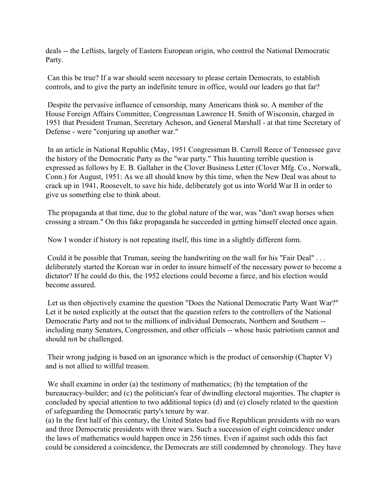deals -- the Leftists, largely of Eastern European origin, who control the National Democratic Party.

 Can this be true? If a war should seem necessary to please certain Democrats, to establish controls, and to give the party an indefinite tenure in office, would our leaders go that far?

 Despite the pervasive influence of censorship, many Americans think so. A member of the House Foreign Affairs Committee, Congressman Lawrence H. Smith of Wisconsin, charged in 1951 that President Truman, Secretary Acheson, and General Marshall - at that time Secretary of Defense - were "conjuring up another war."

 In an article in National Republic (May, 1951 Congressman B. Carroll Reece of Tennessee gave the history of the Democratic Party as the "war party." This haunting terrible question is expressed as follows by E. B. Gallaher in the Clover Business Letter (Clover Mfg. Co., Norwalk, Conn.) for August, 1951: As we all should know by this time, when the New Deal was about to crack up in 1941, Roosevelt, to save his hide, deliberately got us into World War II in order to give us something else to think about.

 The propaganda at that time, due to the global nature of the war, was "don't swap horses when crossing a stream." On this fake propaganda he succeeded in getting himself elected once again.

Now I wonder if history is not repeating itself, this time in a slightly different form.

 Could it be possible that Truman, seeing the handwriting on the wall for his "Fair Deal" . . . deliberately started the Korean war in order to insure himself of the necessary power to become a dictator? If he could do this, the 1952 elections could become a farce, and his election would become assured.

 Let us then objectively examine the question "Does the National Democratic Party Want War?" Let it be noted explicitly at the outset that the question refers to the controllers of the National Democratic Party and not to the millions of individual Democrats, Northern and Southern - including many Senators, Congressmen, and other officials -- whose basic patriotism cannot and should not be challenged.

 Their wrong judging is based on an ignorance which is the product of censorship (Chapter V) and is not allied to willful treason.

We shall examine in order (a) the testimony of mathematics; (b) the temptation of the bureaucracy-builder; and (c) the politician's fear of dwindling electoral majorities. The chapter is concluded by special attention to two additional topics (d) and (e) closely related to the question of safeguarding the Democratic party's tenure by war.

(a) In the first half of this century, the United States had five Republican presidents with no wars and three Democratic presidents with three wars. Such a succession of eight coincidence under the laws of mathematics would happen once in 256 times. Even if against such odds this fact could be considered a coincidence, the Democrats are still condemned by chronology. They have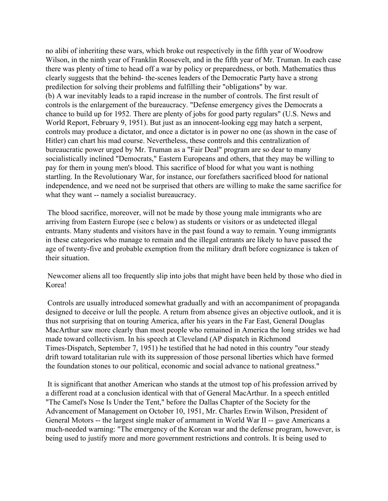no alibi of inheriting these wars, which broke out respectively in the fifth year of Woodrow Wilson, in the ninth year of Franklin Roosevelt, and in the fifth year of Mr. Truman. In each case there was plenty of time to head off a war by policy or preparedness, or both. Mathematics thus clearly suggests that the behind- the-scenes leaders of the Democratic Party have a strong predilection for solving their problems and fulfilling their "obligations" by war. (b) A war inevitably leads to a rapid increase in the number of controls. The first result of controls is the enlargement of the bureaucracy. "Defense emergency gives the Democrats a chance to build up for 1952. There are plenty of jobs for good party regulars" (U.S. News and World Report, February 9, 1951). But just as an innocent-looking egg may hatch a serpent, controls may produce a dictator, and once a dictator is in power no one (as shown in the case of Hitler) can chart his mad course. Nevertheless, these controls and this centralization of bureaucratic power urged by Mr. Truman as a "Fair Deal" program are so dear to many socialistically inclined "Democrats," Eastern Europeans and others, that they may be willing to pay for them in young men's blood. This sacrifice of blood for what you want is nothing startling. In the Revolutionary War, for instance, our forefathers sacrificed blood for national independence, and we need not be surprised that others are willing to make the same sacrifice for what they want -- namely a socialist bureaucracy.

 The blood sacrifice, moreover, will not be made by those young male immigrants who are arriving from Eastern Europe (see c below) as students or visitors or as undetected illegal entrants. Many students and visitors have in the past found a way to remain. Young immigrants in these categories who manage to remain and the illegal entrants are likely to have passed the age of twenty-five and probable exemption from the military draft before cognizance is taken of their situation.

 Newcomer aliens all too frequently slip into jobs that might have been held by those who died in Korea!

 Controls are usually introduced somewhat gradually and with an accompaniment of propaganda designed to deceive or lull the people. A return from absence gives an objective outlook, and it is thus not surprising that on touring America, after his years in the Far East, General Douglas MacArthur saw more clearly than most people who remained in America the long strides we had made toward collectivism. In his speech at Cleveland (AP dispatch in Richmond Times-Dispatch, September 7, 1951) he testified that he had noted in this country "our steady drift toward totalitarian rule with its suppression of those personal liberties which have formed the foundation stones to our political, economic and social advance to national greatness."

 It is significant that another American who stands at the utmost top of his profession arrived by a different road at a conclusion identical with that of General MacArthur. In a speech entitled "The Camel's Nose Is Under the Tent," before the Dallas Chapter of the Society for the Advancement of Management on October 10, 1951, Mr. Charles Erwin Wilson, President of General Motors -- the largest single maker of armament in World War II -- gave Americans a much-needed warning: "The emergency of the Korean war and the defense program, however, is being used to justify more and more government restrictions and controls. It is being used to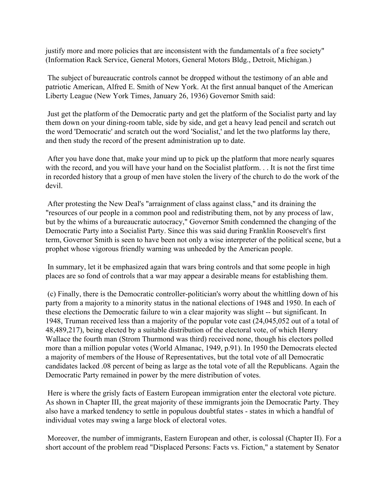justify more and more policies that are inconsistent with the fundamentals of a free society" (Information Rack Service, General Motors, General Motors Bldg., Detroit, Michigan.)

 The subject of bureaucratic controls cannot be dropped without the testimony of an able and patriotic American, Alfred E. Smith of New York. At the first annual banquet of the American Liberty League (New York Times, January 26, 1936) Governor Smith said:

 Just get the platform of the Democratic party and get the platform of the Socialist party and lay them down on your dining-room table, side by side, and get a heavy lead pencil and scratch out the word 'Democratic' and scratch out the word 'Socialist,' and let the two platforms lay there, and then study the record of the present administration up to date.

 After you have done that, make your mind up to pick up the platform that more nearly squares with the record, and you will have your hand on the Socialist platform. . . It is not the first time in recorded history that a group of men have stolen the livery of the church to do the work of the devil.

 After protesting the New Deal's "arraignment of class against class," and its draining the "resources of our people in a common pool and redistributing them, not by any process of law, but by the whims of a bureaucratic autocracy," Governor Smith condemned the changing of the Democratic Party into a Socialist Party. Since this was said during Franklin Roosevelt's first term, Governor Smith is seen to have been not only a wise interpreter of the political scene, but a prophet whose vigorous friendly warning was unheeded by the American people.

 In summary, let it be emphasized again that wars bring controls and that some people in high places are so fond of controls that a war may appear a desirable means for establishing them.

 (c) Finally, there is the Democratic controller-politician's worry about the whittling down of his party from a majority to a minority status in the national elections of 1948 and 1950. In each of these elections the Democratic failure to win a clear majority was slight -- but significant. In 1948, Truman received less than a majority of the popular vote cast (24,045,052 out of a total of 48,489,217), being elected by a suitable distribution of the electoral vote, of which Henry Wallace the fourth man (Strom Thurmond was third) received none, though his electors polled more than a million popular votes (World Almanac, 1949, p.91). In 1950 the Democrats elected a majority of members of the House of Representatives, but the total vote of all Democratic candidates lacked .08 percent of being as large as the total vote of all the Republicans. Again the Democratic Party remained in power by the mere distribution of votes.

 Here is where the grisly facts of Eastern European immigration enter the electoral vote picture. As shown in Chapter III, the great majority of these immigrants join the Democratic Party. They also have a marked tendency to settle in populous doubtful states - states in which a handful of individual votes may swing a large block of electoral votes.

 Moreover, the number of immigrants, Eastern European and other, is colossal (Chapter II). For a short account of the problem read "Displaced Persons: Facts vs. Fiction," a statement by Senator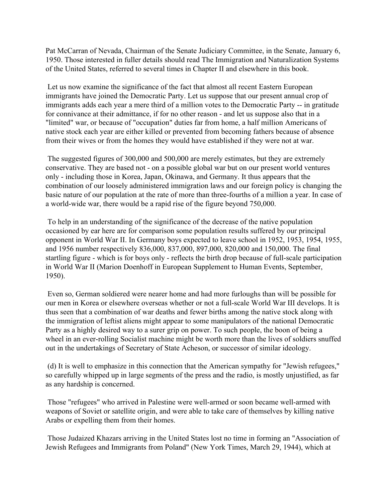Pat McCarran of Nevada, Chairman of the Senate Judiciary Committee, in the Senate, January 6, 1950. Those interested in fuller details should read The Immigration and Naturalization Systems of the United States, referred to several times in Chapter II and elsewhere in this book.

 Let us now examine the significance of the fact that almost all recent Eastern European immigrants have joined the Democratic Party. Let us suppose that our present annual crop of immigrants adds each year a mere third of a million votes to the Democratic Party -- in gratitude for connivance at their admittance, if for no other reason - and let us suppose also that in a "limited" war, or because of "occupation" duties far from home, a half million Americans of native stock each year are either killed or prevented from becoming fathers because of absence from their wives or from the homes they would have established if they were not at war.

 The suggested figures of 300,000 and 500,000 are merely estimates, but they are extremely conservative. They are based not - on a possible global war but on our present world ventures only - including those in Korea, Japan, Okinawa, and Germany. It thus appears that the combination of our loosely administered immigration laws and our foreign policy is changing the basic nature of our population at the rate of more than three-fourths of a million a year. In case of a world-wide war, there would be a rapid rise of the figure beyond 750,000.

 To help in an understanding of the significance of the decrease of the native population occasioned by ear here are for comparison some population results suffered by our principal opponent in World War II. In Germany boys expected to leave school in 1952, 1953, 1954, 1955, and 1956 number respectively 836,000, 837,000, 897,000, 820,000 and 150,000. The final startling figure - which is for boys only - reflects the birth drop because of full-scale participation in World War II (Marion Doenhoff in European Supplement to Human Events, September, 1950).

 Even so, German soldiered were nearer home and had more furloughs than will be possible for our men in Korea or elsewhere overseas whether or not a full-scale World War III develops. It is thus seen that a combination of war deaths and fewer births among the native stock along with the immigration of leftist aliens might appear to some manipulators of the national Democratic Party as a highly desired way to a surer grip on power. To such people, the boon of being a wheel in an ever-rolling Socialist machine might be worth more than the lives of soldiers snuffed out in the undertakings of Secretary of State Acheson, or successor of similar ideology.

 (d) It is well to emphasize in this connection that the American sympathy for "Jewish refugees," so carefully whipped up in large segments of the press and the radio, is mostly unjustified, as far as any hardship is concerned.

 Those "refugees" who arrived in Palestine were well-armed or soon became well-armed with weapons of Soviet or satellite origin, and were able to take care of themselves by killing native Arabs or expelling them from their homes.

 Those Judaized Khazars arriving in the United States lost no time in forming an "Association of Jewish Refugees and Immigrants from Poland" (New York Times, March 29, 1944), which at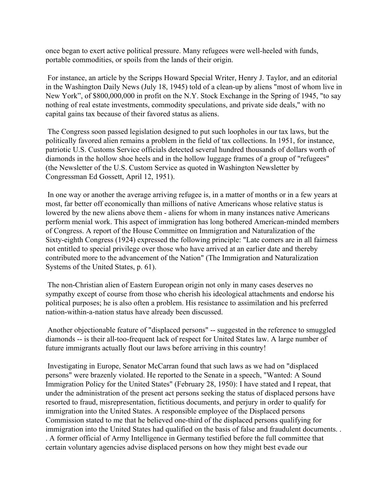once began to exert active political pressure. Many refugees were well-heeled with funds, portable commodities, or spoils from the lands of their origin.

 For instance, an article by the Scripps Howard Special Writer, Henry J. Taylor, and an editorial in the Washington Daily News (July 18, 1945) told of a clean-up by aliens "most of whom live in New York", of \$800,000,000 in profit on the N.Y. Stock Exchange in the Spring of 1945, "to say nothing of real estate investments, commodity speculations, and private side deals," with no capital gains tax because of their favored status as aliens.

 The Congress soon passed legislation designed to put such loopholes in our tax laws, but the politically favored alien remains a problem in the field of tax collections. In 1951, for instance, patriotic U.S. Customs Service officials detected several hundred thousands of dollars worth of diamonds in the hollow shoe heels and in the hollow luggage frames of a group of "refugees" (the Newsletter of the U.S. Custom Service as quoted in Washington Newsletter by Congressman Ed Gossett, April 12, 1951).

 In one way or another the average arriving refugee is, in a matter of months or in a few years at most, far better off economically than millions of native Americans whose relative status is lowered by the new aliens above them - aliens for whom in many instances native Americans perform menial work. This aspect of immigration has long bothered American-minded members of Congress. A report of the House Committee on Immigration and Naturalization of the Sixty-eighth Congress (1924) expressed the following principle: "Late comers are in all fairness not entitled to special privilege over those who have arrived at an earlier date and thereby contributed more to the advancement of the Nation" (The Immigration and Naturalization Systems of the United States, p. 61).

 The non-Christian alien of Eastern European origin not only in many cases deserves no sympathy except of course from those who cherish his ideological attachments and endorse his political purposes; he is also often a problem. His resistance to assimilation and his preferred nation-within-a-nation status have already been discussed.

 Another objectionable feature of "displaced persons" -- suggested in the reference to smuggled diamonds -- is their all-too-frequent lack of respect for United States law. A large number of future immigrants actually flout our laws before arriving in this country!

 Investigating in Europe, Senator McCarran found that such laws as we had on "displaced persons" were brazenly violated. He reported to the Senate in a speech, "Wanted: A Sound Immigration Policy for the United States" (February 28, 1950): I have stated and I repeat, that under the administration of the present act persons seeking the status of displaced persons have resorted to fraud, misrepresentation, fictitious documents, and perjury in order to qualify for immigration into the United States. A responsible employee of the Displaced persons Commission stated to me that he believed one-third of the displaced persons qualifying for immigration into the United States had qualified on the basis of false and fraudulent documents. . . A former official of Army Intelligence in Germany testified before the full committee that certain voluntary agencies advise displaced persons on how they might best evade our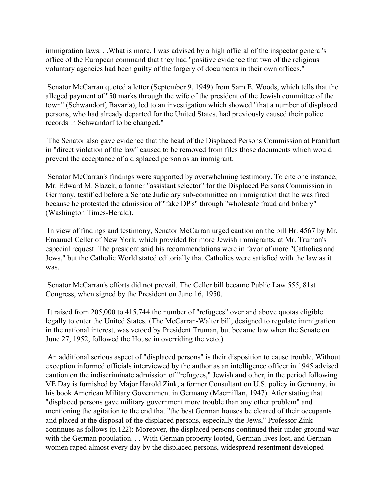immigration laws. . .What is more, I was advised by a high official of the inspector general's office of the European command that they had "positive evidence that two of the religious voluntary agencies had been guilty of the forgery of documents in their own offices."

 Senator McCarran quoted a letter (September 9, 1949) from Sam E. Woods, which tells that the alleged payment of "50 marks through the wife of the president of the Jewish committee of the town" (Schwandorf, Bavaria), led to an investigation which showed "that a number of displaced persons, who had already departed for the United States, had previously caused their police records in Schwandorf to be changed."

 The Senator also gave evidence that the head of the Displaced Persons Commission at Frankfurt in "direct violation of the law" caused to be removed from files those documents which would prevent the acceptance of a displaced person as an immigrant.

 Senator McCarran's findings were supported by overwhelming testimony. To cite one instance, Mr. Edward M. Slazek, a former "assistant selector" for the Displaced Persons Commission in Germany, testified before a Senate Judiciary sub-committee on immigration that he was fired because he protested the admission of "fake DP's" through "wholesale fraud and bribery" (Washington Times-Herald).

 In view of findings and testimony, Senator McCarran urged caution on the bill Hr. 4567 by Mr. Emanuel Celler of New York, which provided for more Jewish immigrants, at Mr. Truman's especial request. The president said his recommendations were in favor of more "Catholics and Jews," but the Catholic World stated editorially that Catholics were satisfied with the law as it was.

 Senator McCarran's efforts did not prevail. The Celler bill became Public Law 555, 81st Congress, when signed by the President on June 16, 1950.

 It raised from 205,000 to 415,744 the number of "refugees" over and above quotas eligible legally to enter the United States. (The McCarran-Walter bill, designed to regulate immigration in the national interest, was vetoed by President Truman, but became law when the Senate on June 27, 1952, followed the House in overriding the veto.)

 An additional serious aspect of "displaced persons" is their disposition to cause trouble. Without exception informed officials interviewed by the author as an intelligence officer in 1945 advised caution on the indiscriminate admission of "refugees," Jewish and other, in the period following VE Day is furnished by Major Harold Zink, a former Consultant on U.S. policy in Germany, in his book American Military Government in Germany (Macmillan, 1947). After stating that "displaced persons gave military government more trouble than any other problem" and mentioning the agitation to the end that "the best German houses be cleared of their occupants and placed at the disposal of the displaced persons, especially the Jews," Professor Zink continues as follows (p.122): Moreover, the displaced persons continued their under-ground war with the German population. . . With German property looted, German lives lost, and German women raped almost every day by the displaced persons, widespread resentment developed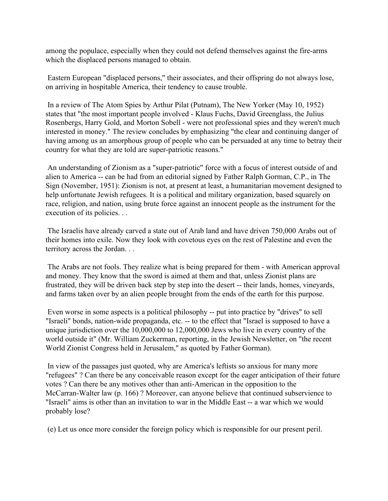among the populace, especially when they could not defend themselves against the fire-arms which the displaced persons managed to obtain.

 Eastern European "displaced persons," their associates, and their offspring do not always lose, on arriving in hospitable America, their tendency to cause trouble.

 In a review of The Atom Spies by Arthur Pilat (Putnam), The New Yorker (May 10, 1952) states that "the most important people involved - Klaus Fuchs, David Greenglass, the Julius Rosenbergs, Harry Gold, and Morton Sobell - were not professional spies and they weren't much interested in money." The review concludes by emphasizing "the clear and continuing danger of having among us an amorphous group of people who can be persuaded at any time to betray their country for what they are told are super-patriotic reasons."

 An understanding of Zionism as a "super-patriotic" force with a focus of interest outside of and alien to America -- can be had from an editorial signed by Father Ralph Gorman, C.P., in The Sign (November, 1951): Zionism is not, at present at least, a humanitarian movement designed to help unfortunate Jewish refugees. It is a political and military organization, based squarely on race, religion, and nation, using brute force against an innocent people as the instrument for the execution of its policies. . .

 The Israelis have already carved a state out of Arab land and have driven 750,000 Arabs out of their homes into exile. Now they look with covetous eyes on the rest of Palestine and even the territory across the Jordan. . .

 The Arabs are not fools. They realize what is being prepared for them - with American approval and money. They know that the sword is aimed at them and that, unless Zionist plans are frustrated, they will be driven back step by step into the desert -- their lands, homes, vineyards, and farms taken over by an alien people brought from the ends of the earth for this purpose.

 Even worse in some aspects is a political philosophy -- put into practice by "drives" to sell "Israeli" bonds, nation-wide propaganda, etc. -- to the effect that "Israel is supposed to have a unique jurisdiction over the 10,000,000 to 12,000,000 Jews who live in every country of the world outside it" (Mr. William Zuckerman, reporting, in the Jewish Newsletter, on "the recent World Zionist Congress held in Jerusalem," as quoted by Father Gorman).

 In view of the passages just quoted, why are America's leftists so anxious for many more "refugees" ? Can there be any conceivable reason except for the eager anticipation of their future votes ? Can there be any motives other than anti-American in the opposition to the McCarran-Walter law (p. 166) ? Moreover, can anyone believe that continued subservience to "Israeli" aims is other than an invitation to war in the Middle East -- a war which we would probably lose?

(e) Let us once more consider the foreign policy which is responsible for our present peril.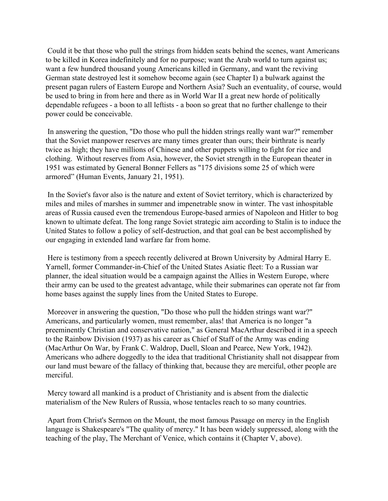Could it be that those who pull the strings from hidden seats behind the scenes, want Americans to be killed in Korea indefinitely and for no purpose; want the Arab world to turn against us; want a few hundred thousand young Americans killed in Germany, and want the reviving German state destroyed lest it somehow become again (see Chapter I) a bulwark against the present pagan rulers of Eastern Europe and Northern Asia? Such an eventuality, of course, would be used to bring in from here and there as in World War II a great new horde of politically dependable refugees - a boon to all leftists - a boon so great that no further challenge to their power could be conceivable.

 In answering the question, "Do those who pull the hidden strings really want war?" remember that the Soviet manpower reserves are many times greater than ours; their birthrate is nearly twice as high; they have millions of Chinese and other puppets willing to fight for rice and clothing. Without reserves from Asia, however, the Soviet strength in the European theater in 1951 was estimated by General Bonner Fellers as "175 divisions some 25 of which were armored" (Human Events, January 21, 1951).

 In the Soviet's favor also is the nature and extent of Soviet territory, which is characterized by miles and miles of marshes in summer and impenetrable snow in winter. The vast inhospitable areas of Russia caused even the tremendous Europe-based armies of Napoleon and Hitler to bog known to ultimate defeat. The long range Soviet strategic aim according to Stalin is to induce the United States to follow a policy of self-destruction, and that goal can be best accomplished by our engaging in extended land warfare far from home.

 Here is testimony from a speech recently delivered at Brown University by Admiral Harry E. Yarnell, former Commander-in-Chief of the United States Asiatic fleet: To a Russian war planner, the ideal situation would be a campaign against the Allies in Western Europe, where their army can be used to the greatest advantage, while their submarines can operate not far from home bases against the supply lines from the United States to Europe.

 Moreover in answering the question, "Do those who pull the hidden strings want war?" Americans, and particularly women, must remember, alas! that America is no longer "a preeminently Christian and conservative nation," as General MacArthur described it in a speech to the Rainbow Division (1937) as his career as Chief of Staff of the Army was ending (MacArthur On War, by Frank C. Waldrop, Duell, Sloan and Pearce, New York, 1942). Americans who adhere doggedly to the idea that traditional Christianity shall not disappear from our land must beware of the fallacy of thinking that, because they are merciful, other people are merciful.

 Mercy toward all mankind is a product of Christianity and is absent from the dialectic materialism of the New Rulers of Russia, whose tentacles reach to so many countries.

 Apart from Christ's Sermon on the Mount, the most famous Passage on mercy in the English language is Shakespeare's "The quality of mercy." It has been widely suppressed, along with the teaching of the play, The Merchant of Venice, which contains it (Chapter V, above).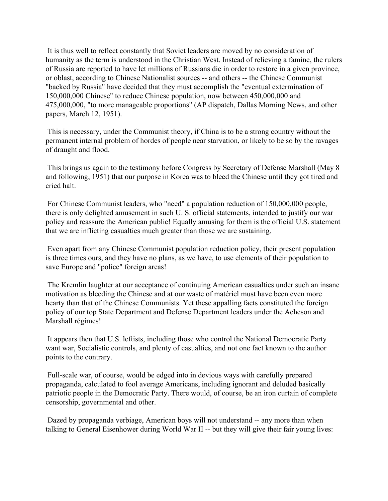It is thus well to reflect constantly that Soviet leaders are moved by no consideration of humanity as the term is understood in the Christian West. Instead of relieving a famine, the rulers of Russia are reported to have let millions of Russians die in order to restore in a given province, or oblast, according to Chinese Nationalist sources -- and others -- the Chinese Communist "backed by Russia" have decided that they must accomplish the "eventual extermination of 150,000,000 Chinese" to reduce Chinese population, now between 450,000,000 and 475,000,000, "to more manageable proportions" (AP dispatch, Dallas Morning News, and other papers, March 12, 1951).

 This is necessary, under the Communist theory, if China is to be a strong country without the permanent internal problem of hordes of people near starvation, or likely to be so by the ravages of draught and flood.

 This brings us again to the testimony before Congress by Secretary of Defense Marshall (May 8 and following, 1951) that our purpose in Korea was to bleed the Chinese until they got tired and cried halt.

 For Chinese Communist leaders, who "need" a population reduction of 150,000,000 people, there is only delighted amusement in such U. S. official statements, intended to justify our war policy and reassure the American public! Equally amusing for them is the official U.S. statement that we are inflicting casualties much greater than those we are sustaining.

 Even apart from any Chinese Communist population reduction policy, their present population is three times ours, and they have no plans, as we have, to use elements of their population to save Europe and "police" foreign areas!

 The Kremlin laughter at our acceptance of continuing American casualties under such an insane motivation as bleeding the Chinese and at our waste of matériel must have been even more hearty than that of the Chinese Communists. Yet these appalling facts constituted the foreign policy of our top State Department and Defense Department leaders under the Acheson and Marshall régimes!

 It appears then that U.S. leftists, including those who control the National Democratic Party want war, Socialistic controls, and plenty of casualties, and not one fact known to the author points to the contrary.

 Full-scale war, of course, would be edged into in devious ways with carefully prepared propaganda, calculated to fool average Americans, including ignorant and deluded basically patriotic people in the Democratic Party. There would, of course, be an iron curtain of complete censorship, governmental and other.

 Dazed by propaganda verbiage, American boys will not understand -- any more than when talking to General Eisenhower during World War II -- but they will give their fair young lives: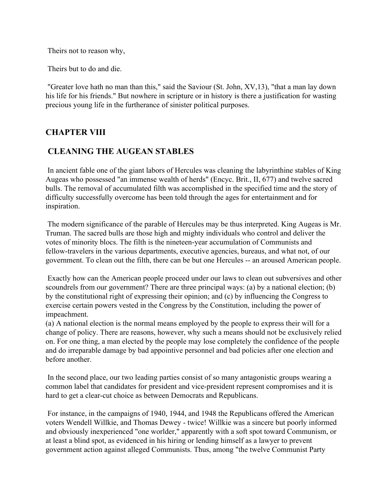Theirs not to reason why,

Theirs but to do and die.

 "Greater love hath no man than this," said the Saviour (St. John, XV,13), "that a man lay down his life for his friends." But nowhere in scripture or in history is there a justification for wasting precious young life in the furtherance of sinister political purposes.

# **CHAPTER VIII**

# **CLEANING THE AUGEAN STABLES**

 In ancient fable one of the giant labors of Hercules was cleaning the labyrinthine stables of King Augeas who possessed "an immense wealth of herds" (Encyc. Brit., II, 677) and twelve sacred bulls. The removal of accumulated filth was accomplished in the specified time and the story of difficulty successfully overcome has been told through the ages for entertainment and for inspiration.

 The modern significance of the parable of Hercules may be thus interpreted. King Augeas is Mr. Truman. The sacred bulls are those high and mighty individuals who control and deliver the votes of minority blocs. The filth is the nineteen-year accumulation of Communists and fellow-travelers in the various departments, executive agencies, bureaus, and what not, of our government. To clean out the filth, there can be but one Hercules -- an aroused American people.

 Exactly how can the American people proceed under our laws to clean out subversives and other scoundrels from our government? There are three principal ways: (a) by a national election; (b) by the constitutional right of expressing their opinion; and (c) by influencing the Congress to exercise certain powers vested in the Congress by the Constitution, including the power of impeachment.

(a) A national election is the normal means employed by the people to express their will for a change of policy. There are reasons, however, why such a means should not be exclusively relied on. For one thing, a man elected by the people may lose completely the confidence of the people and do irreparable damage by bad appointive personnel and bad policies after one election and before another.

 In the second place, our two leading parties consist of so many antagonistic groups wearing a common label that candidates for president and vice-president represent compromises and it is hard to get a clear-cut choice as between Democrats and Republicans.

 For instance, in the campaigns of 1940, 1944, and 1948 the Republicans offered the American voters Wendell Willkie, and Thomas Dewey - twice! Willkie was a sincere but poorly informed and obviously inexperienced "one worlder," apparently with a soft spot toward Communism, or at least a blind spot, as evidenced in his hiring or lending himself as a lawyer to prevent government action against alleged Communists. Thus, among "the twelve Communist Party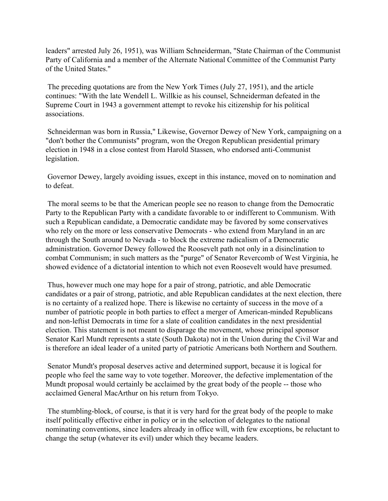leaders" arrested July 26, 1951), was William Schneiderman, "State Chairman of the Communist Party of California and a member of the Alternate National Committee of the Communist Party of the United States."

 The preceding quotations are from the New York Times (July 27, 1951), and the article continues: "With the late Wendell L. Willkie as his counsel, Schneiderman defeated in the Supreme Court in 1943 a government attempt to revoke his citizenship for his political associations.

 Schneiderman was born in Russia," Likewise, Governor Dewey of New York, campaigning on a "don't bother the Communists" program, won the Oregon Republican presidential primary election in 1948 in a close contest from Harold Stassen, who endorsed anti-Communist legislation.

 Governor Dewey, largely avoiding issues, except in this instance, moved on to nomination and to defeat.

 The moral seems to be that the American people see no reason to change from the Democratic Party to the Republican Party with a candidate favorable to or indifferent to Communism. With such a Republican candidate, a Democratic candidate may be favored by some conservatives who rely on the more or less conservative Democrats - who extend from Maryland in an arc through the South around to Nevada - to block the extreme radicalism of a Democratic administration. Governor Dewey followed the Roosevelt path not only in a disinclination to combat Communism; in such matters as the "purge" of Senator Revercomb of West Virginia, he showed evidence of a dictatorial intention to which not even Roosevelt would have presumed.

 Thus, however much one may hope for a pair of strong, patriotic, and able Democratic candidates or a pair of strong, patriotic, and able Republican candidates at the next election, there is no certainty of a realized hope. There is likewise no certainty of success in the move of a number of patriotic people in both parties to effect a merger of American-minded Republicans and non-leftist Democrats in time for a slate of coalition candidates in the next presidential election. This statement is not meant to disparage the movement, whose principal sponsor Senator Karl Mundt represents a state (South Dakota) not in the Union during the Civil War and is therefore an ideal leader of a united party of patriotic Americans both Northern and Southern.

 Senator Mundt's proposal deserves active and determined support, because it is logical for people who feel the same way to vote together. Moreover, the defective implementation of the Mundt proposal would certainly be acclaimed by the great body of the people -- those who acclaimed General MacArthur on his return from Tokyo.

 The stumbling-block, of course, is that it is very hard for the great body of the people to make itself politically effective either in policy or in the selection of delegates to the national nominating conventions, since leaders already in office will, with few exceptions, be reluctant to change the setup (whatever its evil) under which they became leaders.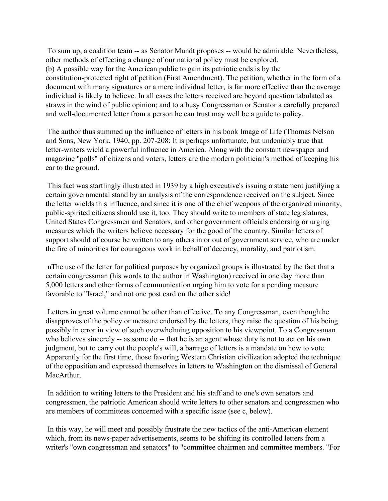To sum up, a coalition team -- as Senator Mundt proposes -- would be admirable. Nevertheless, other methods of effecting a change of our national policy must be explored. (b) A possible way for the American public to gain its patriotic ends is by the constitution-protected right of petition (First Amendment). The petition, whether in the form of a document with many signatures or a mere individual letter, is far more effective than the average individual is likely to believe. In all cases the letters received are beyond question tabulated as straws in the wind of public opinion; and to a busy Congressman or Senator a carefully prepared and well-documented letter from a person he can trust may well be a guide to policy.

 The author thus summed up the influence of letters in his book Image of Life (Thomas Nelson and Sons, New York, 1940, pp. 207-208: It is perhaps unfortunate, but undeniably true that letter-writers wield a powerful influence in America. Along with the constant newspaper and magazine "polls" of citizens and voters, letters are the modern politician's method of keeping his ear to the ground.

 This fact was startlingly illustrated in 1939 by a high executive's issuing a statement justifying a certain governmental stand by an analysis of the correspondence received on the subject. Since the letter wields this influence, and since it is one of the chief weapons of the organized minority, public-spirited citizens should use it, too. They should write to members of state legislatures, United States Congressmen and Senators, and other government officials endorsing or urging measures which the writers believe necessary for the good of the country. Similar letters of support should of course be written to any others in or out of government service, who are under the fire of minorities for courageous work in behalf of decency, morality, and patriotism.

 nThe use of the letter for political purposes by organized groups is illustrated by the fact that a certain congressman (his words to the author in Washington) received in one day more than 5,000 letters and other forms of communication urging him to vote for a pending measure favorable to "Israel," and not one post card on the other side!

 Letters in great volume cannot be other than effective. To any Congressman, even though he disapproves of the policy or measure endorsed by the letters, they raise the question of his being possibly in error in view of such overwhelming opposition to his viewpoint. To a Congressman who believes sincerely -- as some do -- that he is an agent whose duty is not to act on his own judgment, but to carry out the people's will, a barrage of letters is a mandate on how to vote. Apparently for the first time, those favoring Western Christian civilization adopted the technique of the opposition and expressed themselves in letters to Washington on the dismissal of General MacArthur.

 In addition to writing letters to the President and his staff and to one's own senators and congressmen, the patriotic American should write letters to other senators and congressmen who are members of committees concerned with a specific issue (see c, below).

 In this way, he will meet and possibly frustrate the new tactics of the anti-American element which, from its news-paper advertisements, seems to be shifting its controlled letters from a writer's "own congressman and senators" to "committee chairmen and committee members. "For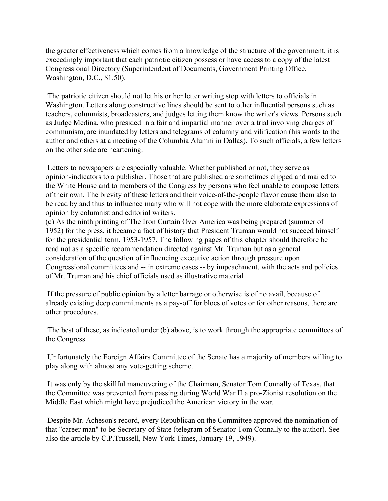the greater effectiveness which comes from a knowledge of the structure of the government, it is exceedingly important that each patriotic citizen possess or have access to a copy of the latest Congressional Directory (Superintendent of Documents, Government Printing Office, Washington, D.C., \$1.50).

 The patriotic citizen should not let his or her letter writing stop with letters to officials in Washington. Letters along constructive lines should be sent to other influential persons such as teachers, columnists, broadcasters, and judges letting them know the writer's views. Persons such as Judge Medina, who presided in a fair and impartial manner over a trial involving charges of communism, are inundated by letters and telegrams of calumny and vilification (his words to the author and others at a meeting of the Columbia Alumni in Dallas). To such officials, a few letters on the other side are heartening.

 Letters to newspapers are especially valuable. Whether published or not, they serve as opinion-indicators to a publisher. Those that are published are sometimes clipped and mailed to the White House and to members of the Congress by persons who feel unable to compose letters of their own. The brevity of these letters and their voice-of-the-people flavor cause them also to be read by and thus to influence many who will not cope with the more elaborate expressions of opinion by columnist and editorial writers.

(c) As the ninth printing of The Iron Curtain Over America was being prepared (summer of 1952) for the press, it became a fact of history that President Truman would not succeed himself for the presidential term, 1953-1957. The following pages of this chapter should therefore be read not as a specific recommendation directed against Mr. Truman but as a general consideration of the question of influencing executive action through pressure upon Congressional committees and -- in extreme cases -- by impeachment, with the acts and policies of Mr. Truman and his chief officials used as illustrative material.

 If the pressure of public opinion by a letter barrage or otherwise is of no avail, because of already existing deep commitments as a pay-off for blocs of votes or for other reasons, there are other procedures.

 The best of these, as indicated under (b) above, is to work through the appropriate committees of the Congress.

 Unfortunately the Foreign Affairs Committee of the Senate has a majority of members willing to play along with almost any vote-getting scheme.

 It was only by the skillful maneuvering of the Chairman, Senator Tom Connally of Texas, that the Committee was prevented from passing during World War II a pro-Zionist resolution on the Middle East which might have prejudiced the American victory in the war.

 Despite Mr. Acheson's record, every Republican on the Committee approved the nomination of that "career man" to be Secretary of State (telegram of Senator Tom Connally to the author). See also the article by C.P.Trussell, New York Times, January 19, 1949).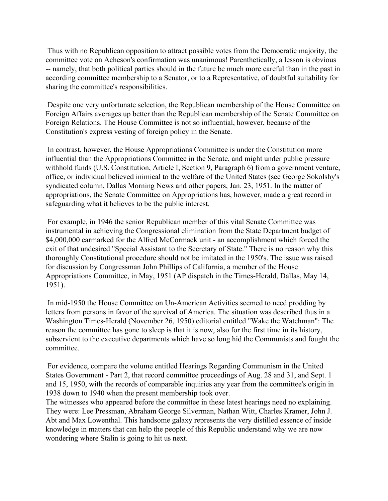Thus with no Republican opposition to attract possible votes from the Democratic majority, the committee vote on Acheson's confirmation was unanimous! Parenthetically, a lesson is obvious -- namely, that both political parties should in the future be much more careful than in the past in according committee membership to a Senator, or to a Representative, of doubtful suitability for sharing the committee's responsibilities.

 Despite one very unfortunate selection, the Republican membership of the House Committee on Foreign Affairs averages up better than the Republican membership of the Senate Committee on Foreign Relations. The House Committee is not so influential, however, because of the Constitution's express vesting of foreign policy in the Senate.

 In contrast, however, the House Appropriations Committee is under the Constitution more influential than the Appropriations Committee in the Senate, and might under public pressure withhold funds (U.S. Constitution, Article I, Section 9, Paragraph 6) from a government venture, office, or individual believed inimical to the welfare of the United States (see George Sokolshy's syndicated column, Dallas Morning News and other papers, Jan. 23, 1951. In the matter of appropriations, the Senate Committee on Appropriations has, however, made a great record in safeguarding what it believes to be the public interest.

 For example, in 1946 the senior Republican member of this vital Senate Committee was instrumental in achieving the Congressional elimination from the State Department budget of \$4,000,000 earmarked for the Alfred McCormack unit - an accomplishment which forced the exit of that undesired "Special Assistant to the Secretary of State." There is no reason why this thoroughly Constitutional procedure should not be imitated in the 1950's. The issue was raised for discussion by Congressman John Phillips of California, a member of the House Appropriations Committee, in May, 1951 (AP dispatch in the Times-Herald, Dallas, May 14, 1951).

 In mid-1950 the House Committee on Un-American Activities seemed to need prodding by letters from persons in favor of the survival of America. The situation was described thus in a Washington Times-Herald (November 26, 1950) editorial entitled "Wake the Watchman": The reason the committee has gone to sleep is that it is now, also for the first time in its history, subservient to the executive departments which have so long hid the Communists and fought the committee.

 For evidence, compare the volume entitled Hearings Regarding Communism in the United States Government - Part 2, that record committee proceedings of Aug. 28 and 31, and Sept. 1 and 15, 1950, with the records of comparable inquiries any year from the committee's origin in 1938 down to 1940 when the present membership took over.

The witnesses who appeared before the committee in these latest hearings need no explaining. They were: Lee Pressman, Abraham George Silverman, Nathan Witt, Charles Kramer, John J. Abt and Max Lowenthal. This handsome galaxy represents the very distilled essence of inside knowledge in matters that can help the people of this Republic understand why we are now wondering where Stalin is going to hit us next.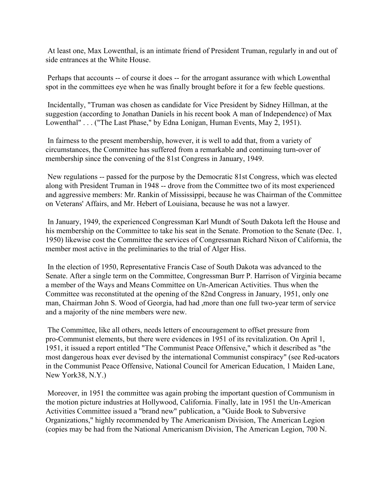At least one, Max Lowenthal, is an intimate friend of President Truman, regularly in and out of side entrances at the White House.

 Perhaps that accounts -- of course it does -- for the arrogant assurance with which Lowenthal spot in the committees eye when he was finally brought before it for a few feeble questions.

 Incidentally, "Truman was chosen as candidate for Vice President by Sidney Hillman, at the suggestion (according to Jonathan Daniels in his recent book A man of Independence) of Max Lowenthal" . . . ("The Last Phase," by Edna Lonigan, Human Events, May 2, 1951).

 In fairness to the present membership, however, it is well to add that, from a variety of circumstances, the Committee has suffered from a remarkable and continuing turn-over of membership since the convening of the 81st Congress in January, 1949.

 New regulations -- passed for the purpose by the Democratic 81st Congress, which was elected along with President Truman in 1948 -- drove from the Committee two of its most experienced and aggressive members: Mr. Rankin of Mississippi, because he was Chairman of the Committee on Veterans' Affairs, and Mr. Hebert of Louisiana, because he was not a lawyer.

 In January, 1949, the experienced Congressman Karl Mundt of South Dakota left the House and his membership on the Committee to take his seat in the Senate. Promotion to the Senate (Dec. 1, 1950) likewise cost the Committee the services of Congressman Richard Nixon of California, the member most active in the preliminaries to the trial of Alger Hiss.

 In the election of 1950, Representative Francis Case of South Dakota was advanced to the Senate. After a single term on the Committee, Congressman Burr P. Harrison of Virginia became a member of the Ways and Means Committee on Un-American Activities. Thus when the Committee was reconstituted at the opening of the 82nd Congress in January, 1951, only one man, Chairman John S. Wood of Georgia, had had ,more than one full two-year term of service and a majority of the nine members were new.

 The Committee, like all others, needs letters of encouragement to offset pressure from pro-Communist elements, but there were evidences in 1951 of its revitalization. On April 1, 1951, it issued a report entitled "The Communist Peace Offensive," which it described as "the most dangerous hoax ever devised by the international Communist conspiracy" (see Red-ucators in the Communist Peace Offensive, National Council for American Education, 1 Maiden Lane, New York38, N.Y.)

 Moreover, in 1951 the committee was again probing the important question of Communism in the motion picture industries at Hollywood, California. Finally, late in 1951 the Un-American Activities Committee issued a "brand new" publication, a "Guide Book to Subversive Organizations," highly recommended by The Americanism Division, The American Legion (copies may be had from the National Americanism Division, The American Legion, 700 N.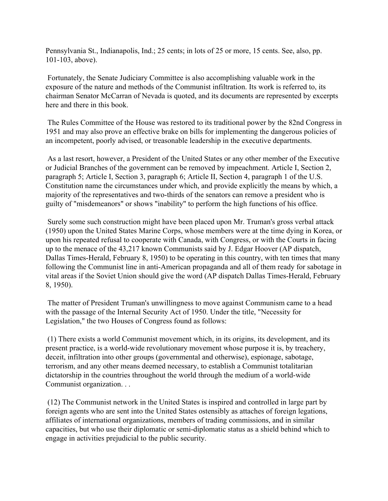Pennsylvania St., Indianapolis, Ind.; 25 cents; in lots of 25 or more, 15 cents. See, also, pp. 101-103, above).

 Fortunately, the Senate Judiciary Committee is also accomplishing valuable work in the exposure of the nature and methods of the Communist infiltration. Its work is referred to, its chairman Senator McCarran of Nevada is quoted, and its documents are represented by excerpts here and there in this book.

 The Rules Committee of the House was restored to its traditional power by the 82nd Congress in 1951 and may also prove an effective brake on bills for implementing the dangerous policies of an incompetent, poorly advised, or treasonable leadership in the executive departments.

 As a last resort, however, a President of the United States or any other member of the Executive or Judicial Branches of the government can be removed by impeachment. Article I, Section 2, paragraph 5; Article I, Section 3, paragraph 6; Article II, Section 4, paragraph 1 of the U.S. Constitution name the circumstances under which, and provide explicitly the means by which, a majority of the representatives and two-thirds of the senators can remove a president who is guilty of "misdemeanors" or shows "inability" to perform the high functions of his office.

 Surely some such construction might have been placed upon Mr. Truman's gross verbal attack (1950) upon the United States Marine Corps, whose members were at the time dying in Korea, or upon his repeated refusal to cooperate with Canada, with Congress, or with the Courts in facing up to the menace of the 43,217 known Communists said by J. Edgar Hoover (AP dispatch, Dallas Times-Herald, February 8, 1950) to be operating in this country, with ten times that many following the Communist line in anti-American propaganda and all of them ready for sabotage in vital areas if the Soviet Union should give the word (AP dispatch Dallas Times-Herald, February 8, 1950).

 The matter of President Truman's unwillingness to move against Communism came to a head with the passage of the Internal Security Act of 1950. Under the title, "Necessity for Legislation," the two Houses of Congress found as follows:

 (1) There exists a world Communist movement which, in its origins, its development, and its present practice, is a world-wide revolutionary movement whose purpose it is, by treachery, deceit, infiltration into other groups (governmental and otherwise), espionage, sabotage, terrorism, and any other means deemed necessary, to establish a Communist totalitarian dictatorship in the countries throughout the world through the medium of a world-wide Communist organization. . .

 (12) The Communist network in the United States is inspired and controlled in large part by foreign agents who are sent into the United States ostensibly as attaches of foreign legations, affiliates of international organizations, members of trading commissions, and in similar capacities, but who use their diplomatic or semi-diplomatic status as a shield behind which to engage in activities prejudicial to the public security.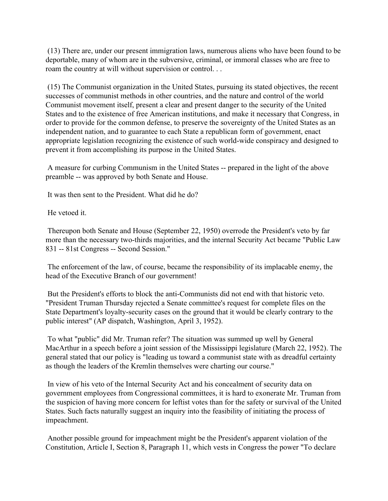(13) There are, under our present immigration laws, numerous aliens who have been found to be deportable, many of whom are in the subversive, criminal, or immoral classes who are free to roam the country at will without supervision or control. . .

 (15) The Communist organization in the United States, pursuing its stated objectives, the recent successes of communist methods in other countries, and the nature and control of the world Communist movement itself, present a clear and present danger to the security of the United States and to the existence of free American institutions, and make it necessary that Congress, in order to provide for the common defense, to preserve the sovereignty of the United States as an independent nation, and to guarantee to each State a republican form of government, enact appropriate legislation recognizing the existence of such world-wide conspiracy and designed to prevent it from accomplishing its purpose in the United States.

 A measure for curbing Communism in the United States -- prepared in the light of the above preamble -- was approved by both Senate and House.

It was then sent to the President. What did he do?

He vetoed it.

 Thereupon both Senate and House (September 22, 1950) overrode the President's veto by far more than the necessary two-thirds majorities, and the internal Security Act became "Public Law 831 -- 81st Congress -- Second Session."

 The enforcement of the law, of course, became the responsibility of its implacable enemy, the head of the Executive Branch of our government!

 But the President's efforts to block the anti-Communists did not end with that historic veto. "President Truman Thursday rejected a Senate committee's request for complete files on the State Department's loyalty-security cases on the ground that it would be clearly contrary to the public interest" (AP dispatch, Washington, April 3, 1952).

 To what "public" did Mr. Truman refer? The situation was summed up well by General MacArthur in a speech before a joint session of the Mississippi legislature (March 22, 1952). The general stated that our policy is "leading us toward a communist state with as dreadful certainty as though the leaders of the Kremlin themselves were charting our course."

 In view of his veto of the Internal Security Act and his concealment of security data on government employees from Congressional committees, it is hard to exonerate Mr. Truman from the suspicion of having more concern for leftist votes than for the safety or survival of the United States. Such facts naturally suggest an inquiry into the feasibility of initiating the process of impeachment.

 Another possible ground for impeachment might be the President's apparent violation of the Constitution, Article I, Section 8, Paragraph 11, which vests in Congress the power "To declare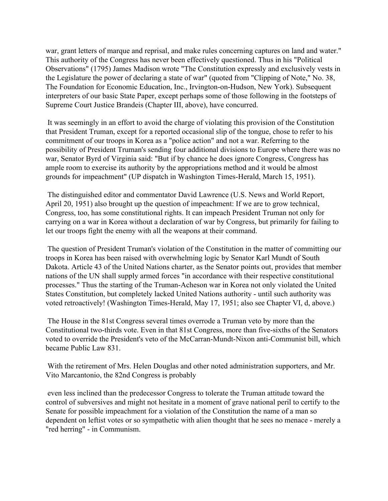war, grant letters of marque and reprisal, and make rules concerning captures on land and water." This authority of the Congress has never been effectively questioned. Thus in his "Political Observations" (1795) James Madison wrote "The Constitution expressly and exclusively vests in the Legislature the power of declaring a state of war" (quoted from "Clipping of Note," No. 38, The Foundation for Economic Education, Inc., Irvington-on-Hudson, New York). Subsequent interpreters of our basic State Paper, except perhaps some of those following in the footsteps of Supreme Court Justice Brandeis (Chapter III, above), have concurred.

 It was seemingly in an effort to avoid the charge of violating this provision of the Constitution that President Truman, except for a reported occasional slip of the tongue, chose to refer to his commitment of our troops in Korea as a "police action" and not a war. Referring to the possibility of President Truman's sending four additional divisions to Europe where there was no war, Senator Byrd of Virginia said: "But if by chance he does ignore Congress, Congress has ample room to exercise its authority by the appropriations method and it would be almost grounds for impeachment" (UP dispatch in Washington Times-Herald, March 15, 1951).

 The distinguished editor and commentator David Lawrence (U.S. News and World Report, April 20, 1951) also brought up the question of impeachment: If we are to grow technical, Congress, too, has some constitutional rights. It can impeach President Truman not only for carrying on a war in Korea without a declaration of war by Congress, but primarily for failing to let our troops fight the enemy with all the weapons at their command.

 The question of President Truman's violation of the Constitution in the matter of committing our troops in Korea has been raised with overwhelming logic by Senator Karl Mundt of South Dakota. Article 43 of the United Nations charter, as the Senator points out, provides that member nations of the UN shall supply armed forces "in accordance with their respective constitutional processes." Thus the starting of the Truman-Acheson war in Korea not only violated the United States Constitution, but completely lacked United Nations authority - until such authority was voted retroactively! (Washington Times-Herald, May 17, 1951; also see Chapter VI, d, above.)

 The House in the 81st Congress several times overrode a Truman veto by more than the Constitutional two-thirds vote. Even in that 81st Congress, more than five-sixths of the Senators voted to override the President's veto of the McCarran-Mundt-Nixon anti-Communist bill, which became Public Law 831.

 With the retirement of Mrs. Helen Douglas and other noted administration supporters, and Mr. Vito Marcantonio, the 82nd Congress is probably

 even less inclined than the predecessor Congress to tolerate the Truman attitude toward the control of subversives and might not hesitate in a moment of grave national peril to certify to the Senate for possible impeachment for a violation of the Constitution the name of a man so dependent on leftist votes or so sympathetic with alien thought that he sees no menace - merely a "red herring" - in Communism.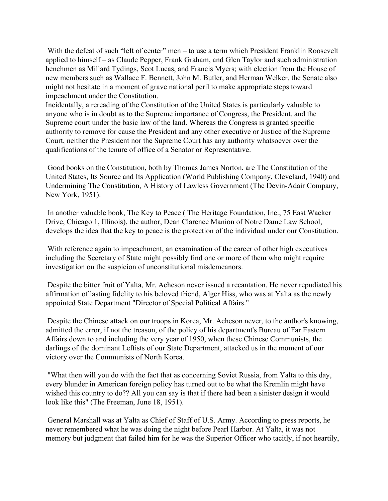With the defeat of such "left of center" men – to use a term which President Franklin Roosevelt applied to himself – as Claude Pepper, Frank Graham, and Glen Taylor and such administration henchmen as Millard Tydings, Scot Lucas, and Francis Myers; with election from the House of new members such as Wallace F. Bennett, John M. Butler, and Herman Welker, the Senate also might not hesitate in a moment of grave national peril to make appropriate steps toward impeachment under the Constitution.

Incidentally, a rereading of the Constitution of the United States is particularly valuable to anyone who is in doubt as to the Supreme importance of Congress, the President, and the Supreme court under the basic law of the land. Whereas the Congress is granted specific authority to remove for cause the President and any other executive or Justice of the Supreme Court, neither the President nor the Supreme Court has any authority whatsoever over the qualifications of the tenure of office of a Senator or Representative.

 Good books on the Constitution, both by Thomas James Norton, are The Constitution of the United States, Its Source and Its Application (World Publishing Company, Cleveland, 1940) and Undermining The Constitution, A History of Lawless Government (The Devin-Adair Company, New York, 1951).

 In another valuable book, The Key to Peace ( The Heritage Foundation, Inc., 75 East Wacker Drive, Chicago 1, Illinois), the author, Dean Clarence Manion of Notre Dame Law School, develops the idea that the key to peace is the protection of the individual under our Constitution.

 With reference again to impeachment, an examination of the career of other high executives including the Secretary of State might possibly find one or more of them who might require investigation on the suspicion of unconstitutional misdemeanors.

 Despite the bitter fruit of Yalta, Mr. Acheson never issued a recantation. He never repudiated his affirmation of lasting fidelity to his beloved friend, Alger Hiss, who was at Yalta as the newly appointed State Department "Director of Special Political Affairs."

 Despite the Chinese attack on our troops in Korea, Mr. Acheson never, to the author's knowing, admitted the error, if not the treason, of the policy of his department's Bureau of Far Eastern Affairs down to and including the very year of 1950, when these Chinese Communists, the darlings of the dominant Leftists of our State Department, attacked us in the moment of our victory over the Communists of North Korea.

 "What then will you do with the fact that as concerning Soviet Russia, from Yalta to this day, every blunder in American foreign policy has turned out to be what the Kremlin might have wished this country to do?? All you can say is that if there had been a sinister design it would look like this" (The Freeman, June 18, 1951).

 General Marshall was at Yalta as Chief of Staff of U.S. Army. According to press reports, he never remembered what he was doing the night before Pearl Harbor. At Yalta, it was not memory but judgment that failed him for he was the Superior Officer who tacitly, if not heartily,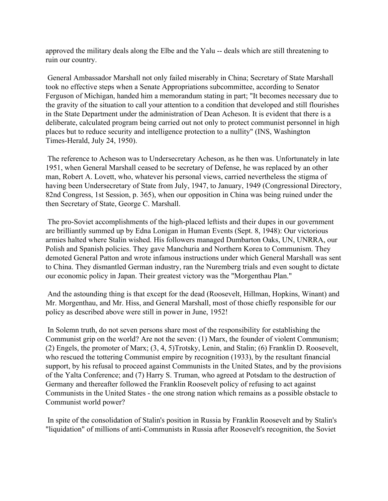approved the military deals along the Elbe and the Yalu -- deals which are still threatening to ruin our country.

 General Ambassador Marshall not only failed miserably in China; Secretary of State Marshall took no effective steps when a Senate Appropriations subcommittee, according to Senator Ferguson of Michigan, handed him a memorandum stating in part; "It becomes necessary due to the gravity of the situation to call your attention to a condition that developed and still flourishes in the State Department under the administration of Dean Acheson. It is evident that there is a deliberate, calculated program being carried out not only to protect communist personnel in high places but to reduce security and intelligence protection to a nullity" (INS, Washington Times-Herald, July 24, 1950).

 The reference to Acheson was to Undersecretary Acheson, as he then was. Unfortunately in late 1951, when General Marshall ceased to be secretary of Defense, he was replaced by an other man, Robert A. Lovett, who, whatever his personal views, carried nevertheless the stigma of having been Undersecretary of State from July, 1947, to January, 1949 (Congressional Directory, 82nd Congress, 1st Session, p. 365), when our opposition in China was being ruined under the then Secretary of State, George C. Marshall.

 The pro-Soviet accomplishments of the high-placed leftists and their dupes in our government are brilliantly summed up by Edna Lonigan in Human Events (Sept. 8, 1948): Our victorious armies halted where Stalin wished. His followers managed Dumbarton Oaks, UN, UNRRA, our Polish and Spanish policies. They gave Manchuria and Northern Korea to Communism. They demoted General Patton and wrote infamous instructions under which General Marshall was sent to China. They dismantled German industry, ran the Nuremberg trials and even sought to dictate our economic policy in Japan. Their greatest victory was the "Morgenthau Plan."

 And the astounding thing is that except for the dead (Roosevelt, Hillman, Hopkins, Winant) and Mr. Morgenthau, and Mr. Hiss, and General Marshall, most of those chiefly responsible for our policy as described above were still in power in June, 1952!

 In Solemn truth, do not seven persons share most of the responsibility for establishing the Communist grip on the world? Are not the seven: (1) Marx, the founder of violent Communism; (2) Engels, the promoter of Marx; (3, 4, 5)Trotsky, Lenin, and Stalin; (6) Franklin D. Roosevelt, who rescued the tottering Communist empire by recognition (1933), by the resultant financial support, by his refusal to proceed against Communists in the United States, and by the provisions of the Yalta Conference; and (7) Harry S. Truman, who agreed at Potsdam to the destruction of Germany and thereafter followed the Franklin Roosevelt policy of refusing to act against Communists in the United States - the one strong nation which remains as a possible obstacle to Communist world power?

 In spite of the consolidation of Stalin's position in Russia by Franklin Roosevelt and by Stalin's "liquidation" of millions of anti-Communists in Russia after Roosevelt's recognition, the Soviet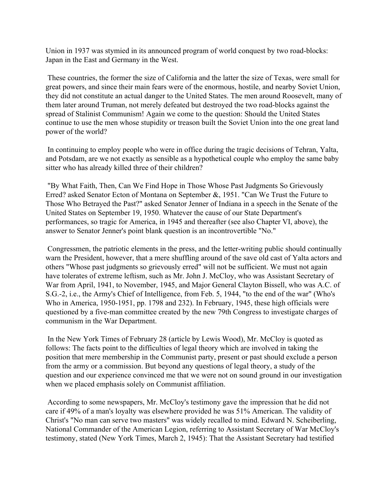Union in 1937 was stymied in its announced program of world conquest by two road-blocks: Japan in the East and Germany in the West.

 These countries, the former the size of California and the latter the size of Texas, were small for great powers, and since their main fears were of the enormous, hostile, and nearby Soviet Union, they did not constitute an actual danger to the United States. The men around Roosevelt, many of them later around Truman, not merely defeated but destroyed the two road-blocks against the spread of Stalinist Communism! Again we come to the question: Should the United States continue to use the men whose stupidity or treason built the Soviet Union into the one great land power of the world?

 In continuing to employ people who were in office during the tragic decisions of Tehran, Yalta, and Potsdam, are we not exactly as sensible as a hypothetical couple who employ the same baby sitter who has already killed three of their children?

 "By What Faith, Then, Can We Find Hope in Those Whose Past Judgments So Grievously Erred? asked Senator Ecton of Montana on September &, 1951. "Can We Trust the Future to Those Who Betrayed the Past?" asked Senator Jenner of Indiana in a speech in the Senate of the United States on September 19, 1950. Whatever the cause of our State Department's performances, so tragic for America, in 1945 and thereafter (see also Chapter VI, above), the answer to Senator Jenner's point blank question is an incontrovertible "No."

 Congressmen, the patriotic elements in the press, and the letter-writing public should continually warn the President, however, that a mere shuffling around of the save old cast of Yalta actors and others "Whose past judgments so grievously erred" will not be sufficient. We must not again have tolerates of extreme leftism, such as Mr. John J. McCloy, who was Assistant Secretary of War from April, 1941, to November, 1945, and Major General Clayton Bissell, who was A.C. of S.G.-2, i.e., the Army's Chief of Intelligence, from Feb. 5, 1944, "to the end of the war" (Who's Who in America, 1950-1951, pp. 1798 and 232). In February, 1945, these high officials were questioned by a five-man committee created by the new 79th Congress to investigate charges of communism in the War Department.

 In the New York Times of February 28 (article by Lewis Wood), Mr. McCloy is quoted as follows: The facts point to the difficulties of legal theory which are involved in taking the position that mere membership in the Communist party, present or past should exclude a person from the army or a commission. But beyond any questions of legal theory, a study of the question and our experience convinced me that we were not on sound ground in our investigation when we placed emphasis solely on Communist affiliation.

 According to some newspapers, Mr. McCloy's testimony gave the impression that he did not care if 49% of a man's loyalty was elsewhere provided he was 51% American. The validity of Christ's "No man can serve two masters" was widely recalled to mind. Edward N. Scheiberling, National Commander of the American Legion, referring to Assistant Secretary of War McCloy's testimony, stated (New York Times, March 2, 1945): That the Assistant Secretary had testified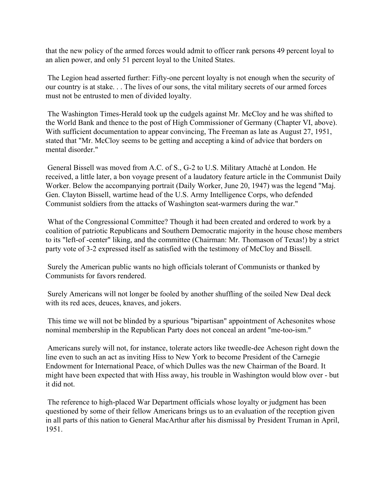that the new policy of the armed forces would admit to officer rank persons 49 percent loyal to an alien power, and only 51 percent loyal to the United States.

 The Legion head asserted further: Fifty-one percent loyalty is not enough when the security of our country is at stake. . . The lives of our sons, the vital military secrets of our armed forces must not be entrusted to men of divided loyalty.

 The Washington Times-Herald took up the cudgels against Mr. McCloy and he was shifted to the World Bank and thence to the post of High Commissioner of Germany (Chapter VI, above). With sufficient documentation to appear convincing, The Freeman as late as August 27, 1951, stated that "Mr. McCloy seems to be getting and accepting a kind of advice that borders on mental disorder."

 General Bissell was moved from A.C. of S., G-2 to U.S. Military Attaché at London. He received, a little later, a bon voyage present of a laudatory feature article in the Communist Daily Worker. Below the accompanying portrait (Daily Worker, June 20, 1947) was the legend "Maj. Gen. Clayton Bissell, wartime head of the U.S. Army Intelligence Corps, who defended Communist soldiers from the attacks of Washington seat-warmers during the war."

 What of the Congressional Committee? Though it had been created and ordered to work by a coalition of patriotic Republicans and Southern Democratic majority in the house chose members to its "left-of -center" liking, and the committee (Chairman: Mr. Thomason of Texas!) by a strict party vote of 3-2 expressed itself as satisfied with the testimony of McCloy and Bissell.

 Surely the American public wants no high officials tolerant of Communists or thanked by Communists for favors rendered.

 Surely Americans will not longer be fooled by another shuffling of the soiled New Deal deck with its red aces, deuces, knaves, and jokers.

 This time we will not be blinded by a spurious "bipartisan" appointment of Achesonites whose nominal membership in the Republican Party does not conceal an ardent "me-too-ism."

 Americans surely will not, for instance, tolerate actors like tweedle-dee Acheson right down the line even to such an act as inviting Hiss to New York to become President of the Carnegie Endowment for International Peace, of which Dulles was the new Chairman of the Board. It might have been expected that with Hiss away, his trouble in Washington would blow over - but it did not.

 The reference to high-placed War Department officials whose loyalty or judgment has been questioned by some of their fellow Americans brings us to an evaluation of the reception given in all parts of this nation to General MacArthur after his dismissal by President Truman in April, 1951.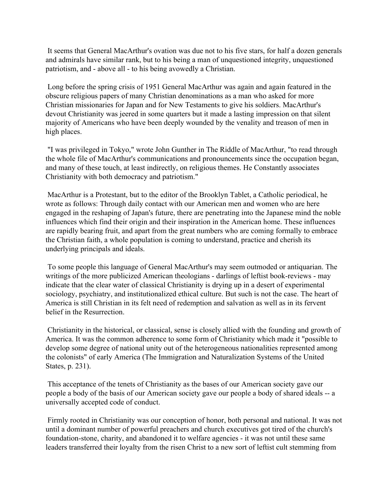It seems that General MacArthur's ovation was due not to his five stars, for half a dozen generals and admirals have similar rank, but to his being a man of unquestioned integrity, unquestioned patriotism, and - above all - to his being avowedly a Christian.

 Long before the spring crisis of 1951 General MacArthur was again and again featured in the obscure religious papers of many Christian denominations as a man who asked for more Christian missionaries for Japan and for New Testaments to give his soldiers. MacArthur's devout Christianity was jeered in some quarters but it made a lasting impression on that silent majority of Americans who have been deeply wounded by the venality and treason of men in high places.

 "I was privileged in Tokyo," wrote John Gunther in The Riddle of MacArthur, "to read through the whole file of MacArthur's communications and pronouncements since the occupation began, and many of these touch, at least indirectly, on religious themes. He Constantly associates Christianity with both democracy and patriotism."

 MacArthur is a Protestant, but to the editor of the Brooklyn Tablet, a Catholic periodical, he wrote as follows: Through daily contact with our American men and women who are here engaged in the reshaping of Japan's future, there are penetrating into the Japanese mind the noble influences which find their origin and their inspiration in the American home. These influences are rapidly bearing fruit, and apart from the great numbers who are coming formally to embrace the Christian faith, a whole population is coming to understand, practice and cherish its underlying principals and ideals.

 To some people this language of General MacArthur's may seem outmoded or antiquarian. The writings of the more publicized American theologians - darlings of leftist book-reviews - may indicate that the clear water of classical Christianity is drying up in a desert of experimental sociology, psychiatry, and institutionalized ethical culture. But such is not the case. The heart of America is still Christian in its felt need of redemption and salvation as well as in its fervent belief in the Resurrection.

 Christianity in the historical, or classical, sense is closely allied with the founding and growth of America. It was the common adherence to some form of Christianity which made it "possible to develop some degree of national unity out of the heterogeneous nationalities represented among the colonists" of early America (The Immigration and Naturalization Systems of the United States, p. 231).

 This acceptance of the tenets of Christianity as the bases of our American society gave our people a body of the basis of our American society gave our people a body of shared ideals -- a universally accepted code of conduct.

 Firmly rooted in Christianity was our conception of honor, both personal and national. It was not until a dominant number of powerful preachers and church executives got tired of the church's foundation-stone, charity, and abandoned it to welfare agencies - it was not until these same leaders transferred their loyalty from the risen Christ to a new sort of leftist cult stemming from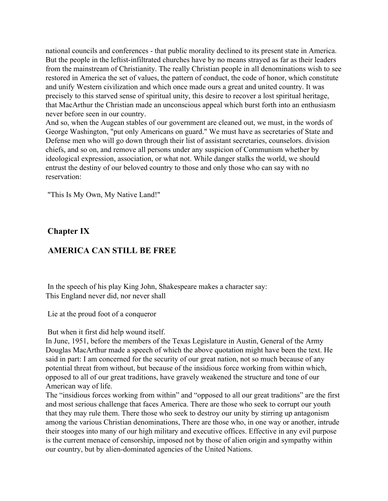national councils and conferences - that public morality declined to its present state in America. But the people in the leftist-infiltrated churches have by no means strayed as far as their leaders from the mainstream of Christianity. The really Christian people in all denominations wish to see restored in America the set of values, the pattern of conduct, the code of honor, which constitute and unify Western civilization and which once made ours a great and united country. It was precisely to this starved sense of spiritual unity, this desire to recover a lost spiritual heritage, that MacArthur the Christian made an unconscious appeal which burst forth into an enthusiasm never before seen in our country.

And so, when the Augean stables of our government are cleaned out, we must, in the words of George Washington, "put only Americans on guard." We must have as secretaries of State and Defense men who will go down through their list of assistant secretaries, counselors. division chiefs, and so on, and remove all persons under any suspicion of Communism whether by ideological expression, association, or what not. While danger stalks the world, we should entrust the destiny of our beloved country to those and only those who can say with no reservation:

"This Is My Own, My Native Land!"

### **Chapter IX**

## **AMERICA CAN STILL BE FREE**

 In the speech of his play King John, Shakespeare makes a character say: This England never did, nor never shall

Lie at the proud foot of a conqueror

#### But when it first did help wound itself.

In June, 1951, before the members of the Texas Legislature in Austin, General of the Army Douglas MacArthur made a speech of which the above quotation might have been the text. He said in part: I am concerned for the security of our great nation, not so much because of any potential threat from without, but because of the insidious force working from within which, opposed to all of our great traditions, have gravely weakened the structure and tone of our American way of life.

The "insidious forces working from within" and "opposed to all our great traditions" are the first and most serious challenge that faces America. There are those who seek to corrupt our youth that they may rule them. There those who seek to destroy our unity by stirring up antagonism among the various Christian denominations, There are those who, in one way or another, intrude their stooges into many of our high military and executive offices. Effective in any evil purpose is the current menace of censorship, imposed not by those of alien origin and sympathy within our country, but by alien-dominated agencies of the United Nations.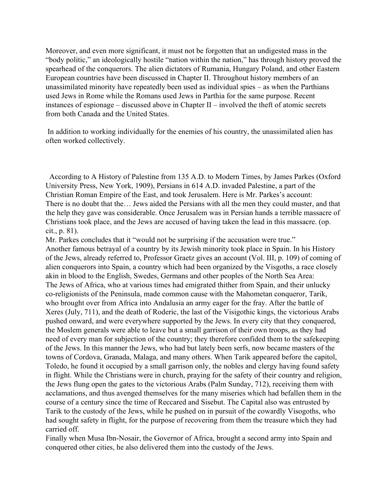Moreover, and even more significant, it must not be forgotten that an undigested mass in the "body politic," an ideologically hostile "nation within the nation," has through history proved the spearhead of the conquerors. The alien dictators of Rumania, Hungary Poland, and other Eastern European countries have been discussed in Chapter II. Throughout history members of an unassimilated minority have repeatedly been used as individual spies – as when the Parthians used Jews in Rome while the Romans used Jews in Parthia for the same purpose. Recent instances of espionage – discussed above in Chapter II – involved the theft of atomic secrets from both Canada and the United States.

 In addition to working individually for the enemies of his country, the unassimilated alien has often worked collectively.

 According to A History of Palestine from 135 A.D. to Modern Times, by James Parkes (Oxford University Press, New York, 1909), Persians in 614 A.D. invaded Palestine, a part of the Christian Roman Empire of the East, and took Jerusalem. Here is Mr. Parkes's account: There is no doubt that the… Jews aided the Persians with all the men they could muster, and that the help they gave was considerable. Once Jerusalem was in Persian hands a terrible massacre of Christians took place, and the Jews are accused of having taken the lead in this massacre. (op. cit., p. 81).

Mr. Parkes concludes that it "would not be surprising if the accusation were true." Another famous betrayal of a country by its Jewish minority took place in Spain. In his History of the Jews, already referred to, Professor Graetz gives an account (Vol. III, p. 109) of coming of alien conquerors into Spain, a country which had been organized by the Visgoths, a race closely akin in blood to the English, Swedes, Germans and other peoples of the North Sea Area: The Jews of Africa, who at various times had emigrated thither from Spain, and their unlucky co-religionists of the Peninsula, made common cause with the Mahometan conqueror, Tarik, who brought over from Africa into Andalusia an army eager for the fray. After the battle of Xeres (July, 711), and the death of Roderic, the last of the Visigothic kings, the victorious Arabs pushed onward, and were everywhere supported by the Jews. In every city that they conquered, the Moslem generals were able to leave but a small garrison of their own troops, as they had need of every man for subjection of the country; they therefore confided them to the safekeeping of the Jews. In this manner the Jews, who had but lately been serfs, now became masters of the towns of Cordova, Granada, Malaga, and many others. When Tarik appeared before the capitol, Toledo, he found it occupied by a small garrison only, the nobles and clergy having found safety in flight. While the Christians were in church, praying for the safety of their country and religion, the Jews flung open the gates to the victorious Arabs (Palm Sunday, 712), receiving them with acclamations, and thus avenged themselves for the many miseries which had befallen them in the course of a century since the time of Reccared and Sisebut. The Capital also was entrusted by Tarik to the custody of the Jews, while he pushed on in pursuit of the cowardly Visogoths, who had sought safety in flight, for the purpose of recovering from them the treasure which they had carried off.

Finally when Musa Ibn-Nosair, the Governor of Africa, brought a second army into Spain and conquered other cities, he also delivered them into the custody of the Jews.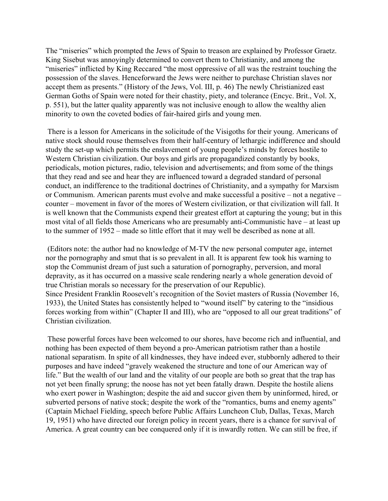The "miseries" which prompted the Jews of Spain to treason are explained by Professor Graetz. King Sisebut was annoyingly determined to convert them to Christianity, and among the "miseries" inflicted by King Reccared "the most oppressive of all was the restraint touching the possession of the slaves. Henceforward the Jews were neither to purchase Christian slaves nor accept them as presents." (History of the Jews, Vol. III, p. 46) The newly Christianized east German Goths of Spain were noted for their chastity, piety, and tolerance (Encyc. Brit., Vol. X, p. 551), but the latter quality apparently was not inclusive enough to allow the wealthy alien minority to own the coveted bodies of fair-haired girls and young men.

 There is a lesson for Americans in the solicitude of the Visigoths for their young. Americans of native stock should rouse themselves from their half-century of lethargic indifference and should study the set-up which permits the enslavement of young people's minds by forces hostile to Western Christian civilization. Our boys and girls are propagandized constantly by books, periodicals, motion pictures, radio, television and advertisements; and from some of the things that they read and see and hear they are influenced toward a degraded standard of personal conduct, an indifference to the traditional doctrines of Christianity, and a sympathy for Marxism or Communism. American parents must evolve and make successful a positive – not a negative – counter – movement in favor of the mores of Western civilization, or that civilization will fall. It is well known that the Communists expend their greatest effort at capturing the young; but in this most vital of all fields those Americans who are presumably anti-Communistic have – at least up to the summer of 1952 – made so little effort that it may well be described as none at all.

 (Editors note: the author had no knowledge of M-TV the new personal computer age, internet nor the pornography and smut that is so prevalent in all. It is apparent few took his warning to stop the Communist dream of just such a saturation of pornography, perversion, and moral depravity, as it has occurred on a massive scale rendering nearly a whole generation devoid of true Christian morals so necessary for the preservation of our Republic). Since President Franklin Roosevelt's recognition of the Soviet masters of Russia (November 16, 1933), the United States has consistently helped to "wound itself" by catering to the "insidious forces working from within" (Chapter II and III), who are "opposed to all our great traditions" of Christian civilization.

 These powerful forces have been welcomed to our shores, have become rich and influential, and nothing has been expected of them beyond a pro-American patriotism rather than a hostile national separatism. In spite of all kindnesses, they have indeed ever, stubbornly adhered to their purposes and have indeed "gravely weakened the structure and tone of our American way of life." But the wealth of our land and the vitality of our people are both so great that the trap has not yet been finally sprung; the noose has not yet been fatally drawn. Despite the hostile aliens who exert power in Washington; despite the aid and succor given them by uninformed, hired, or subverted persons of native stock; despite the work of the "romantics, bums and enemy agents" (Captain Michael Fielding, speech before Public Affairs Luncheon Club, Dallas, Texas, March 19, 1951) who have directed our foreign policy in recent years, there is a chance for survival of America. A great country can bee conquered only if it is inwardly rotten. We can still be free, if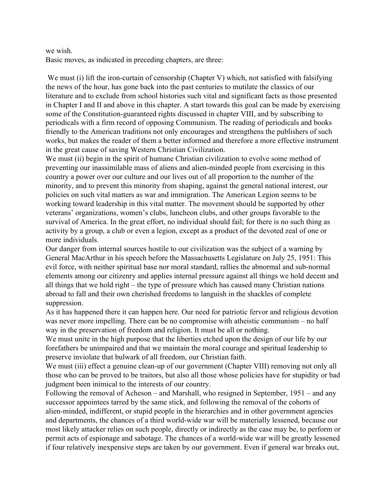#### we wish.

Basic moves, as indicated in preceding chapters, are three:

We must (i) lift the iron-curtain of censorship (Chapter V) which, not satisfied with falsifying the news of the hour, has gone back into the past centuries to mutilate the classics of our literature and to exclude from school histories such vital and significant facts as those presented in Chapter I and II and above in this chapter. A start towards this goal can be made by exercising some of the Constitution-guaranteed rights discussed in chapter VIII, and by subscribing to periodicals with a firm record of opposing Communism. The reading of periodicals and books friendly to the American traditions not only encourages and strengthens the publishers of such works, but makes the reader of them a better informed and therefore a more effective instrument in the great cause of saving Western Christian Civilization.

We must (ii) begin in the spirit of humane Christian civilization to evolve some method of preventing our inassimilable mass of aliens and alien-minded people from exercising in this country a power over our culture and our lives out of all proportion to the number of the minority, and to prevent this minority from shaping, against the general national interest, our policies on such vital matters as war and immigration. The American Legion seems to be working toward leadership in this vital matter. The movement should be supported by other veterans' organizations, women's clubs, luncheon clubs, and other groups favorable to the survival of America. In the great effort, no individual should fail; for there is no such thing as activity by a group, a club or even a legion, except as a product of the devoted zeal of one or more individuals.

Our danger from internal sources hostile to our civilization was the subject of a warning by General MacArthur in his speech before the Massachusetts Legislature on July 25, 1951: This evil force, with neither spiritual base nor moral standard, rallies the abnormal and sub-normal elements among our citizenry and applies internal pressure against all things we hold decent and all things that we hold right – the type of pressure which has caused many Christian nations abroad to fall and their own cherished freedoms to languish in the shackles of complete suppression.

As it has happened there it can happen here. Our need for patriotic fervor and religious devotion was never more impelling. There can be no compromise with atheistic communism – no half way in the preservation of freedom and religion. It must be all or nothing.

We must unite in the high purpose that the liberties etched upon the design of our life by our forefathers be unimpaired and that we maintain the moral courage and spiritual leadership to preserve inviolate that bulwark of all freedom, our Christian faith.

We must (iii) effect a genuine clean-up of our government (Chapter VIII) removing not only all those who can be proved to be traitors, but also all those whose policies have for stupidity or bad judgment been inimical to the interests of our country.

Following the removal of Acheson – and Marshall, who resigned in September, 1951 – and any successor appointees tarred by the same stick, and following the removal of the cohorts of alien-minded, indifferent, or stupid people in the hierarchies and in other government agencies and departments, the chances of a third world-wide war will be materially lessened, because our most likely attacker relies on such people, directly or indirectly as the case may be, to perform or permit acts of espionage and sabotage. The chances of a world-wide war will be greatly lessened if four relatively inexpensive steps are taken by our government. Even if general war breaks out,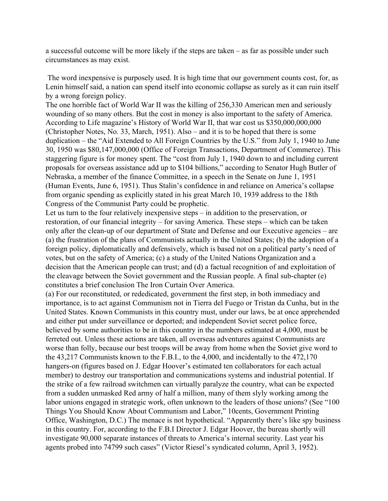a successful outcome will be more likely if the steps are taken – as far as possible under such circumstances as may exist.

 The word inexpensive is purposely used. It is high time that our government counts cost, for, as Lenin himself said, a nation can spend itself into economic collapse as surely as it can ruin itself by a wrong foreign policy.

The one horrible fact of World War II was the killing of 256,330 American men and seriously wounding of so many others. But the cost in money is also important to the safety of America. According to Life magazine's History of World War II, that war cost us \$350,000,000,000 (Christopher Notes, No. 33, March, 1951). Also – and it is to be hoped that there is some duplication – the "Aid Extended to All Foreign Countries by the U.S." from July 1, 1940 to June 30, 1950 was \$80,147,000,000 (Office of Foreign Transactions, Department of Commerce). This staggering figure is for money spent. The "cost from July 1, 1940 down to and including current proposals for overseas assistance add up to \$104 billions," according to Senator Hugh Butler of Nebraska, a member of the finance Committee, in a speech in the Senate on June 1, 1951 (Human Events, June 6, 1951). Thus Stalin's confidence in and reliance on America's collapse from organic spending as explicitly stated in his great March 10, 1939 address to the 18th Congress of the Communist Party could be prophetic.

Let us turn to the four relatively inexpensive steps – in addition to the preservation, or restoration, of our financial integrity – for saving America. These steps – which can be taken only after the clean-up of our department of State and Defense and our Executive agencies – are (a) the frustration of the plans of Communists actually in the United States; (b) the adoption of a foreign policy, diplomatically and defensively, which is based not on a political party's need of votes, but on the safety of America; (c) a study of the United Nations Organization and a decision that the American people can trust; and (d) a factual recognition of and exploitation of the cleavage between the Soviet government and the Russian people. A final sub-chapter (e) constitutes a brief conclusion The Iron Curtain Over America.

(a) For our reconstituted, or rededicated, government the first step, in both immediacy and importance, is to act against Communism not in Tierra del Fuego or Tristan da Cunha, but in the United States. Known Communists in this country must, under our laws, be at once apprehended and either put under surveillance or deported; and independent Soviet secret police force, believed by some authorities to be in this country in the numbers estimated at 4,000, must be ferreted out. Unless these actions are taken, all overseas adventures against Communists are worse than folly, because our best troops will be away from home when the Soviet give word to the 43,217 Communists known to the F.B.I., to the 4,000, and incidentally to the 472,170 hangers-on (figures based on J. Edgar Hoover's estimated ten collaborators for each actual member) to destroy our transportation and communications systems and industrial potential. If the strike of a few railroad switchmen can virtually paralyze the country, what can be expected from a sudden unmasked Red army of half a million, many of them slyly working among the labor unions engaged in strategic work, often unknown to the leaders of those unions? (See "100") Things You Should Know About Communism and Labor," 10cents, Government Printing Office, Washington, D.C.) The menace is not hypothetical. "Apparently there's like spy business in this country. For, according to the F.B.I Director J. Edgar Hoover, the bureau shortly will investigate 90,000 separate instances of threats to America's internal security. Last year his agents probed into 74799 such cases" (Victor Riesel's syndicated column, April 3, 1952).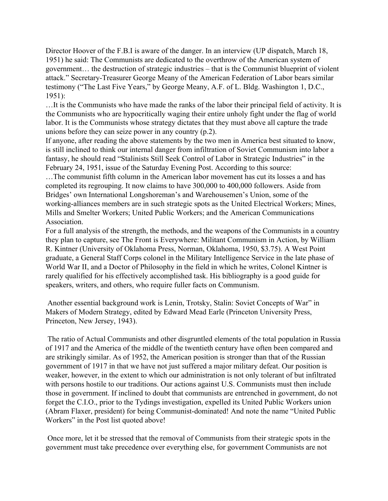Director Hoover of the F.B.I is aware of the danger. In an interview (UP dispatch, March 18, 1951) he said: The Communists are dedicated to the overthrow of the American system of government… the destruction of strategic industries – that is the Communist blueprint of violent attack." Secretary-Treasurer George Meany of the American Federation of Labor bears similar testimony ("The Last Five Years," by George Meany, A.F. of L. Bldg. Washington 1, D.C., 1951):

…It is the Communists who have made the ranks of the labor their principal field of activity. It is the Communists who are hypocritically waging their entire unholy fight under the flag of world labor. It is the Communists whose strategy dictates that they must above all capture the trade unions before they can seize power in any country (p.2).

If anyone, after reading the above statements by the two men in America best situated to know, is still inclined to think our internal danger from infiltration of Soviet Communism into labor a fantasy, he should read "Stalinists Still Seek Control of Labor in Strategic Industries" in the February 24, 1951, issue of the Saturday Evening Post. According to this source:

…The communist fifth column in the American labor movement has cut its losses a and has completed its regrouping. It now claims to have 300,000 to 400,000 followers. Aside from Bridges' own International Longshoreman's and Warehousemen's Union, some of the working-alliances members are in such strategic spots as the United Electrical Workers; Mines, Mills and Smelter Workers; United Public Workers; and the American Communications Association.

For a full analysis of the strength, the methods, and the weapons of the Communists in a country they plan to capture, see The Front is Everywhere: Militant Communism in Action, by William R. Kintner (University of Oklahoma Press, Norman, Oklahoma, 1950, \$3.75). A West Point graduate, a General Staff Corps colonel in the Military Intelligence Service in the late phase of World War II, and a Doctor of Philosophy in the field in which he writes, Colonel Kintner is rarely qualified for his effectively accomplished task. His bibliography is a good guide for speakers, writers, and others, who require fuller facts on Communism.

 Another essential background work is Lenin, Trotsky, Stalin: Soviet Concepts of War" in Makers of Modern Strategy, edited by Edward Mead Earle (Princeton University Press, Princeton, New Jersey, 1943).

 The ratio of Actual Communists and other disgruntled elements of the total population in Russia of 1917 and the America of the middle of the twentieth century have often been compared and are strikingly similar. As of 1952, the American position is stronger than that of the Russian government of 1917 in that we have not just suffered a major military defeat. Our position is weaker, however, in the extent to which our administration is not only tolerant of but infiltrated with persons hostile to our traditions. Our actions against U.S. Communists must then include those in government. If inclined to doubt that communists are entrenched in government, do not forget the C.I.O., prior to the Tydings investigation, expelled its United Public Workers union (Abram Flaxer, president) for being Communist-dominated! And note the name "United Public Workers" in the Post list quoted above!

 Once more, let it be stressed that the removal of Communists from their strategic spots in the government must take precedence over everything else, for government Communists are not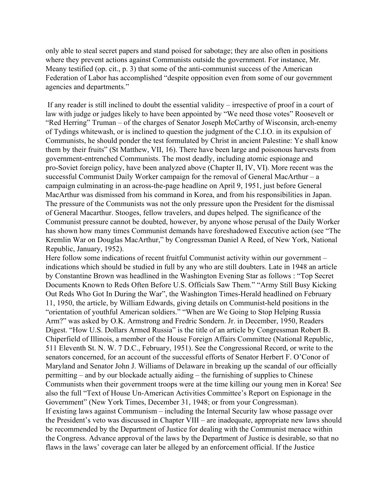only able to steal secret papers and stand poised for sabotage; they are also often in positions where they prevent actions against Communists outside the government. For instance, Mr. Meany testified (op. cit., p. 3) that some of the anti-communist success of the American Federation of Labor has accomplished "despite opposition even from some of our government agencies and departments."

 If any reader is still inclined to doubt the essential validity – irrespective of proof in a court of law with judge or judges likely to have been appointed by "We need those votes" Roosevelt or "Red Herring" Truman – of the charges of Senator Joseph McCarthy of Wisconsin, arch-enemy of Tydings whitewash, or is inclined to question the judgment of the C.I.O. in its expulsion of Communists, he should ponder the test formulated by Christ in ancient Palestine: Ye shall know them by their fruits" (St Matthew, VII, 16). There have been large and poisonous harvests from government-entrenched Communists. The most deadly, including atomic espionage and pro-Soviet foreign policy, have been analyzed above (Chapter II, IV, VI). More recent was the successful Communist Daily Worker campaign for the removal of General MacArthur – a campaign culminating in an across-the-page headline on April 9, 1951, just before General MacArthur was dismissed from his command in Korea, and from his responsibilities in Japan. The pressure of the Communists was not the only pressure upon the President for the dismissal of General Macarthur. Stooges, fellow travelers, and dupes helped. The significance of the Communist pressure cannot be doubted, however, by anyone whose perusal of the Daily Worker has shown how many times Communist demands have foreshadowed Executive action (see "The Kremlin War on Douglas MacArthur," by Congressman Daniel A Reed, of New York, National Republic, January, 1952).

Here follow some indications of recent fruitful Communist activity within our government – indications which should be studied in full by any who are still doubters. Late in 1948 an article by Constantine Brown was headlined in the Washington Evening Star as follows : "Top Secret Documents Known to Reds Often Before U.S. Officials Saw Them." "Army Still Busy Kicking Out Reds Who Got In During the War", the Washington Times-Herald headlined on February 11, 1950, the article, by William Edwards, giving details on Communist-held positions in the "orientation of youthful American soldiers." "When are We Going to Stop Helping Russia Arm?" was asked by O.K. Armstrong and Fredric Sondern. Jr. in December, 1950, Readers Digest. "How U.S. Dollars Armed Russia" is the title of an article by Congressman Robert B. Chiperfield of Illinois, a member of the House Foreign Affairs Committee (National Republic, 511 Eleventh St. N. W. 7 D.C., February, 1951). See the Congressional Record, or write to the senators concerned, for an account of the successful efforts of Senator Herbert F. O'Conor of Maryland and Senator John J. Williams of Delaware in breaking up the scandal of our officially permitting – and by our blockade actually aiding – the furnishing of supplies to Chinese Communists when their government troops were at the time killing our young men in Korea! See also the full "Text of House Un-American Activities Committee's Report on Espionage in the Government" (New York Times, December 31, 1948; or from your Congressman). If existing laws against Communism – including the Internal Security law whose passage over the President's veto was discussed in Chapter VIII – are inadequate, appropriate new laws should be recommended by the Department of Justice for dealing with the Communist menace within the Congress. Advance approval of the laws by the Department of Justice is desirable, so that no flaws in the laws' coverage can later be alleged by an enforcement official. If the Justice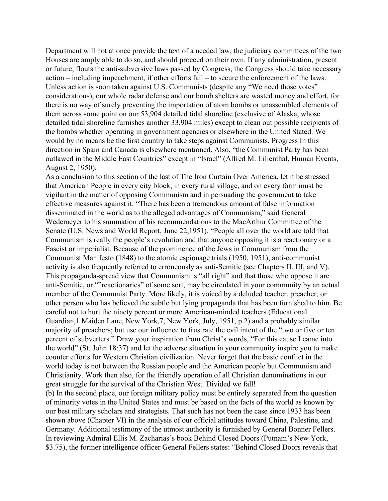Department will not at once provide the text of a needed law, the judiciary committees of the two Houses are amply able to do so, and should proceed on their own. If any administration, present or future, flouts the anti-subversive laws passed by Congress, the Congress should take necessary action – including impeachment, if other efforts fail – to secure the enforcement of the laws. Unless action is soon taken against U.S. Communists (despite any "We need those votes" considerations), our whole radar defense and our bomb shelters are wasted money and effort, for there is no way of surely preventing the importation of atom bombs or unassembled elements of them across some point on our 53,904 detailed tidal shoreline (exclusive of Alaska, whose detailed tidal shoreline furnishes another 33,904 miles) except to clean out possible recipients of the bombs whether operating in government agencies or elsewhere in the United Stated. We would by no means be the first country to take steps against Communists. Progress In this direction in Spain and Canada is elsewhere mentioned. Also, "the Communist Party has been outlawed in the Middle East Countries" except in "Israel" (Alfred M. Lilienthal, Human Events, August 2, 1950).

As a conclusion to this section of the last of The Iron Curtain Over America, let it be stressed that American People in every city block, in every rural village, and on every farm must be vigilant in the matter of opposing Communism and in persuading the government to take effective measures against it. "There has been a tremendous amount of false information disseminated in the world as to the alleged advantages of Communism," said General Wedemeyer to his summation of his recommendations to the MacArthur Committee of the Senate (U.S. News and World Report, June 22,1951). "People all over the world are told that Communism is really the people's revolution and that anyone opposing it is a reactionary or a Fascist or imperialist. Because of the prominence of the Jews in Communism from the Communist Manifesto (1848) to the atomic espionage trials (1950, 1951), anti-communist activity is also frequently referred to erroneously as anti-Semitic (see Chapters II, III, and V). This propaganda-spread view that Communism is "all right" and that those who oppose it are anti-Semitic, or ""reactionaries" of some sort, may be circulated in your community by an actual member of the Communist Party. More likely, it is voiced by a deluded teacher, preacher, or other person who has believed the subtle but lying propaganda that has been furnished to him. Be careful not to hurt the ninety percent or more American-minded teachers (Educational Guardian,1 Maiden Lane, New York,7, New York, July, 1951, p.2) and a probably similar majority of preachers; but use our influence to frustrate the evil intent of the "two or five or ten percent of subverters." Draw your inspiration from Christ's words, "For this cause I came into the world" (St. John 18:37) and let the adverse situation in your community inspire you to make counter efforts for Western Christian civilization. Never forget that the basic conflict in the world today is not between the Russian people and the American people but Communism and Christianity. Work then also, for the friendly operation of all Christian denominations in our great struggle for the survival of the Christian West. Divided we fall!

(b) In the second place, our foreign military policy must be entirely separated from the question of minority votes in the United States and must be based on the facts of the world as known by our best military scholars and strategists. That such has not been the case since 1933 has been shown above (Chapter VI) in the analysis of our official attitudes toward China, Palestine, and Germany. Additional testimony of the utmost authority is furnished by General Bonner Fellers. In reviewing Admiral Ellis M. Zacharias's book Behind Closed Doors (Putnam's New York, \$3.75), the former intelligence officer General Fellers states: "Behind Closed Doors reveals that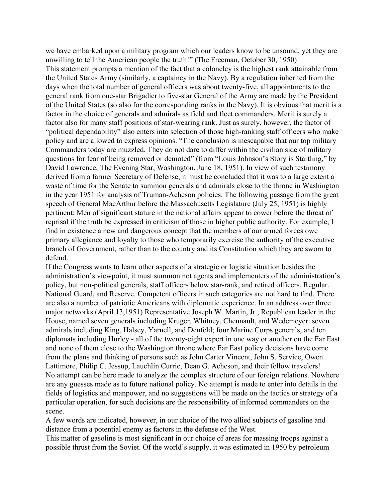we have embarked upon a military program which our leaders know to be unsound, yet they are unwilling to tell the American people the truth!" (The Freeman, October 30, 1950) This statement prompts a mention of the fact that a colonelcy is the highest rank attainable from the United States Army (similarly, a captaincy in the Navy). By a regulation inherited from the days when the total number of general officers was about twenty-five, all appointments to the general rank from one-star Brigadier to five-star General of the Army are made by the President of the United States (so also for the corresponding ranks in the Navy). It is obvious that merit is a factor in the choice of generals and admirals as field and fleet commanders. Merit is surely a factor also for many staff positions of star-wearing rank. Just as surely, however, the factor of "political dependability" also enters into selection of those high-ranking staff officers who make policy and are allowed to express opinions. "The conclusion is inescapable that our top military Commanders today are muzzled. They do not dare to differ within the civilian side of military questions for fear of being removed or demoted" (from "Louis Johnson's Story is Startling," by David Lawrence, The Evening Star, Washington, June 18, 1951). In view of such testimony derived from a farmer Secretary of Defense, it must be concluded that it was to a large extent a waste of time for the Senate to summon generals and admirals close to the throne in Washington in the year 1951 for analysis of Truman-Acheson policies. The following passage from the great speech of General MacArthur before the Massachusetts Legislature (July 25, 1951) is highly pertinent: Men of significant stature in the national affairs appear to cower before the threat of reprisal if the truth be expressed in criticism of those in higher public authority. For example, I find in existence a new and dangerous concept that the members of our armed forces owe primary allegiance and loyalty to those who temporarily exercise the authority of the executive branch of Government, rather than to the country and its Constitution which they are sworn to defend.

If the Congress wants to learn other aspects of a strategic or logistic situation besides the administration's viewpoint, it must summon not agents and implementers of the administration's policy, but non-political generals, staff officers below star-rank, and retired officers, Regular. National Guard, and Reserve. Competent officers in such categories are not hard to find. There are also a number of patriotic Americans with diplomatic experience. In an address over three major networks (April 13,1951) Representative Joseph W. Martin, Jr., Republican leader in the House, named seven generals including Kruger, Whitney, Chennault, and Wedemeyer: seven admirals including King, Halsey, Yarnell, and Denfeld; four Marine Corps generals, and ten diplomats including Hurley - all of the twenty-eight expert in one way or another on the Far East and none of them close to the Washington throne where Far East policy decisions have come from the plans and thinking of persons such as John Carter Vincent, John S. Service, Owen Lattimore, Philip C. Jessup, Lauchlin Currie, Dean G. Acheson, and their fellow travelers! No attempt can be here made to analyze the complex structure of our foreign relations. Nowhere are any guesses made as to future national policy. No attempt is made to enter into details in the fields of logistics and manpower, and no suggestions will be made on the tactics or strategy of a particular operation, for such decisions are the responsibility of informed commanders on the scene.

A few words are indicated, however, in our choice of the two allied subjects of gasoline and distance from a potential enemy as factors in the defense of the West.

This matter of gasoline is most significant in our choice of areas for massing troops against a possible thrust from the Soviet. Of the world's supply, it was estimated in 1950 by petroleum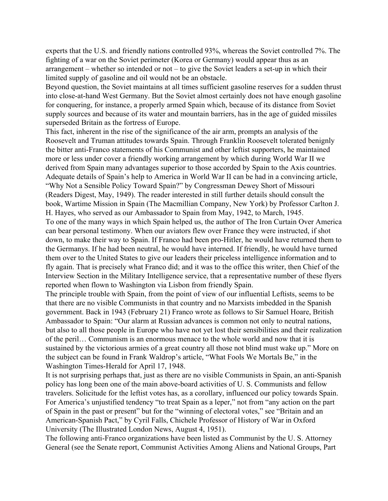experts that the U.S. and friendly nations controlled 93%, whereas the Soviet controlled 7%. The fighting of a war on the Soviet perimeter (Korea or Germany) would appear thus as an arrangement – whether so intended or not – to give the Soviet leaders a set-up in which their limited supply of gasoline and oil would not be an obstacle.

Beyond question, the Soviet maintains at all times sufficient gasoline reserves for a sudden thrust into close-at-hand West Germany. But the Soviet almost certainly does not have enough gasoline for conquering, for instance, a properly armed Spain which, because of its distance from Soviet supply sources and because of its water and mountain barriers, has in the age of guided missiles superseded Britain as the fortress of Europe.

This fact, inherent in the rise of the significance of the air arm, prompts an analysis of the Roosevelt and Truman attitudes towards Spain. Through Franklin Roosevelt tolerated benignly the bitter anti-Franco statements of his Communist and other leftist supporters, he maintained more or less under cover a friendly working arrangement by which during World War II we derived from Spain many advantages superior to those accorded by Spain to the Axis countries. Adequate details of Spain's help to America in World War II can be had in a convincing article, "Why Not a Sensible Policy Toward Spain?" by Congressman Dewey Short of Missouri (Readers Digest, May, 1949). The reader interested in still further details should consult the book, Wartime Mission in Spain (The Macmillian Company, New York) by Professor Carlton J. H. Hayes, who served as our Ambassador to Spain from May, 1942, to March, 1945.

To one of the many ways in which Spain helped us, the author of The Iron Curtain Over America can bear personal testimony. When our aviators flew over France they were instructed, if shot down, to make their way to Spain. If Franco had been pro-Hitler, he would have returned them to the Germanys. If he had been neutral, he would have interned. If friendly, he would have turned them over to the United States to give our leaders their priceless intelligence information and to fly again. That is precisely what Franco did; and it was to the office this writer, then Chief of the Interview Section in the Military Intelligence service, that a representative number of these flyers reported when flown to Washington via Lisbon from friendly Spain.

The principle trouble with Spain, from the point of view of our influential Leftists, seems to be that there are no visible Communists in that country and no Marxists imbedded in the Spanish government. Back in 1943 (February 21) Franco wrote as follows to Sir Samuel Hoare, British Ambassador to Spain: "Our alarm at Russian advances is common not only to neutral nations, but also to all those people in Europe who have not yet lost their sensibilities and their realization of the peril… Communism is an enormous menace to the whole world and now that it is sustained by the victorious armies of a great country all those not blind must wake up." More on the subject can be found in Frank Waldrop's article, "What Fools We Mortals Be," in the Washington Times-Herald for April 17, 1948.

It is not surprising perhaps that, just as there are no visible Communists in Spain, an anti-Spanish policy has long been one of the main above-board activities of U. S. Communists and fellow travelers. Solicitude for the leftist votes has, as a corollary, influenced our policy towards Spain. For America's unjustified tendency "to treat Spain as a leper," not from "any action on the part of Spain in the past or present" but for the "winning of electoral votes," see "Britain and an American-Spanish Pact," by Cyril Falls, Chichele Professor of History of War in Oxford University (The Illustrated London News, August 4, 1951).

The following anti-Franco organizations have been listed as Communist by the U. S. Attorney General (see the Senate report, Communist Activities Among Aliens and National Groups, Part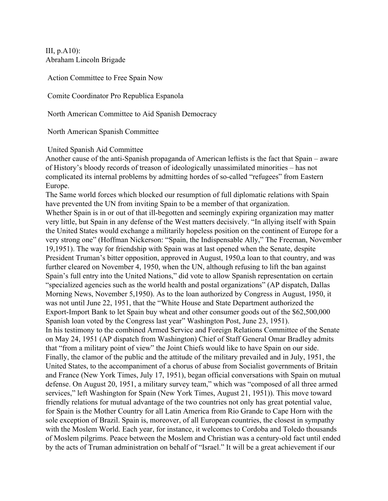III, p.A10): Abraham Lincoln Brigade

Action Committee to Free Spain Now

Comite Coordinator Pro Republica Espanola

North American Committee to Aid Spanish Democracy

North American Spanish Committee

#### United Spanish Aid Committee

Another cause of the anti-Spanish propaganda of American leftists is the fact that Spain – aware of History's bloody records of treason of ideologically unassimilated minorities – has not complicated its internal problems by admitting hordes of so-called "refugees" from Eastern Europe.

The Same world forces which blocked our resumption of full diplomatic relations with Spain have prevented the UN from inviting Spain to be a member of that organization. Whether Spain is in or out of that ill-begotten and seemingly expiring organization may matter very little, but Spain in any defense of the West matters decisively. "In allying itself with Spain the United States would exchange a militarily hopeless position on the continent of Europe for a very strong one" (Hoffman Nickerson: "Spain, the Indispensable Ally," The Freeman, November 19,1951). The way for friendship with Spain was at last opened when the Senate, despite President Truman's bitter opposition, approved in August, 1950,a loan to that country, and was further cleared on November 4, 1950, when the UN, although refusing to lift the ban against Spain's full entry into the United Nations," did vote to allow Spanish representation on certain "specialized agencies such as the world health and postal organizations" (AP dispatch, Dallas Morning News, November 5,1950). As to the loan authorized by Congress in August, 1950, it was not until June 22, 1951, that the "White House and State Department authorized the Export-Import Bank to let Spain buy wheat and other consumer goods out of the \$62,500,000 Spanish loan voted by the Congress last year" Washington Post, June 23, 1951). In his testimony to the combined Armed Service and Foreign Relations Committee of the Senate on May 24, 1951 (AP dispatch from Washington) Chief of Staff General Omar Bradley admits that "from a military point of view" the Joint Chiefs would like to have Spain on our side. Finally, the clamor of the public and the attitude of the military prevailed and in July, 1951, the United States, to the accompaniment of a chorus of abuse from Socialist governments of Britain and France (New York Times, July 17, 1951), began official conversations with Spain on mutual defense. On August 20, 1951, a military survey team," which was "composed of all three armed services," left Washington for Spain (New York Times, August 21, 1951)). This move toward friendly relations for mutual advantage of the two countries not only has great potential value, for Spain is the Mother Country for all Latin America from Rio Grande to Cape Horn with the sole exception of Brazil. Spain is, moreover, of all European countries, the closest in sympathy with the Moslem World. Each year, for instance, it welcomes to Cordoba and Toledo thousands of Moslem pilgrims. Peace between the Moslem and Christian was a century-old fact until ended

by the acts of Truman administration on behalf of "Israel." It will be a great achievement if our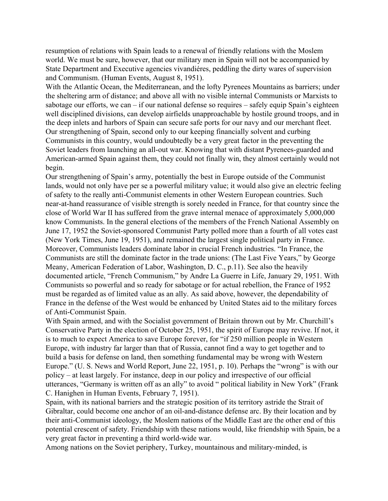resumption of relations with Spain leads to a renewal of friendly relations with the Moslem world. We must be sure, however, that our military men in Spain will not be accompanied by State Department and Executive agencies vivandiéres, peddling the dirty wares of supervision and Communism. (Human Events, August 8, 1951).

With the Atlantic Ocean, the Mediterranean, and the lofty Pyrenees Mountains as barriers; under the sheltering arm of distance; and above all with no visible internal Communists or Marxists to sabotage our efforts, we can – if our national defense so requires – safely equip Spain's eighteen well disciplined divisions, can develop airfields unapproachable by hostile ground troops, and in the deep inlets and harbors of Spain can secure safe ports for our navy and our merchant fleet. Our strengthening of Spain, second only to our keeping financially solvent and curbing Communists in this country, would undoubtedly be a very great factor in the preventing the Soviet leaders from launching an all-out war. Knowing that with distant Pyrenees-guarded and American-armed Spain against them, they could not finally win, they almost certainly would not begin.

Our strengthening of Spain's army, potentially the best in Europe outside of the Communist lands, would not only have per se a powerful military value; it would also give an electric feeling of safety to the really anti-Communist elements in other Western European countries. Such near-at-hand reassurance of visible strength is sorely needed in France, for that country since the close of World War II has suffered from the grave internal menace of approximately 5,000,000 know Communists. In the general elections of the members of the French National Assembly on June 17, 1952 the Soviet-sponsored Communist Party polled more than a fourth of all votes cast (New York Times, June 19, 1951), and remained the largest single political party in France. Moreover, Communists leaders dominate labor in crucial French industries. "In France, the Communists are still the dominate factor in the trade unions: (The Last Five Years," by George Meany, American Federation of Labor, Washington, D. C., p.11). See also the heavily documented article, "French Communism," by Andre La Guerre in Life, January 29, 1951. With Communists so powerful and so ready for sabotage or for actual rebellion, the France of 1952 must be regarded as of limited value as an ally. As said above, however, the dependability of France in the defense of the West would be enhanced by United States aid to the military forces of Anti-Communist Spain.

With Spain armed, and with the Socialist government of Britain thrown out by Mr. Churchill's Conservative Party in the election of October 25, 1951, the spirit of Europe may revive. If not, it is to much to expect America to save Europe forever, for "if 250 million people in Western Europe, with industry far larger than that of Russia, cannot find a way to get together and to build a basis for defense on land, then something fundamental may be wrong with Western Europe." (U. S. News and World Report, June 22, 1951, p. 10). Perhaps the "wrong" is with our policy – at least largely. For instance, deep in our policy and irrespective of our official utterances, "Germany is written off as an ally" to avoid " political liability in New York" (Frank C. Hanighen in Human Events, February 7, 1951).

Spain, with its national barriers and the strategic position of its territory astride the Strait of Gibraltar, could become one anchor of an oil-and-distance defense arc. By their location and by their anti-Communist ideology, the Moslem nations of the Middle East are the other end of this potential crescent of safety. Friendship with these nations would, like friendship with Spain, be a very great factor in preventing a third world-wide war.

Among nations on the Soviet periphery, Turkey, mountainous and military-minded, is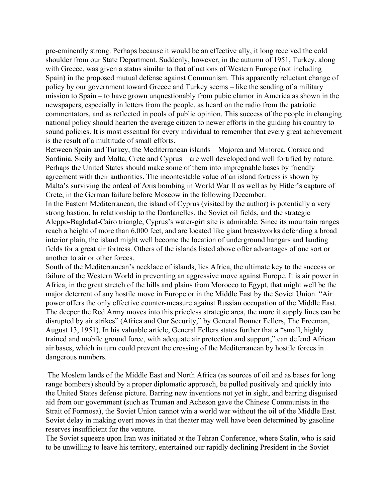pre-eminently strong. Perhaps because it would be an effective ally, it long received the cold shoulder from our State Department. Suddenly, however, in the autumn of 1951, Turkey, along with Greece, was given a status similar to that of nations of Western Europe (not including Spain) in the proposed mutual defense against Communism. This apparently reluctant change of policy by our government toward Greece and Turkey seems – like the sending of a military mission to Spain – to have grown unquestionably from pubic clamor in America as shown in the newspapers, especially in letters from the people, as heard on the radio from the patriotic commentators, and as reflected in pools of public opinion. This success of the people in changing national policy should hearten the average citizen to newer efforts in the guiding his country to sound policies. It is most essential for every individual to remember that every great achievement is the result of a multitude of small efforts.

Between Spain and Turkey, the Mediterranean islands – Majorca and Minorca, Corsica and Sardinia, Sicily and Malta, Crete and Cyprus – are well developed and well fortified by nature. Perhaps the United States should make some of them into impregnable bases by friendly agreement with their authorities. The incontestable value of an island fortress is shown by Malta's surviving the ordeal of Axis bombing in World War II as well as by Hitler's capture of Crete, in the German failure before Moscow in the following December.

In the Eastern Mediterranean, the island of Cyprus (visited by the author) is potentially a very strong bastion. In relationship to the Dardanelles, the Soviet oil fields, and the strategic Aleppo-Baghdad-Cairo triangle, Cyprus's water-girt site is admirable. Since its mountain ranges reach a height of more than 6,000 feet, and are located like giant breastworks defending a broad interior plain, the island might well become the location of underground hangars and landing fields for a great air fortress. Others of the islands listed above offer advantages of one sort or another to air or other forces.

South of the Mediterranean's necklace of islands, lies Africa, the ultimate key to the success or failure of the Western World in preventing an aggressive move against Europe. It is air power in Africa, in the great stretch of the hills and plains from Morocco to Egypt, that might well be the major deterrent of any hostile move in Europe or in the Middle East by the Soviet Union. "Air power offers the only effective counter-measure against Russian occupation of the Middle East. The deeper the Red Army moves into this priceless strategic area, the more it supply lines can be disrupted by air strikes" (Africa and Our Security," by General Bonner Fellers, The Freeman, August 13, 1951). In his valuable article, General Fellers states further that a "small, highly trained and mobile ground force, with adequate air protection and support," can defend African air bases, which in turn could prevent the crossing of the Mediterranean by hostile forces in dangerous numbers.

 The Moslem lands of the Middle East and North Africa (as sources of oil and as bases for long range bombers) should by a proper diplomatic approach, be pulled positively and quickly into the United States defense picture. Barring new inventions not yet in sight, and barring disguised aid from our government (such as Truman and Acheson gave the Chinese Communists in the Strait of Formosa), the Soviet Union cannot win a world war without the oil of the Middle East. Soviet delay in making overt moves in that theater may well have been determined by gasoline reserves insufficient for the venture.

The Soviet squeeze upon Iran was initiated at the Tehran Conference, where Stalin, who is said to be unwilling to leave his territory, entertained our rapidly declining President in the Soviet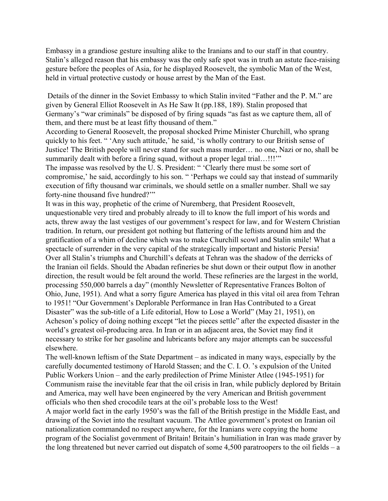Embassy in a grandiose gesture insulting alike to the Iranians and to our staff in that country. Stalin's alleged reason that his embassy was the only safe spot was in truth an astute face-raising gesture before the peoples of Asia, for he displayed Roosevelt, the symbolic Man of the West, held in virtual protective custody or house arrest by the Man of the East.

 Details of the dinner in the Soviet Embassy to which Stalin invited "Father and the P. M." are given by General Elliot Roosevelt in As He Saw It (pp.188, 189). Stalin proposed that Germany's "war criminals" be disposed of by firing squads "as fast as we capture them, all of them, and there must be at least fifty thousand of them."

According to General Roosevelt, the proposal shocked Prime Minister Churchill, who sprang quickly to his feet. " 'Any such attitude,' he said, 'is wholly contrary to our British sense of Justice! The British people will never stand for such mass murder… no one, Nazi or no, shall be summarily dealt with before a firing squad, without a proper legal trial...!!!"

The impasse was resolved by the U. S. President: " 'Clearly there must be some sort of compromise,' he said, accordingly to his son. " 'Perhaps we could say that instead of summarily execution of fifty thousand war criminals, we should settle on a smaller number. Shall we say forty-nine thousand five hundred?'"

It was in this way, prophetic of the crime of Nuremberg, that President Roosevelt, unquestionable very tired and probably already to ill to know the full import of his words and acts, threw away the last vestiges of our government's respect for law, and for Western Christian tradition. In return, our president got nothing but flattering of the leftists around him and the gratification of a whim of decline which was to make Churchill scowl and Stalin smile! What a spectacle of surrender in the very capital of the strategically important and historic Persia! Over all Stalin's triumphs and Churchill's defeats at Tehran was the shadow of the derricks of the Iranian oil fields. Should the Abadan refineries be shut down or their output flow in another direction, the result would be felt around the world. These refineries are the largest in the world, processing 550,000 barrels a day" (monthly Newsletter of Representative Frances Bolton of Ohio, June, 1951). And what a sorry figure America has played in this vital oil area from Tehran to 1951! "Our Government's Deplorable Performance in Iran Has Contributed to a Great Disaster" was the sub-title of a Life editorial, How to Lose a World" (May 21, 1951), on Acheson's policy of doing nothing except "let the pieces settle" after the expected disaster in the world's greatest oil-producing area. In Iran or in an adjacent area, the Soviet may find it necessary to strike for her gasoline and lubricants before any major attempts can be successful elsewhere.

The well-known leftism of the State Department – as indicated in many ways, especially by the carefully documented testimony of Harold Stassen; and the C. I. O. 's expulsion of the United Public Workers Union – and the early predilection of Prime Minister Atlee (1945-1951) for Communism raise the inevitable fear that the oil crisis in Iran, while publicly deplored by Britain and America, may well have been engineered by the very American and British government officials who then shed crocodile tears at the oil's probable loss to the West!

A major world fact in the early 1950's was the fall of the British prestige in the Middle East, and drawing of the Soviet into the resultant vacuum. The Attlee government's protest on Iranian oil nationalization commanded no respect anywhere, for the Iranians were copying the home program of the Socialist government of Britain! Britain's humiliation in Iran was made graver by the long threatened but never carried out dispatch of some 4,500 paratroopers to the oil fields – a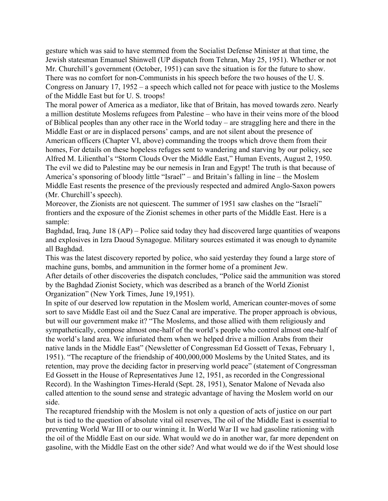gesture which was said to have stemmed from the Socialist Defense Minister at that time, the Jewish statesman Emanuel Shinwell (UP dispatch from Tehran, May 25, 1951). Whether or not Mr. Churchill's government (October, 1951) can save the situation is for the future to show. There was no comfort for non-Communists in his speech before the two houses of the U. S. Congress on January 17, 1952 – a speech which called not for peace with justice to the Moslems of the Middle East but for U. S. troops!

The moral power of America as a mediator, like that of Britain, has moved towards zero. Nearly a million destitute Moslems refugees from Palestine – who have in their veins more of the blood of Biblical peoples than any other race in the World today – are straggling here and there in the Middle East or are in displaced persons' camps, and are not silent about the presence of American officers (Chapter VI, above) commanding the troops which drove them from their homes, For details on these hopeless refuges sent to wandering and starving by our policy, see Alfred M. Lilienthal's "Storm Clouds Over the Middle East," Human Events, August 2, 1950. The evil we did to Palestine may be our nemesis in Iran and Egypt! The truth is that because of America's sponsoring of bloody little "Israel" – and Britain's falling in line – the Moslem Middle East resents the presence of the previously respected and admired Anglo-Saxon powers (Mr. Churchill's speech).

Moreover, the Zionists are not quiescent. The summer of 1951 saw clashes on the "Israeli" frontiers and the exposure of the Zionist schemes in other parts of the Middle East. Here is a sample:

Baghdad, Iraq, June 18 (AP) – Police said today they had discovered large quantities of weapons and explosives in Izra Daoud Synagogue. Military sources estimated it was enough to dynamite all Baghdad.

This was the latest discovery reported by police, who said yesterday they found a large store of machine guns, bombs, and ammunition in the former home of a prominent Jew.

After details of other discoveries the dispatch concludes, "Police said the ammunition was stored by the Baghdad Zionist Society, which was described as a branch of the World Zionist Organization" (New York Times, June 19,1951).

In spite of our deserved low reputation in the Moslem world, American counter-moves of some sort to save Middle East oil and the Suez Canal are imperative. The proper approach is obvious, but will our government make it? "The Moslems, and those allied with them religiously and sympathetically, compose almost one-half of the world's people who control almost one-half of the world's land area. We infuriated them when we helped drive a million Arabs from their native lands in the Middle East" (Newsletter of Congressman Ed Gossett of Texas, February 1, 1951). "The recapture of the friendship of 400,000,000 Moslems by the United States, and its retention, may prove the deciding factor in preserving world peace" (statement of Congressman Ed Gossett in the House of Representatives June 12, 1951, as recorded in the Congressional Record). In the Washington Times-Herald (Sept. 28, 1951), Senator Malone of Nevada also called attention to the sound sense and strategic advantage of having the Moslem world on our side.

The recaptured friendship with the Moslem is not only a question of acts of justice on our part but is tied to the question of absolute vital oil reserves, The oil of the Middle East is essential to preventing World War III or to our winning it. In World War II we had gasoline rationing with the oil of the Middle East on our side. What would we do in another war, far more dependent on gasoline, with the Middle East on the other side? And what would we do if the West should lose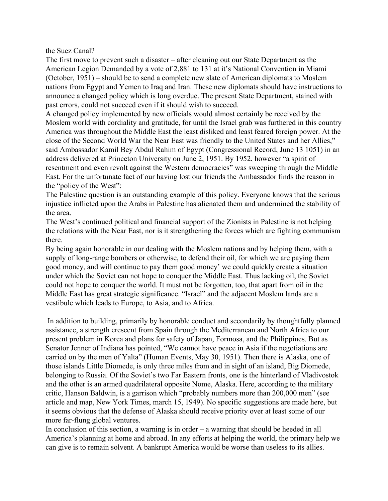the Suez Canal?

The first move to prevent such a disaster – after cleaning out our State Department as the American Legion Demanded by a vote of 2,881 to 131 at it's National Convention in Miami (October, 1951) – should be to send a complete new slate of American diplomats to Moslem nations from Egypt and Yemen to Iraq and Iran. These new diplomats should have instructions to announce a changed policy which is long overdue. The present State Department, stained with past errors, could not succeed even if it should wish to succeed.

A changed policy implemented by new officials would almost certainly be received by the Moslem world with cordiality and gratitude, for until the Israel grab was furthered in this country America was throughout the Middle East the least disliked and least feared foreign power. At the close of the Second World War the Near East was friendly to the United States and her Allies," said Ambassador Kamil Bey Abdul Rahim of Egypt (Congressional Record, June 13 1051) in an address delivered at Princeton University on June 2, 1951. By 1952, however "a spirit of resentment and even revolt against the Western democracies" was sweeping through the Middle East. For the unfortunate fact of our having lost our friends the Ambassador finds the reason in the "policy of the West":

The Palestine question is an outstanding example of this policy. Everyone knows that the serious injustice inflicted upon the Arabs in Palestine has alienated them and undermined the stability of the area.

The West's continued political and financial support of the Zionists in Palestine is not helping the relations with the Near East, nor is it strengthening the forces which are fighting communism there.

By being again honorable in our dealing with the Moslem nations and by helping them, with a supply of long-range bombers or otherwise, to defend their oil, for which we are paying them good money, and will continue to pay them good money' we could quickly create a situation under which the Soviet can not hope to conquer the Middle East. Thus lacking oil, the Soviet could not hope to conquer the world. It must not be forgotten, too, that apart from oil in the Middle East has great strategic significance. "Israel" and the adjacent Moslem lands are a vestibule which leads to Europe, to Asia, and to Africa.

 In addition to building, primarily by honorable conduct and secondarily by thoughtfully planned assistance, a strength crescent from Spain through the Mediterranean and North Africa to our present problem in Korea and plans for safety of Japan, Formosa, and the Philippines. But as Senator Jenner of Indiana has pointed, "We cannot have peace in Asia if the negotiations are carried on by the men of Yalta" (Human Events, May 30, 1951). Then there is Alaska, one of those islands Little Diomede, is only three miles from and in sight of an island, Big Diomede, belonging to Russia. Of the Soviet's two Far Eastern fronts, one is the hinterland of Vladivostok and the other is an armed quadrilateral opposite Nome, Alaska. Here, according to the military critic, Hanson Baldwin, is a garrison which "probably numbers more than 200,000 men" (see article and map, New York Times, march 15, 1949). No specific suggestions are made here, but it seems obvious that the defense of Alaska should receive priority over at least some of our more far-flung global ventures.

In conclusion of this section, a warning is in order  $-$  a warning that should be heeded in all America's planning at home and abroad. In any efforts at helping the world, the primary help we can give is to remain solvent. A bankrupt America would be worse than useless to its allies.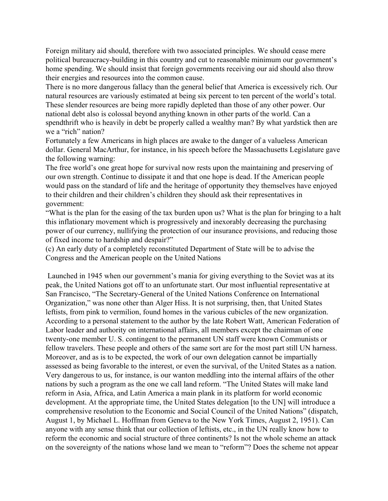Foreign military aid should, therefore with two associated principles. We should cease mere political bureaucracy-building in this country and cut to reasonable minimum our government's home spending. We should insist that foreign governments receiving our aid should also throw their energies and resources into the common cause.

There is no more dangerous fallacy than the general belief that America is excessively rich. Our natural resources are variously estimated at being six percent to ten percent of the world's total. These slender resources are being more rapidly depleted than those of any other power. Our national debt also is colossal beyond anything known in other parts of the world. Can a spendthrift who is heavily in debt be properly called a wealthy man? By what yardstick then are we a "rich" nation?

Fortunately a few Americans in high places are awake to the danger of a valueless American dollar. General MacArthur, for instance, in his speech before the Massachusetts Legislature gave the following warning:

The free world's one great hope for survival now rests upon the maintaining and preserving of our own strength. Continue to dissipate it and that one hope is dead. If the American people would pass on the standard of life and the heritage of opportunity they themselves have enjoyed to their children and their children's children they should ask their representatives in government:

"What is the plan for the easing of the tax burden upon us? What is the plan for bringing to a halt this inflationary movement which is progressively and inexorably decreasing the purchasing power of our currency, nullifying the protection of our insurance provisions, and reducing those of fixed income to hardship and despair?"

(c) An early duty of a completely reconstituted Department of State will be to advise the Congress and the American people on the United Nations

 Launched in 1945 when our government's mania for giving everything to the Soviet was at its peak, the United Nations got off to an unfortunate start. Our most influential representative at San Francisco, "The Secretary-General of the United Nations Conference on International Organization," was none other than Alger Hiss. It is not surprising, then, that United States leftists, from pink to vermilion, found homes in the various cubicles of the new organization. According to a personal statement to the author by the late Robert Watt, American Federation of Labor leader and authority on international affairs, all members except the chairman of one twenty-one member U. S. contingent to the permanent UN staff were known Communists or fellow travelers. These people and others of the same sort are for the most part still UN harness. Moreover, and as is to be expected, the work of our own delegation cannot be impartially assessed as being favorable to the interest, or even the survival, of the United States as a nation. Very dangerous to us, for instance, is our wanton meddling into the internal affairs of the other nations by such a program as the one we call land reform. "The United States will make land reform in Asia, Africa, and Latin America a main plank in its platform for world economic development. At the appropriate time, the United States delegation [to the UN] will introduce a comprehensive resolution to the Economic and Social Council of the United Nations" (dispatch, August 1, by Michael L. Hoffman from Geneva to the New York Times, August 2, 1951). Can anyone with any sense think that our collection of leftists, etc., in the UN really know how to reform the economic and social structure of three continents? Is not the whole scheme an attack on the sovereignty of the nations whose land we mean to "reform"? Does the scheme not appear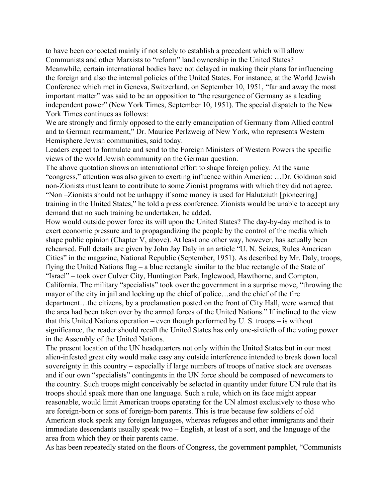to have been concocted mainly if not solely to establish a precedent which will allow Communists and other Marxists to "reform" land ownership in the United States? Meanwhile, certain international bodies have not delayed in making their plans for influencing the foreign and also the internal policies of the United States. For instance, at the World Jewish Conference which met in Geneva, Switzerland, on September 10, 1951, "far and away the most important matter" was said to be an opposition to "the resurgence of Germany as a leading independent power" (New York Times, September 10, 1951). The special dispatch to the New York Times continues as follows:

We are strongly and firmly opposed to the early emancipation of Germany from Allied control and to German rearmament," Dr. Maurice Perlzweig of New York, who represents Western Hemisphere Jewish communities, said today.

Leaders expect to formulate and send to the Foreign Ministers of Western Powers the specific views of the world Jewish community on the German question.

The above quotation shows an international effort to shape foreign policy. At the same "congress," attention was also given to exerting influence within America: …Dr. Goldman said non-Zionists must learn to contribute to some Zionist programs with which they did not agree. "Non –Zionists should not be unhappy if some money is used for Halutziuth [pioneering] training in the United States," he told a press conference. Zionists would be unable to accept any demand that no such training be undertaken, he added.

How would outside power force its will upon the United States? The day-by-day method is to exert economic pressure and to propagandizing the people by the control of the media which shape public opinion (Chapter V, above). At least one other way, however, has actually been rehearsed. Full details are given by John Jay Daly in an article "U. N. Seizes, Rules American Cities" in the magazine, National Republic (September, 1951). As described by Mr. Daly, troops, flying the United Nations flag – a blue rectangle similar to the blue rectangle of the State of "Israel" – took over Culver City, Huntington Park, Inglewood, Hawthorne, and Compton, California. The military "specialists" took over the government in a surprise move, "throwing the mayor of the city in jail and locking up the chief of police…and the chief of the fire department…the citizens, by a proclamation posted on the front of City Hall, were warned that the area had been taken over by the armed forces of the United Nations." If inclined to the view that this United Nations operation – even though performed by U. S. troops – is without significance, the reader should recall the United States has only one-sixtieth of the voting power in the Assembly of the United Nations.

The present location of the UN headquarters not only within the United States but in our most alien-infested great city would make easy any outside interference intended to break down local sovereignty in this country – especially if large numbers of troops of native stock are overseas and if our own "specialists" contingents in the UN force should be composed of newcomers to the country. Such troops might conceivably be selected in quantity under future UN rule that its troops should speak more than one language. Such a rule, which on its face might appear reasonable, would limit American troops operating for the UN almost exclusively to those who are foreign-born or sons of foreign-born parents. This is true because few soldiers of old American stock speak any foreign languages, whereas refugees and other immigrants and their immediate descendants usually speak two – English, at least of a sort, and the language of the area from which they or their parents came.

As has been repeatedly stated on the floors of Congress, the government pamphlet, "Communists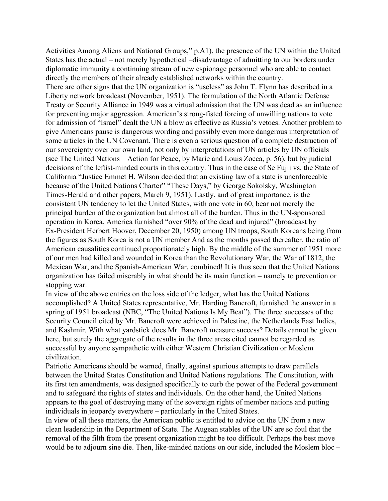Activities Among Aliens and National Groups," p.A1), the presence of the UN within the United States has the actual – not merely hypothetical –disadvantage of admitting to our borders under diplomatic immunity a continuing stream of new espionage personnel who are able to contact directly the members of their already established networks within the country.

There are other signs that the UN organization is "useless" as John T. Flynn has described in a Liberty network broadcast (November, 1951). The formulation of the North Atlantic Defense Treaty or Security Alliance in 1949 was a virtual admission that the UN was dead as an influence for preventing major aggression. American's strong-fisted forcing of unwilling nations to vote for admission of "Israel" dealt the UN a blow as effective as Russia's vetoes. Another problem to give Americans pause is dangerous wording and possibly even more dangerous interpretation of some articles in the UN Covenant. There is even a serious question of a complete destruction of our sovereignty over our own land, not only by interpretations of UN articles by UN officials (see The United Nations – Action for Peace, by Marie and Louis Zocca, p. 56), but by judicial decisions of the leftist-minded courts in this country. Thus in the case of Se Fujii vs. the State of California "Justice Emmet H. Wilson decided that an existing law of a state is unenforceable because of the United Nations Charter" "These Days," by George Sokolsky, Washington Times-Herald and other papers, March 9, 1951). Lastly, and of great importance, is the consistent UN tendency to let the United States, with one vote in 60, bear not merely the principal burden of the organization but almost all of the burden. Thus in the UN-sponsored operation in Korea, America furnished "over 90% of the dead and injured" (broadcast by Ex-President Herbert Hoover, December 20, 1950) among UN troops, South Koreans being from the figures as South Korea is not a UN member And as the months passed thereafter, the ratio of American causalities continued proportionately high. By the middle of the summer of 1951 more of our men had killed and wounded in Korea than the Revolutionary War, the War of 1812, the Mexican War, and the Spanish-American War, combined! It is thus seen that the United Nations organization has failed miserably in what should be its main function – namely to prevention or stopping war.

In view of the above entries on the loss side of the ledger, what has the United Nations accomplished? A United States representative, Mr. Harding Bancroft, furnished the answer in a spring of 1951 broadcast (NBC, "The United Nations Is My Beat"). The three successes of the Security Council cited by Mr. Bancroft were achieved in Palestine, the Netherlands East Indies, and Kashmir. With what yardstick does Mr. Bancroft measure success? Details cannot be given here, but surely the aggregate of the results in the three areas cited cannot be regarded as successful by anyone sympathetic with either Western Christian Civilization or Moslem civilization.

Patriotic Americans should be warned, finally, against spurious attempts to draw parallels between the United States Constitution and United Nations regulations. The Constitution, with its first ten amendments, was designed specifically to curb the power of the Federal government and to safeguard the rights of states and individuals. On the other hand, the United Nations appears to the goal of destroying many of the sovereign rights of member nations and putting individuals in jeopardy everywhere – particularly in the United States.

In view of all these matters, the American public is entitled to advice on the UN from a new clean leadership in the Department of State. The Augean stables of the UN are so foul that the removal of the filth from the present organization might be too difficult. Perhaps the best move would be to adjourn sine die. Then, like-minded nations on our side, included the Moslem bloc –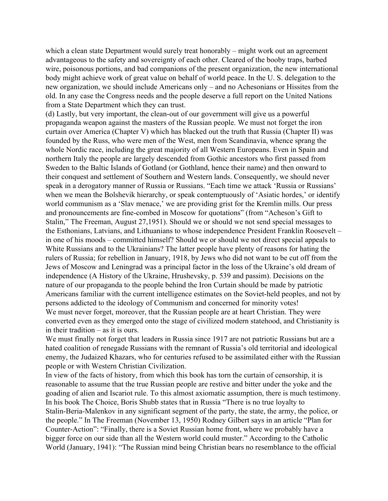which a clean state Department would surely treat honorably – might work out an agreement advantageous to the safety and sovereignty of each other. Cleared of the booby traps, barbed wire, poisonous portions, and bad companions of the present organization, the new international body might achieve work of great value on behalf of world peace. In the U. S. delegation to the new organization, we should include Americans only – and no Achesonians or Hissites from the old. In any case the Congress needs and the people deserve a full report on the United Nations from a State Department which they can trust.

(d) Lastly, but very important, the clean-out of our government will give us a powerful propaganda weapon against the masters of the Russian people. We must not forget the iron curtain over America (Chapter V) which has blacked out the truth that Russia (Chapter II) was founded by the Russ, who were men of the West, men from Scandinavia, whence sprang the whole Nordic race, including the great majority of all Western Europeans. Even in Spain and northern Italy the people are largely descended from Gothic ancestors who first passed from Sweden to the Baltic Islands of Gotland (or Gothland, hence their name) and then onward to their conquest and settlement of Southern and Western lands. Consequently, we should never speak in a derogatory manner of Russia or Russians. "Each time we attack 'Russia or Russians' when we mean the Bolshevik hierarchy, or speak contemptuously of 'Asiatic hordes,' or identify world communism as a 'Slav menace,' we are providing grist for the Kremlin mills. Our press and pronouncements are fine-combed in Moscow for quotations" (from "Acheson's Gift to Stalin," The Freeman, August 27,1951). Should we or should we not send special messages to the Esthonians, Latvians, and Lithuanians to whose independence President Franklin Roosevelt – in one of his moods – committed himself? Should we or should we not direct special appeals to White Russians and to the Ukrainians? The latter people have plenty of reasons for hating the rulers of Russia; for rebellion in January, 1918, by Jews who did not want to be cut off from the Jews of Moscow and Leningrad was a principal factor in the loss of the Ukraine's old dream of independence (A History of the Ukraine, Hrushevsky, p. 539 and passim). Decisions on the nature of our propaganda to the people behind the Iron Curtain should be made by patriotic Americans familiar with the current intelligence estimates on the Soviet-held peoples, and not by persons addicted to the ideology of Communism and concerned for minority votes! We must never forget, moreover, that the Russian people are at heart Christian. They were converted even as they emerged onto the stage of civilized modern statehood, and Christianity is in their tradition – as it is ours.

We must finally not forget that leaders in Russia since 1917 are not patriotic Russians but are a hated coalition of renegade Russians with the remnant of Russia's old territorial and ideological enemy, the Judaized Khazars, who for centuries refused to be assimilated either with the Russian people or with Western Christian Civilization.

In view of the facts of history, from which this book has torn the curtain of censorship, it is reasonable to assume that the true Russian people are restive and bitter under the yoke and the goading of alien and Iscariot rule. To this almost axiomatic assumption, there is much testimony. In his book The Choice, Boris Shubb states that in Russia "There is no true loyalty to Stalin-Beria-Malenkov in any significant segment of the party, the state, the army, the police, or the people." In The Freeman (November 13, 1950) Rodney Gilbert says in an article "Plan for Counter-Action": "Finally, there is a Soviet Russian home front, where we probably have a bigger force on our side than all the Western world could muster." According to the Catholic World (January, 1941): "The Russian mind being Christian bears no resemblance to the official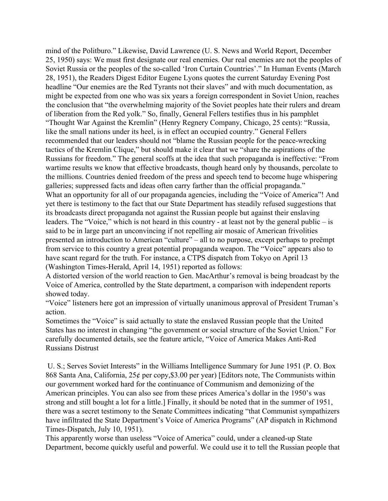mind of the Politburo." Likewise, David Lawrence (U. S. News and World Report, December 25, 1950) says: We must first designate our real enemies. Our real enemies are not the peoples of Soviet Russia or the peoples of the so-called 'Iron Curtain Countries'." In Human Events (March 28, 1951), the Readers Digest Editor Eugene Lyons quotes the current Saturday Evening Post headline "Our enemies are the Red Tyrants not their slaves" and with much documentation, as might be expected from one who was six years a foreign correspondent in Soviet Union, reaches the conclusion that "the overwhelming majority of the Soviet peoples hate their rulers and dream of liberation from the Red yolk." So, finally, General Fellers testifies thus in his pamphlet "Thought War Against the Kremlin" (Henry Regnery Company, Chicago, 25 cents): "Russia, like the small nations under its heel, is in effect an occupied country." General Fellers recommended that our leaders should not "blame the Russian people for the peace-wrecking tactics of the Kremlin Clique," but should make it clear that we "share the aspirations of the Russians for freedom." The general scoffs at the idea that such propaganda is ineffective: "From wartime results we know that effective broadcasts, though heard only by thousands, percolate to the millions. Countries denied freedom of the press and speech tend to become huge whispering galleries; suppressed facts and ideas often carry farther than the official propaganda." What an opportunity for all of our propaganda agencies, including the "Voice of America"! And yet there is testimony to the fact that our State Department has steadily refused suggestions that its broadcasts direct propaganda not against the Russian people but against their enslaving leaders. The "Voice," which is not heard in this country - at least not by the general public – is said to be in large part an unconvincing if not repelling air mosaic of American frivolities presented an introduction to American "culture" – all to no purpose, except perhaps to preëmpt from service to this country a great potential propaganda weapon. The "Voice" appears also to have scant regard for the truth. For instance, a CTPS dispatch from Tokyo on April 13 (Washington Times-Herald, April 14, 1951) reported as follows:

A distorted version of the world reaction to Gen. MacArthur's removal is being broadcast by the Voice of America, controlled by the State department, a comparison with independent reports showed today.

"Voice" listeners here got an impression of virtually unanimous approval of President Truman's action.

Sometimes the "Voice" is said actually to state the enslaved Russian people that the United States has no interest in changing "the government or social structure of the Soviet Union." For carefully documented details, see the feature article, "Voice of America Makes Anti-Red Russians Distrust

 U. S.; Serves Soviet Interests" in the Williams Intelligence Summary for June 1951 (P. O. Box 868 Santa Ana, California, 25¢ per copy,\$3.00 per year) [Editors note, The Communists within our government worked hard for the continuance of Communism and demonizing of the American principles. You can also see from these prices America's dollar in the 1950's was strong and still bought a lot for a little.] Finally, it should be noted that in the summer of 1951, there was a secret testimony to the Senate Committees indicating "that Communist sympathizers have infiltrated the State Department's Voice of America Programs" (AP dispatch in Richmond Times-Dispatch, July 10, 1951).

This apparently worse than useless "Voice of America" could, under a cleaned-up State Department, become quickly useful and powerful. We could use it to tell the Russian people that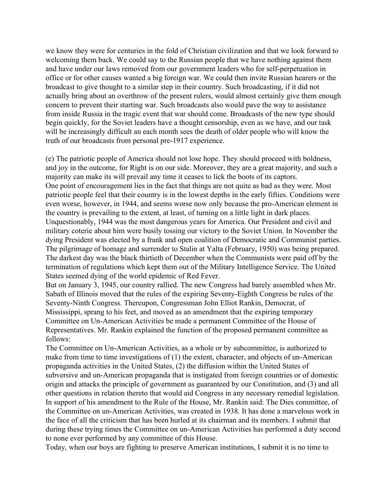we know they were for centuries in the fold of Christian civilization and that we look forward to welcoming them back. We could say to the Russian people that we have nothing against them and have under our laws removed from our government leaders who for self-perpetuation in office or for other causes wanted a big foreign war. We could then invite Russian hearers or the broadcast to give thought to a similar step in their country. Such broadcasting, if it did not actually bring about an overthrow of the present rulers, would almost certainly give them enough concern to prevent their starting war. Such broadcasts also would pave the way to assistance from inside Russia in the tragic event that war should come. Broadcasts of the new type should begin quickly, for the Soviet leaders have a thought censorship, even as we have, and our task will be increasingly difficult an each month sees the death of older people who will know the truth of our broadcasts from personal pre-1917 experience.

(e) The patriotic people of America should not lose hope. They should proceed with boldness, and joy in the outcome, for Right is on our side. Moreover, they are a great majority, and such a majority can make its will prevail any time it ceases to lick the boots of its captors. One point of encouragement lies in the fact that things are not quite as bad as they were. Most patriotic people feel that their country is in the lowest depths in the early fifties. Conditions were even worse, however, in 1944, and seems worse now only because the pro-American element in the country is prevailing to the extent, at least, of turning on a little light in dark places. Unquestionably, 1944 was the most dangerous years for America. Our President and civil and military coterie about him were busily tossing our victory to the Soviet Union. In November the dying President was elected by a frank and open coalition of Democratic and Communist parties. The pilgrimage of homage and surrender to Stalin at Yalta (February, 1950) was being prepared. The darkest day was the black thirtieth of December when the Communists were paid off by the termination of regulations which kept them out of the Military Intelligence Service. The United States seemed dying of the world epidemic of Red Fever.

But on January 3, 1945, our country rallied. The new Congress had barely assembled when Mr. Sabath of Illinois moved that the rules of the expiring Seventy-Eighth Congress be rules of the Seventy-Ninth Congress. Thereupon, Congressman John Elliot Rankin, Democrat, of Mississippi, sprang to his feet, and moved as an amendment that the expiring temporary Committee on Un-American Activities be made a permanent Committee of the House of Representatives. Mr. Rankin explained the function of the proposed permanent committee as follows:

The Committee on Un-American Activities, as a whole or by subcommittee, is authorized to make from time to time investigations of (1) the extent, character, and objects of un-American propaganda activities in the United States, (2) the diffusion within the United States of subversive and un-American propaganda that is instigated from foreign countries or of domestic origin and attacks the principle of government as guaranteed by our Constitution, and (3) and all other questions in relation thereto that would aid Congress in any necessary remedial legislation. In support of his amendment to the Rule of the House, Mr. Rankin said: The Dies committee, of the Committee on un-American Activities, was created in 1938. It has done a marvelous work in the face of all the criticism that has been hurled at its chairman and its members. I submit that during these trying times the Committee on un-American Activities has performed a duty second to none ever performed by any committee of this House.

Today, when our boys are fighting to preserve American institutions, I submit it is no time to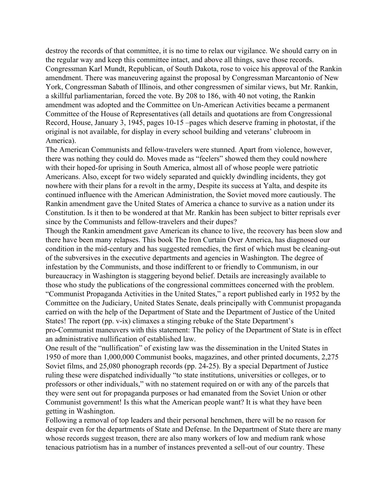destroy the records of that committee, it is no time to relax our vigilance. We should carry on in the regular way and keep this committee intact, and above all things, save those records. Congressman Karl Mundt, Republican, of South Dakota, rose to voice his approval of the Rankin amendment. There was maneuvering against the proposal by Congressman Marcantonio of New York, Congressman Sabath of Illinois, and other congressmen of similar views, but Mr. Rankin, a skillful parliamentarian, forced the vote. By 208 to 186, with 40 not voting, the Rankin amendment was adopted and the Committee on Un-American Activities became a permanent Committee of the House of Representatives (all details and quotations are from Congressional Record, House, January 3, 1945, pages 10-15 –pages which deserve framing in photostat, if the original is not available, for display in every school building and veterans' clubroom in America).

The American Communists and fellow-travelers were stunned. Apart from violence, however, there was nothing they could do. Moves made as "feelers" showed them they could nowhere with their hoped-for uprising in South America, almost all of whose people were patriotic Americans. Also, except for two widely separated and quickly dwindling incidents, they got nowhere with their plans for a revolt in the army, Despite its success at Yalta, and despite its continued influence with the American Administration, the Soviet moved more cautiously. The Rankin amendment gave the United States of America a chance to survive as a nation under its Constitution. Is it then to be wondered at that Mr. Rankin has been subject to bitter reprisals ever since by the Communists and fellow-travelers and their dupes?

Though the Rankin amendment gave American its chance to live, the recovery has been slow and there have been many relapses. This book The Iron Curtain Over America, has diagnosed our condition in the mid-century and has suggested remedies, the first of which must be cleaning-out of the subversives in the executive departments and agencies in Washington. The degree of infestation by the Communists, and those indifferent to or friendly to Communism, in our bureaucracy in Washington is staggering beyond belief. Details are increasingly available to those who study the publications of the congressional committees concerned with the problem. "Communist Propaganda Activities in the United States," a report published early in 1952 by the Committee on the Judiciary, United States Senate, deals principally with Communist propaganda carried on with the help of the Department of State and the Department of Justice of the United States! The report (pp. v-ix) climaxes a stinging rebuke of the State Department's pro-Communist maneuvers with this statement: The policy of the Department of State is in effect an administrative nullification of established law.

One result of the "nullification" of existing law was the dissemination in the United States in 1950 of more than 1,000,000 Communist books, magazines, and other printed documents, 2,275 Soviet films, and 25,080 phonograph records (pp. 24-25). By a special Department of Justice ruling these were dispatched individually "to state institutions, universities or colleges, or to professors or other individuals," with no statement required on or with any of the parcels that they were sent out for propaganda purposes or had emanated from the Soviet Union or other Communist government! Is this what the American people want? It is what they have been getting in Washington.

Following a removal of top leaders and their personal henchmen, there will be no reason for despair even for the departments of State and Defense. In the Department of State there are many whose records suggest treason, there are also many workers of low and medium rank whose tenacious patriotism has in a number of instances prevented a sell-out of our country. These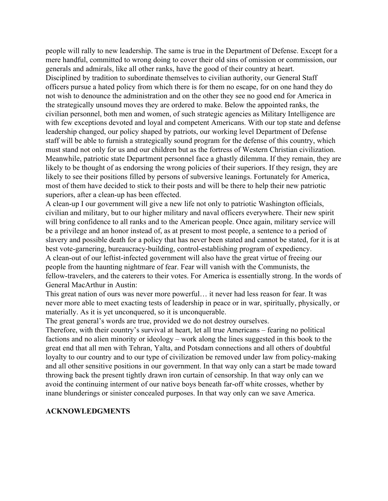people will rally to new leadership. The same is true in the Department of Defense. Except for a mere handful, committed to wrong doing to cover their old sins of omission or commission, our generals and admirals, like all other ranks, have the good of their country at heart. Disciplined by tradition to subordinate themselves to civilian authority, our General Staff officers pursue a hated policy from which there is for them no escape, for on one hand they do not wish to denounce the administration and on the other they see no good end for America in the strategically unsound moves they are ordered to make. Below the appointed ranks, the civilian personnel, both men and women, of such strategic agencies as Military Intelligence are with few exceptions devoted and loyal and competent Americans. With our top state and defense leadership changed, our policy shaped by patriots, our working level Department of Defense staff will be able to furnish a strategically sound program for the defense of this country, which must stand not only for us and our children but as the fortress of Western Christian civilization. Meanwhile, patriotic state Department personnel face a ghastly dilemma. If they remain, they are likely to be thought of as endorsing the wrong policies of their superiors. If they resign, they are likely to see their positions filled by persons of subversive leanings. Fortunately for America, most of them have decided to stick to their posts and will be there to help their new patriotic superiors, after a clean-up has been effected.

A clean-up I our government will give a new life not only to patriotic Washington officials, civilian and military, but to our higher military and naval officers everywhere. Their new spirit will bring confidence to all ranks and to the American people. Once again, military service will be a privilege and an honor instead of, as at present to most people, a sentence to a period of slavery and possible death for a policy that has never been stated and cannot be stated, for it is at best vote-garnering, bureaucracy-building, control-establishing program of expediency. A clean-out of our leftist-infected government will also have the great virtue of freeing our people from the haunting nightmare of fear. Fear will vanish with the Communists, the fellow-travelers, and the caterers to their votes. For America is essentially strong. In the words of General MacArthur in Austin:

This great nation of ours was never more powerful… it never had less reason for fear. It was never more able to meet exacting tests of leadership in peace or in war, spiritually, physically, or materially. As it is yet unconquered, so it is unconquerable.

The great general's words are true, provided we do not destroy ourselves.

Therefore, with their country's survival at heart, let all true Americans – fearing no political factions and no alien minority or ideology – work along the lines suggested in this book to the great end that all men with Tehran, Yalta, and Potsdam connections and all others of doubtful loyalty to our country and to our type of civilization be removed under law from policy-making and all other sensitive positions in our government. In that way only can a start be made toward throwing back the present tightly drawn iron curtain of censorship. In that way only can we avoid the continuing interment of our native boys beneath far-off white crosses, whether by inane blunderings or sinister concealed purposes. In that way only can we save America.

#### **ACKNOWLEDGMENTS**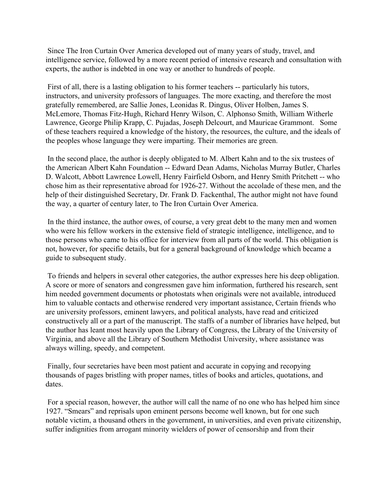Since The Iron Curtain Over America developed out of many years of study, travel, and intelligence service, followed by a more recent period of intensive research and consultation with experts, the author is indebted in one way or another to hundreds of people.

 First of all, there is a lasting obligation to his former teachers -- particularly his tutors, instructors, and university professors of languages. The more exacting, and therefore the most gratefully remembered, are Sallie Jones, Leonidas R. Dingus, Oliver Holben, James S. McLemore, Thomas Fitz-Hugh, Richard Henry Wilson, C. Alphonso Smith, William Witherle Lawrence, George Philip Krapp, C. Pujadas, Joseph Delcourt, and Mauricae Grammont. Some of these teachers required a knowledge of the history, the resources, the culture, and the ideals of the peoples whose language they were imparting. Their memories are green.

 In the second place, the author is deeply obligated to M. Albert Kahn and to the six trustees of the American Albert Kahn Foundation -- Edward Dean Adams, Nicholas Murray Butler, Charles D. Walcott, Abbott Lawrence Lowell, Henry Fairfield Osborn, and Henry Smith Pritchett -- who chose him as their representative abroad for 1926-27. Without the accolade of these men, and the help of their distinguished Secretary, Dr. Frank D. Fackenthal, The author might not have found the way, a quarter of century later, to The Iron Curtain Over America.

 In the third instance, the author owes, of course, a very great debt to the many men and women who were his fellow workers in the extensive field of strategic intelligence, intelligence, and to those persons who came to his office for interview from all parts of the world. This obligation is not, however, for specific details, but for a general background of knowledge which became a guide to subsequent study.

 To friends and helpers in several other categories, the author expresses here his deep obligation. A score or more of senators and congressmen gave him information, furthered his research, sent him needed government documents or photostats when originals were not available, introduced him to valuable contacts and otherwise rendered very important assistance, Certain friends who are university professors, eminent lawyers, and political analysts, have read and criticized constructively all or a part of the manuscript. The staffs of a number of libraries have helped, but the author has leant most heavily upon the Library of Congress, the Library of the University of Virginia, and above all the Library of Southern Methodist University, where assistance was always willing, speedy, and competent.

 Finally, four secretaries have been most patient and accurate in copying and recopying thousands of pages bristling with proper names, titles of books and articles, quotations, and dates

 For a special reason, however, the author will call the name of no one who has helped him since 1927. "Smears" and reprisals upon eminent persons become well known, but for one such notable victim, a thousand others in the government, in universities, and even private citizenship, suffer indignities from arrogant minority wielders of power of censorship and from their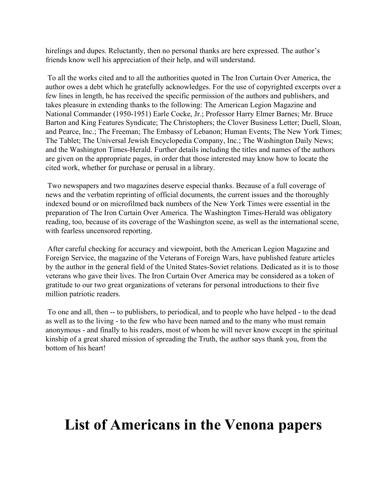hirelings and dupes. Reluctantly, then no personal thanks are here expressed. The author's friends know well his appreciation of their help, and will understand.

 To all the works cited and to all the authorities quoted in The Iron Curtain Over America, the author owes a debt which he gratefully acknowledges. For the use of copyrighted excerpts over a few lines in length, he has received the specific permission of the authors and publishers, and takes pleasure in extending thanks to the following: The American Legion Magazine and National Commander (1950-1951) Earle Cocke, Jr.; Professor Harry Elmer Barnes; Mr. Bruce Barton and King Features Syndicate; The Christophers; the Clover Business Letter; Duell, Sloan, and Pearce, Inc.; The Freeman; The Embassy of Lebanon; Human Events; The New York Times; The Tablet; The Universal Jewish Encyclopedia Company, Inc.; The Washington Daily News; and the Washington Times-Herald. Further details including the titles and names of the authors are given on the appropriate pages, in order that those interested may know how to locate the cited work, whether for purchase or perusal in a library.

 Two newspapers and two magazines deserve especial thanks. Because of a full coverage of news and the verbatim reprinting of official documents, the current issues and the thoroughly indexed bound or on microfilmed back numbers of the New York Times were essential in the preparation of The Iron Curtain Over America. The Washington Times-Herald was obligatory reading, too, because of its coverage of the Washington scene, as well as the international scene, with fearless uncensored reporting.

 After careful checking for accuracy and viewpoint, both the American Legion Magazine and Foreign Service, the magazine of the Veterans of Foreign Wars, have published feature articles by the author in the general field of the United States-Soviet relations. Dedicated as it is to those veterans who gave their lives. The Iron Curtain Over America may be considered as a token of gratitude to our two great organizations of veterans for personal introductions to their five million patriotic readers.

 To one and all, then -- to publishers, to periodical, and to people who have helped - to the dead as well as to the living - to the few who have been named and to the many who must remain anonymous - and finally to his readers, most of whom he will never know except in the spiritual kinship of a great shared mission of spreading the Truth, the author says thank you, from the bottom of his heart!

# **List of Americans in the Venona papers**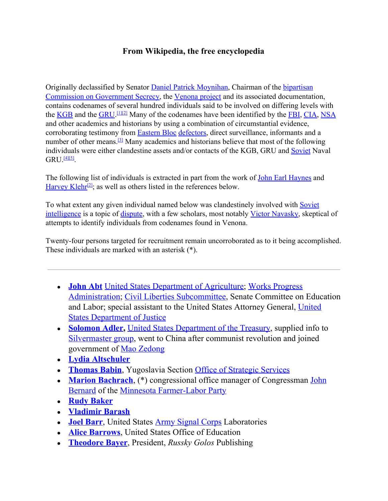### **From Wikipedia, the free encyclopedia**

Originally declassified by Senator [Daniel Patrick Moynihan,](http://en.wikipedia.org/wiki/Daniel_Patrick_Moynihan) Chairman of the [bipartisan](http://en.wikipedia.org/wiki/Bipartisan) [Commission on Government Secrecy,](http://en.wikipedia.org/wiki/Commission_on_Government_Secrecy) the [Venona project](http://en.wikipedia.org/wiki/Venona_project) and its associated documentation, contains codenames of several hundred individuals said to be involved on differing levels with the [KGB](http://en.wikipedia.org/wiki/KGB) and the [GRU.](http://en.wikipedia.org/wiki/GRU)<sup>[\[1\]](http://www.iamthewitness.com/books/John.Beaty/Iron.Curtain.Over.America.htm#_note-0)[\[2\]](http://www.iamthewitness.com/books/John.Beaty/Iron.Curtain.Over.America.htm#_note-r5)</sup> Many of the codenames have been identified by the [FBI,](http://en.wikipedia.org/wiki/FBI) [CIA,](http://en.wikipedia.org/wiki/CIA) [NSA](http://en.wikipedia.org/wiki/NSA) and other academics and historians by using a combination of circumstantial evidence, corroborating testimony from [Eastern Bloc](http://en.wikipedia.org/wiki/Eastern_Bloc) [defectors,](http://en.wikipedia.org/wiki/Defection) direct surveillance, informants and a number of other means.<sup>[\[3\]](http://www.iamthewitness.com/books/John.Beaty/Iron.Curtain.Over.America.htm#_note-1)</sup> Many academics and historians believe that most of the following individuals were either clandestine assets and/or contacts of the KGB, GRU and [Soviet](http://en.wikipedia.org/wiki/Soviet_Union) Naval GRU.<sup>[\[4\]](http://www.iamthewitness.com/books/John.Beaty/Iron.Curtain.Over.America.htm#_note-2)[\[5\]](http://www.iamthewitness.com/books/John.Beaty/Iron.Curtain.Over.America.htm#_note-3)</sup>.

The following list of individuals is extracted in part from the work of [John Earl Haynes](http://en.wikipedia.org/wiki/John_Earl_Haynes) and [Harvey Klehr](http://en.wikipedia.org/wiki/Harvey_Klehr)<sup>[\[2\]](http://www.iamthewitness.com/books/John.Beaty/Iron.Curtain.Over.America.htm#_note-r5)</sup>; as well as others listed in the references below.

To what extent any given individual named below was clandestinely involved with [Soviet](http://en.wikipedia.org/wiki/Chronology_of_Soviet_secret_police_agencies) [intelligence](http://en.wikipedia.org/wiki/Chronology_of_Soviet_secret_police_agencies) is a topic of [dispute,](http://en.wikipedia.org/wiki/Venona_project#Critical_Views) with a few scholars, most notably [Victor Navasky,](http://en.wikipedia.org/wiki/Victor_Navasky) skeptical of attempts to identify individuals from codenames found in Venona.

Twenty-four persons targeted for recruitment remain uncorroborated as to it being accomplished. These individuals are marked with an asterisk (\*).

- **[John Abt](http://en.wikipedia.org/wiki/John_Abt)** [United States Department of Agriculture;](http://en.wikipedia.org/wiki/United_States_Department_of_Agriculture) [Works Progress](http://en.wikipedia.org/wiki/Works_Progress_Administration) [Administration;](http://en.wikipedia.org/wiki/Works_Progress_Administration) [Civil Liberties Subcommittee,](http://en.wikipedia.org/wiki/Civil_Liberties_Subcommittee) Senate Committee on Education and Labor; special assistant to the United States Attorney General, [United](http://en.wikipedia.org/wiki/United_States_Department_of_Justice) [States Department of Justice](http://en.wikipedia.org/wiki/United_States_Department_of_Justice)
- **[Solomon Adler](http://en.wikipedia.org/wiki/Solomon_Adler)**, [United States Department of the Treasury,](http://en.wikipedia.org/wiki/United_States_Department_of_the_Treasury) supplied info to [Silvermaster group,](http://en.wikipedia.org/wiki/List_of_secret_agents#Silvermaster_group) went to China after communist revolution and joined government of [Mao Zedong](http://en.wikipedia.org/wiki/Mao_Zedong)
- **[Lydia Altschuler](http://en.wikipedia.org/w/index.php?title=Lydia_Altschuler&action=edit)**
- **[Thomas Babin](http://en.wikipedia.org/wiki/Thomas_Babin)**, Yugoslavia Section [Office of Strategic Services](http://en.wikipedia.org/wiki/Office_of_Strategic_Services)
- **[Marion Bachrach](http://en.wikipedia.org/wiki/Marion_Bachrach)**, (\*) congressional office manager of Congressman [John](http://en.wikipedia.org/wiki/John_Bernard) [Bernard](http://en.wikipedia.org/wiki/John_Bernard) of the [Minnesota Farmer-Labor Party](http://en.wikipedia.org/wiki/Minnesota_Farmer-Labor_Party)
- **[Rudy Baker](http://en.wikipedia.org/wiki/Rudy_Baker)**
- **[Vladimir Barash](http://en.wikipedia.org/w/index.php?title=Vladimir_Barash&action=edit)**
- **[Joel Barr](http://en.wikipedia.org/wiki/Joel_Barr)**, United States [Army Signal Corps](http://en.wikipedia.org/wiki/Army_Signal_Corps#World_War_II) Laboratories
- **[Alice Barrows](http://en.wikipedia.org/wiki/Alice_Barrows)**, United States Office of Education
- **[Theodore Bayer](http://en.wikipedia.org/wiki/Theodore_Bayer)**, President, *Russky Golos* Publishing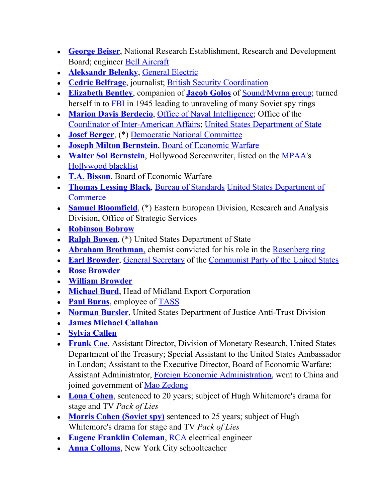- **[George Beiser](http://en.wikipedia.org/wiki/George_Beiser)**, National Research Establishment, Research and Development Board; engineer [Bell Aircraft](http://en.wikipedia.org/wiki/Bell_Aircraft)
- **[Aleksandr Belenky](http://en.wikipedia.org/wiki/Aleksandr_Belenky)**, [General Electric](http://en.wikipedia.org/wiki/General_Electric)
- **[Cedric Belfrage](http://en.wikipedia.org/wiki/Cedric_Belfrage)**, journalist; [British Security Coordination](http://en.wikipedia.org/wiki/British_Security_Coordination)
- **[Elizabeth Bentley](http://en.wikipedia.org/wiki/Elizabeth_Bentley)**, companion of **[Jacob Golos](http://en.wikipedia.org/wiki/Jacob_Golos)** of [Sound/Myrna group;](http://en.wikipedia.org/wiki/List_of_secret_agents#Sound_and_Myrna_groups) turned herself in to **FBI** in 1945 leading to unraveling of many Soviet spy rings
- **[Marion Davis Berdecio](http://en.wikipedia.org/wiki/Marion_Davis_Berdecio)**, [Office of Naval Intelligence;](http://en.wikipedia.org/wiki/Office_of_Naval_Intelligence) Office of the [Coordinator of Inter-American Affairs;](http://en.wikipedia.org/wiki/Coordinator_of_Inter-American_Affairs) [United States Department of State](http://en.wikipedia.org/wiki/United_States_Department_of_State)
- **[Josef Berger](http://en.wikipedia.org/wiki/Josef_Berger)**, (\*) [Democratic National Committee](http://en.wikipedia.org/wiki/Democratic_National_Committee)
- **[Joseph Milton Bernstein](http://en.wikipedia.org/wiki/Joseph_Milton_Bernstein)**, [Board of Economic Warfare](http://en.wikipedia.org/wiki/Board_of_Economic_Warfare)
- **[Walter Sol Bernstein](http://en.wikipedia.org/wiki/Walter_Bernstein)**, Hollywood Screenwriter, listed on the **MPAA's** [Hollywood blacklist](http://en.wikipedia.org/wiki/Hollywood_blacklist)
- **[T.A. Bisson](http://en.wikipedia.org/wiki/T.A._Bisson)**, Board of Economic Warfare
- **[Thomas Lessing Black](http://en.wikipedia.org/wiki/Thomas_Lessing_Black)**, [Bureau of Standards](http://en.wikipedia.org/wiki/National_Institute_of_Standards_and_Technology) [United States Department of](http://en.wikipedia.org/wiki/United_States_Department_of_Commerce) **[Commerce](http://en.wikipedia.org/wiki/United_States_Department_of_Commerce)**
- **[Samuel Bloomfield](http://en.wikipedia.org/wiki/Samuel_Bloomfield)**, (\*) Eastern European Division, Research and Analysis Division, Office of Strategic Services
- **[Robinson Bobrow](http://en.wikipedia.org/w/index.php?title=Robinson_Bobrow&action=edit)**
- **[Ralph Bowen](http://en.wikipedia.org/wiki/Ralph_Bowen)**, (\*) United States Department of State
- **[Abraham Brothman](http://www.time.com/time/archive/preview/0,10987,813940,00.html)**[,](http://www.time.com/time/archive/preview/0,10987,813940,00.html) chemist convicted for his role in the [Rosenberg ring](http://en.wikipedia.org/wiki/List_of_secret_agents#Rosenberg_ring)
- **[Earl Browder](http://en.wikipedia.org/wiki/Earl_Browder)**, [General Secretary](http://en.wikipedia.org/wiki/General_Secretary) of the [Communist Party of the United States](http://en.wikipedia.org/wiki/Communist_Party_of_the_United_States)
- **[Rose Browder](http://en.wikipedia.org/w/index.php?title=Rose_Browder&action=edit)**
- **[William Browder](http://en.wikipedia.org/wiki/William_Browder)**
- **[Michael Burd](http://en.wikipedia.org/wiki/Michael_Burd)**, Head of Midland Export Corporation
- **[Paul Burns](http://en.wikipedia.org/wiki/Paul_Burns)**, employee of **TASS**
- **[Norman Bursler](http://en.wikipedia.org/wiki/Norman_Bursler)**, United States Department of Justice Anti-Trust Division
- **[James Michael Callahan](http://en.wikipedia.org/wiki/James_Michael_Callahan)**
- **[Sylvia Callen](http://en.wikipedia.org/wiki/Sylvia_Callen)**
- **[Frank Coe](http://en.wikipedia.org/wiki/Frank_Coe)**, Assistant Director, Division of Monetary Research, United States Department of the Treasury; Special Assistant to the United States Ambassador in London; Assistant to the Executive Director, Board of Economic Warfare; Assistant Administrator, [Foreign Economic Administration,](http://en.wikipedia.org/wiki/Foreign_Economic_Administration) went to China and joined government of [Mao Zedong](http://en.wikipedia.org/wiki/Mao_Zedong)
- [Lona Cohen](http://en.wikipedia.org/wiki/Lona_Cohen), sentenced to 20 years; subject of Hugh Whitemore's drama for stage and TV *Pack of Lies*
- **[Morris Cohen \(Soviet spy\)](http://en.wikipedia.org/wiki/Morris_Cohen_%28Soviet_spy%2529)** sentenced to 25 years; subject of Hugh Whitemore's drama for stage and TV *Pack of Lies*
- **[Eugene Franklin Coleman](http://en.wikipedia.org/wiki/Eugene_Franklin_Coleman)**, [RCA](http://en.wikipedia.org/wiki/RCA) electrical engineer
- **[Anna Colloms](http://en.wikipedia.org/wiki/Anna_Colloms)**, New York City schoolteacher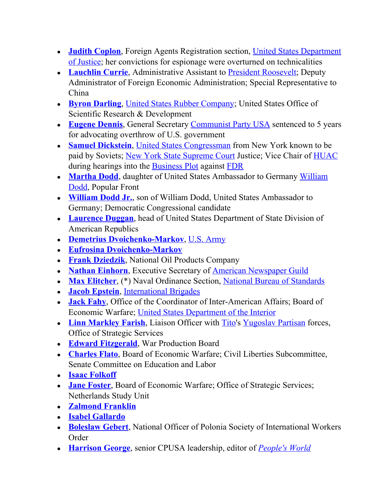- **[Judith Coplon](http://en.wikipedia.org/wiki/Judith_Coplon)**, Foreign Agents Registration section, [United States Department](http://en.wikipedia.org/wiki/United_States_Department_of_Justice) [of Justice;](http://en.wikipedia.org/wiki/United_States_Department_of_Justice) her convictions for espionage were overturned on technicalities
- **[Lauchlin Currie](http://en.wikipedia.org/wiki/Lauchlin_Currie)**, Administrative Assistant to **President Roosevelt**; Deputy Administrator of Foreign Economic Administration; Special Representative to China
- **[Byron Darling](http://en.wikipedia.org/wiki/Byron_Darling)**, [United States Rubber Company;](http://en.wikipedia.org/wiki/United_States_Rubber_Company) United States Office of Scientific Research & Development
- **[Eugene Dennis](http://en.wikipedia.org/wiki/Eugene_Dennis)**, General Secretary [Communist Party USA](http://en.wikipedia.org/wiki/Communist_Party_USA) sentenced to 5 years for advocating overthrow of U.S. government
- **[Samuel Dickstein](http://en.wikipedia.org/wiki/Samuel_Dickstein_%28congressman%2529)**, [United States Congressman](http://en.wikipedia.org/wiki/United_States_Congressman) from New York known to be paid by Soviets; [New York State Supreme Court](http://en.wikipedia.org/wiki/New_York_Supreme_Court) Justice; Vice Chair of [HUAC](http://en.wikipedia.org/wiki/HUAC) during hearings into the **Business Plot** against **FDR**
- **[Martha Dodd](http://en.wikipedia.org/wiki/Martha_Dodd)**, daughter of United States Ambassador to Germany [William](http://en.wikipedia.org/wiki/William_Dodd) [Dodd,](http://en.wikipedia.org/wiki/William_Dodd) Popular Front
- **[William Dodd Jr.](http://en.wikipedia.org/wiki/William_Dodd_%28Soviet_spy%2529)**, son of William Dodd, United States Ambassador to Germany; Democratic Congressional candidate
- **[Laurence Duggan](http://en.wikipedia.org/wiki/Laurence_Duggan)**, head of United States Department of State Division of American Republics
- **[Demetrius Dvoichenko-Markov](http://en.wikipedia.org/wiki/Demetrius_Dvoichenko-Markov)**, [U.S. Army](http://en.wikipedia.org/wiki/U.S._Army)
- **[Eufrosina Dvoichenko-Markov](http://en.wikipedia.org/wiki/Eufrosina_Dvoichenko-Markov)**
- **[Frank Dziedzik](http://en.wikipedia.org/wiki/Frank_Dziedzik)**, National Oil Products Company
- **[Nathan Einhorn](http://en.wikipedia.org/wiki/Nathan_Einhorn)**, Executive Secretary of **American Newspaper Guild**
- [Max Elitcher](http://en.wikipedia.org/wiki/Max_Elitcher), (\*) Naval Ordinance Section, [National Bureau of Standards](http://en.wikipedia.org/wiki/National_Bureau_of_Standards)
- **[Jacob Epstein](http://en.wikipedia.org/wiki/Jacob_Epstein_%28student%2529)**, [International Brigades](http://en.wikipedia.org/wiki/International_Brigades)
- **[Jack Fahy](http://en.wikipedia.org/wiki/Jack_Fahy)**, Office of the Coordinator of Inter-American Affairs; Board of Economic Warfare; [United States Department of the Interior](http://en.wikipedia.org/wiki/United_States_Department_of_the_Interior)
- **[Linn Markley Farish](http://en.wikipedia.org/wiki/Linn_Markley_Farish)**, Liaison Officer with **[Tito'](http://en.wikipedia.org/wiki/Tito)s [Yugoslav Partisan](http://en.wikipedia.org/wiki/Partisans_%28Yugoslavia%2529)** forces, Office of Strategic Services
- **[Edward Fitzgerald](http://en.wikipedia.org/wiki/Edward_Fitzgerald_%28adviser%2529)**, War Production Board
- **[Charles Flato](http://en.wikipedia.org/wiki/Charles_Flato)**, Board of Economic Warfare; Civil Liberties Subcommittee, Senate Committee on Education and Labor
- **[Isaac Folkoff](http://en.wikipedia.org/wiki/Isaac_Folkoff)**
- **[Jane Foster](http://en.wikipedia.org/wiki/Jane_Foster)**, Board of Economic Warfare; Office of Strategic Services; Netherlands Study Unit
- **[Zalmond Franklin](http://en.wikipedia.org/wiki/Zalmond_Franklin)**
- **[Isabel Gallardo](http://en.wikipedia.org/wiki/Isabel_Gallardo)**
- **[Boleslaw Gebert](http://en.wikipedia.org/wiki/Boleslaw_Gebert)**, National Officer of Polonia Society of International Workers Order
- **[Harrison George](http://en.wikipedia.org/wiki/Harrison_George)**, senior CPUSA leadership, editor of *[People's World](http://en.wikipedia.org/wiki/People%27s_World)*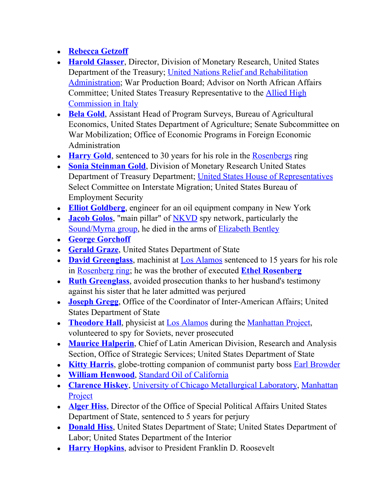- **[Rebecca Getzoff](http://en.wikipedia.org/wiki/Rebecca_Getzoff)**
- **[Harold Glasser](http://en.wikipedia.org/wiki/Harold_Glasser)**, Director, Division of Monetary Research, United States Department of the Treasury; [United Nations Relief and Rehabilitation](http://en.wikipedia.org/wiki/United_Nations_Relief_and_Rehabilitation_Administration) [Administration;](http://en.wikipedia.org/wiki/United_Nations_Relief_and_Rehabilitation_Administration) War Production Board; Advisor on North African Affairs Committee; United States Treasury Representative to the **Allied High** [Commission in Italy](http://en.wikipedia.org/wiki/Allied_Commission)
- **[Bela Gold](http://en.wikipedia.org/wiki/Bela_Gold)**, Assistant Head of Program Surveys, Bureau of Agricultural Economics, United States Department of Agriculture; Senate Subcommittee on War Mobilization; Office of Economic Programs in Foreign Economic Administration
- **[Harry Gold](http://en.wikipedia.org/wiki/Harry_Gold)**, sentenced to 30 years for his role in the **Rosenbergs** ring
- **[Sonia Steinman Gold](http://en.wikipedia.org/wiki/Sonia_Steinman_Gold)**, Division of Monetary Research United States Department of Treasury Department; [United States House of Representatives](http://en.wikipedia.org/wiki/United_States_House_of_Representatives) Select Committee on Interstate Migration; United States Bureau of Employment Security
- **[Elliot Goldberg](http://en.wikipedia.org/w/index.php?title=Elliot_Goldberg&action=edit)**, engineer for an oil equipment company in New York
- **[Jacob Golos](http://en.wikipedia.org/wiki/Jacob_Golos)**, "main pillar" of **NKVD** spy network, particularly the [Sound/Myrna group,](http://en.wikipedia.org/wiki/List_of_secret_agents#Sound_and_Myrna_groups) he died in the arms of [Elizabeth Bentley](http://en.wikipedia.org/wiki/Elizabeth_Bentley)
- **[George Gorchoff](http://en.wikipedia.org/wiki/George_Gorchoff)**
- **[Gerald Graze](http://en.wikipedia.org/wiki/Gerald_Graze)**, United States Department of State
- **[David Greenglass](http://en.wikipedia.org/wiki/David_Greenglass)**, machinist at **Los Alamos** sentenced to 15 years for his role in [Rosenberg ring;](http://en.wikipedia.org/wiki/List_of_secret_agents#Rosenberg_ring) he was the brother of executed **[Ethel Rosenberg](http://en.wikipedia.org/wiki/Ethel_Rosenberg)**
- **[Ruth Greenglass](http://en.wikipedia.org/wiki/Ruth_Greenglass)**, avoided prosecution thanks to her husband's testimony against his sister that he later admitted was perjured
- **[Joseph Gregg](http://en.wikipedia.org/wiki/Joseph_Gregg)**, Office of the Coordinator of Inter-American Affairs; United States Department of State
- **[Theodore Hall](http://en.wikipedia.org/wiki/Theodore_Hall)**, physicist at **Los Alamos** during the **Manhattan Project**, volunteered to spy for Soviets, never prosecuted
- **[Maurice Halperin](http://en.wikipedia.org/wiki/Maurice_Halperin)**, Chief of Latin American Division, Research and Analysis Section, Office of Strategic Services; United States Department of State
- **[Kitty Harris](http://en.wikipedia.org/wiki/Kitty_Harris)**, globe-trotting companion of communist party boss **[Earl Browder](http://en.wikipedia.org/wiki/Earl_Browder)**
- **[William Henwood](http://en.wikipedia.org/w/index.php?title=William_Henwood&action=edit)**, [Standard Oil of California](http://en.wikipedia.org/wiki/Standard_Oil_of_California)
- **[Clarence Hiskey](http://en.wikipedia.org/wiki/Clarence_Hiskey)**, [University of Chicago Metallurgical Laboratory,](http://en.wikipedia.org/wiki/University_of_Chicago_Metallurgical_Laboratory) [Manhattan](http://en.wikipedia.org/wiki/Manhattan_Project) [Project](http://en.wikipedia.org/wiki/Manhattan_Project)
- **[Alger Hiss](http://en.wikipedia.org/wiki/Alger_Hiss)**, Director of the Office of Special Political Affairs United States Department of State, sentenced to 5 years for perjury
- **[Donald Hiss](http://en.wikipedia.org/wiki/Donald_Hiss)**, United States Department of State; United States Department of Labor; United States Department of the Interior
- **[Harry Hopkins](http://en.wikipedia.org/wiki/Harry_Hopkins)**, advisor to President Franklin D. Roosevelt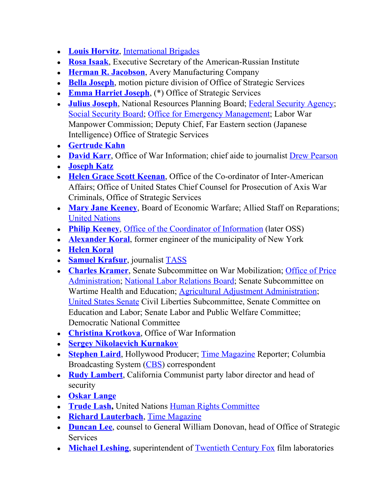- **[Louis Horvitz](http://en.wikipedia.org/wiki/Louis_Horvitz)**, [International Brigades](http://en.wikipedia.org/wiki/International_Brigades)
- **[Rosa Isaak](http://en.wikipedia.org/wiki/Rosa_Isaak)**, Executive Secretary of the American-Russian Institute
- **[Herman R. Jacobson](http://en.wikipedia.org/w/index.php?title=Herman_R._Jacobson&action=edit)**, Avery Manufacturing Company
- **[Bella Joseph](http://en.wikipedia.org/wiki/Bella_Joseph)**, motion picture division of Office of Strategic Services
- **[Emma Harriet Joseph](http://en.wikipedia.org/wiki/Emma_Harriet_Joseph)**, (\*) Office of Strategic Services
- **[Julius Joseph](http://en.wikipedia.org/wiki/Julius_Joseph)**, National Resources Planning Board; [Federal Security Agency;](http://en.wikipedia.org/wiki/Federal_Security_Agency) [Social Security Board;](http://en.wikipedia.org/wiki/Social_Security_Board) [Office for Emergency Management;](http://en.wikipedia.org/wiki/Office_for_Emergency_Management) Labor War Manpower Commission; Deputy Chief, Far Eastern section (Japanese Intelligence) Office of Strategic Services
- **[Gertrude Kahn](http://en.wikipedia.org/wiki/Gertrude_Kahn)**
- **[David Karr](http://en.wikipedia.org/wiki/David_Karr)**, Office of War Information; chief aide to journalist **Drew Pearson**
- **[Joseph Katz](http://en.wikipedia.org/wiki/Joseph_Katz)**
- **[Helen Grace Scott Keenan](http://en.wikipedia.org/wiki/Helen_Grace_Scott_Keenan)**, Office of the Co-ordinator of Inter-American Affairs; Office of United States Chief Counsel for Prosecution of Axis War Criminals, Office of Strategic Services
- **[Mary Jane Keeney](http://en.wikipedia.org/wiki/Mary_Jane_Keeney)**, Board of Economic Warfare; Allied Staff on Reparations; [United Nations](http://en.wikipedia.org/wiki/United_Nations)
- **[Philip Keeney](http://en.wikipedia.org/wiki/Philip_Keeney)**, [Office of the Coordinator of Information](http://en.wikipedia.org/wiki/Office_of_the_Coordinator_of_Information) (later OSS)
- **[Alexander Koral](http://en.wikipedia.org/wiki/Alexander_Koral)**, former engineer of the municipality of New York
- **[Helen Koral](http://en.wikipedia.org/wiki/Helen_Koral)**
- **[Samuel Krafsur](http://en.wikipedia.org/wiki/Samuel_Krafsur)**, journalist [TASS](http://en.wikipedia.org/wiki/TASS_%28USSR%2529)
- **[Charles Kramer](http://en.wikipedia.org/wiki/Charles_Kramer)**, Senate Subcommittee on War Mobilization; [Office of Price](http://en.wikipedia.org/wiki/Office_of_Price_Administration) [Administration;](http://en.wikipedia.org/wiki/Office_of_Price_Administration) [National Labor Relations Board;](http://en.wikipedia.org/wiki/National_Labor_Relations_Board) Senate Subcommittee on Wartime Health and Education; [Agricultural Adjustment Administration](http://en.wikipedia.org/wiki/Agricultural_Adjustment_Administration); [United States Senate](http://en.wikipedia.org/wiki/United_States_Senate) Civil Liberties Subcommittee, Senate Committee on Education and Labor; Senate Labor and Public Welfare Committee; Democratic National Committee
- **[Christina Krotkova](http://en.wikipedia.org/wiki/Christina_Krotkova)**, Office of War Information
- **[Sergey Nikolaevich Kurnakov](http://en.wikipedia.org/wiki/Sergey_Nikolaevich_Kurnakov)**
- **[Stephen Laird](http://en.wikipedia.org/wiki/Stephen_Laird)**, Hollywood Producer; [Time Magazine](http://en.wikipedia.org/wiki/Time_Magazine) Reporter; Columbia Broadcasting System [\(CBS\)](http://en.wikipedia.org/wiki/CBS) correspondent
- **[Rudy Lambert](http://en.wikipedia.org/wiki/Rudy_Lambert)**, California Communist party labor director and head of security
- **[Oskar Lange](http://en.wikipedia.org/wiki/Oskar_Lange)**
- **[Trude Lash](http://en.wikipedia.org/wiki/Trude_Lash),** United Nations [Human Rights Committee](http://en.wikipedia.org/wiki/Human_Rights_Committee)
- **[Richard Lauterbach](http://en.wikipedia.org/wiki/Richard_Lauterbach)**, [Time Magazine](http://en.wikipedia.org/wiki/Time_Magazine)
- **[Duncan Lee](http://en.wikipedia.org/wiki/Duncan_Lee)**, counsel to General William Donovan, head of Office of Strategic **Services**
- **[Michael Leshing](http://en.wikipedia.org/wiki/Michael_Leshing)**, superintendent of **Twentieth Century Fox** film laboratories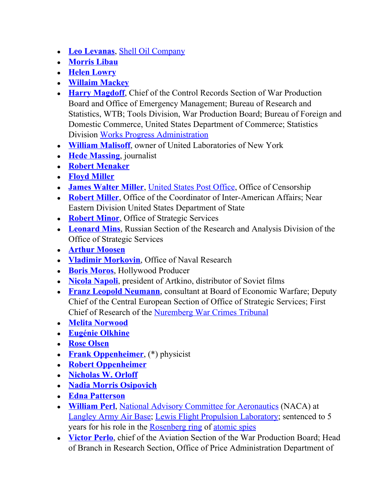- **[Leo Levanas](http://en.wikipedia.org/w/index.php?title=Leo_Levanas&action=edit)**, [Shell Oil Company](http://en.wikipedia.org/wiki/Shell_Oil_Company)
- **[Morris Libau](http://en.wikipedia.org/wiki/Morris_Libau)**
- **[Helen Lowry](http://en.wikipedia.org/wiki/Helen_Lowry)**
- **[Willaim Mackey](http://en.wikipedia.org/wiki/Willaim_Mackey)**
- **[Harry Magdoff](http://en.wikipedia.org/wiki/Harry_Magdoff)**, Chief of the Control Records Section of War Production Board and Office of Emergency Management; Bureau of Research and Statistics, WTB; Tools Division, War Production Board; Bureau of Foreign and Domestic Commerce, United States Department of Commerce; Statistics Division [Works Progress Administration](http://en.wikipedia.org/wiki/Works_Progress_Administration)
- **[William Malisoff](http://en.wikipedia.org/wiki/William_Malisoff)**, owner of United Laboratories of New York
- **[Hede Massing](http://en.wikipedia.org/wiki/Hede_Massing)**, journalist
- **[Robert Menaker](http://en.wikipedia.org/wiki/Robert_Menaker)**
- **[Floyd Miller](http://en.wikipedia.org/wiki/Floyd_Miller)**
- **[James Walter Miller](http://en.wikipedia.org/wiki/James_Walter_Miller)**, [United States Post Office,](http://en.wikipedia.org/wiki/United_States_Post_Office) Office of Censorship
- **[Robert Miller](http://en.wikipedia.org/wiki/Robert_Miller)**, Office of the Coordinator of Inter-American Affairs; Near Eastern Division United States Department of State
- **[Robert Minor](http://en.wikipedia.org/wiki/Robert_Minor)**, Office of Strategic Services
- **[Leonard Mins](http://en.wikipedia.org/wiki/Leonard_Mins)**, Russian Section of the Research and Analysis Division of the Office of Strategic Services
- **[Arthur Moosen](http://en.wikipedia.org/w/index.php?title=Arthur_Moosen&action=edit)**
- **[Vladimir Morkovin](http://en.wikipedia.org/wiki/Vladimir_Morkovin)**, Office of Naval Research
- **[Boris Moros](http://en.wikipedia.org/wiki/Boris_Moros)**, Hollywood Producer
- **[Nicola Napoli](http://en.wikipedia.org/wiki/Nicola_Napoli)**, president of Artkino, distributor of Soviet films
- **[Franz Leopold Neumann](http://en.wikipedia.org/wiki/Franz_Leopold_Neumann)**, consultant at Board of Economic Warfare; Deputy Chief of the Central European Section of Office of Strategic Services; First Chief of Research of the [Nuremberg War Crimes Tribunal](http://en.wikipedia.org/wiki/Nuremberg_War_Crimes_Tribunal)
- **[Melita Norwood](http://en.wikipedia.org/wiki/Melita_Norwood)**
- **[Eugénie Olkhine](http://en.wikipedia.org/wiki/Eug%C3%A9nie_Olkhine)**
- **[Rose Olsen](http://en.wikipedia.org/w/index.php?title=Rose_Olsen&action=edit)**
- **[Frank Oppenheimer](http://en.wikipedia.org/wiki/Frank_Oppenheimer)**, (\*) physicist
- **[Robert Oppenheimer](http://en.wikipedia.org/wiki/Robert_Oppenheimer)**
- **[Nicholas W. Orloff](http://en.wikipedia.org/wiki/Nicholas_W._Orloff)**
- **[Nadia Morris Osipovich](http://en.wikipedia.org/wiki/Nadia_Morris_Osipovich)**
- **[Edna Patterson](http://en.wikipedia.org/wiki/Edna_Patterson)**
- **[William Perl](http://en.wikipedia.org/wiki/William_Perl)**, [National Advisory Committee for Aeronautics](http://en.wikipedia.org/wiki/National_Advisory_Committee_for_Aeronautics) (NACA) at [Langley Army Air Base;](http://en.wikipedia.org/wiki/Langley_Air_Force_Base) [Lewis Flight Propulsion Laboratory;](http://en.wikipedia.org/wiki/Lewis_Flight_Propulsion_Laboratory) sentenced to 5 years for his role in the [Rosenberg ring](http://en.wikipedia.org/wiki/List_of_secret_agents#Rosenberg_ring) of [atomic spies](http://en.wikipedia.org/wiki/Atomic_spies)
- **[Victor Perlo](http://en.wikipedia.org/wiki/Perlo_group)**, chief of the Aviation Section of the War Production Board; Head of Branch in Research Section, Office of Price Administration Department of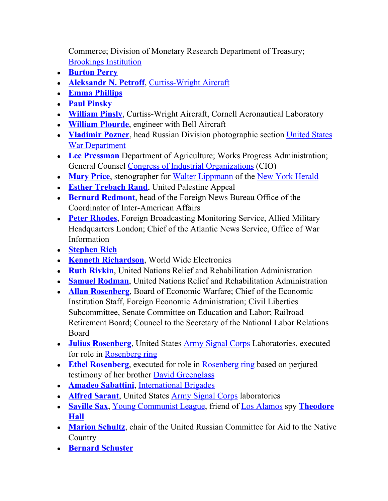Commerce; Division of Monetary Research Department of Treasury; [Brookings Institution](http://en.wikipedia.org/wiki/Brookings_Institution)

- **[Burton Perry](http://en.wikipedia.org/wiki/Burton_Perry)**
- **[Aleksandr N. Petroff](http://en.wikipedia.org/wiki/Aleksandr_N._Petroff)**, [Curtiss-Wright Aircraft](http://en.wikipedia.org/wiki/Curtiss-Wright_Aircraft)
- **[Emma Phillips](http://en.wikipedia.org/w/index.php?title=Emma_Phillips&action=edit)**
- **[Paul Pinsky](http://en.wikipedia.org/w/index.php?title=Paul_Pinsky&action=edit)**
- **[William Pinsly](http://en.wikipedia.org/wiki/William_Pinsly)**, Curtiss-Wright Aircraft, Cornell Aeronautical Laboratory
- **[William Plourde](http://en.wikipedia.org/wiki/William_Plourde)**, engineer with Bell Aircraft
- **[Vladimir Pozner](http://en.wikipedia.org/wiki/Vladimir_Pozner)**, head Russian Division photographic section [United States](http://en.wikipedia.org/wiki/United_States_War_Department) [War Department](http://en.wikipedia.org/wiki/United_States_War_Department)
- **[Lee Pressman](http://en.wikipedia.org/wiki/Lee_Pressman)** Department of Agriculture; Works Progress Administration; General Counsel [Congress of Industrial Organizations](http://en.wikipedia.org/wiki/Congress_of_Industrial_Organizations) (CIO)
- [Mary Price](http://en.wikipedia.org/wiki/Mary_Price), stenographer for [Walter Lippmann](http://en.wikipedia.org/wiki/Walter_Lippmann) of the [New York Herald](http://en.wikipedia.org/wiki/New_York_Herald)
- **[Esther Trebach Rand](http://en.wikipedia.org/wiki/Esther_Trebach_Rand)**, United Palestine Appeal
- **[Bernard Redmont](http://en.wikipedia.org/wiki/Bernard_Redmont)**, head of the Foreign News Bureau Office of the Coordinator of Inter-American Affairs
- **[Peter Rhodes](http://en.wikipedia.org/wiki/Peter_Rhodes)**, Foreign Broadcasting Monitoring Service, Allied Military Headquarters London; Chief of the Atlantic News Service, Office of War Information
- **[Stephen Rich](http://en.wikipedia.org/wiki/Stephen_Rich)**
- **[Kenneth Richardson](http://en.wikipedia.org/wiki/Kenneth_Richardson)**, World Wide Electronics
- **[Ruth Rivkin](http://en.wikipedia.org/wiki/Ruth_Rivkin)**, United Nations Relief and Rehabilitation Administration
- **[Samuel Rodman](http://en.wikipedia.org/wiki/Samuel_Rodman)**, United Nations Relief and Rehabilitation Administration
- **[Allan Rosenberg](http://en.wikipedia.org/wiki/Allan_Rosenberg)**, Board of Economic Warfare; Chief of the Economic Institution Staff, Foreign Economic Administration; Civil Liberties Subcommittee, Senate Committee on Education and Labor; Railroad Retirement Board; Councel to the Secretary of the National Labor Relations Board
- **[Julius Rosenberg](http://en.wikipedia.org/wiki/Julius_Rosenberg)**, United States [Army Signal Corps](http://en.wikipedia.org/wiki/Army_Signal_Corps#World_War_II) Laboratories, executed for role in [Rosenberg ring](http://en.wikipedia.org/wiki/List_of_secret_agents#Rosenberg_ring)
- **[Ethel Rosenberg](http://en.wikipedia.org/wiki/Ethel_Rosenberg)**, executed for role in **Rosenberg ring** based on perjured testimony of her brother [David Greenglass](http://en.wikipedia.org/wiki/David_Greenglass)
- **[Amadeo Sabattini](http://en.wikipedia.org/wiki/Amadeo_Sabattini)**, [International Brigades](http://en.wikipedia.org/wiki/International_Brigades)
- **[Alfred Sarant](http://en.wikipedia.org/wiki/Alfred_Sarant)**, United States **Army Signal Corps** laboratories
- **[Saville Sax](http://en.wikipedia.org/w/index.php?title=Saville_Sax&action=edit)**, [Young Communist League,](http://en.wikipedia.org/wiki/Young_Communist_League) friend of [Los Alamos](http://en.wikipedia.org/wiki/Los_Alamos) spy **[Theodore](http://en.wikipedia.org/wiki/Theodore_Hall) [Hall](http://en.wikipedia.org/wiki/Theodore_Hall)**
- **[Marion Schultz](http://en.wikipedia.org/wiki/Marion_Schultz)**, chair of the United Russian Committee for Aid to the Native **Country**
- **[Bernard Schuster](http://en.wikipedia.org/w/index.php?title=Bernard_Schuster&action=edit)**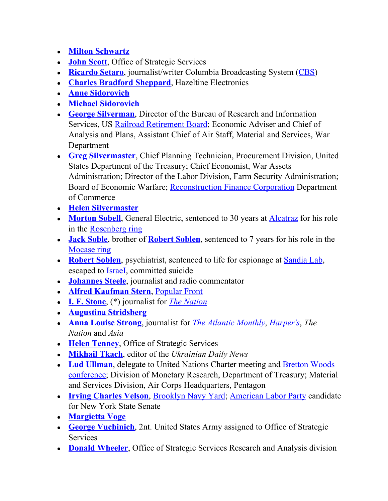- **[Milton Schwartz](http://en.wikipedia.org/wiki/Milton_Schwartz)**
- **[John Scott](http://en.wikipedia.org/wiki/John_Scott_%28writer%2529)**, Office of Strategic Services
- **[Ricardo Setaro](http://en.wikipedia.org/wiki/Ricardo_Setaro)**, journalist/writer Columbia Broadcasting System [\(CBS\)](http://en.wikipedia.org/wiki/CBS)
- **[Charles Bradford Sheppard](http://en.wikipedia.org/wiki/Charles_Bradford_Sheppard)**, Hazeltine Electronics
- **[Anne Sidorovich](http://en.wikipedia.org/w/index.php?title=Anne_Sidorovich&action=edit)**
- **[Michael Sidorovich](http://en.wikipedia.org/w/index.php?title=Michael_Sidorovich&action=edit)**
- **[George Silverman](http://en.wikipedia.org/wiki/George_Silverman)**, Director of the Bureau of Research and Information Services, US [Railroad Retirement Board;](http://en.wikipedia.org/wiki/Railroad_Retirement_Board) Economic Adviser and Chief of Analysis and Plans, Assistant Chief of Air Staff, Material and Services, War Department
- **[Greg Silvermaster](http://en.wikipedia.org/wiki/Greg_Silvermaster)**, Chief Planning Technician, Procurement Division, United States Department of the Treasury; Chief Economist, War Assets Administration; Director of the Labor Division, Farm Security Administration; Board of Economic Warfare; [Reconstruction Finance Corporation](http://en.wikipedia.org/wiki/Reconstruction_Finance_Corporation) Department of Commerce
- **[Helen Silvermaster](http://en.wikipedia.org/wiki/Helen_Silvermaster)**
- **[Morton Sobell](http://en.wikipedia.org/wiki/Morton_Sobell)**, General Electric, sentenced to 30 years at **Alcatraz** for his role in the [Rosenberg ring](http://en.wikipedia.org/wiki/List_of_secret_agents#Rosenberg_ring)
- **[Jack Soble](http://en.wikipedia.org/wiki/Jack_Soble)**, brother of **[Robert Soblen](http://en.wikipedia.org/wiki/Robert_Soblen)**, sentenced to 7 years for his role in the [Mocase ring](http://en.wikipedia.org/wiki/List_of_secret_agents#Mocase)
- **[Robert Soblen](http://en.wikipedia.org/wiki/Robert_Soblen)**, psychiatrist, sentenced to life for espionage at **Sandia Lab**, escaped to [IsraeI,](http://en.wikipedia.org/w/index.php?title=IsraeI&action=edit) committed suicide
- **[Johannes Steele](http://en.wikipedia.org/wiki/Johannes_Steele)**, journalist and radio commentator
- **[Alfred Kaufman Stern](http://en.wikipedia.org/w/index.php?title=Alfred_Kaufman_Stern&action=edit)**, [Popular Front](http://en.wikipedia.org/wiki/Popular_Front)
- **[I. F. Stone](http://en.wikipedia.org/wiki/I._F._Stone)**, (\*) journalist for *[The Nation](http://en.wikipedia.org/wiki/The_Nation)*
- **[Augustina Stridsberg](http://en.wikipedia.org/wiki/Augustina_Stridsberg)**
- **[Anna Louise Strong](http://en.wikipedia.org/wiki/Anna_Louise_Strong)**, journalist for *[The Atlantic Monthly](http://en.wikipedia.org/wiki/The_Atlantic_Monthly)*, *[Harper's](http://en.wikipedia.org/wiki/Harper%27s)*, *The Nation* and *Asia*
- **[Helen Tenney](http://en.wikipedia.org/wiki/Helen_Tenney)**, Office of Strategic Services
- **[Mikhail Tkach](http://en.wikipedia.org/wiki/Mikhail_Tkach)**, editor of the *Ukrainian Daily News*
- **[Lud Ullman](http://en.wikipedia.org/wiki/Lud_Ullman)**, delegate to United Nations Charter meeting and **Bretton Woods** [conference](http://en.wikipedia.org/wiki/United_Nations_Monetary_and_Financial_Conference); Division of Monetary Research, Department of Treasury; Material and Services Division, Air Corps Headquarters, Pentagon
- **[Irving Charles Velson](http://en.wikipedia.org/wiki/Irving_Charles_Velson)**, [Brooklyn Navy Yard;](http://en.wikipedia.org/wiki/Brooklyn_Navy_Yard) [American Labor Party](http://en.wikipedia.org/wiki/American_Labor_Party) candidate for New York State Senate
- **[Margietta Voge](http://en.wikipedia.org/wiki/Margietta_Voge)**
- **[George Vuchinich](http://en.wikipedia.org/wiki/George_Vuchinich)**, 2nt. United States Army assigned to Office of Strategic **Services**
- **[Donald Wheeler](http://en.wikipedia.org/wiki/Donald_Wheeler)**, Office of Strategic Services Research and Analysis division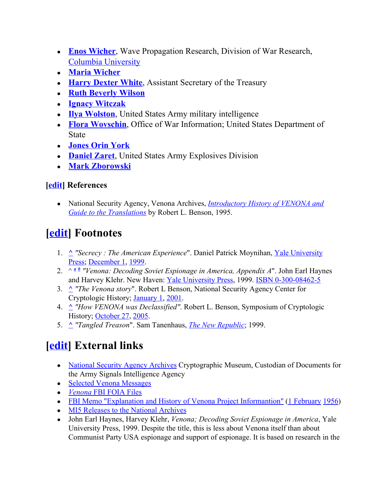- **[Enos Wicher](http://en.wikipedia.org/wiki/Enos_Wicher)**, Wave Propagation Research, Division of War Research, [Columbia University](http://en.wikipedia.org/wiki/Columbia_University)
- **[Maria Wicher](http://en.wikipedia.org/wiki/Maria_Wicher)**
- **[Harry Dexter White](http://en.wikipedia.org/wiki/Harry_Dexter_White)**, Assistant Secretary of the Treasury
- **[Ruth Beverly Wilson](http://en.wikipedia.org/wiki/Ruth_Wilson)**
- **[Ignacy Witczak](http://en.wikipedia.org/wiki/Ignacy_Witczak)**
- **[Ilya Wolston](http://en.wikipedia.org/wiki/Ilya_Wolston)**, United States Army military intelligence
- **[Flora Wovschin](http://en.wikipedia.org/wiki/Flora_Don_Wovschin)**, Office of War Information; United States Department of State
- **[Jones Orin York](http://en.wikipedia.org/wiki/Jones_Orin_York)**
- **[Daniel Zaret](http://en.wikipedia.org/wiki/Daniel_Zaret)**, United States Army Explosives Division
- **[Mark Zborowski](http://en.wikipedia.org/wiki/Mark_Zborowski)**

### **[[edit](http://en.wikipedia.org/w/index.php?title=List_of_Americans_in_the_Venona_papers&action=edit§ion=1)] References**

● National Security Agency, Venona Archives, *[Introductory History of VENONA and](http://permanent.access.gpo.gov/lps33230/www.nsa.gov/docs/venona/monographs/monograph-1.html) [Guide to the Translations](http://permanent.access.gpo.gov/lps33230/www.nsa.gov/docs/venona/monographs/monograph-1.html)* by Robert L. Benson, 1995.

## **[[edit](http://en.wikipedia.org/w/index.php?title=List_of_Americans_in_the_Venona_papers&action=edit§ion=2)] Footnotes**

- 1. **[^](http://www.iamthewitness.com/books/John.Beaty/Iron.Curtain.Over.America.htm#_ref-0)** *"Secrecy : The American Experience*". Daniel Patrick Moynihan, [Yale University](http://en.wikipedia.org/wiki/Yale_University_Press) [Press;](http://en.wikipedia.org/wiki/Yale_University_Press) [December 1,](http://en.wikipedia.org/wiki/December_1) [1999.](http://en.wikipedia.org/wiki/1999)
- 2. ^ <u><sup>a b</sup></u> "Venona: Decoding Soviet Espionage in America, Appendix A". John Earl Haynes **[b](http://www.iamthewitness.com/books/John.Beaty/Iron.Curtain.Over.America.htm#_ref-r5_1)**  $\alpha$  $\alpha$  $\alpha$  *b*  $\alpha$  **b**  $\alpha$  **b**  $\alpha$  **b**  $\alpha$  **b**  $\alpha$ and Harvey Klehr. New Haven: [Yale University Press,](http://en.wikipedia.org/wiki/Yale_University_Press) 1999. [ISBN 0-300-08462-5](http://en.wikipedia.org/w/index.php?title=Special:Booksources&isbn=0300084625)
	- 3. **[^](http://www.iamthewitness.com/books/John.Beaty/Iron.Curtain.Over.America.htm#_ref-1)** *"The Venona story*". Robert L Benson, National Security Agency Center for Cryptologic History; [January 1,](http://en.wikipedia.org/wiki/January_1) [2001.](http://en.wikipedia.org/wiki/2001)
	- 4. **[^](http://www.iamthewitness.com/books/John.Beaty/Iron.Curtain.Over.America.htm#_ref-2)** *"How VENONA was Declassified"*. Robert L. Benson, Symposium of Cryptologic History; [October 27,](http://en.wikipedia.org/wiki/October_27) [2005.](http://en.wikipedia.org/wiki/2005)
	- 5. **[^](http://www.iamthewitness.com/books/John.Beaty/Iron.Curtain.Over.America.htm#_ref-3)** *"Tangled Treason*". Sam Tanenhaus, *[The New Republic](http://en.wikipedia.org/wiki/The_New_Republic)*; 1999.

## **[[edit](http://en.wikipedia.org/w/index.php?title=List_of_Americans_in_the_Venona_papers&action=edit§ion=3)] External links**

- [National Security Agency Archives](http://www.nsa.gov/venona/venon00017.cfm) Cryptographic Museum, Custodian of Documents for the Army Signals Intelligence Agency
- Selected Venona Messages
- *[Venona](http://foia.fbi.gov/foiaindex/venona.htm)* [FBI FOIA Files](http://foia.fbi.gov/foiaindex/venona.htm)
- [FBI Memo "Explanation and History of Venona Project Informantion"](http://cryptome.org/fbi-nsa.htm) ([1 February](http://en.wikipedia.org/wiki/February_1) [1956\)](http://en.wikipedia.org/wiki/1956)
- MI5 Releases to the National Archives
- John Earl Haynes, Harvey Klehr, *Venona; Decoding Soviet Espionage in America*, Yale University Press, 1999. Despite the title, this is less about Venona itself than about Communist Party USA espionage and support of espionage. It is based on research in the